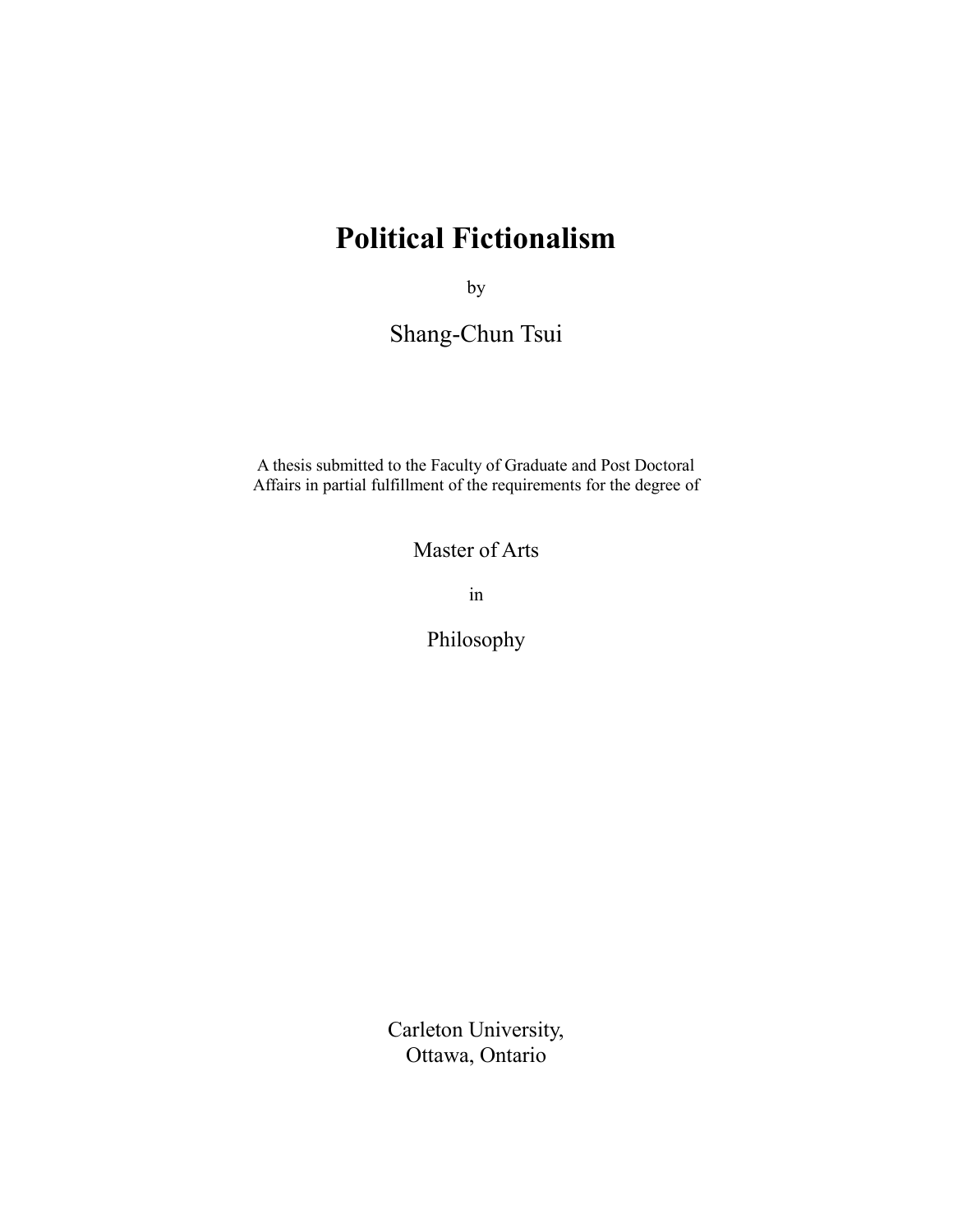# **Political Fictionalism**

by

Shang-Chun Tsui

A thesis submitted to the Faculty of Graduate and Post Doctoral Affairs in partial fulfillment of the requirements for the degree of

Master of Arts

in

Philosophy

Carleton University, Ottawa, Ontario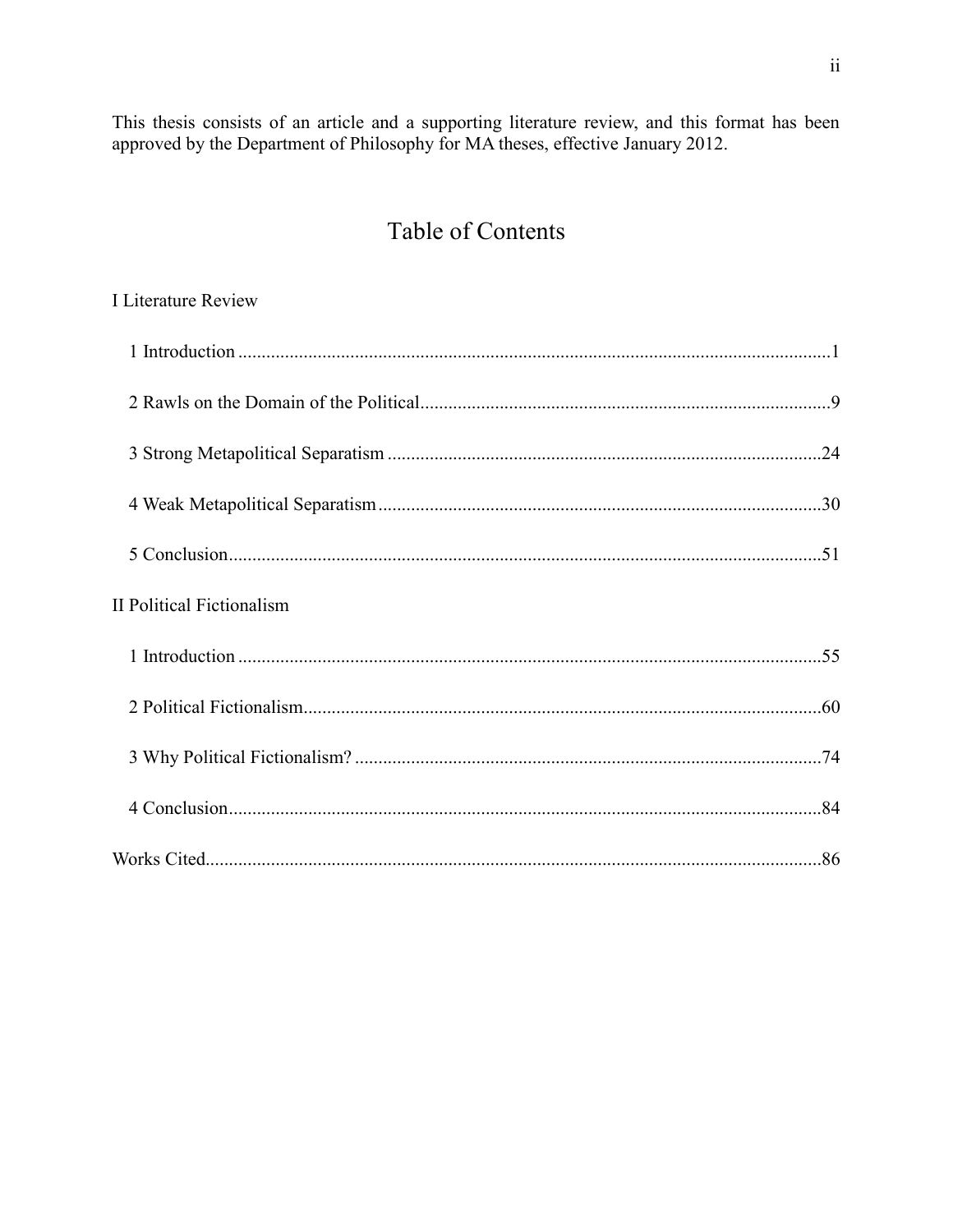This thesis consists of an article and a supporting literature review, and this format has been approved by the Department of Philosophy for MA theses, effective January 2012.

# **Table of Contents**

## I Literature Review

| <b>II Political Fictionalism</b> |  |
|----------------------------------|--|
|                                  |  |
|                                  |  |
|                                  |  |
|                                  |  |
|                                  |  |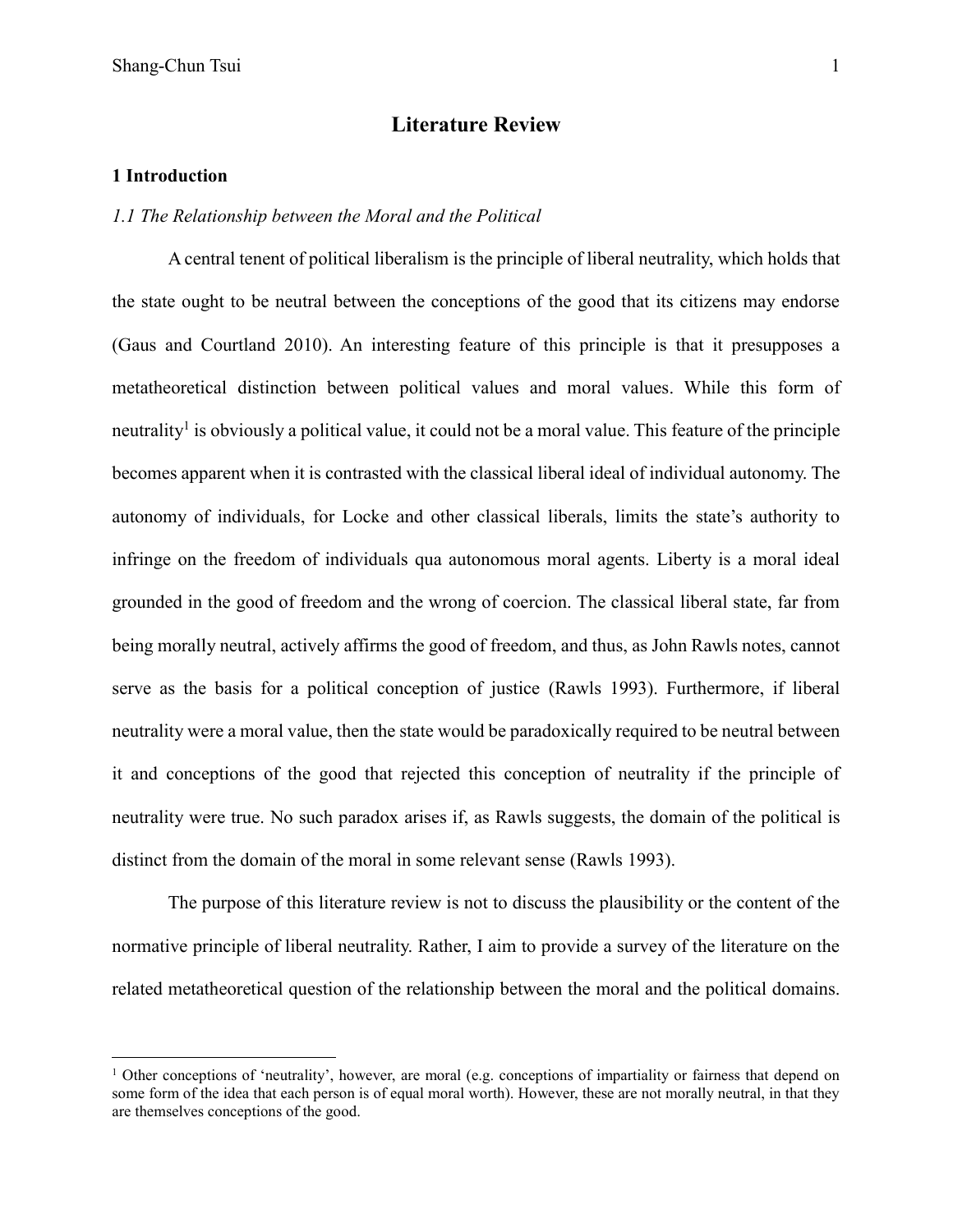### **Literature Review**

#### **1 Introduction**

 $\overline{a}$ 

#### *1.1 The Relationship between the Moral and the Political*

A central tenent of political liberalism is the principle of liberal neutrality, which holds that the state ought to be neutral between the conceptions of the good that its citizens may endorse (Gaus and Courtland 2010). An interesting feature of this principle is that it presupposes a metatheoretical distinction between political values and moral values. While this form of neutrality<sup>1</sup> is obviously a political value, it could not be a moral value. This feature of the principle becomes apparent when it is contrasted with the classical liberal ideal of individual autonomy. The autonomy of individuals, for Locke and other classical liberals, limits the state's authority to infringe on the freedom of individuals qua autonomous moral agents. Liberty is a moral ideal grounded in the good of freedom and the wrong of coercion. The classical liberal state, far from being morally neutral, actively affirms the good of freedom, and thus, as John Rawls notes, cannot serve as the basis for a political conception of justice (Rawls 1993). Furthermore, if liberal neutrality were a moral value, then the state would be paradoxically required to be neutral between it and conceptions of the good that rejected this conception of neutrality if the principle of neutrality were true. No such paradox arises if, as Rawls suggests, the domain of the political is distinct from the domain of the moral in some relevant sense (Rawls 1993).

The purpose of this literature review is not to discuss the plausibility or the content of the normative principle of liberal neutrality. Rather, I aim to provide a survey of the literature on the related metatheoretical question of the relationship between the moral and the political domains.

<sup>&</sup>lt;sup>1</sup> Other conceptions of 'neutrality', however, are moral (e.g. conceptions of impartiality or fairness that depend on some form of the idea that each person is of equal moral worth). However, these are not morally neutral, in that they are themselves conceptions of the good.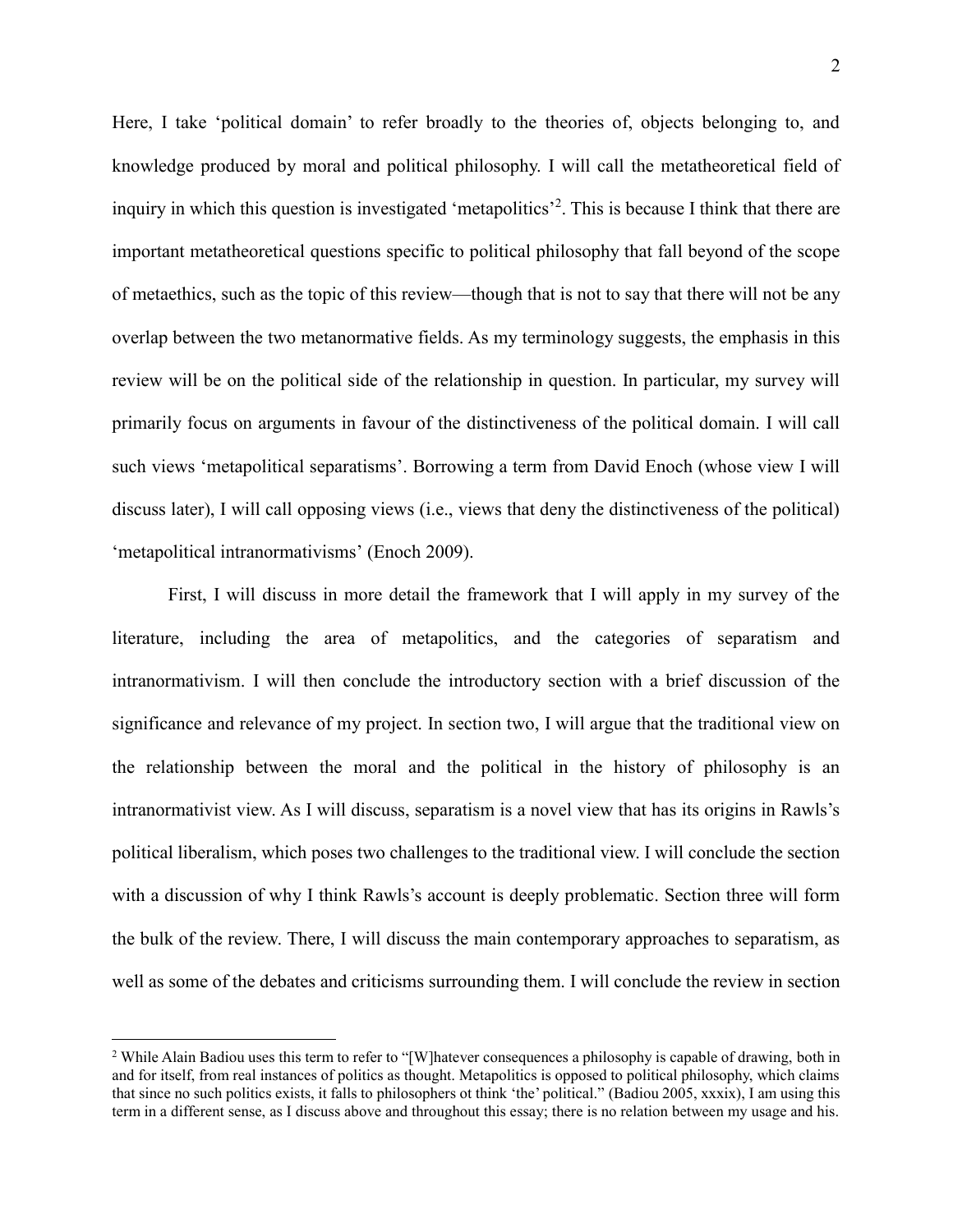Here, I take 'political domain' to refer broadly to the theories of, objects belonging to, and knowledge produced by moral and political philosophy. I will call the metatheoretical field of inquiry in which this question is investigated 'metapolitics'<sup>2</sup>. This is because I think that there are important metatheoretical questions specific to political philosophy that fall beyond of the scope of metaethics, such as the topic of this review—though that is not to say that there will not be any overlap between the two metanormative fields. As my terminology suggests, the emphasis in this review will be on the political side of the relationship in question. In particular, my survey will primarily focus on arguments in favour of the distinctiveness of the political domain. I will call such views 'metapolitical separatisms'. Borrowing a term from David Enoch (whose view I will discuss later), I will call opposing views (i.e., views that deny the distinctiveness of the political) 'metapolitical intranormativisms' (Enoch 2009).

First, I will discuss in more detail the framework that I will apply in my survey of the literature, including the area of metapolitics, and the categories of separatism and intranormativism. I will then conclude the introductory section with a brief discussion of the significance and relevance of my project. In section two, I will argue that the traditional view on the relationship between the moral and the political in the history of philosophy is an intranormativist view. As I will discuss, separatism is a novel view that has its origins in Rawls's political liberalism, which poses two challenges to the traditional view. I will conclude the section with a discussion of why I think Rawls's account is deeply problematic. Section three will form the bulk of the review. There, I will discuss the main contemporary approaches to separatism, as well as some of the debates and criticisms surrounding them. I will conclude the review in section

 $\overline{a}$ 

<sup>&</sup>lt;sup>2</sup> While Alain Badiou uses this term to refer to "[W]hatever consequences a philosophy is capable of drawing, both in and for itself, from real instances of politics as thought. Metapolitics is opposed to political philosophy, which claims that since no such politics exists, it falls to philosophers ot think 'the' political." (Badiou 2005, xxxix), I am using this term in a different sense, as I discuss above and throughout this essay; there is no relation between my usage and his.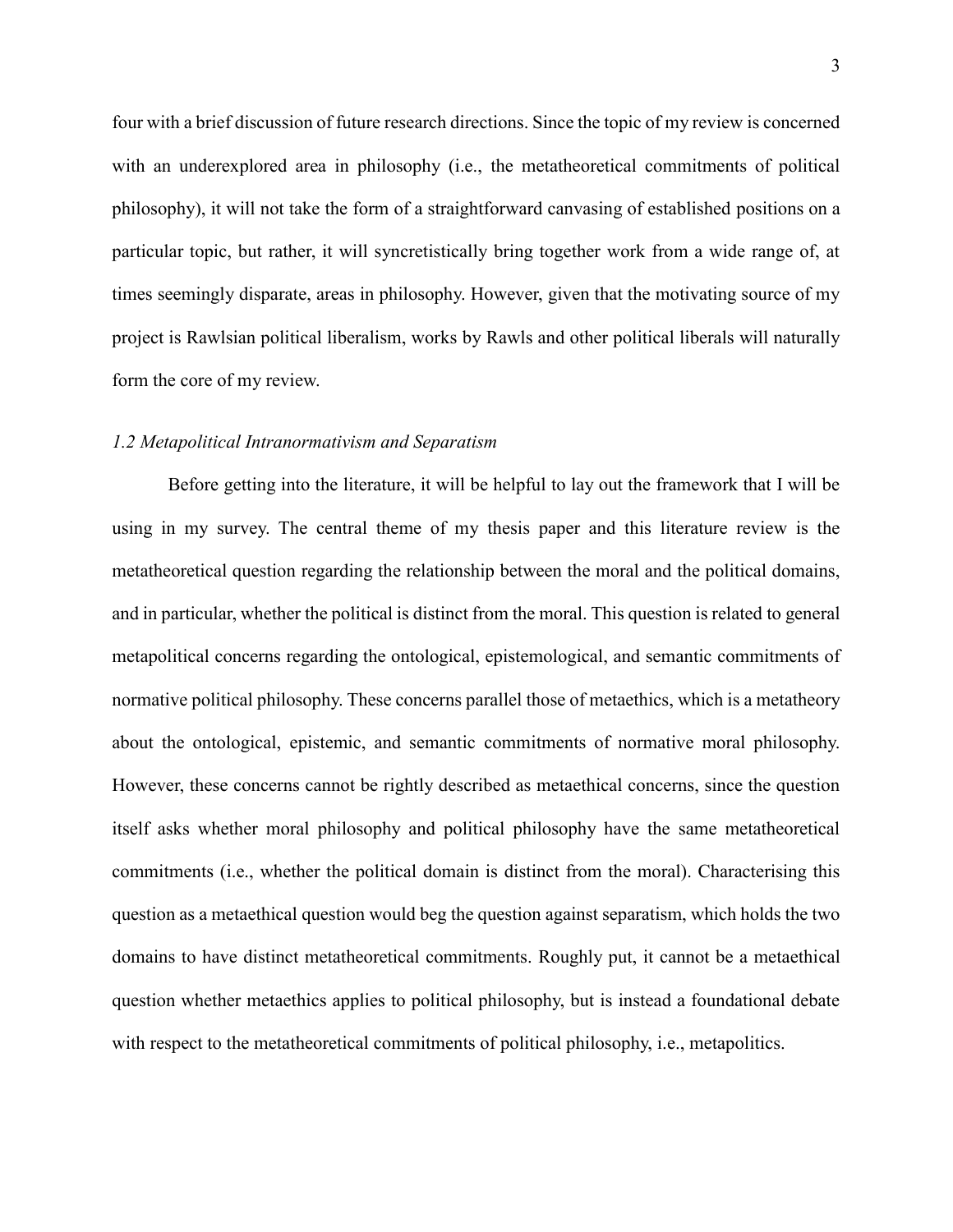four with a brief discussion of future research directions. Since the topic of my review is concerned with an underexplored area in philosophy (i.e., the metatheoretical commitments of political philosophy), it will not take the form of a straightforward canvasing of established positions on a particular topic, but rather, it will syncretistically bring together work from a wide range of, at times seemingly disparate, areas in philosophy. However, given that the motivating source of my project is Rawlsian political liberalism, works by Rawls and other political liberals will naturally form the core of my review.

#### *1.2 Metapolitical Intranormativism and Separatism*

Before getting into the literature, it will be helpful to lay out the framework that I will be using in my survey. The central theme of my thesis paper and this literature review is the metatheoretical question regarding the relationship between the moral and the political domains, and in particular, whether the political is distinct from the moral. This question is related to general metapolitical concerns regarding the ontological, epistemological, and semantic commitments of normative political philosophy. These concerns parallel those of metaethics, which is a metatheory about the ontological, epistemic, and semantic commitments of normative moral philosophy. However, these concerns cannot be rightly described as metaethical concerns, since the question itself asks whether moral philosophy and political philosophy have the same metatheoretical commitments (i.e., whether the political domain is distinct from the moral). Characterising this question as a metaethical question would beg the question against separatism, which holds the two domains to have distinct metatheoretical commitments. Roughly put, it cannot be a metaethical question whether metaethics applies to political philosophy, but is instead a foundational debate with respect to the metatheoretical commitments of political philosophy, i.e., metapolitics.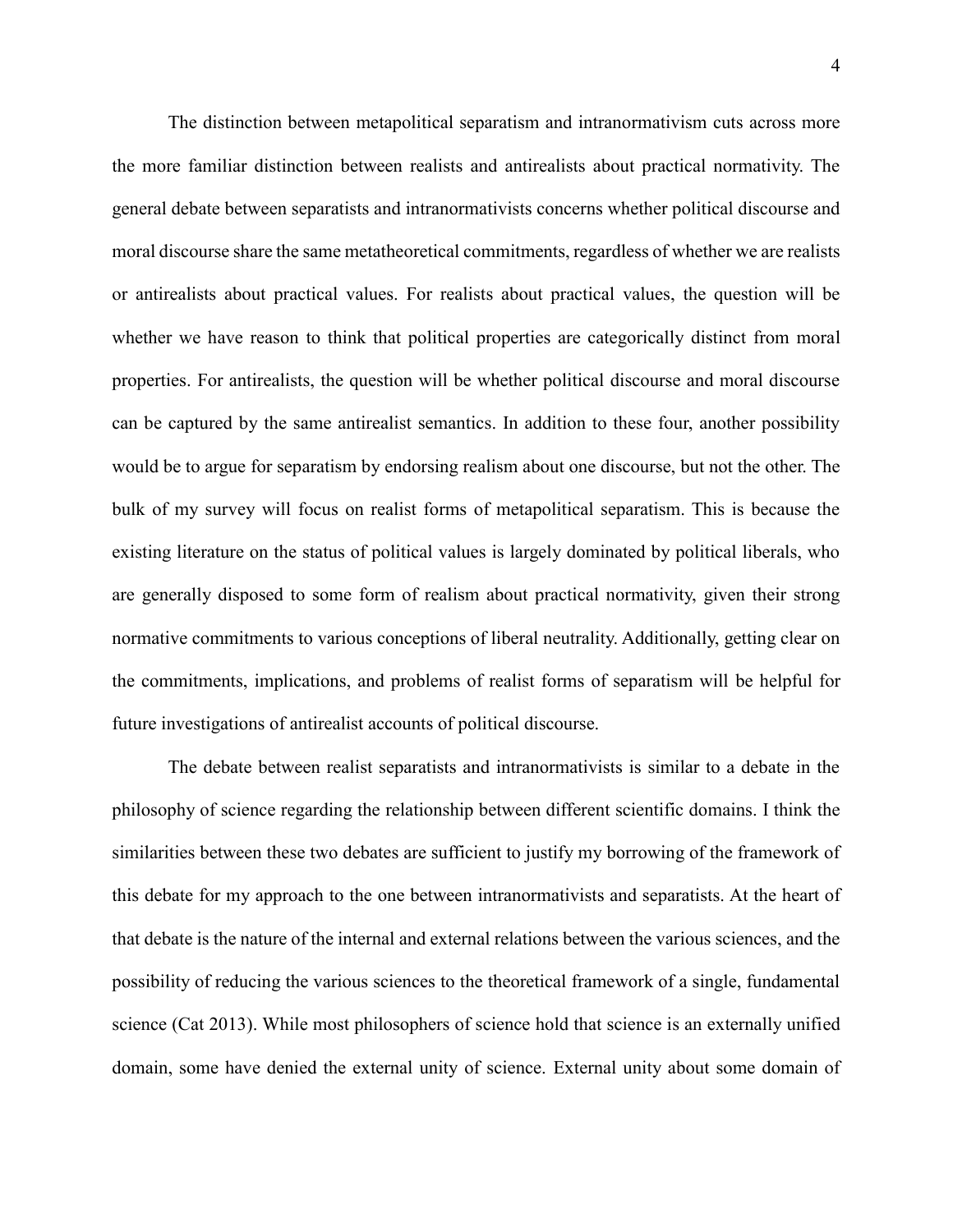The distinction between metapolitical separatism and intranormativism cuts across more the more familiar distinction between realists and antirealists about practical normativity. The general debate between separatists and intranormativists concerns whether political discourse and moral discourse share the same metatheoretical commitments, regardless of whether we are realists or antirealists about practical values. For realists about practical values, the question will be whether we have reason to think that political properties are categorically distinct from moral properties. For antirealists, the question will be whether political discourse and moral discourse can be captured by the same antirealist semantics. In addition to these four, another possibility would be to argue for separatism by endorsing realism about one discourse, but not the other. The bulk of my survey will focus on realist forms of metapolitical separatism. This is because the existing literature on the status of political values is largely dominated by political liberals, who are generally disposed to some form of realism about practical normativity, given their strong normative commitments to various conceptions of liberal neutrality. Additionally, getting clear on the commitments, implications, and problems of realist forms of separatism will be helpful for future investigations of antirealist accounts of political discourse.

The debate between realist separatists and intranormativists is similar to a debate in the philosophy of science regarding the relationship between different scientific domains. I think the similarities between these two debates are sufficient to justify my borrowing of the framework of this debate for my approach to the one between intranormativists and separatists. At the heart of that debate is the nature of the internal and external relations between the various sciences, and the possibility of reducing the various sciences to the theoretical framework of a single, fundamental science (Cat 2013). While most philosophers of science hold that science is an externally unified domain, some have denied the external unity of science. External unity about some domain of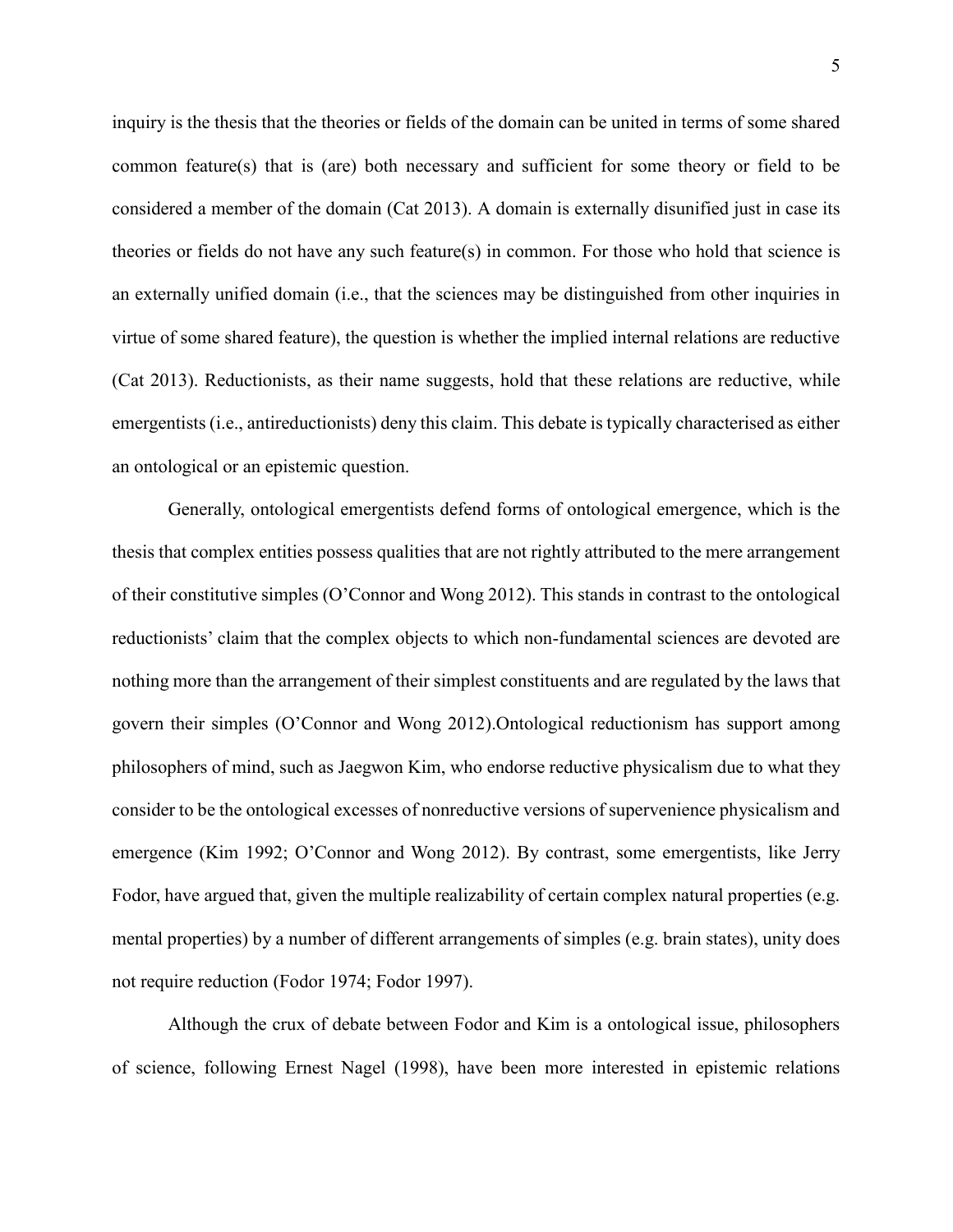inquiry is the thesis that the theories or fields of the domain can be united in terms of some shared common feature(s) that is (are) both necessary and sufficient for some theory or field to be considered a member of the domain (Cat 2013). A domain is externally disunified just in case its theories or fields do not have any such feature(s) in common. For those who hold that science is an externally unified domain (i.e., that the sciences may be distinguished from other inquiries in virtue of some shared feature), the question is whether the implied internal relations are reductive (Cat 2013). Reductionists, as their name suggests, hold that these relations are reductive, while emergentists (i.e., antireductionists) deny this claim. This debate is typically characterised as either an ontological or an epistemic question.

Generally, ontological emergentists defend forms of ontological emergence, which is the thesis that complex entities possess qualities that are not rightly attributed to the mere arrangement of their constitutive simples (O'Connor and Wong 2012). This stands in contrast to the ontological reductionists' claim that the complex objects to which non-fundamental sciences are devoted are nothing more than the arrangement of their simplest constituents and are regulated by the laws that govern their simples (O'Connor and Wong 2012).Ontological reductionism has support among philosophers of mind, such as Jaegwon Kim, who endorse reductive physicalism due to what they consider to be the ontological excesses of nonreductive versions of supervenience physicalism and emergence (Kim 1992; O'Connor and Wong 2012). By contrast, some emergentists, like Jerry Fodor, have argued that, given the multiple realizability of certain complex natural properties (e.g. mental properties) by a number of different arrangements of simples (e.g. brain states), unity does not require reduction (Fodor 1974; Fodor 1997).

Although the crux of debate between Fodor and Kim is a ontological issue, philosophers of science, following Ernest Nagel (1998), have been more interested in epistemic relations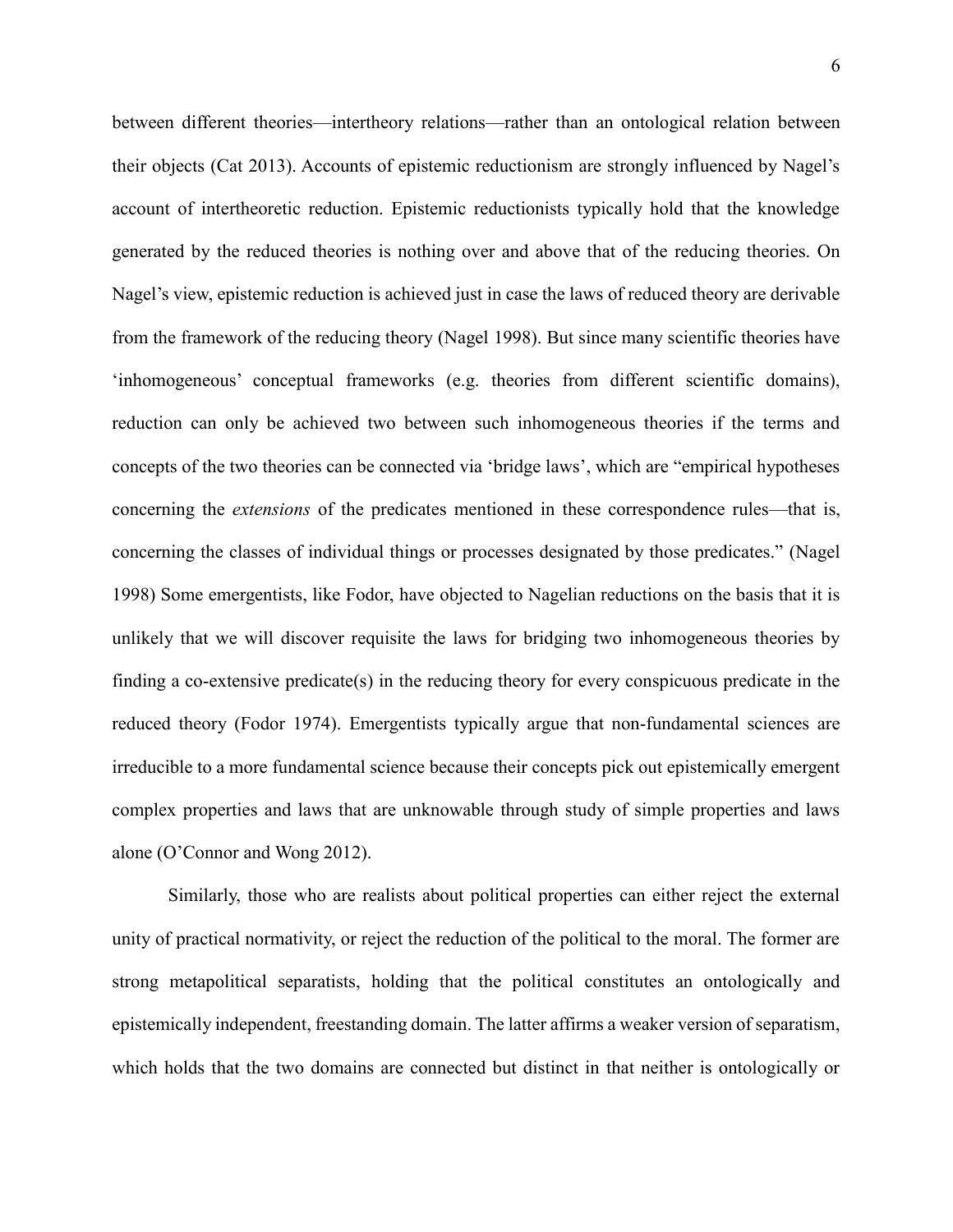between different theories—intertheory relations—rather than an ontological relation between their objects (Cat 2013). Accounts of epistemic reductionism are strongly influenced by Nagel's account of intertheoretic reduction. Epistemic reductionists typically hold that the knowledge generated by the reduced theories is nothing over and above that of the reducing theories. On Nagel's view, epistemic reduction is achieved just in case the laws of reduced theory are derivable from the framework of the reducing theory (Nagel 1998). But since many scientific theories have 'inhomogeneous' conceptual frameworks (e.g. theories from different scientific domains), reduction can only be achieved two between such inhomogeneous theories if the terms and concepts of the two theories can be connected via 'bridge laws', which are "empirical hypotheses concerning the *extensions* of the predicates mentioned in these correspondence rules—that is, concerning the classes of individual things or processes designated by those predicates." (Nagel 1998) Some emergentists, like Fodor, have objected to Nagelian reductions on the basis that it is unlikely that we will discover requisite the laws for bridging two inhomogeneous theories by finding a co-extensive predicate(s) in the reducing theory for every conspicuous predicate in the reduced theory (Fodor 1974). Emergentists typically argue that non-fundamental sciences are irreducible to a more fundamental science because their concepts pick out epistemically emergent complex properties and laws that are unknowable through study of simple properties and laws alone (O'Connor and Wong 2012).

Similarly, those who are realists about political properties can either reject the external unity of practical normativity, or reject the reduction of the political to the moral. The former are strong metapolitical separatists, holding that the political constitutes an ontologically and epistemically independent, freestanding domain. The latter affirms a weaker version of separatism, which holds that the two domains are connected but distinct in that neither is ontologically or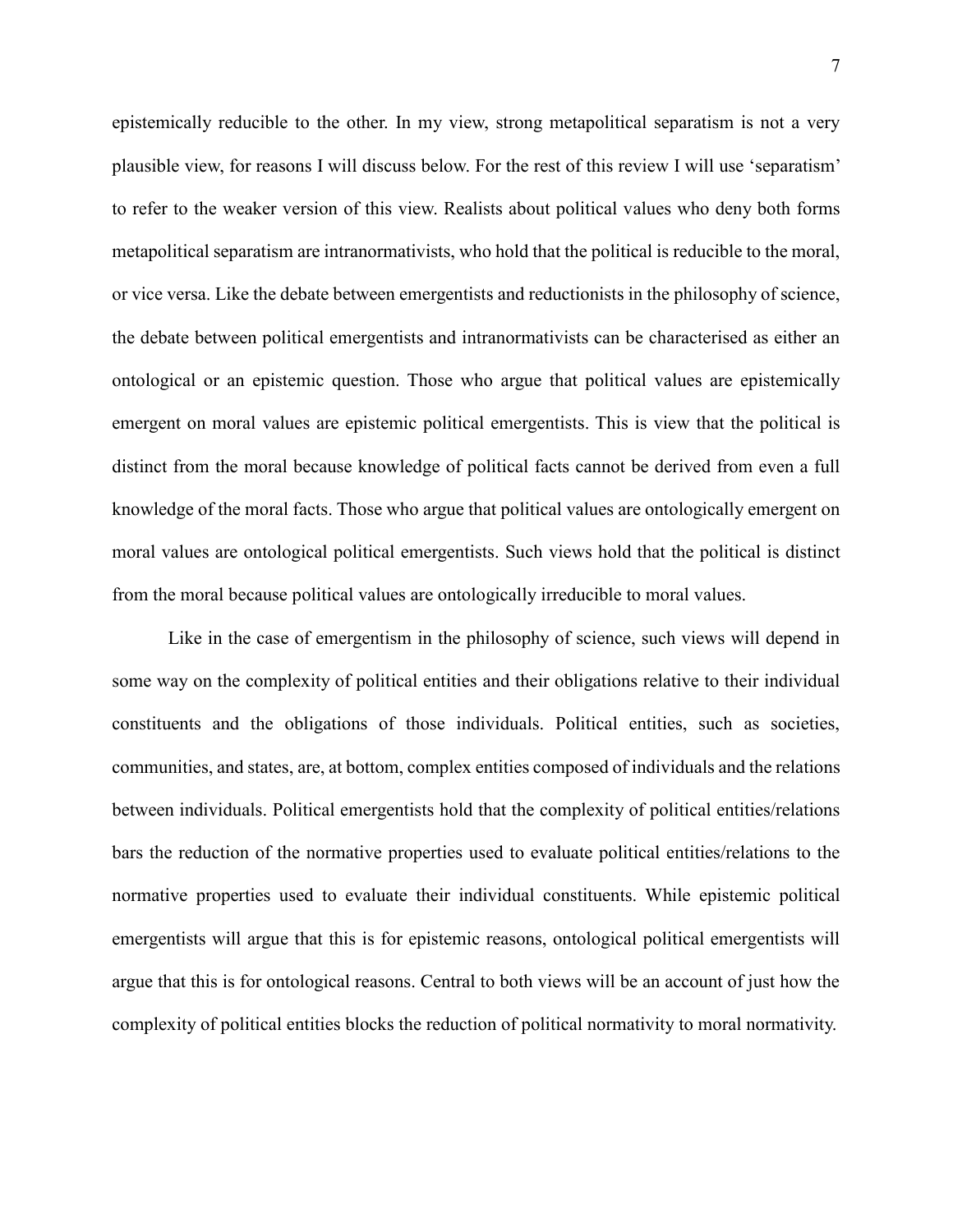epistemically reducible to the other. In my view, strong metapolitical separatism is not a very plausible view, for reasons I will discuss below. For the rest of this review I will use 'separatism' to refer to the weaker version of this view. Realists about political values who deny both forms metapolitical separatism are intranormativists, who hold that the political is reducible to the moral, or vice versa. Like the debate between emergentists and reductionists in the philosophy of science, the debate between political emergentists and intranormativists can be characterised as either an ontological or an epistemic question. Those who argue that political values are epistemically emergent on moral values are epistemic political emergentists. This is view that the political is distinct from the moral because knowledge of political facts cannot be derived from even a full knowledge of the moral facts. Those who argue that political values are ontologically emergent on moral values are ontological political emergentists. Such views hold that the political is distinct from the moral because political values are ontologically irreducible to moral values.

Like in the case of emergentism in the philosophy of science, such views will depend in some way on the complexity of political entities and their obligations relative to their individual constituents and the obligations of those individuals. Political entities, such as societies, communities, and states, are, at bottom, complex entities composed of individuals and the relations between individuals. Political emergentists hold that the complexity of political entities/relations bars the reduction of the normative properties used to evaluate political entities/relations to the normative properties used to evaluate their individual constituents. While epistemic political emergentists will argue that this is for epistemic reasons, ontological political emergentists will argue that this is for ontological reasons. Central to both views will be an account of just how the complexity of political entities blocks the reduction of political normativity to moral normativity.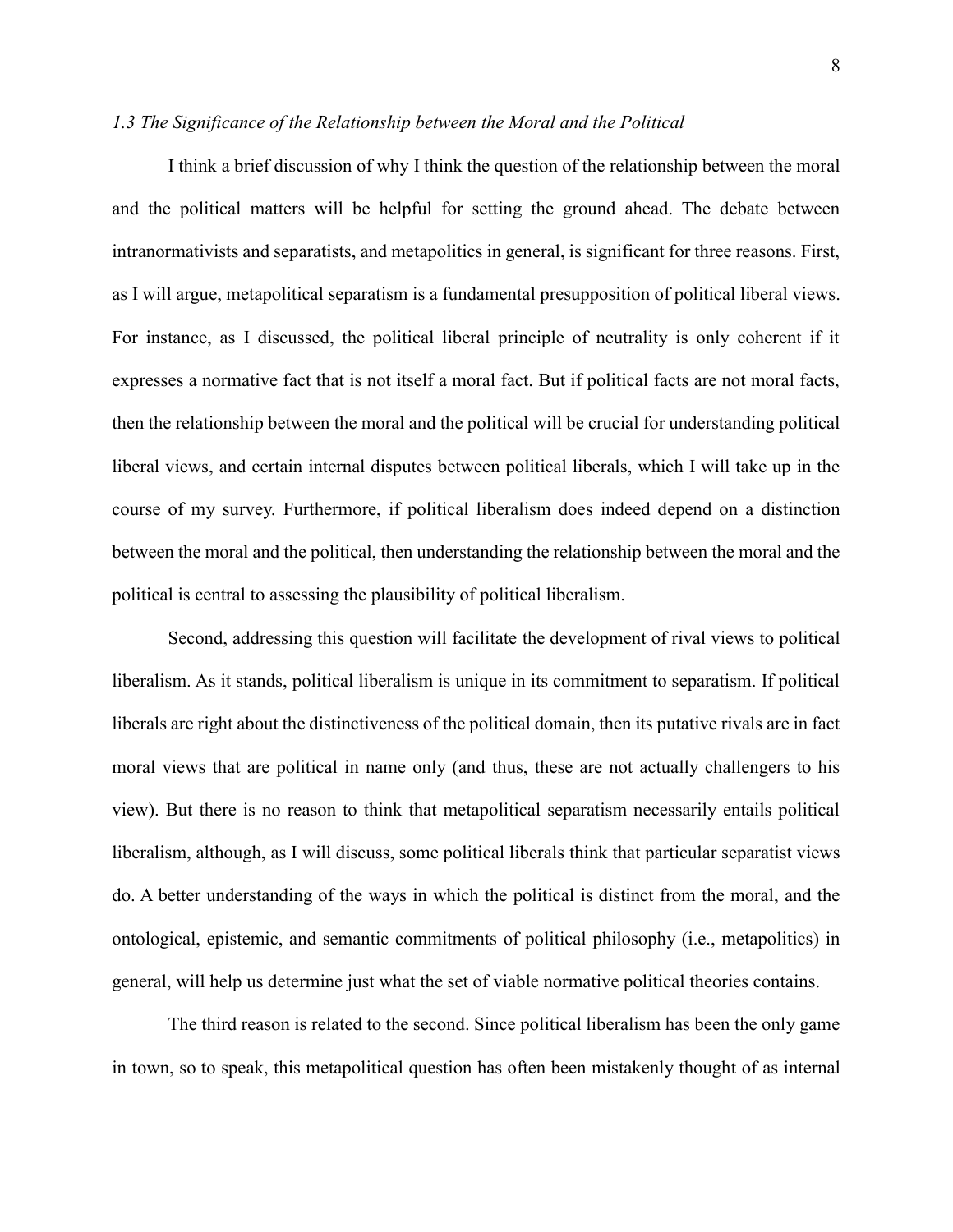#### *1.3 The Significance of the Relationship between the Moral and the Political*

I think a brief discussion of why I think the question of the relationship between the moral and the political matters will be helpful for setting the ground ahead. The debate between intranormativists and separatists, and metapolitics in general, is significant for three reasons. First, as I will argue, metapolitical separatism is a fundamental presupposition of political liberal views. For instance, as I discussed, the political liberal principle of neutrality is only coherent if it expresses a normative fact that is not itself a moral fact. But if political facts are not moral facts, then the relationship between the moral and the political will be crucial for understanding political liberal views, and certain internal disputes between political liberals, which I will take up in the course of my survey. Furthermore, if political liberalism does indeed depend on a distinction between the moral and the political, then understanding the relationship between the moral and the political is central to assessing the plausibility of political liberalism.

Second, addressing this question will facilitate the development of rival views to political liberalism. As it stands, political liberalism is unique in its commitment to separatism. If political liberals are right about the distinctiveness of the political domain, then its putative rivals are in fact moral views that are political in name only (and thus, these are not actually challengers to his view). But there is no reason to think that metapolitical separatism necessarily entails political liberalism, although, as I will discuss, some political liberals think that particular separatist views do. A better understanding of the ways in which the political is distinct from the moral, and the ontological, epistemic, and semantic commitments of political philosophy (i.e., metapolitics) in general, will help us determine just what the set of viable normative political theories contains.

The third reason is related to the second. Since political liberalism has been the only game in town, so to speak, this metapolitical question has often been mistakenly thought of as internal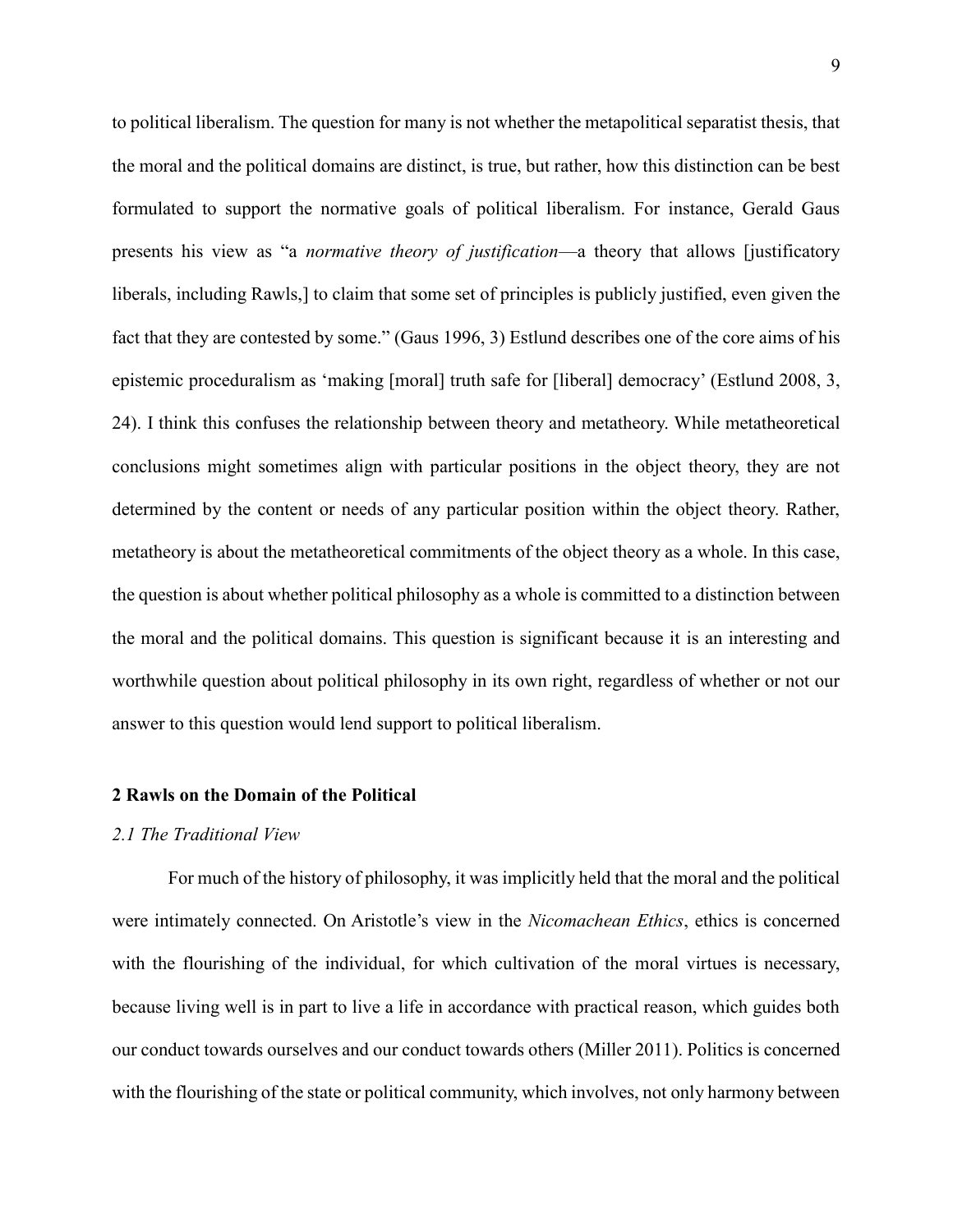to political liberalism. The question for many is not whether the metapolitical separatist thesis, that the moral and the political domains are distinct, is true, but rather, how this distinction can be best formulated to support the normative goals of political liberalism. For instance, Gerald Gaus presents his view as "a *normative theory of justification*—a theory that allows [justificatory liberals, including Rawls,] to claim that some set of principles is publicly justified, even given the fact that they are contested by some." (Gaus 1996, 3) Estlund describes one of the core aims of his epistemic proceduralism as 'making [moral] truth safe for [liberal] democracy' (Estlund 2008, 3, 24). I think this confuses the relationship between theory and metatheory. While metatheoretical conclusions might sometimes align with particular positions in the object theory, they are not determined by the content or needs of any particular position within the object theory. Rather, metatheory is about the metatheoretical commitments of the object theory as a whole. In this case, the question is about whether political philosophy as a whole is committed to a distinction between the moral and the political domains. This question is significant because it is an interesting and worthwhile question about political philosophy in its own right, regardless of whether or not our answer to this question would lend support to political liberalism.

#### **2 Rawls on the Domain of the Political**

#### *2.1 The Traditional View*

For much of the history of philosophy, it was implicitly held that the moral and the political were intimately connected. On Aristotle's view in the *Nicomachean Ethics*, ethics is concerned with the flourishing of the individual, for which cultivation of the moral virtues is necessary, because living well is in part to live a life in accordance with practical reason, which guides both our conduct towards ourselves and our conduct towards others (Miller 2011). Politics is concerned with the flourishing of the state or political community, which involves, not only harmony between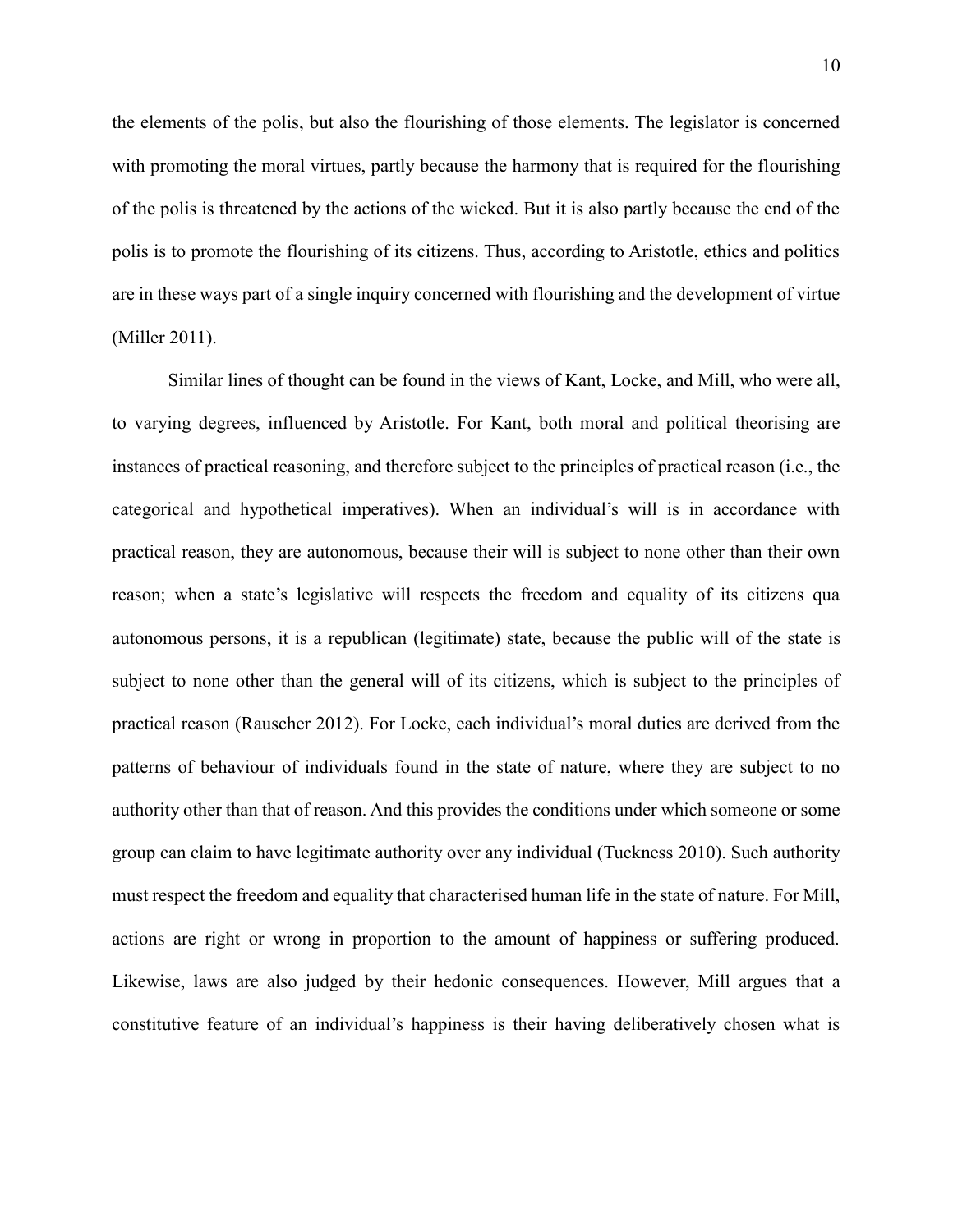the elements of the polis, but also the flourishing of those elements. The legislator is concerned with promoting the moral virtues, partly because the harmony that is required for the flourishing of the polis is threatened by the actions of the wicked. But it is also partly because the end of the polis is to promote the flourishing of its citizens. Thus, according to Aristotle, ethics and politics are in these ways part of a single inquiry concerned with flourishing and the development of virtue (Miller 2011).

Similar lines of thought can be found in the views of Kant, Locke, and Mill, who were all, to varying degrees, influenced by Aristotle. For Kant, both moral and political theorising are instances of practical reasoning, and therefore subject to the principles of practical reason (i.e., the categorical and hypothetical imperatives). When an individual's will is in accordance with practical reason, they are autonomous, because their will is subject to none other than their own reason; when a state's legislative will respects the freedom and equality of its citizens qua autonomous persons, it is a republican (legitimate) state, because the public will of the state is subject to none other than the general will of its citizens, which is subject to the principles of practical reason (Rauscher 2012). For Locke, each individual's moral duties are derived from the patterns of behaviour of individuals found in the state of nature, where they are subject to no authority other than that of reason. And this provides the conditions under which someone or some group can claim to have legitimate authority over any individual (Tuckness 2010). Such authority must respect the freedom and equality that characterised human life in the state of nature. For Mill, actions are right or wrong in proportion to the amount of happiness or suffering produced. Likewise, laws are also judged by their hedonic consequences. However, Mill argues that a constitutive feature of an individual's happiness is their having deliberatively chosen what is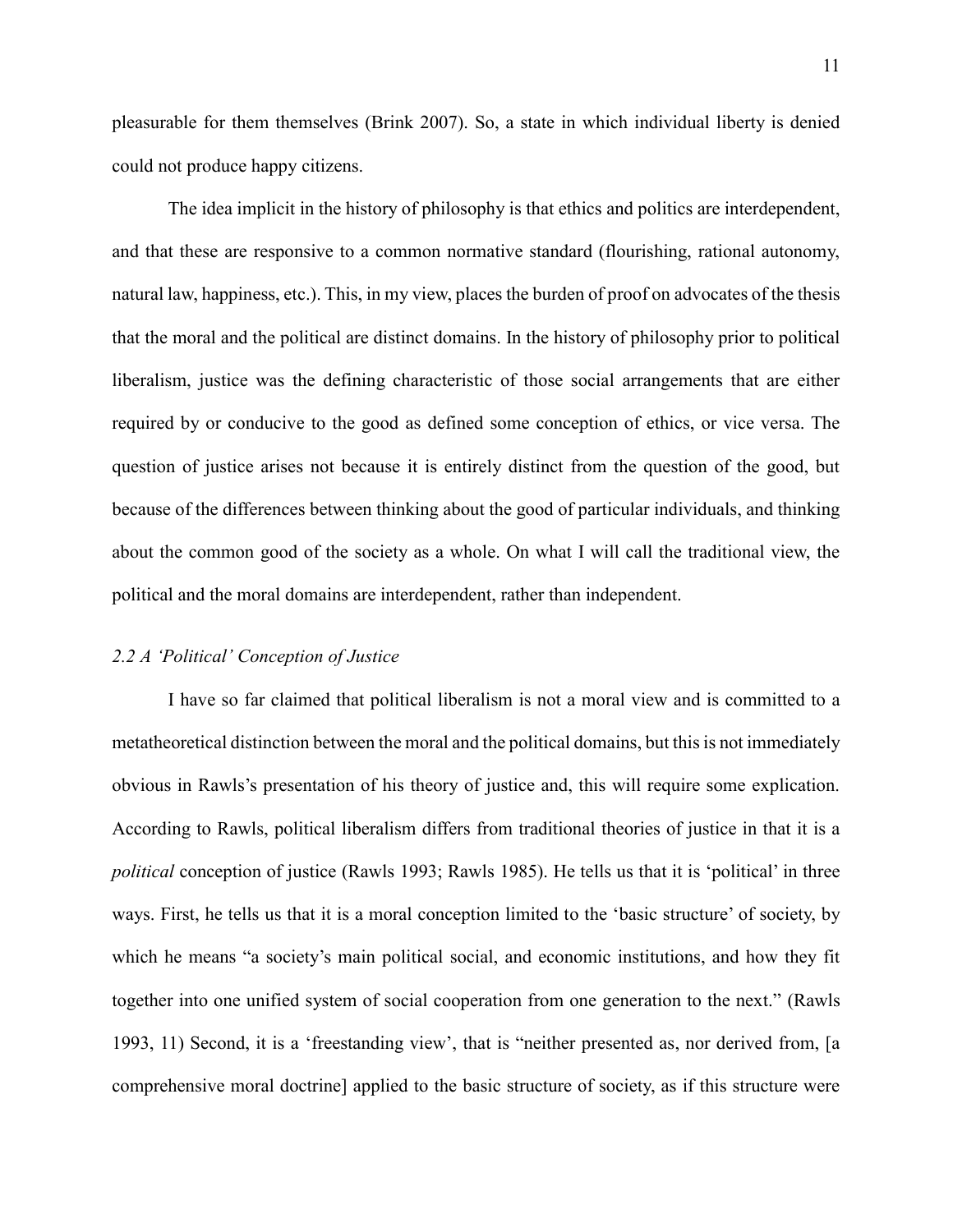pleasurable for them themselves (Brink 2007). So, a state in which individual liberty is denied could not produce happy citizens.

The idea implicit in the history of philosophy is that ethics and politics are interdependent, and that these are responsive to a common normative standard (flourishing, rational autonomy, natural law, happiness, etc.). This, in my view, places the burden of proof on advocates of the thesis that the moral and the political are distinct domains. In the history of philosophy prior to political liberalism, justice was the defining characteristic of those social arrangements that are either required by or conducive to the good as defined some conception of ethics, or vice versa. The question of justice arises not because it is entirely distinct from the question of the good, but because of the differences between thinking about the good of particular individuals, and thinking about the common good of the society as a whole. On what I will call the traditional view, the political and the moral domains are interdependent, rather than independent.

#### *2.2 A 'Political' Conception of Justice*

I have so far claimed that political liberalism is not a moral view and is committed to a metatheoretical distinction between the moral and the political domains, but this is not immediately obvious in Rawls's presentation of his theory of justice and, this will require some explication. According to Rawls, political liberalism differs from traditional theories of justice in that it is a *political* conception of justice (Rawls 1993; Rawls 1985). He tells us that it is 'political' in three ways. First, he tells us that it is a moral conception limited to the 'basic structure' of society, by which he means "a society's main political social, and economic institutions, and how they fit together into one unified system of social cooperation from one generation to the next." (Rawls 1993, 11) Second, it is a 'freestanding view', that is "neither presented as, nor derived from, [a comprehensive moral doctrine] applied to the basic structure of society, as if this structure were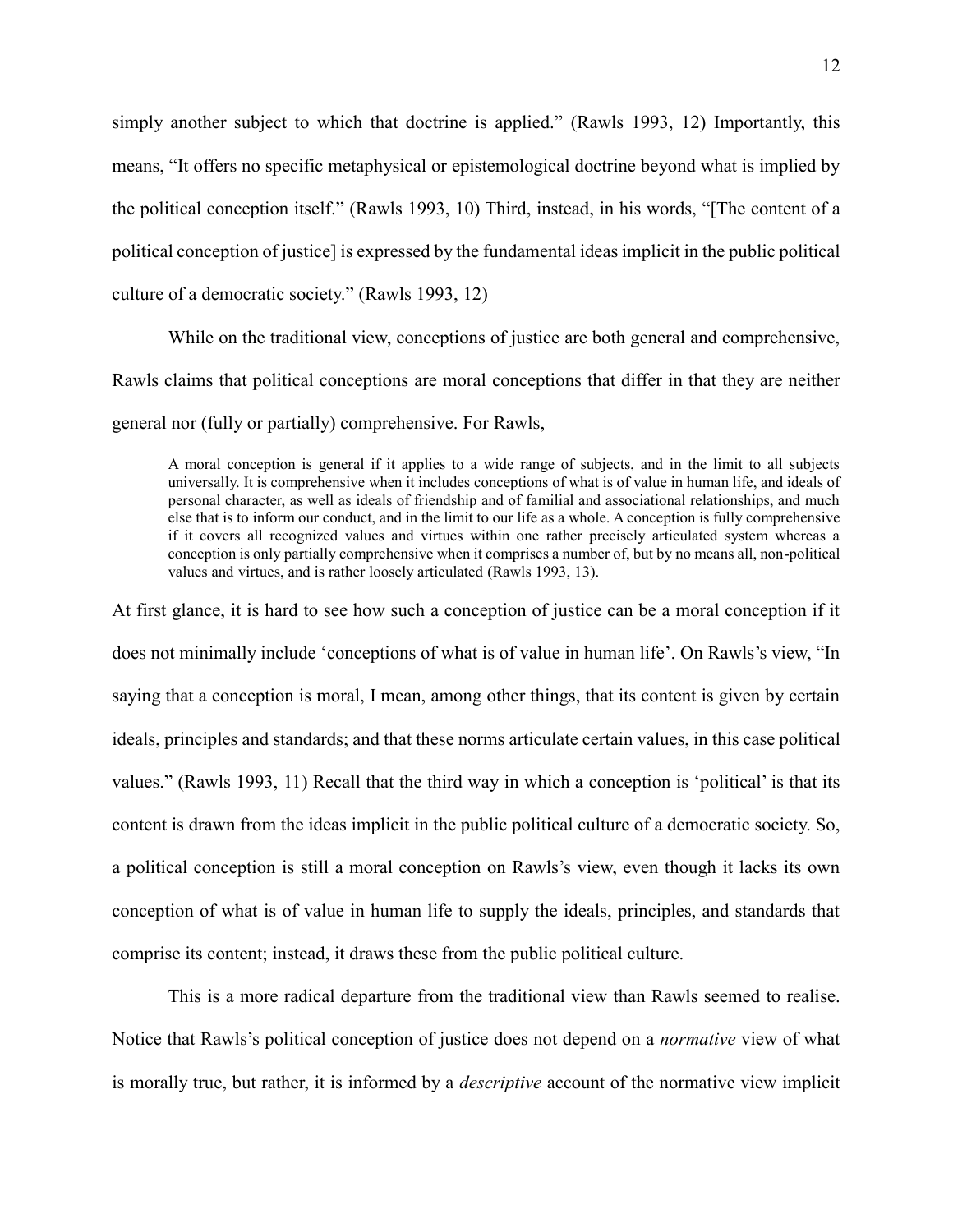simply another subject to which that doctrine is applied." (Rawls 1993, 12) Importantly, this means, "It offers no specific metaphysical or epistemological doctrine beyond what is implied by the political conception itself." (Rawls 1993, 10) Third, instead, in his words, "[The content of a political conception of justice] is expressed by the fundamental ideas implicit in the public political culture of a democratic society." (Rawls 1993, 12)

While on the traditional view, conceptions of justice are both general and comprehensive, Rawls claims that political conceptions are moral conceptions that differ in that they are neither general nor (fully or partially) comprehensive. For Rawls,

A moral conception is general if it applies to a wide range of subjects, and in the limit to all subjects universally. It is comprehensive when it includes conceptions of what is of value in human life, and ideals of personal character, as well as ideals of friendship and of familial and associational relationships, and much else that is to inform our conduct, and in the limit to our life as a whole. A conception is fully comprehensive if it covers all recognized values and virtues within one rather precisely articulated system whereas a conception is only partially comprehensive when it comprises a number of, but by no means all, non-political values and virtues, and is rather loosely articulated (Rawls 1993, 13).

At first glance, it is hard to see how such a conception of justice can be a moral conception if it does not minimally include 'conceptions of what is of value in human life'. On Rawls's view, "In saying that a conception is moral, I mean, among other things, that its content is given by certain ideals, principles and standards; and that these norms articulate certain values, in this case political values." (Rawls 1993, 11) Recall that the third way in which a conception is 'political' is that its content is drawn from the ideas implicit in the public political culture of a democratic society. So, a political conception is still a moral conception on Rawls's view, even though it lacks its own conception of what is of value in human life to supply the ideals, principles, and standards that comprise its content; instead, it draws these from the public political culture.

This is a more radical departure from the traditional view than Rawls seemed to realise. Notice that Rawls's political conception of justice does not depend on a *normative* view of what is morally true, but rather, it is informed by a *descriptive* account of the normative view implicit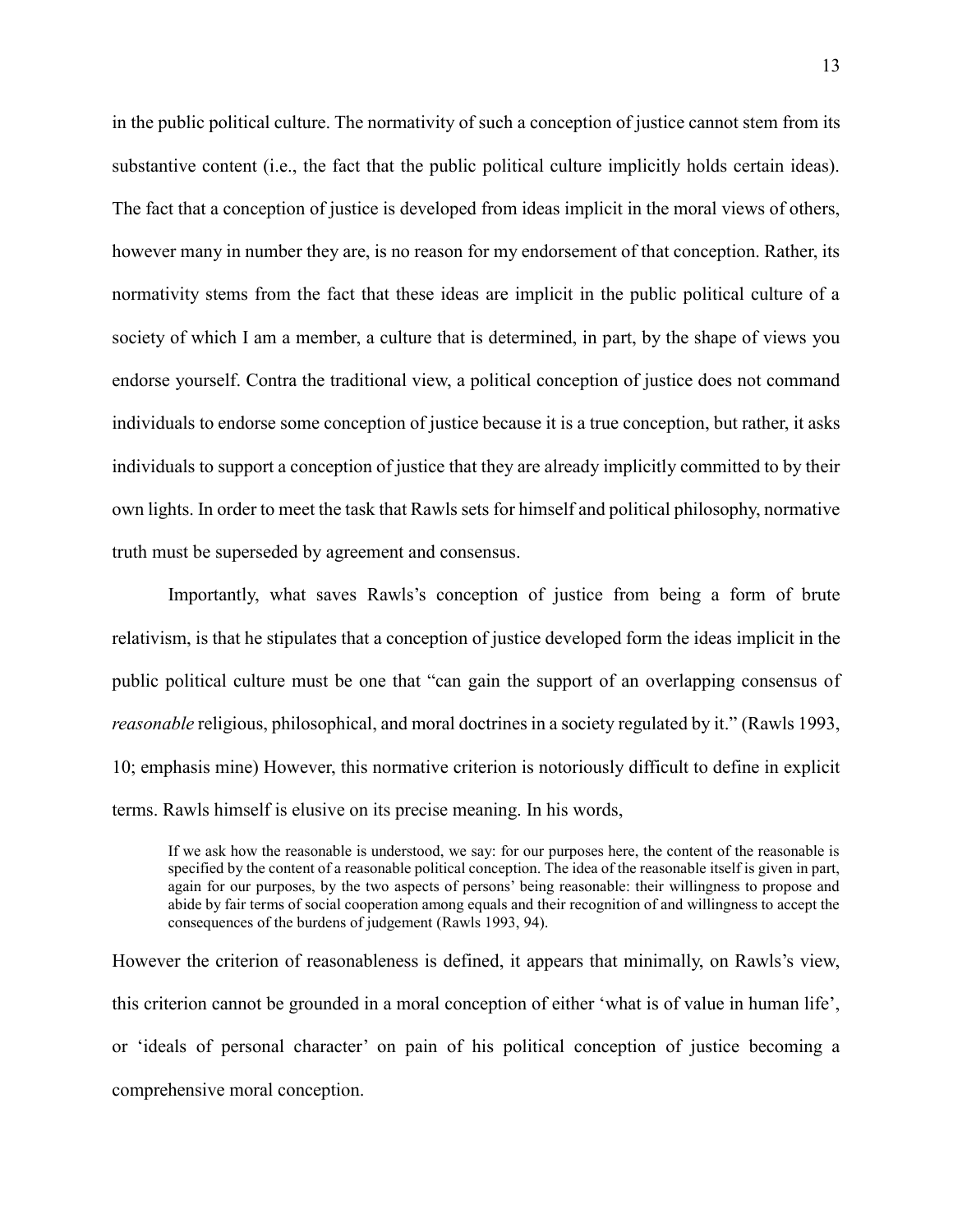in the public political culture. The normativity of such a conception of justice cannot stem from its substantive content (i.e., the fact that the public political culture implicitly holds certain ideas). The fact that a conception of justice is developed from ideas implicit in the moral views of others, however many in number they are, is no reason for my endorsement of that conception. Rather, its normativity stems from the fact that these ideas are implicit in the public political culture of a society of which I am a member, a culture that is determined, in part, by the shape of views you endorse yourself. Contra the traditional view, a political conception of justice does not command individuals to endorse some conception of justice because it is a true conception, but rather, it asks individuals to support a conception of justice that they are already implicitly committed to by their own lights. In order to meet the task that Rawls sets for himself and political philosophy, normative truth must be superseded by agreement and consensus.

Importantly, what saves Rawls's conception of justice from being a form of brute relativism, is that he stipulates that a conception of justice developed form the ideas implicit in the public political culture must be one that "can gain the support of an overlapping consensus of *reasonable* religious, philosophical, and moral doctrines in a society regulated by it." (Rawls 1993, 10; emphasis mine) However, this normative criterion is notoriously difficult to define in explicit terms. Rawls himself is elusive on its precise meaning. In his words,

If we ask how the reasonable is understood, we say: for our purposes here, the content of the reasonable is specified by the content of a reasonable political conception. The idea of the reasonable itself is given in part, again for our purposes, by the two aspects of persons' being reasonable: their willingness to propose and abide by fair terms of social cooperation among equals and their recognition of and willingness to accept the consequences of the burdens of judgement (Rawls 1993, 94).

However the criterion of reasonableness is defined, it appears that minimally, on Rawls's view, this criterion cannot be grounded in a moral conception of either 'what is of value in human life', or 'ideals of personal character' on pain of his political conception of justice becoming a comprehensive moral conception.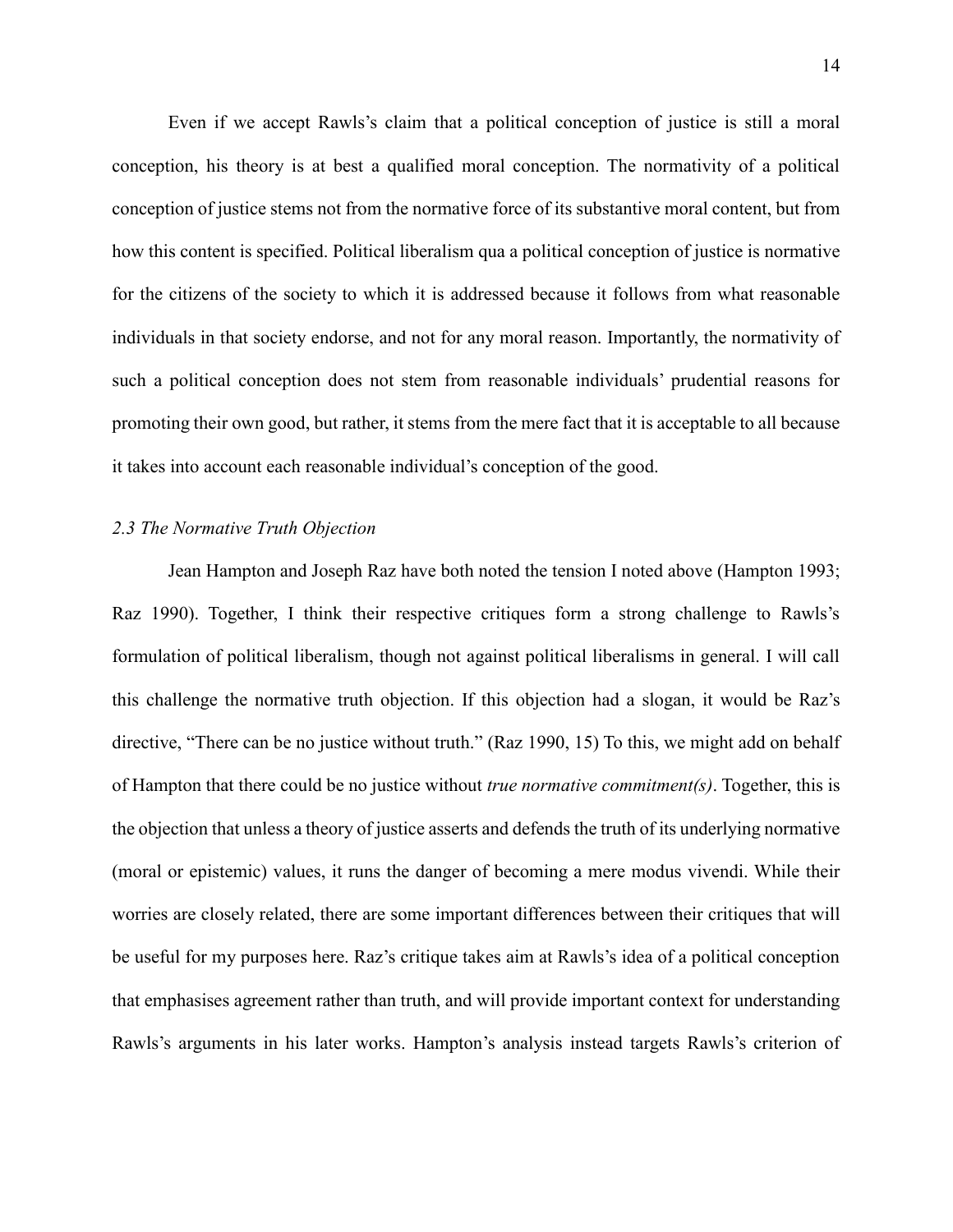Even if we accept Rawls's claim that a political conception of justice is still a moral conception, his theory is at best a qualified moral conception. The normativity of a political conception of justice stems not from the normative force of its substantive moral content, but from how this content is specified. Political liberalism qua a political conception of justice is normative for the citizens of the society to which it is addressed because it follows from what reasonable individuals in that society endorse, and not for any moral reason. Importantly, the normativity of such a political conception does not stem from reasonable individuals' prudential reasons for promoting their own good, but rather, it stems from the mere fact that it is acceptable to all because it takes into account each reasonable individual's conception of the good.

#### *2.3 The Normative Truth Objection*

Jean Hampton and Joseph Raz have both noted the tension I noted above (Hampton 1993; Raz 1990). Together, I think their respective critiques form a strong challenge to Rawls's formulation of political liberalism, though not against political liberalisms in general. I will call this challenge the normative truth objection. If this objection had a slogan, it would be Raz's directive, "There can be no justice without truth." (Raz 1990, 15) To this, we might add on behalf of Hampton that there could be no justice without *true normative commitment(s)*. Together, this is the objection that unless a theory of justice asserts and defends the truth of its underlying normative (moral or epistemic) values, it runs the danger of becoming a mere modus vivendi. While their worries are closely related, there are some important differences between their critiques that will be useful for my purposes here. Raz's critique takes aim at Rawls's idea of a political conception that emphasises agreement rather than truth, and will provide important context for understanding Rawls's arguments in his later works. Hampton's analysis instead targets Rawls's criterion of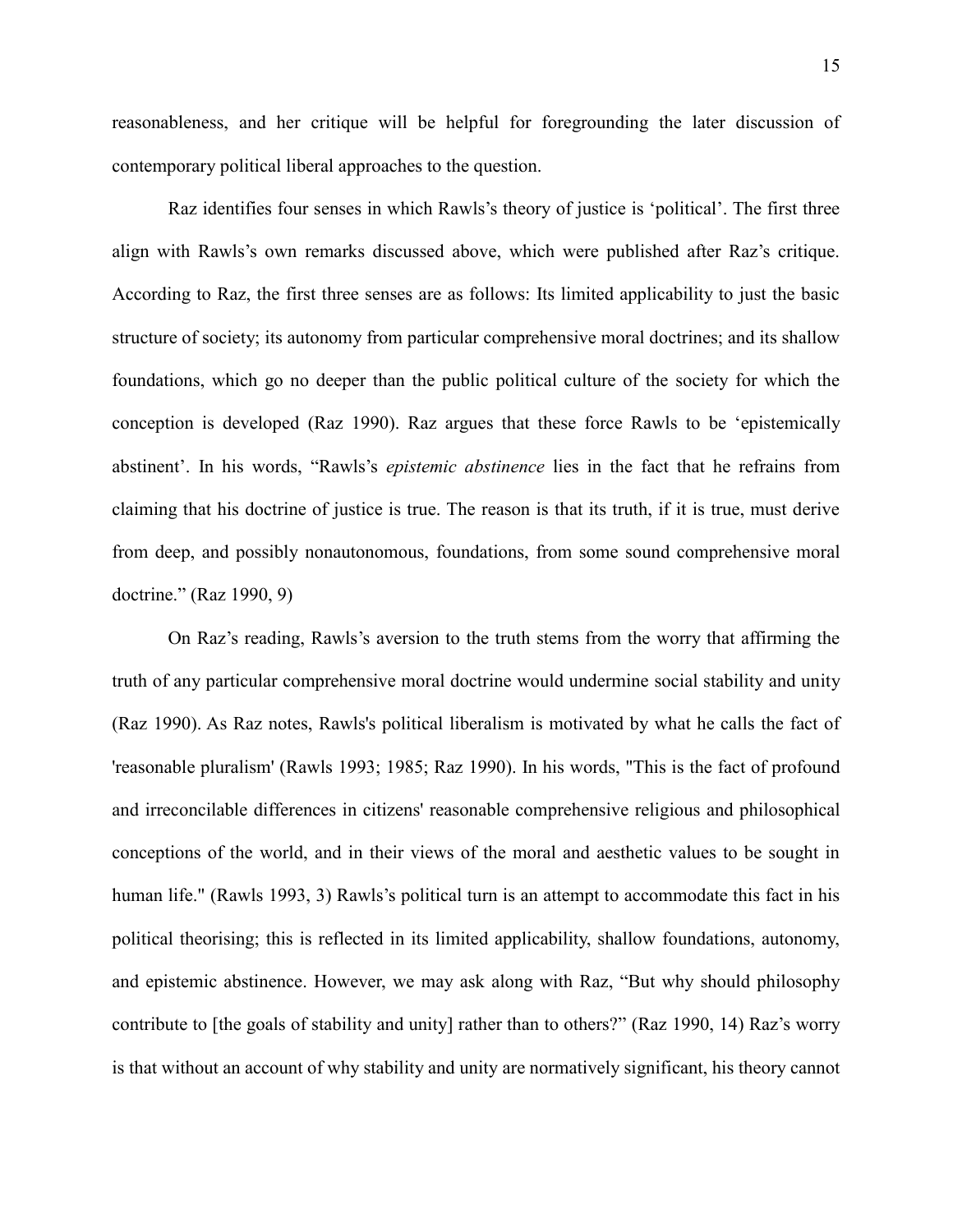reasonableness, and her critique will be helpful for foregrounding the later discussion of contemporary political liberal approaches to the question.

Raz identifies four senses in which Rawls's theory of justice is 'political'. The first three align with Rawls's own remarks discussed above, which were published after Raz's critique. According to Raz, the first three senses are as follows: Its limited applicability to just the basic structure of society; its autonomy from particular comprehensive moral doctrines; and its shallow foundations, which go no deeper than the public political culture of the society for which the conception is developed (Raz 1990). Raz argues that these force Rawls to be 'epistemically abstinent'. In his words, "Rawls's *epistemic abstinence* lies in the fact that he refrains from claiming that his doctrine of justice is true. The reason is that its truth, if it is true, must derive from deep, and possibly nonautonomous, foundations, from some sound comprehensive moral doctrine." (Raz 1990, 9)

On Raz's reading, Rawls's aversion to the truth stems from the worry that affirming the truth of any particular comprehensive moral doctrine would undermine social stability and unity (Raz 1990). As Raz notes, Rawls's political liberalism is motivated by what he calls the fact of 'reasonable pluralism' (Rawls 1993; 1985; Raz 1990). In his words, "This is the fact of profound and irreconcilable differences in citizens' reasonable comprehensive religious and philosophical conceptions of the world, and in their views of the moral and aesthetic values to be sought in human life." (Rawls 1993, 3) Rawls's political turn is an attempt to accommodate this fact in his political theorising; this is reflected in its limited applicability, shallow foundations, autonomy, and epistemic abstinence. However, we may ask along with Raz, "But why should philosophy contribute to [the goals of stability and unity] rather than to others?" (Raz 1990, 14) Raz's worry is that without an account of why stability and unity are normatively significant, his theory cannot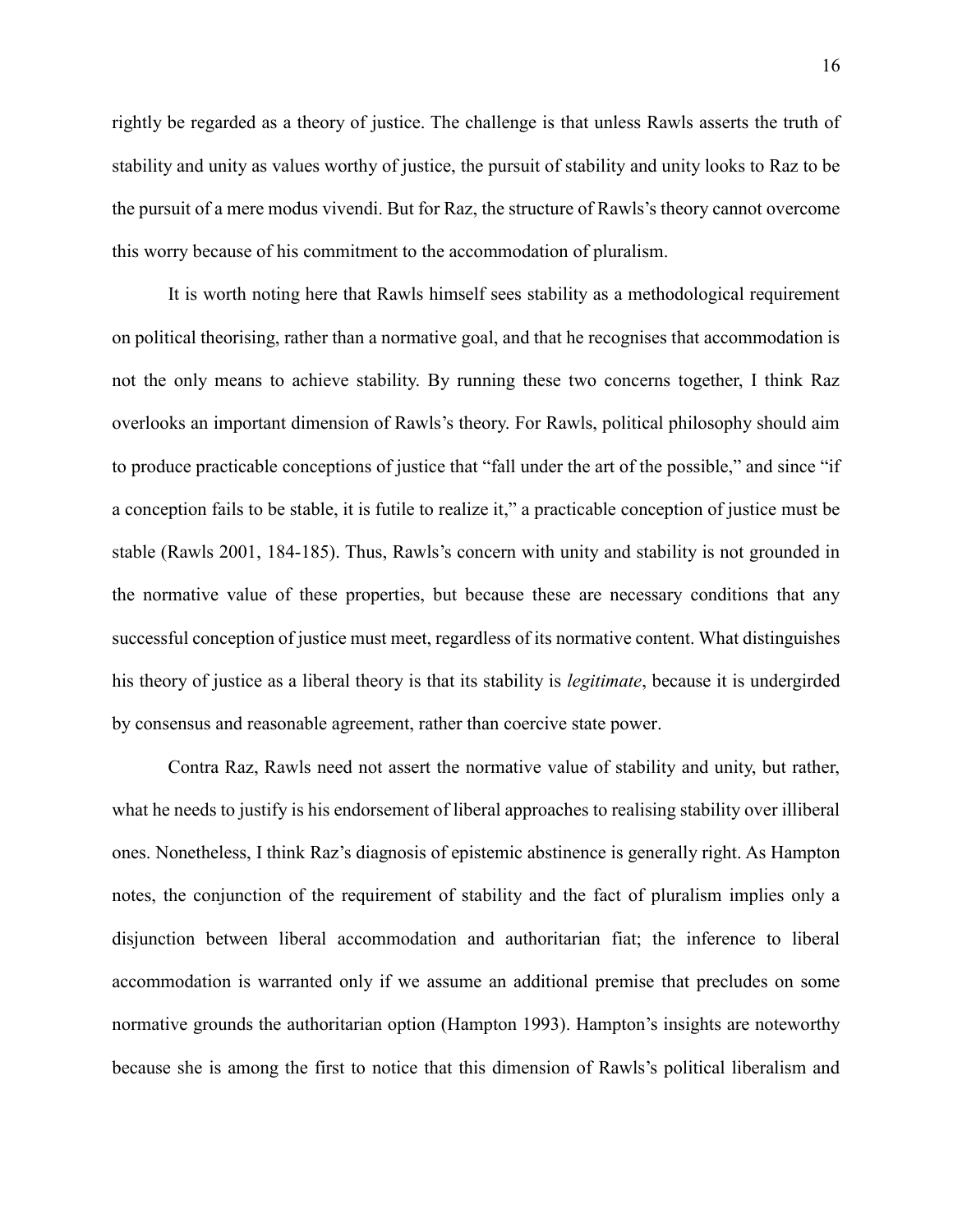rightly be regarded as a theory of justice. The challenge is that unless Rawls asserts the truth of stability and unity as values worthy of justice, the pursuit of stability and unity looks to Raz to be the pursuit of a mere modus vivendi. But for Raz, the structure of Rawls's theory cannot overcome this worry because of his commitment to the accommodation of pluralism.

It is worth noting here that Rawls himself sees stability as a methodological requirement on political theorising, rather than a normative goal, and that he recognises that accommodation is not the only means to achieve stability. By running these two concerns together, I think Raz overlooks an important dimension of Rawls's theory. For Rawls, political philosophy should aim to produce practicable conceptions of justice that "fall under the art of the possible," and since "if a conception fails to be stable, it is futile to realize it," a practicable conception of justice must be stable (Rawls 2001, 184-185). Thus, Rawls's concern with unity and stability is not grounded in the normative value of these properties, but because these are necessary conditions that any successful conception of justice must meet, regardless of its normative content. What distinguishes his theory of justice as a liberal theory is that its stability is *legitimate*, because it is undergirded by consensus and reasonable agreement, rather than coercive state power.

Contra Raz, Rawls need not assert the normative value of stability and unity, but rather, what he needs to justify is his endorsement of liberal approaches to realising stability over illiberal ones. Nonetheless, I think Raz's diagnosis of epistemic abstinence is generally right. As Hampton notes, the conjunction of the requirement of stability and the fact of pluralism implies only a disjunction between liberal accommodation and authoritarian fiat; the inference to liberal accommodation is warranted only if we assume an additional premise that precludes on some normative grounds the authoritarian option (Hampton 1993). Hampton's insights are noteworthy because she is among the first to notice that this dimension of Rawls's political liberalism and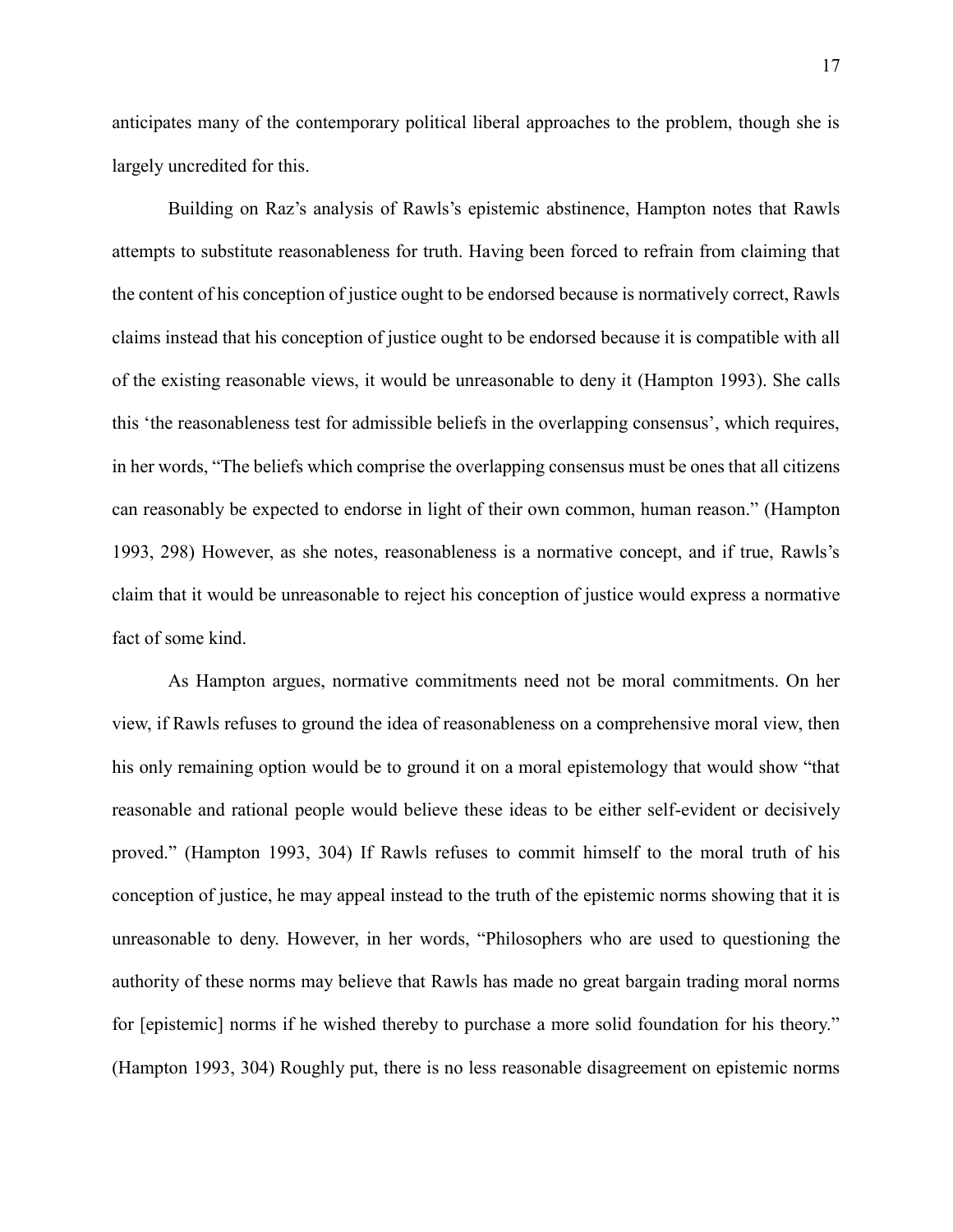anticipates many of the contemporary political liberal approaches to the problem, though she is largely uncredited for this.

Building on Raz's analysis of Rawls's epistemic abstinence, Hampton notes that Rawls attempts to substitute reasonableness for truth. Having been forced to refrain from claiming that the content of his conception of justice ought to be endorsed because is normatively correct, Rawls claims instead that his conception of justice ought to be endorsed because it is compatible with all of the existing reasonable views, it would be unreasonable to deny it (Hampton 1993). She calls this 'the reasonableness test for admissible beliefs in the overlapping consensus', which requires, in her words, "The beliefs which comprise the overlapping consensus must be ones that all citizens can reasonably be expected to endorse in light of their own common, human reason." (Hampton 1993, 298) However, as she notes, reasonableness is a normative concept, and if true, Rawls's claim that it would be unreasonable to reject his conception of justice would express a normative fact of some kind.

As Hampton argues, normative commitments need not be moral commitments. On her view, if Rawls refuses to ground the idea of reasonableness on a comprehensive moral view, then his only remaining option would be to ground it on a moral epistemology that would show "that reasonable and rational people would believe these ideas to be either self-evident or decisively proved." (Hampton 1993, 304) If Rawls refuses to commit himself to the moral truth of his conception of justice, he may appeal instead to the truth of the epistemic norms showing that it is unreasonable to deny. However, in her words, "Philosophers who are used to questioning the authority of these norms may believe that Rawls has made no great bargain trading moral norms for [epistemic] norms if he wished thereby to purchase a more solid foundation for his theory." (Hampton 1993, 304) Roughly put, there is no less reasonable disagreement on epistemic norms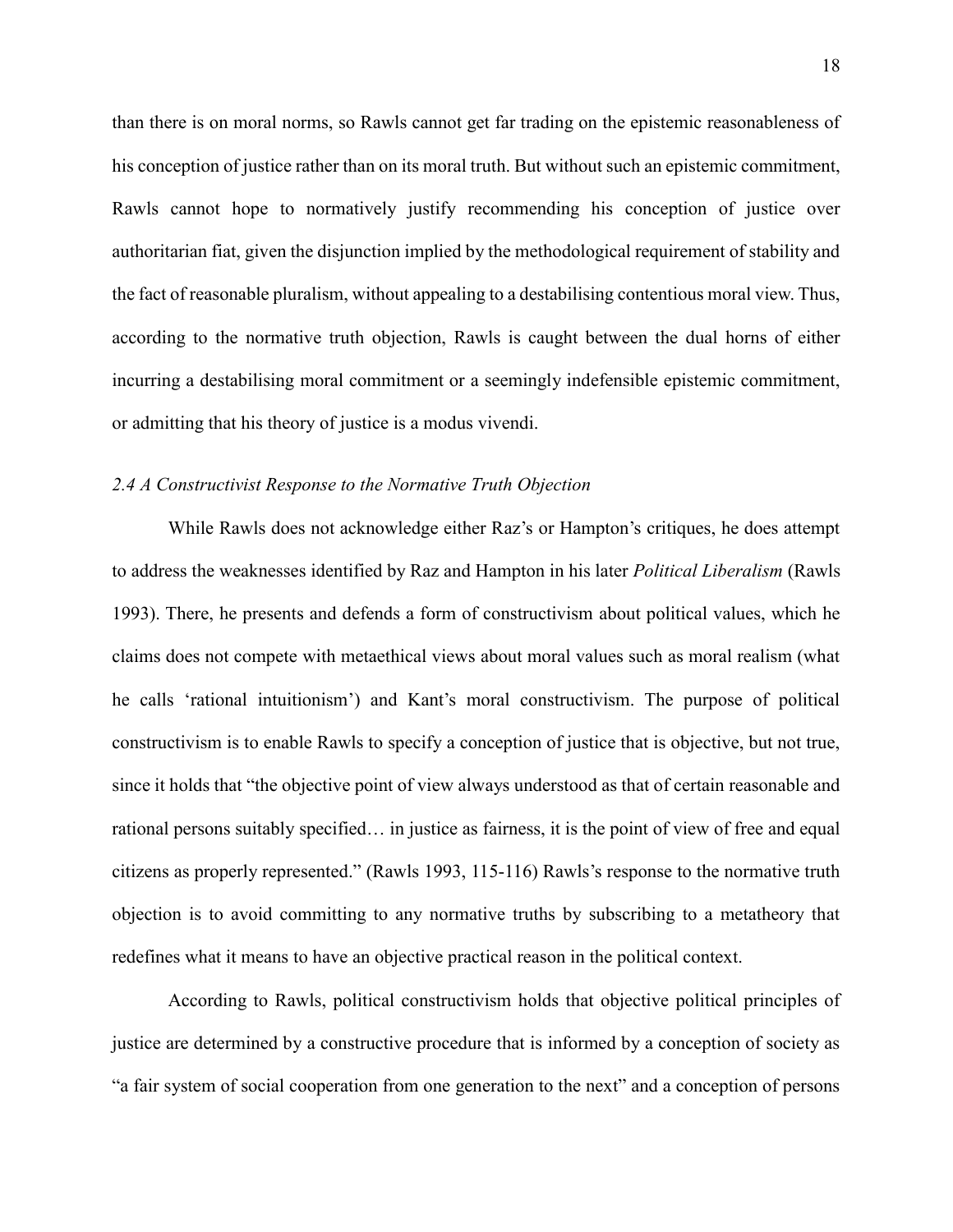than there is on moral norms, so Rawls cannot get far trading on the epistemic reasonableness of his conception of justice rather than on its moral truth. But without such an epistemic commitment, Rawls cannot hope to normatively justify recommending his conception of justice over authoritarian fiat, given the disjunction implied by the methodological requirement of stability and the fact of reasonable pluralism, without appealing to a destabilising contentious moral view. Thus, according to the normative truth objection, Rawls is caught between the dual horns of either incurring a destabilising moral commitment or a seemingly indefensible epistemic commitment, or admitting that his theory of justice is a modus vivendi.

#### *2.4 A Constructivist Response to the Normative Truth Objection*

While Rawls does not acknowledge either Raz's or Hampton's critiques, he does attempt to address the weaknesses identified by Raz and Hampton in his later *Political Liberalism* (Rawls 1993). There, he presents and defends a form of constructivism about political values, which he claims does not compete with metaethical views about moral values such as moral realism (what he calls 'rational intuitionism') and Kant's moral constructivism. The purpose of political constructivism is to enable Rawls to specify a conception of justice that is objective, but not true, since it holds that "the objective point of view always understood as that of certain reasonable and rational persons suitably specified… in justice as fairness, it is the point of view of free and equal citizens as properly represented." (Rawls 1993, 115-116) Rawls's response to the normative truth objection is to avoid committing to any normative truths by subscribing to a metatheory that redefines what it means to have an objective practical reason in the political context.

According to Rawls, political constructivism holds that objective political principles of justice are determined by a constructive procedure that is informed by a conception of society as "a fair system of social cooperation from one generation to the next" and a conception of persons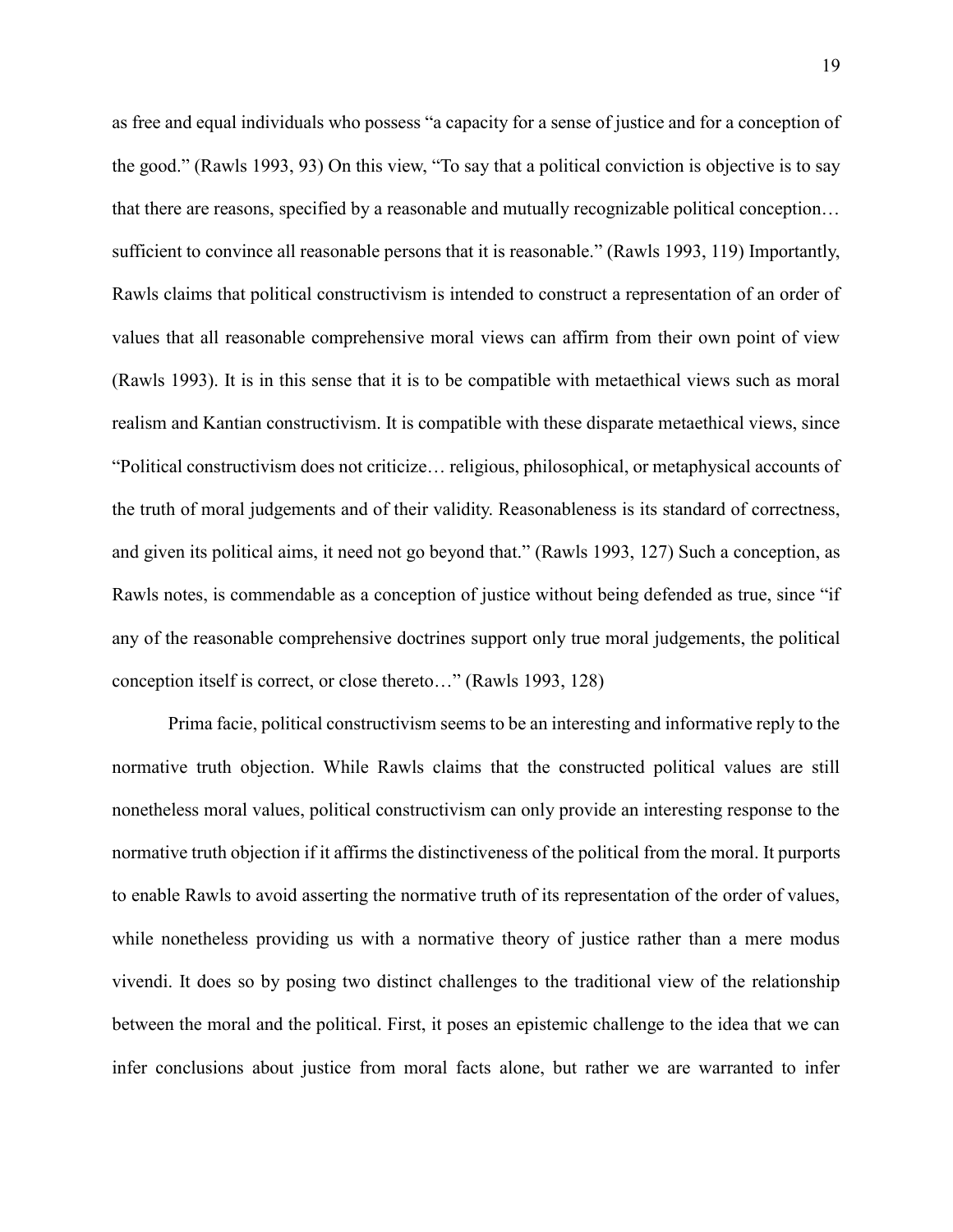as free and equal individuals who possess "a capacity for a sense of justice and for a conception of the good." (Rawls 1993, 93) On this view, "To say that a political conviction is objective is to say that there are reasons, specified by a reasonable and mutually recognizable political conception… sufficient to convince all reasonable persons that it is reasonable." (Rawls 1993, 119) Importantly, Rawls claims that political constructivism is intended to construct a representation of an order of values that all reasonable comprehensive moral views can affirm from their own point of view (Rawls 1993). It is in this sense that it is to be compatible with metaethical views such as moral realism and Kantian constructivism. It is compatible with these disparate metaethical views, since "Political constructivism does not criticize… religious, philosophical, or metaphysical accounts of the truth of moral judgements and of their validity. Reasonableness is its standard of correctness, and given its political aims, it need not go beyond that." (Rawls 1993, 127) Such a conception, as Rawls notes, is commendable as a conception of justice without being defended as true, since "if any of the reasonable comprehensive doctrines support only true moral judgements, the political conception itself is correct, or close thereto…" (Rawls 1993, 128)

Prima facie, political constructivism seems to be an interesting and informative reply to the normative truth objection. While Rawls claims that the constructed political values are still nonetheless moral values, political constructivism can only provide an interesting response to the normative truth objection if it affirms the distinctiveness of the political from the moral. It purports to enable Rawls to avoid asserting the normative truth of its representation of the order of values, while nonetheless providing us with a normative theory of justice rather than a mere modus vivendi. It does so by posing two distinct challenges to the traditional view of the relationship between the moral and the political. First, it poses an epistemic challenge to the idea that we can infer conclusions about justice from moral facts alone, but rather we are warranted to infer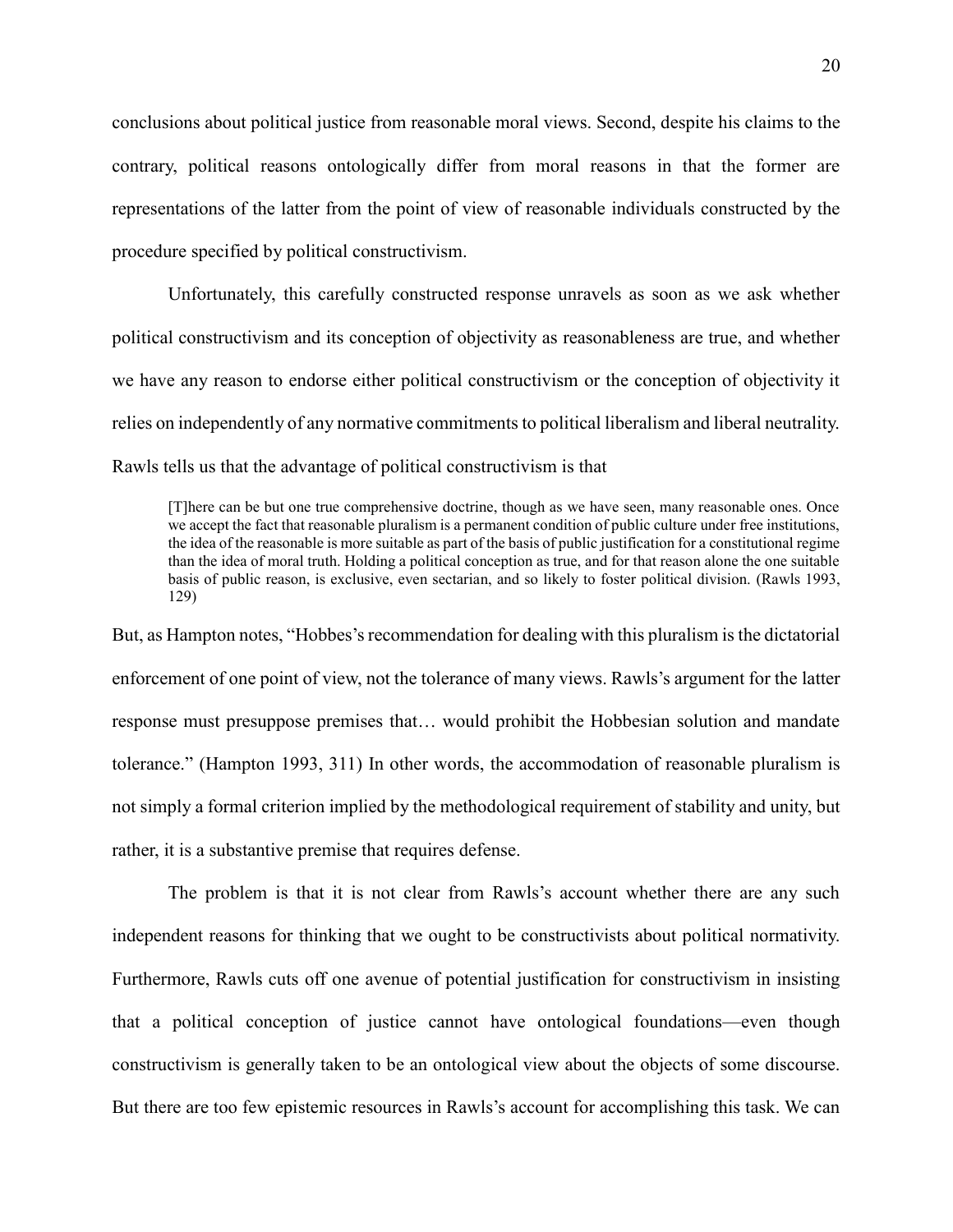conclusions about political justice from reasonable moral views. Second, despite his claims to the contrary, political reasons ontologically differ from moral reasons in that the former are representations of the latter from the point of view of reasonable individuals constructed by the procedure specified by political constructivism.

Unfortunately, this carefully constructed response unravels as soon as we ask whether political constructivism and its conception of objectivity as reasonableness are true, and whether we have any reason to endorse either political constructivism or the conception of objectivity it relies on independently of any normative commitments to political liberalism and liberal neutrality. Rawls tells us that the advantage of political constructivism is that

[T]here can be but one true comprehensive doctrine, though as we have seen, many reasonable ones. Once we accept the fact that reasonable pluralism is a permanent condition of public culture under free institutions, the idea of the reasonable is more suitable as part of the basis of public justification for a constitutional regime than the idea of moral truth. Holding a political conception as true, and for that reason alone the one suitable basis of public reason, is exclusive, even sectarian, and so likely to foster political division. (Rawls 1993, 129)

But, as Hampton notes, "Hobbes's recommendation for dealing with this pluralism is the dictatorial enforcement of one point of view, not the tolerance of many views. Rawls's argument for the latter response must presuppose premises that… would prohibit the Hobbesian solution and mandate tolerance." (Hampton 1993, 311) In other words, the accommodation of reasonable pluralism is not simply a formal criterion implied by the methodological requirement of stability and unity, but rather, it is a substantive premise that requires defense.

The problem is that it is not clear from Rawls's account whether there are any such independent reasons for thinking that we ought to be constructivists about political normativity. Furthermore, Rawls cuts off one avenue of potential justification for constructivism in insisting that a political conception of justice cannot have ontological foundations—even though constructivism is generally taken to be an ontological view about the objects of some discourse. But there are too few epistemic resources in Rawls's account for accomplishing this task. We can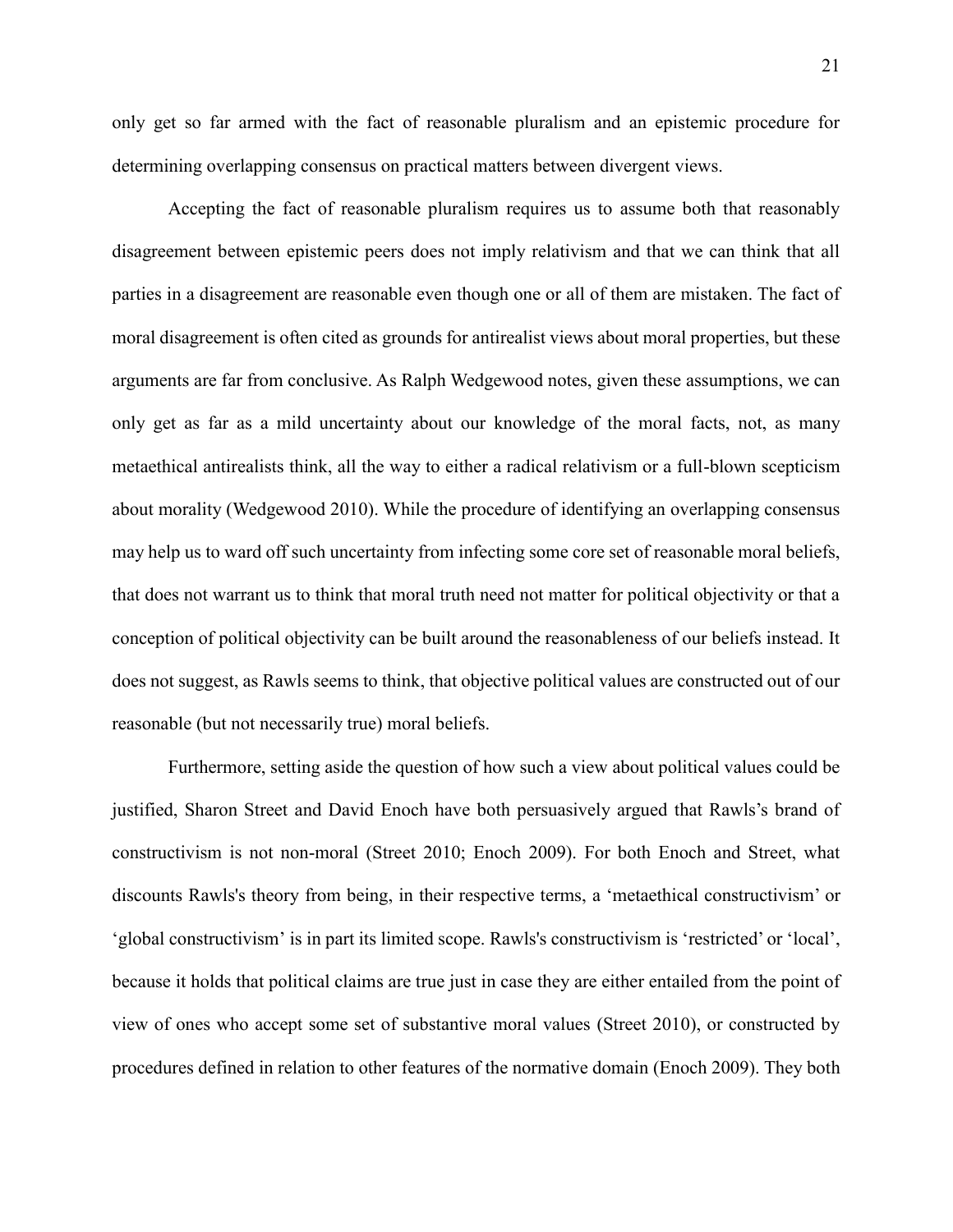only get so far armed with the fact of reasonable pluralism and an epistemic procedure for determining overlapping consensus on practical matters between divergent views.

Accepting the fact of reasonable pluralism requires us to assume both that reasonably disagreement between epistemic peers does not imply relativism and that we can think that all parties in a disagreement are reasonable even though one or all of them are mistaken. The fact of moral disagreement is often cited as grounds for antirealist views about moral properties, but these arguments are far from conclusive. As Ralph Wedgewood notes, given these assumptions, we can only get as far as a mild uncertainty about our knowledge of the moral facts, not, as many metaethical antirealists think, all the way to either a radical relativism or a full-blown scepticism about morality (Wedgewood 2010). While the procedure of identifying an overlapping consensus may help us to ward off such uncertainty from infecting some core set of reasonable moral beliefs, that does not warrant us to think that moral truth need not matter for political objectivity or that a conception of political objectivity can be built around the reasonableness of our beliefs instead. It does not suggest, as Rawls seems to think, that objective political values are constructed out of our reasonable (but not necessarily true) moral beliefs.

Furthermore, setting aside the question of how such a view about political values could be justified, Sharon Street and David Enoch have both persuasively argued that Rawls's brand of constructivism is not non-moral (Street 2010; Enoch 2009). For both Enoch and Street, what discounts Rawls's theory from being, in their respective terms, a 'metaethical constructivism' or 'global constructivism' is in part its limited scope. Rawls's constructivism is 'restricted' or 'local', because it holds that political claims are true just in case they are either entailed from the point of view of ones who accept some set of substantive moral values (Street 2010), or constructed by procedures defined in relation to other features of the normative domain (Enoch 2009). They both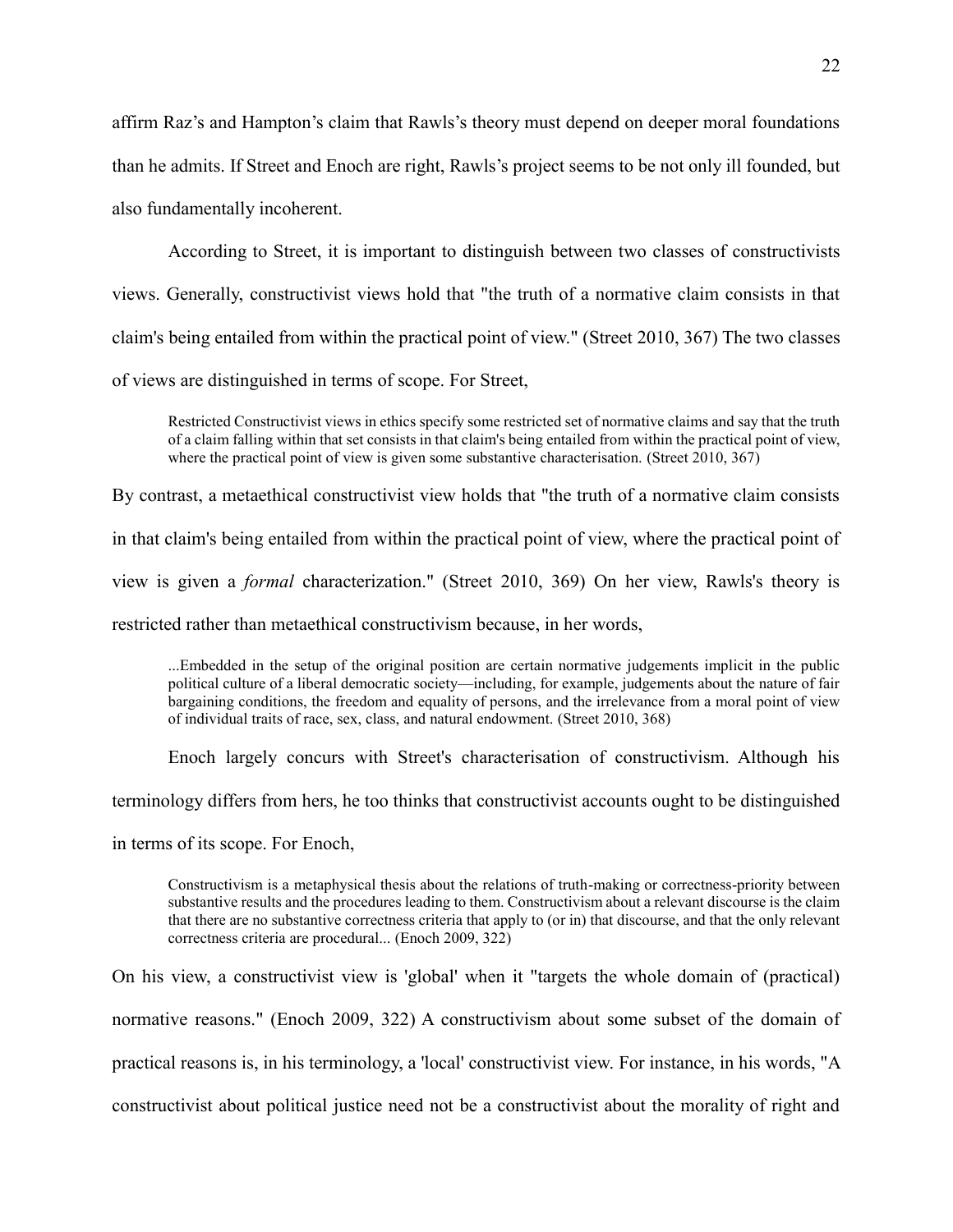affirm Raz's and Hampton's claim that Rawls's theory must depend on deeper moral foundations than he admits. If Street and Enoch are right, Rawls's project seems to be not only ill founded, but also fundamentally incoherent.

According to Street, it is important to distinguish between two classes of constructivists views. Generally, constructivist views hold that "the truth of a normative claim consists in that claim's being entailed from within the practical point of view." (Street 2010, 367) The two classes of views are distinguished in terms of scope. For Street,

Restricted Constructivist views in ethics specify some restricted set of normative claims and say that the truth of a claim falling within that set consists in that claim's being entailed from within the practical point of view, where the practical point of view is given some substantive characterisation. (Street 2010, 367)

By contrast, a metaethical constructivist view holds that "the truth of a normative claim consists in that claim's being entailed from within the practical point of view, where the practical point of view is given a *formal* characterization." (Street 2010, 369) On her view, Rawls's theory is restricted rather than metaethical constructivism because, in her words,

...Embedded in the setup of the original position are certain normative judgements implicit in the public political culture of a liberal democratic society—including, for example, judgements about the nature of fair bargaining conditions, the freedom and equality of persons, and the irrelevance from a moral point of view of individual traits of race, sex, class, and natural endowment. (Street 2010, 368)

Enoch largely concurs with Street's characterisation of constructivism. Although his terminology differs from hers, he too thinks that constructivist accounts ought to be distinguished in terms of its scope. For Enoch,

Constructivism is a metaphysical thesis about the relations of truth-making or correctness-priority between substantive results and the procedures leading to them. Constructivism about a relevant discourse is the claim that there are no substantive correctness criteria that apply to (or in) that discourse, and that the only relevant correctness criteria are procedural... (Enoch 2009, 322)

On his view, a constructivist view is 'global' when it "targets the whole domain of (practical) normative reasons." (Enoch 2009, 322) A constructivism about some subset of the domain of practical reasons is, in his terminology, a 'local' constructivist view. For instance, in his words, "A constructivist about political justice need not be a constructivist about the morality of right and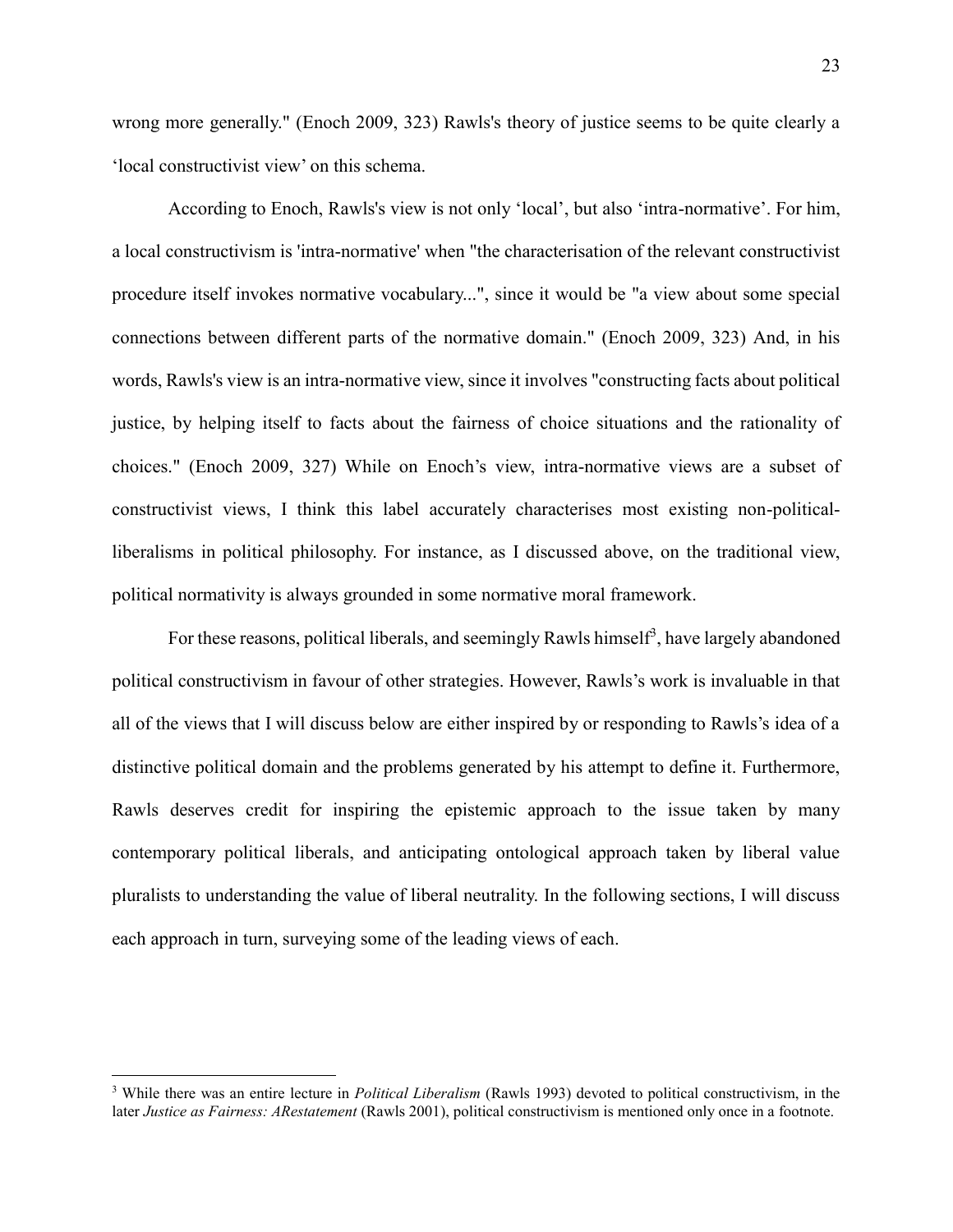wrong more generally." (Enoch 2009, 323) Rawls's theory of justice seems to be quite clearly a 'local constructivist view' on this schema.

According to Enoch, Rawls's view is not only 'local', but also 'intra-normative'. For him, a local constructivism is 'intra-normative' when "the characterisation of the relevant constructivist procedure itself invokes normative vocabulary...", since it would be "a view about some special connections between different parts of the normative domain." (Enoch 2009, 323) And, in his words, Rawls's view is an intra-normative view, since it involves "constructing facts about political justice, by helping itself to facts about the fairness of choice situations and the rationality of choices." (Enoch 2009, 327) While on Enoch's view, intra-normative views are a subset of constructivist views, I think this label accurately characterises most existing non-politicalliberalisms in political philosophy. For instance, as I discussed above, on the traditional view, political normativity is always grounded in some normative moral framework.

For these reasons, political liberals, and seemingly Rawls himself<sup>3</sup>, have largely abandoned political constructivism in favour of other strategies. However, Rawls's work is invaluable in that all of the views that I will discuss below are either inspired by or responding to Rawls's idea of a distinctive political domain and the problems generated by his attempt to define it. Furthermore, Rawls deserves credit for inspiring the epistemic approach to the issue taken by many contemporary political liberals, and anticipating ontological approach taken by liberal value pluralists to understanding the value of liberal neutrality. In the following sections, I will discuss each approach in turn, surveying some of the leading views of each.

 $\overline{a}$ 

<sup>3</sup> While there was an entire lecture in *Political Liberalism* (Rawls 1993) devoted to political constructivism, in the later *Justice as Fairness: ARestatement* (Rawls 2001), political constructivism is mentioned only once in a footnote.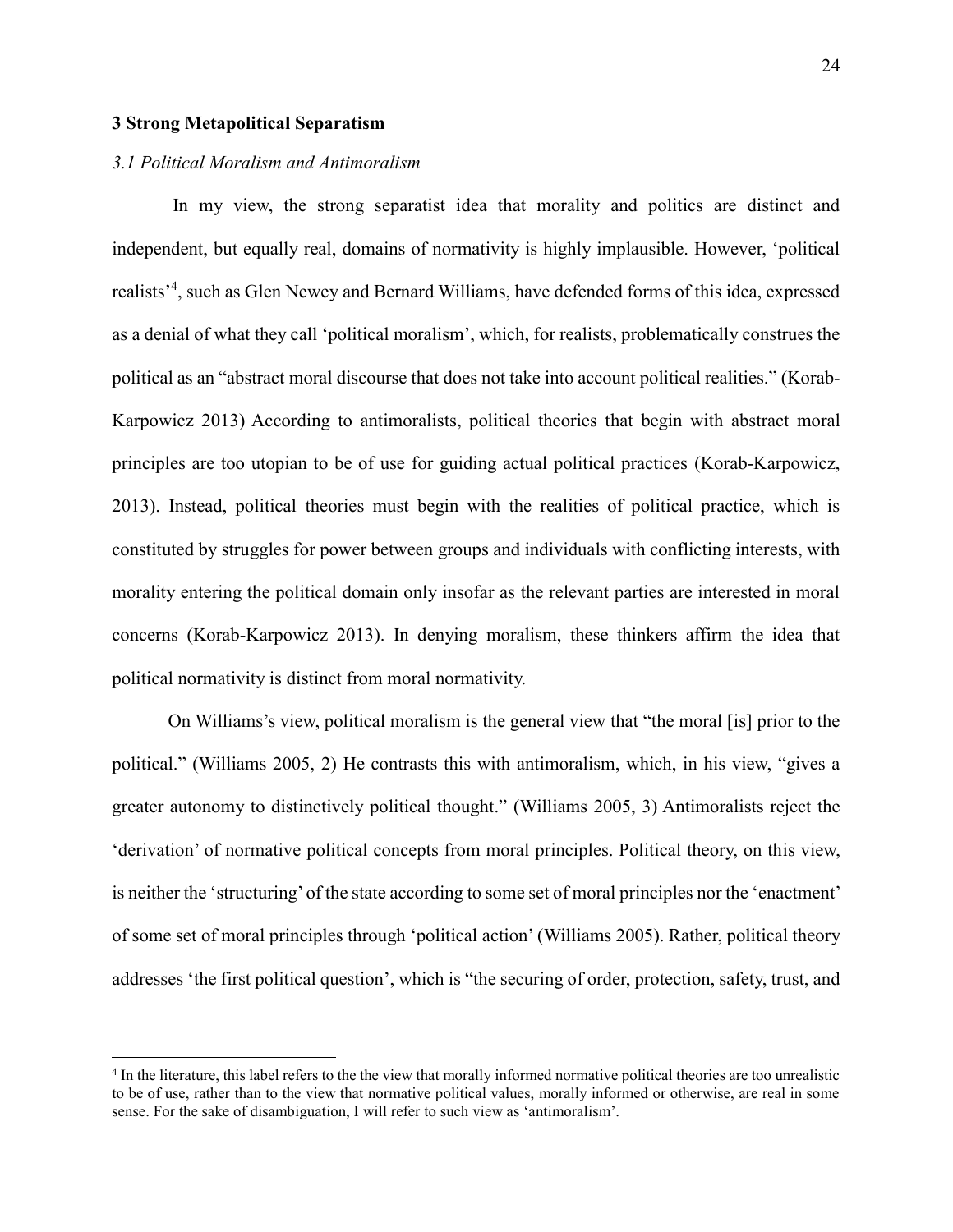#### **3 Strong Metapolitical Separatism**

 $\overline{a}$ 

#### *3.1 Political Moralism and Antimoralism*

In my view, the strong separatist idea that morality and politics are distinct and independent, but equally real, domains of normativity is highly implausible. However, 'political realists<sup>24</sup>, such as Glen Newey and Bernard Williams, have defended forms of this idea, expressed as a denial of what they call 'political moralism', which, for realists, problematically construes the political as an "abstract moral discourse that does not take into account political realities." (Korab-Karpowicz 2013) According to antimoralists, political theories that begin with abstract moral principles are too utopian to be of use for guiding actual political practices (Korab-Karpowicz, 2013). Instead, political theories must begin with the realities of political practice, which is constituted by struggles for power between groups and individuals with conflicting interests, with morality entering the political domain only insofar as the relevant parties are interested in moral concerns (Korab-Karpowicz 2013). In denying moralism, these thinkers affirm the idea that political normativity is distinct from moral normativity.

On Williams's view, political moralism is the general view that "the moral [is] prior to the political." (Williams 2005, 2) He contrasts this with antimoralism, which, in his view, "gives a greater autonomy to distinctively political thought." (Williams 2005, 3) Antimoralists reject the 'derivation' of normative political concepts from moral principles. Political theory, on this view, is neither the 'structuring' of the state according to some set of moral principles nor the 'enactment' of some set of moral principles through 'political action' (Williams 2005). Rather, political theory addresses 'the first political question', which is "the securing of order, protection, safety, trust, and

<sup>&</sup>lt;sup>4</sup> In the literature, this label refers to the the view that morally informed normative political theories are too unrealistic to be of use, rather than to the view that normative political values, morally informed or otherwise, are real in some sense. For the sake of disambiguation, I will refer to such view as 'antimoralism'.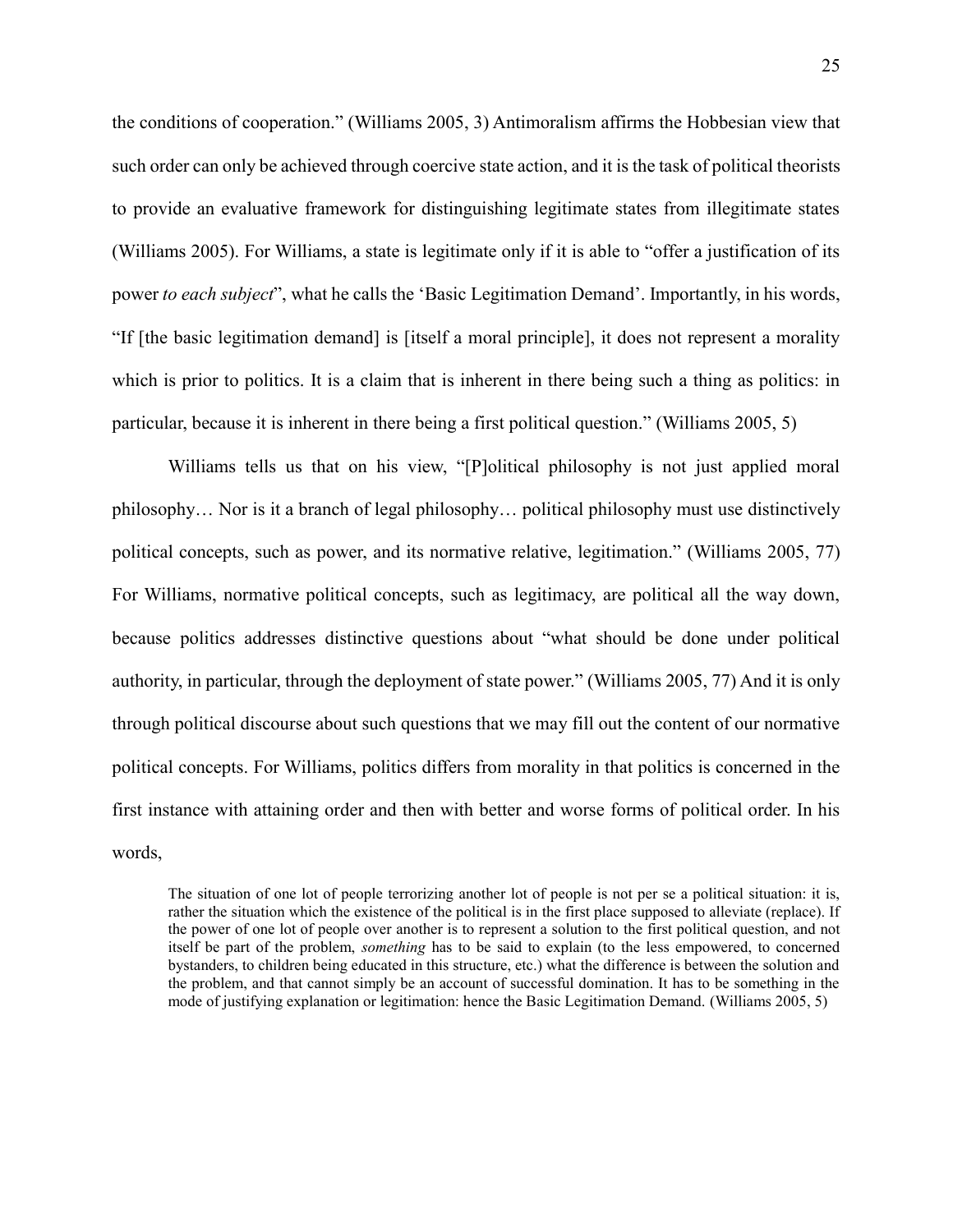the conditions of cooperation." (Williams 2005, 3) Antimoralism affirms the Hobbesian view that such order can only be achieved through coercive state action, and it is the task of political theorists to provide an evaluative framework for distinguishing legitimate states from illegitimate states (Williams 2005). For Williams, a state is legitimate only if it is able to "offer a justification of its power *to each subject*", what he calls the 'Basic Legitimation Demand'. Importantly, in his words, "If [the basic legitimation demand] is [itself a moral principle], it does not represent a morality which is prior to politics. It is a claim that is inherent in there being such a thing as politics: in particular, because it is inherent in there being a first political question." (Williams 2005, 5)

Williams tells us that on his view, "[P]olitical philosophy is not just applied moral philosophy… Nor is it a branch of legal philosophy… political philosophy must use distinctively political concepts, such as power, and its normative relative, legitimation." (Williams 2005, 77) For Williams, normative political concepts, such as legitimacy, are political all the way down, because politics addresses distinctive questions about "what should be done under political authority, in particular, through the deployment of state power." (Williams 2005, 77) And it is only through political discourse about such questions that we may fill out the content of our normative political concepts. For Williams, politics differs from morality in that politics is concerned in the first instance with attaining order and then with better and worse forms of political order. In his words,

The situation of one lot of people terrorizing another lot of people is not per se a political situation: it is, rather the situation which the existence of the political is in the first place supposed to alleviate (replace). If the power of one lot of people over another is to represent a solution to the first political question, and not itself be part of the problem, *something* has to be said to explain (to the less empowered, to concerned bystanders, to children being educated in this structure, etc.) what the difference is between the solution and the problem, and that cannot simply be an account of successful domination. It has to be something in the mode of justifying explanation or legitimation: hence the Basic Legitimation Demand. (Williams 2005, 5)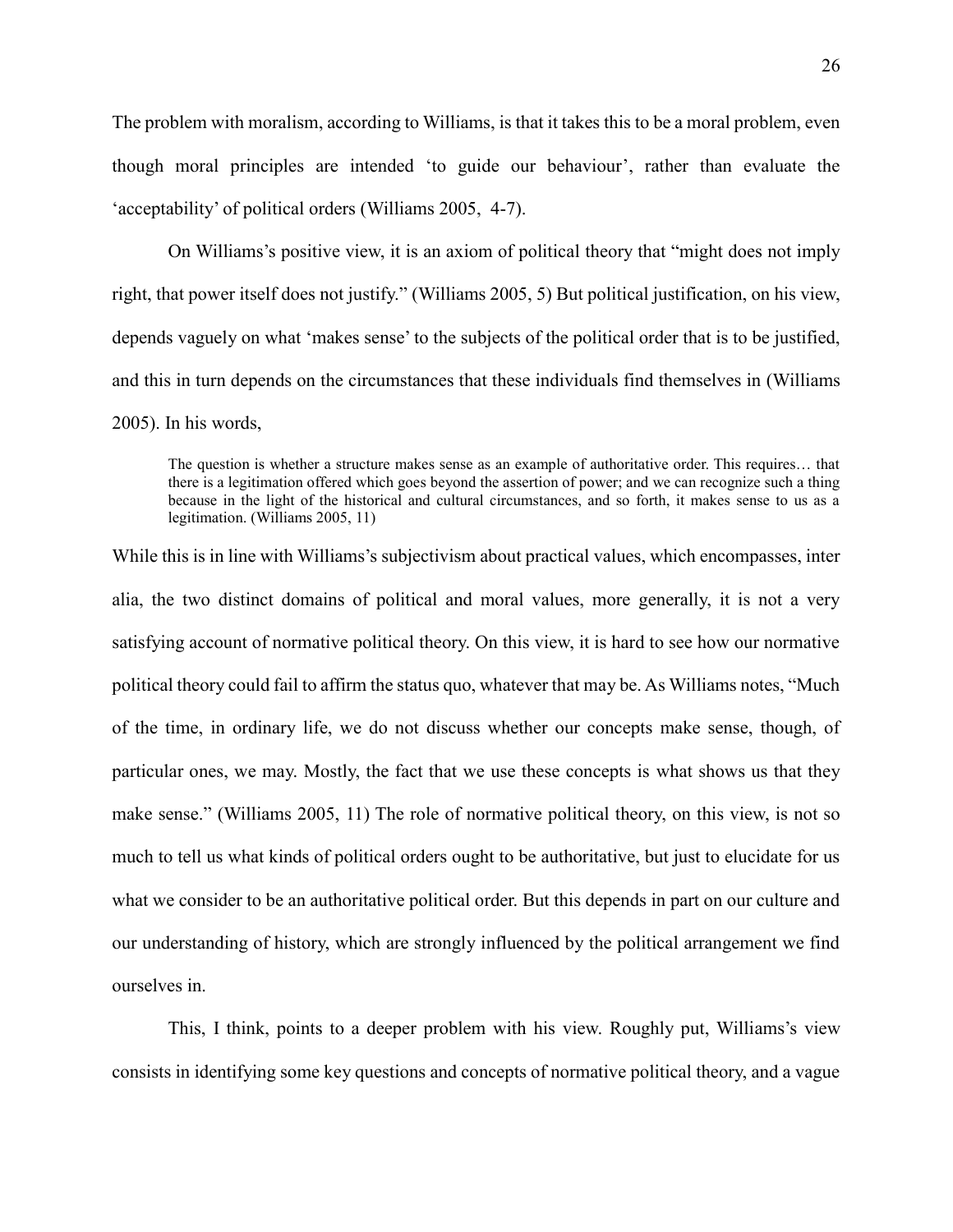The problem with moralism, according to Williams, is that it takes this to be a moral problem, even though moral principles are intended 'to guide our behaviour', rather than evaluate the 'acceptability' of political orders (Williams 2005, 4-7).

On Williams's positive view, it is an axiom of political theory that "might does not imply right, that power itself does not justify." (Williams 2005, 5) But political justification, on his view, depends vaguely on what 'makes sense' to the subjects of the political order that is to be justified, and this in turn depends on the circumstances that these individuals find themselves in (Williams 2005). In his words,

The question is whether a structure makes sense as an example of authoritative order. This requires… that there is a legitimation offered which goes beyond the assertion of power; and we can recognize such a thing because in the light of the historical and cultural circumstances, and so forth, it makes sense to us as a legitimation. (Williams 2005, 11)

While this is in line with Williams's subjectivism about practical values, which encompasses, inter alia, the two distinct domains of political and moral values, more generally, it is not a very satisfying account of normative political theory. On this view, it is hard to see how our normative political theory could fail to affirm the status quo, whatever that may be. As Williams notes, "Much of the time, in ordinary life, we do not discuss whether our concepts make sense, though, of particular ones, we may. Mostly, the fact that we use these concepts is what shows us that they make sense." (Williams 2005, 11) The role of normative political theory, on this view, is not so much to tell us what kinds of political orders ought to be authoritative, but just to elucidate for us what we consider to be an authoritative political order. But this depends in part on our culture and our understanding of history, which are strongly influenced by the political arrangement we find ourselves in.

This, I think, points to a deeper problem with his view. Roughly put, Williams's view consists in identifying some key questions and concepts of normative political theory, and a vague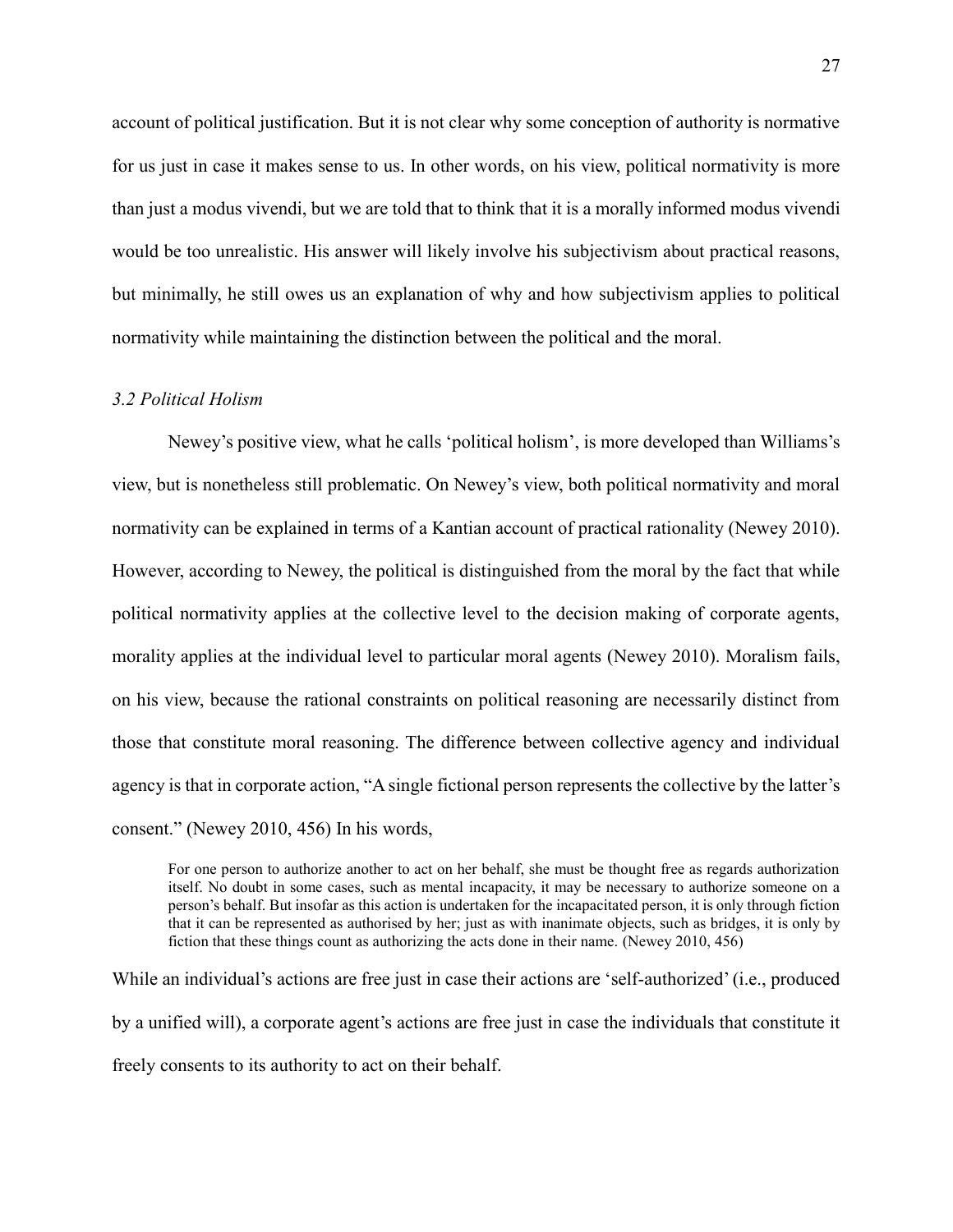account of political justification. But it is not clear why some conception of authority is normative for us just in case it makes sense to us. In other words, on his view, political normativity is more than just a modus vivendi, but we are told that to think that it is a morally informed modus vivendi would be too unrealistic. His answer will likely involve his subjectivism about practical reasons, but minimally, he still owes us an explanation of why and how subjectivism applies to political normativity while maintaining the distinction between the political and the moral.

#### *3.2 Political Holism*

Newey's positive view, what he calls 'political holism', is more developed than Williams's view, but is nonetheless still problematic. On Newey's view, both political normativity and moral normativity can be explained in terms of a Kantian account of practical rationality (Newey 2010). However, according to Newey, the political is distinguished from the moral by the fact that while political normativity applies at the collective level to the decision making of corporate agents, morality applies at the individual level to particular moral agents (Newey 2010). Moralism fails, on his view, because the rational constraints on political reasoning are necessarily distinct from those that constitute moral reasoning. The difference between collective agency and individual agency is that in corporate action, "A single fictional person represents the collective by the latter's consent." (Newey 2010, 456) In his words,

For one person to authorize another to act on her behalf, she must be thought free as regards authorization itself. No doubt in some cases, such as mental incapacity, it may be necessary to authorize someone on a person's behalf. But insofar as this action is undertaken for the incapacitated person, it is only through fiction that it can be represented as authorised by her; just as with inanimate objects, such as bridges, it is only by fiction that these things count as authorizing the acts done in their name. (Newey 2010, 456)

While an individual's actions are free just in case their actions are 'self-authorized' (i.e., produced by a unified will), a corporate agent's actions are free just in case the individuals that constitute it freely consents to its authority to act on their behalf.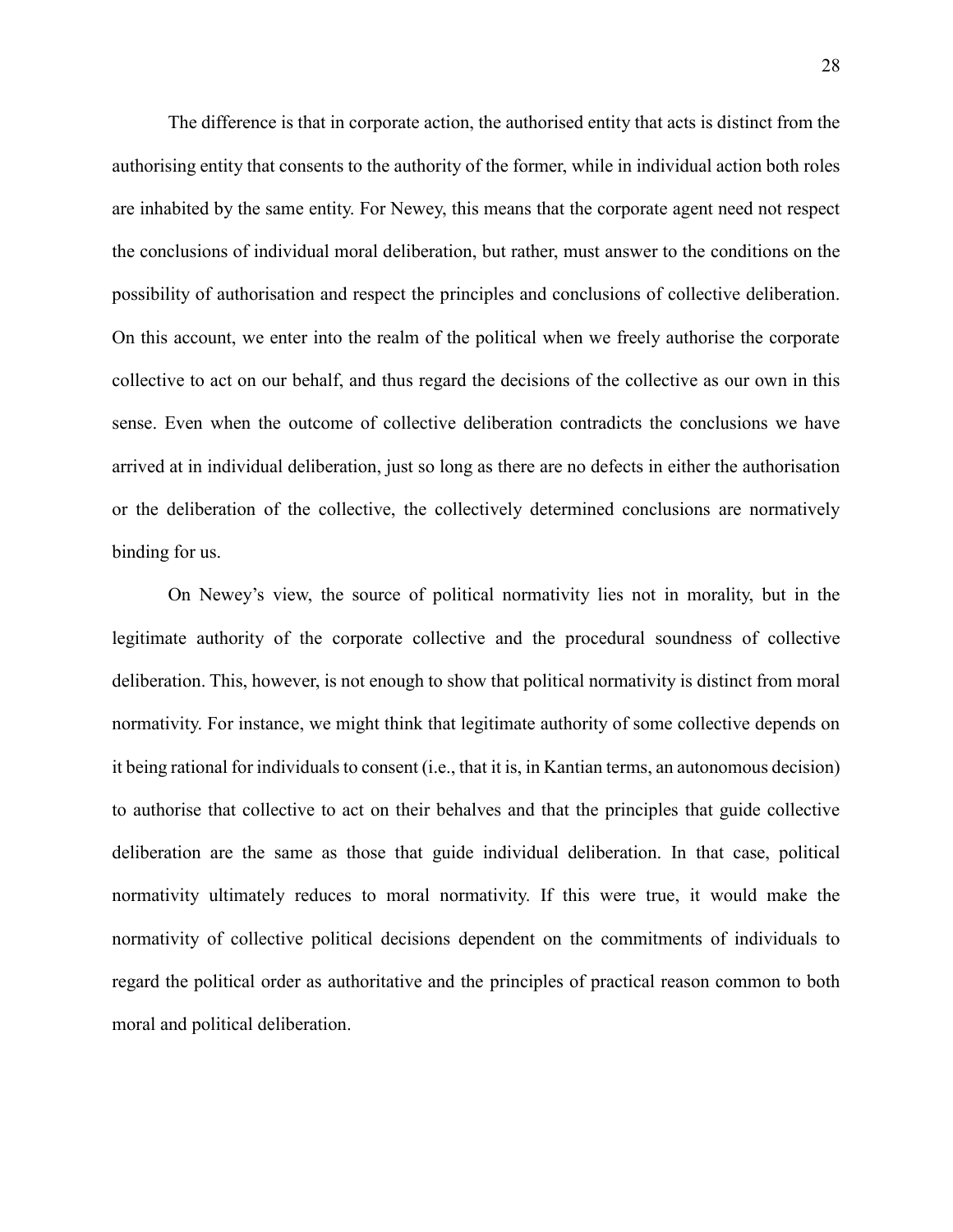The difference is that in corporate action, the authorised entity that acts is distinct from the authorising entity that consents to the authority of the former, while in individual action both roles are inhabited by the same entity. For Newey, this means that the corporate agent need not respect the conclusions of individual moral deliberation, but rather, must answer to the conditions on the possibility of authorisation and respect the principles and conclusions of collective deliberation. On this account, we enter into the realm of the political when we freely authorise the corporate collective to act on our behalf, and thus regard the decisions of the collective as our own in this sense. Even when the outcome of collective deliberation contradicts the conclusions we have arrived at in individual deliberation, just so long as there are no defects in either the authorisation or the deliberation of the collective, the collectively determined conclusions are normatively binding for us.

On Newey's view, the source of political normativity lies not in morality, but in the legitimate authority of the corporate collective and the procedural soundness of collective deliberation. This, however, is not enough to show that political normativity is distinct from moral normativity. For instance, we might think that legitimate authority of some collective depends on it being rational for individuals to consent (i.e., that it is, in Kantian terms, an autonomous decision) to authorise that collective to act on their behalves and that the principles that guide collective deliberation are the same as those that guide individual deliberation. In that case, political normativity ultimately reduces to moral normativity. If this were true, it would make the normativity of collective political decisions dependent on the commitments of individuals to regard the political order as authoritative and the principles of practical reason common to both moral and political deliberation.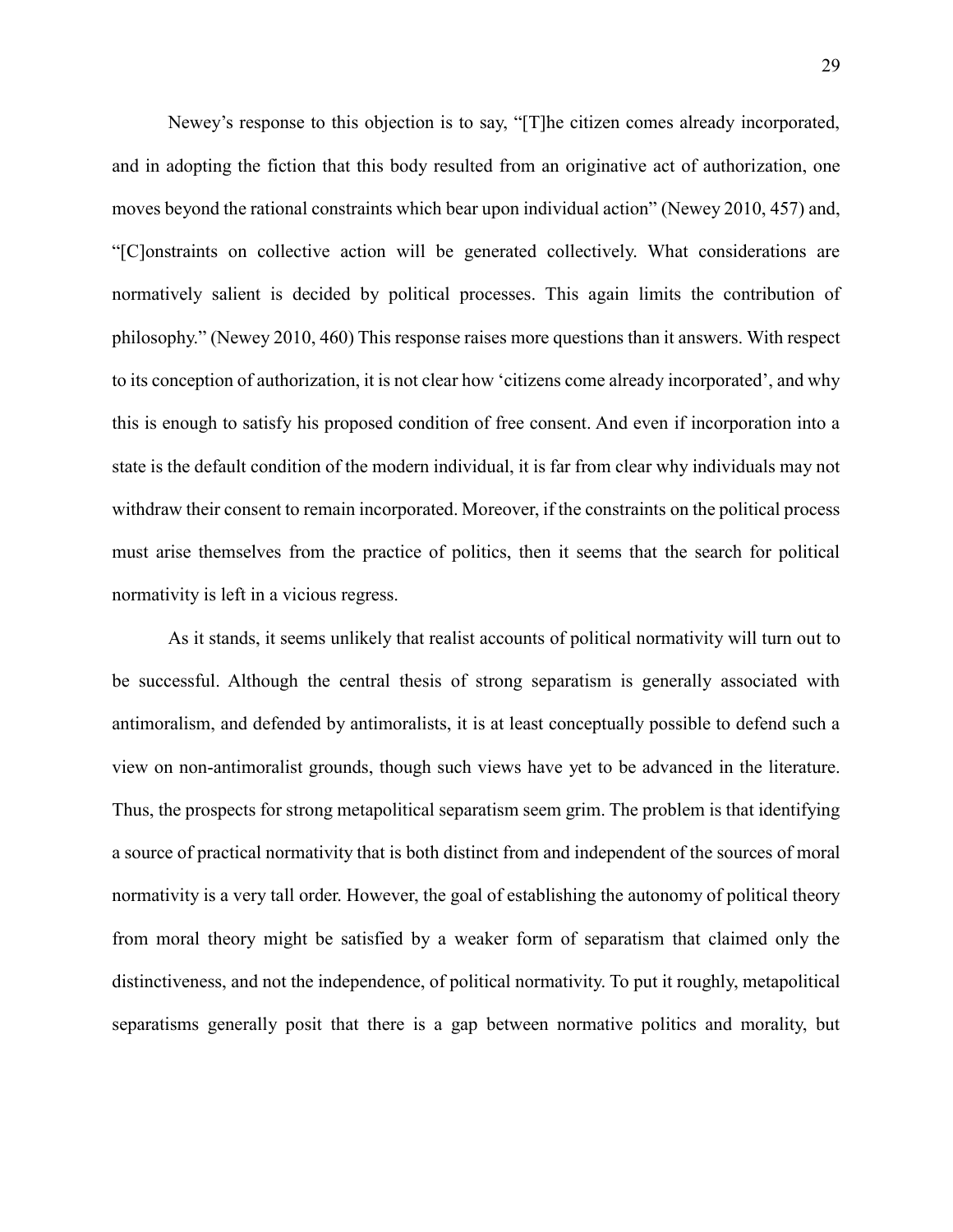Newey's response to this objection is to say, "[T]he citizen comes already incorporated, and in adopting the fiction that this body resulted from an originative act of authorization, one moves beyond the rational constraints which bear upon individual action" (Newey 2010, 457) and, "[C]onstraints on collective action will be generated collectively. What considerations are normatively salient is decided by political processes. This again limits the contribution of philosophy." (Newey 2010, 460) This response raises more questions than it answers. With respect to its conception of authorization, it is not clear how 'citizens come already incorporated', and why this is enough to satisfy his proposed condition of free consent. And even if incorporation into a state is the default condition of the modern individual, it is far from clear why individuals may not withdraw their consent to remain incorporated. Moreover, if the constraints on the political process must arise themselves from the practice of politics, then it seems that the search for political normativity is left in a vicious regress.

As it stands, it seems unlikely that realist accounts of political normativity will turn out to be successful. Although the central thesis of strong separatism is generally associated with antimoralism, and defended by antimoralists, it is at least conceptually possible to defend such a view on non-antimoralist grounds, though such views have yet to be advanced in the literature. Thus, the prospects for strong metapolitical separatism seem grim. The problem is that identifying a source of practical normativity that is both distinct from and independent of the sources of moral normativity is a very tall order. However, the goal of establishing the autonomy of political theory from moral theory might be satisfied by a weaker form of separatism that claimed only the distinctiveness, and not the independence, of political normativity. To put it roughly, metapolitical separatisms generally posit that there is a gap between normative politics and morality, but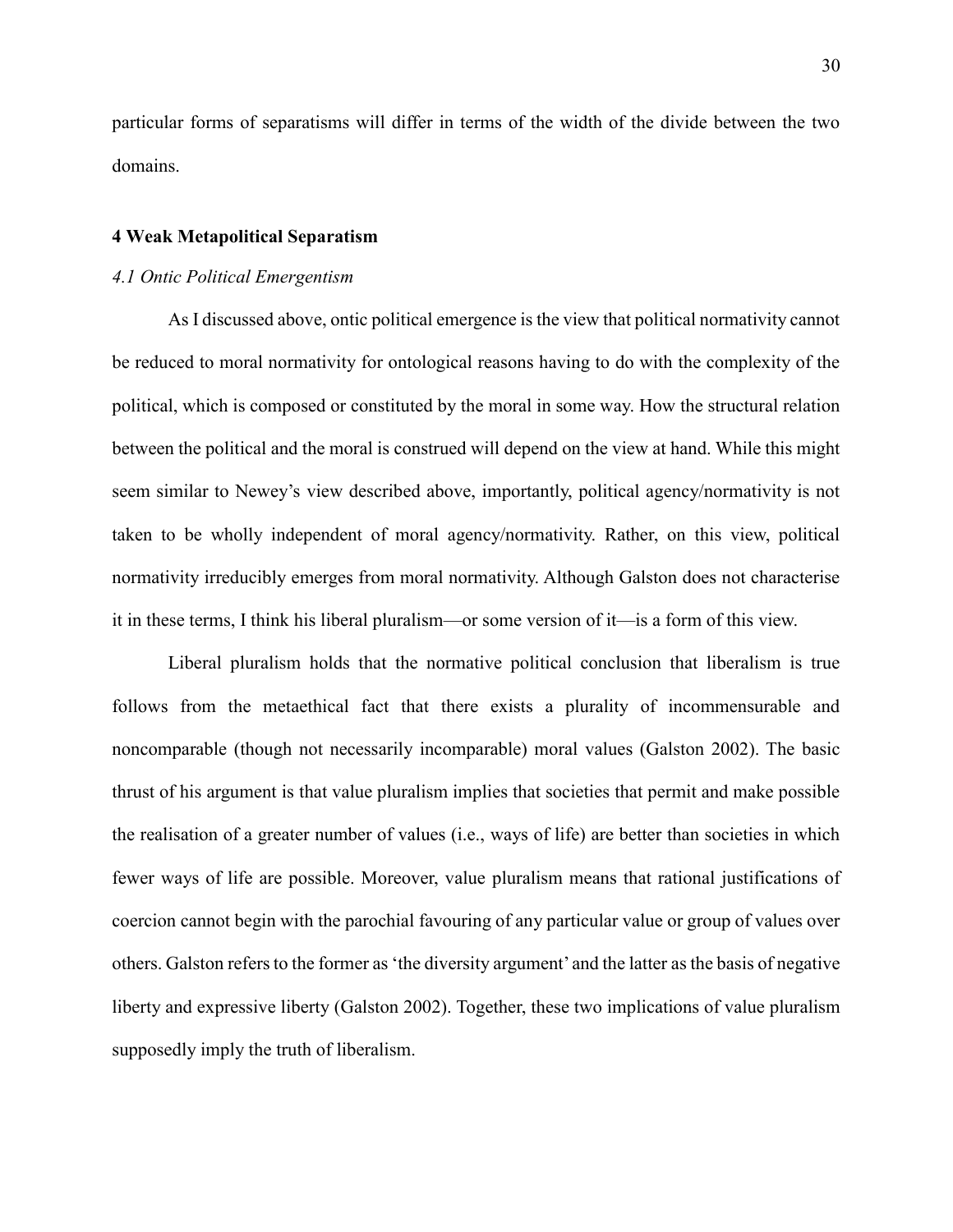particular forms of separatisms will differ in terms of the width of the divide between the two domains.

#### **4 Weak Metapolitical Separatism**

#### *4.1 Ontic Political Emergentism*

As I discussed above, ontic political emergence is the view that political normativity cannot be reduced to moral normativity for ontological reasons having to do with the complexity of the political, which is composed or constituted by the moral in some way. How the structural relation between the political and the moral is construed will depend on the view at hand. While this might seem similar to Newey's view described above, importantly, political agency/normativity is not taken to be wholly independent of moral agency/normativity. Rather, on this view, political normativity irreducibly emerges from moral normativity. Although Galston does not characterise it in these terms, I think his liberal pluralism—or some version of it—is a form of this view.

Liberal pluralism holds that the normative political conclusion that liberalism is true follows from the metaethical fact that there exists a plurality of incommensurable and noncomparable (though not necessarily incomparable) moral values (Galston 2002). The basic thrust of his argument is that value pluralism implies that societies that permit and make possible the realisation of a greater number of values (i.e., ways of life) are better than societies in which fewer ways of life are possible. Moreover, value pluralism means that rational justifications of coercion cannot begin with the parochial favouring of any particular value or group of values over others. Galston refers to the former as 'the diversity argument' and the latter as the basis of negative liberty and expressive liberty (Galston 2002). Together, these two implications of value pluralism supposedly imply the truth of liberalism.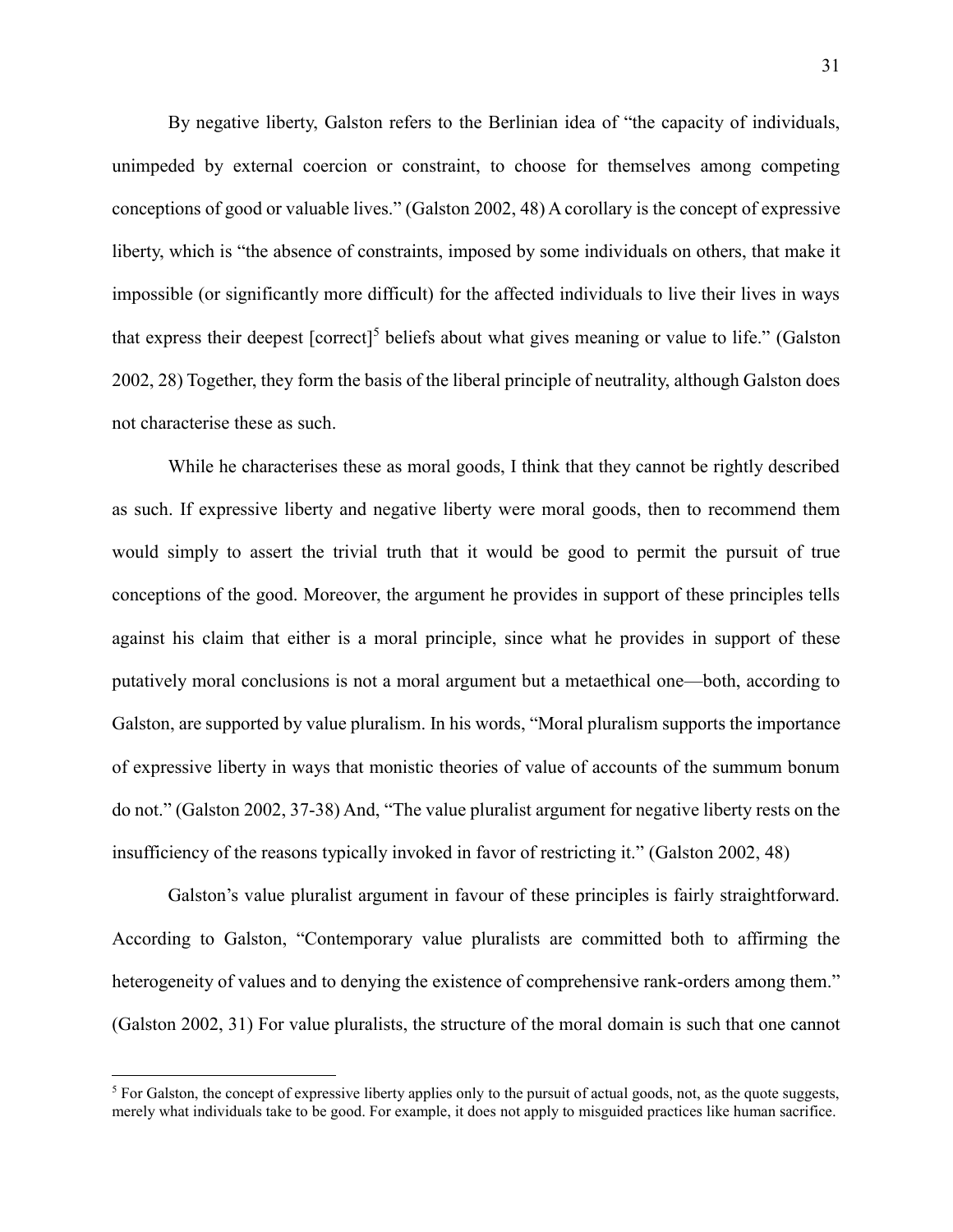By negative liberty, Galston refers to the Berlinian idea of "the capacity of individuals, unimpeded by external coercion or constraint, to choose for themselves among competing conceptions of good or valuable lives." (Galston 2002, 48) A corollary is the concept of expressive liberty, which is "the absence of constraints, imposed by some individuals on others, that make it impossible (or significantly more difficult) for the affected individuals to live their lives in ways that express their deepest  $[correct]^5$  beliefs about what gives meaning or value to life." (Galston 2002, 28) Together, they form the basis of the liberal principle of neutrality, although Galston does not characterise these as such.

While he characterises these as moral goods, I think that they cannot be rightly described as such. If expressive liberty and negative liberty were moral goods, then to recommend them would simply to assert the trivial truth that it would be good to permit the pursuit of true conceptions of the good. Moreover, the argument he provides in support of these principles tells against his claim that either is a moral principle, since what he provides in support of these putatively moral conclusions is not a moral argument but a metaethical one—both, according to Galston, are supported by value pluralism. In his words, "Moral pluralism supports the importance of expressive liberty in ways that monistic theories of value of accounts of the summum bonum do not." (Galston 2002, 37-38) And, "The value pluralist argument for negative liberty rests on the insufficiency of the reasons typically invoked in favor of restricting it." (Galston 2002, 48)

Galston's value pluralist argument in favour of these principles is fairly straightforward. According to Galston, "Contemporary value pluralists are committed both to affirming the heterogeneity of values and to denying the existence of comprehensive rank-orders among them." (Galston 2002, 31) For value pluralists, the structure of the moral domain is such that one cannot

 $\overline{a}$ 

 $<sup>5</sup>$  For Galston, the concept of expressive liberty applies only to the pursuit of actual goods, not, as the quote suggests,</sup> merely what individuals take to be good. For example, it does not apply to misguided practices like human sacrifice.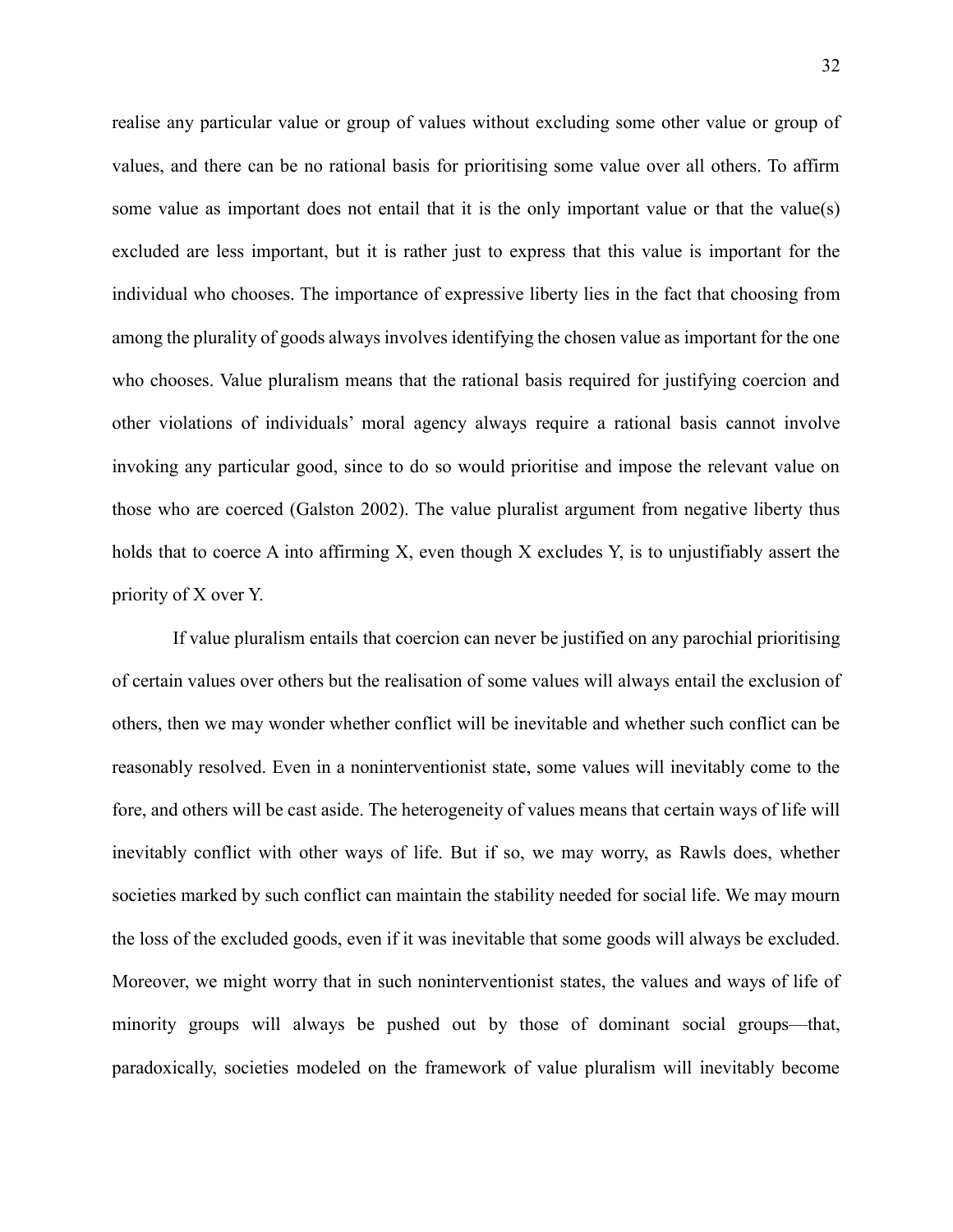realise any particular value or group of values without excluding some other value or group of values, and there can be no rational basis for prioritising some value over all others. To affirm some value as important does not entail that it is the only important value or that the value(s) excluded are less important, but it is rather just to express that this value is important for the individual who chooses. The importance of expressive liberty lies in the fact that choosing from among the plurality of goods always involves identifying the chosen value as important for the one who chooses. Value pluralism means that the rational basis required for justifying coercion and other violations of individuals' moral agency always require a rational basis cannot involve invoking any particular good, since to do so would prioritise and impose the relevant value on those who are coerced (Galston 2002). The value pluralist argument from negative liberty thus holds that to coerce A into affirming X, even though X excludes Y, is to unjustifiably assert the priority of X over Y.

If value pluralism entails that coercion can never be justified on any parochial prioritising of certain values over others but the realisation of some values will always entail the exclusion of others, then we may wonder whether conflict will be inevitable and whether such conflict can be reasonably resolved. Even in a noninterventionist state, some values will inevitably come to the fore, and others will be cast aside. The heterogeneity of values means that certain ways of life will inevitably conflict with other ways of life. But if so, we may worry, as Rawls does, whether societies marked by such conflict can maintain the stability needed for social life. We may mourn the loss of the excluded goods, even if it was inevitable that some goods will always be excluded. Moreover, we might worry that in such noninterventionist states, the values and ways of life of minority groups will always be pushed out by those of dominant social groups—that, paradoxically, societies modeled on the framework of value pluralism will inevitably become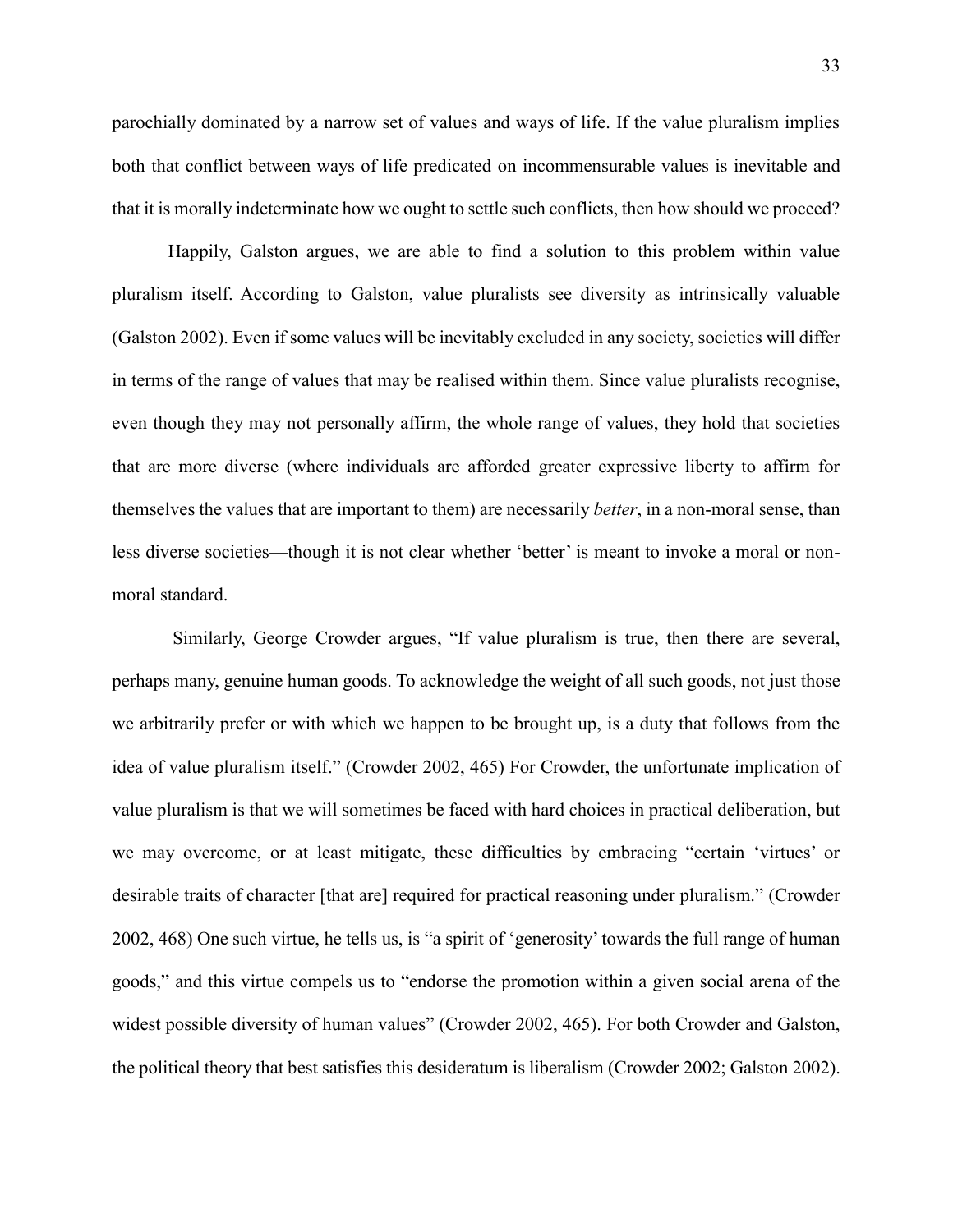parochially dominated by a narrow set of values and ways of life. If the value pluralism implies both that conflict between ways of life predicated on incommensurable values is inevitable and that it is morally indeterminate how we ought to settle such conflicts, then how should we proceed?

Happily, Galston argues, we are able to find a solution to this problem within value pluralism itself. According to Galston, value pluralists see diversity as intrinsically valuable (Galston 2002). Even if some values will be inevitably excluded in any society, societies will differ in terms of the range of values that may be realised within them. Since value pluralists recognise, even though they may not personally affirm, the whole range of values, they hold that societies that are more diverse (where individuals are afforded greater expressive liberty to affirm for themselves the values that are important to them) are necessarily *better*, in a non-moral sense, than less diverse societies—though it is not clear whether 'better' is meant to invoke a moral or nonmoral standard.

Similarly, George Crowder argues, "If value pluralism is true, then there are several, perhaps many, genuine human goods. To acknowledge the weight of all such goods, not just those we arbitrarily prefer or with which we happen to be brought up, is a duty that follows from the idea of value pluralism itself." (Crowder 2002, 465) For Crowder, the unfortunate implication of value pluralism is that we will sometimes be faced with hard choices in practical deliberation, but we may overcome, or at least mitigate, these difficulties by embracing "certain 'virtues' or desirable traits of character [that are] required for practical reasoning under pluralism." (Crowder 2002, 468) One such virtue, he tells us, is "a spirit of 'generosity' towards the full range of human goods," and this virtue compels us to "endorse the promotion within a given social arena of the widest possible diversity of human values" (Crowder 2002, 465). For both Crowder and Galston, the political theory that best satisfies this desideratum is liberalism (Crowder 2002; Galston 2002).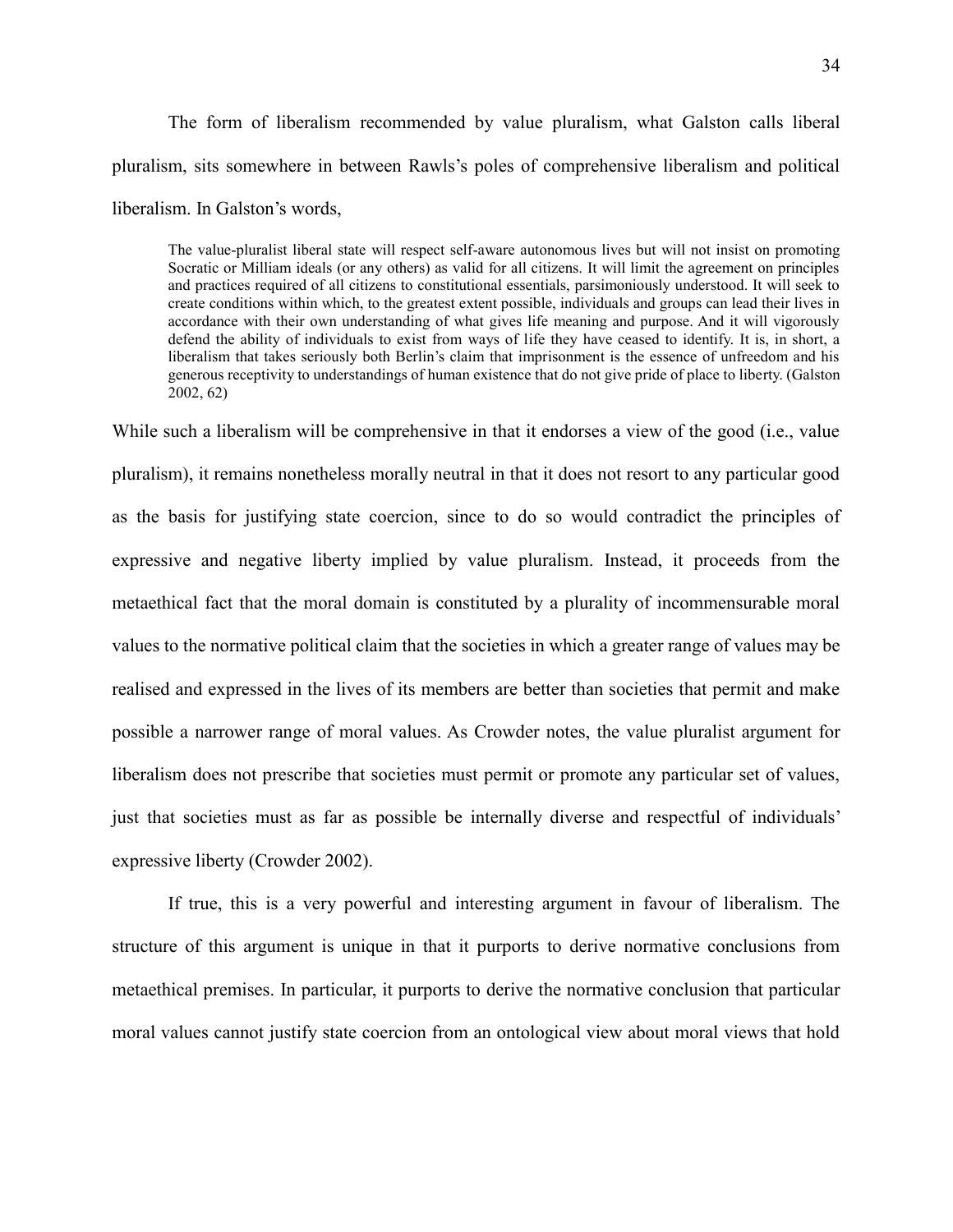The form of liberalism recommended by value pluralism, what Galston calls liberal pluralism, sits somewhere in between Rawls's poles of comprehensive liberalism and political liberalism. In Galston's words,

The value-pluralist liberal state will respect self-aware autonomous lives but will not insist on promoting Socratic or Milliam ideals (or any others) as valid for all citizens. It will limit the agreement on principles and practices required of all citizens to constitutional essentials, parsimoniously understood. It will seek to create conditions within which, to the greatest extent possible, individuals and groups can lead their lives in accordance with their own understanding of what gives life meaning and purpose. And it will vigorously defend the ability of individuals to exist from ways of life they have ceased to identify. It is, in short, a liberalism that takes seriously both Berlin's claim that imprisonment is the essence of unfreedom and his generous receptivity to understandings of human existence that do not give pride of place to liberty. (Galston 2002, 62)

While such a liberalism will be comprehensive in that it endorses a view of the good (i.e., value pluralism), it remains nonetheless morally neutral in that it does not resort to any particular good as the basis for justifying state coercion, since to do so would contradict the principles of expressive and negative liberty implied by value pluralism. Instead, it proceeds from the metaethical fact that the moral domain is constituted by a plurality of incommensurable moral values to the normative political claim that the societies in which a greater range of values may be realised and expressed in the lives of its members are better than societies that permit and make possible a narrower range of moral values. As Crowder notes, the value pluralist argument for liberalism does not prescribe that societies must permit or promote any particular set of values, just that societies must as far as possible be internally diverse and respectful of individuals' expressive liberty (Crowder 2002).

If true, this is a very powerful and interesting argument in favour of liberalism. The structure of this argument is unique in that it purports to derive normative conclusions from metaethical premises. In particular, it purports to derive the normative conclusion that particular moral values cannot justify state coercion from an ontological view about moral views that hold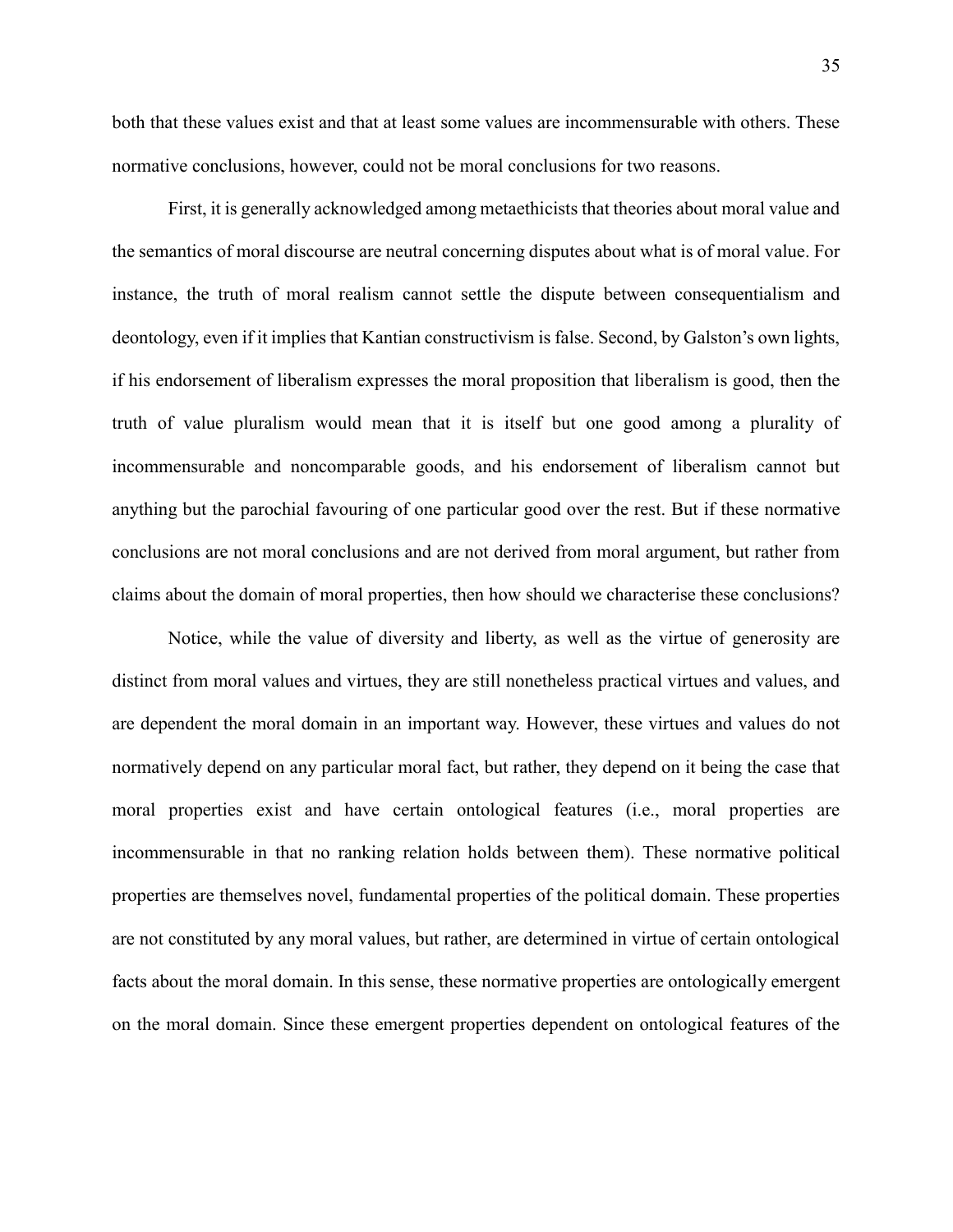both that these values exist and that at least some values are incommensurable with others. These normative conclusions, however, could not be moral conclusions for two reasons.

First, it is generally acknowledged among metaethicists that theories about moral value and the semantics of moral discourse are neutral concerning disputes about what is of moral value. For instance, the truth of moral realism cannot settle the dispute between consequentialism and deontology, even if it implies that Kantian constructivism is false. Second, by Galston's own lights, if his endorsement of liberalism expresses the moral proposition that liberalism is good, then the truth of value pluralism would mean that it is itself but one good among a plurality of incommensurable and noncomparable goods, and his endorsement of liberalism cannot but anything but the parochial favouring of one particular good over the rest. But if these normative conclusions are not moral conclusions and are not derived from moral argument, but rather from claims about the domain of moral properties, then how should we characterise these conclusions?

Notice, while the value of diversity and liberty, as well as the virtue of generosity are distinct from moral values and virtues, they are still nonetheless practical virtues and values, and are dependent the moral domain in an important way. However, these virtues and values do not normatively depend on any particular moral fact, but rather, they depend on it being the case that moral properties exist and have certain ontological features (i.e., moral properties are incommensurable in that no ranking relation holds between them). These normative political properties are themselves novel, fundamental properties of the political domain. These properties are not constituted by any moral values, but rather, are determined in virtue of certain ontological facts about the moral domain. In this sense, these normative properties are ontologically emergent on the moral domain. Since these emergent properties dependent on ontological features of the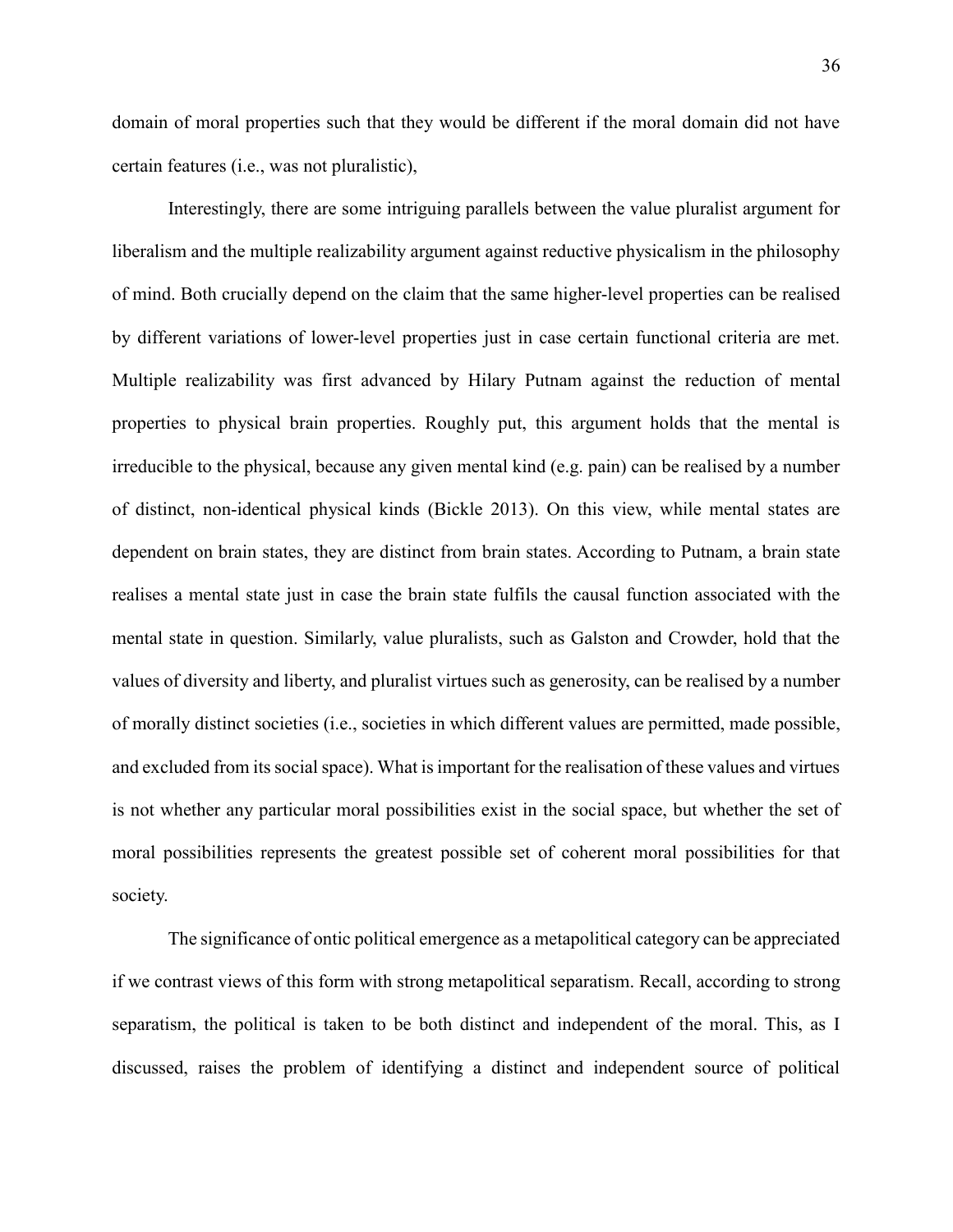domain of moral properties such that they would be different if the moral domain did not have certain features (i.e., was not pluralistic),

Interestingly, there are some intriguing parallels between the value pluralist argument for liberalism and the multiple realizability argument against reductive physicalism in the philosophy of mind. Both crucially depend on the claim that the same higher-level properties can be realised by different variations of lower-level properties just in case certain functional criteria are met. Multiple realizability was first advanced by Hilary Putnam against the reduction of mental properties to physical brain properties. Roughly put, this argument holds that the mental is irreducible to the physical, because any given mental kind (e.g. pain) can be realised by a number of distinct, non-identical physical kinds (Bickle 2013). On this view, while mental states are dependent on brain states, they are distinct from brain states. According to Putnam, a brain state realises a mental state just in case the brain state fulfils the causal function associated with the mental state in question. Similarly, value pluralists, such as Galston and Crowder, hold that the values of diversity and liberty, and pluralist virtues such as generosity, can be realised by a number of morally distinct societies (i.e., societies in which different values are permitted, made possible, and excluded from its social space). What is important for the realisation of these values and virtues is not whether any particular moral possibilities exist in the social space, but whether the set of moral possibilities represents the greatest possible set of coherent moral possibilities for that society.

The significance of ontic political emergence as a metapolitical category can be appreciated if we contrast views of this form with strong metapolitical separatism. Recall, according to strong separatism, the political is taken to be both distinct and independent of the moral. This, as I discussed, raises the problem of identifying a distinct and independent source of political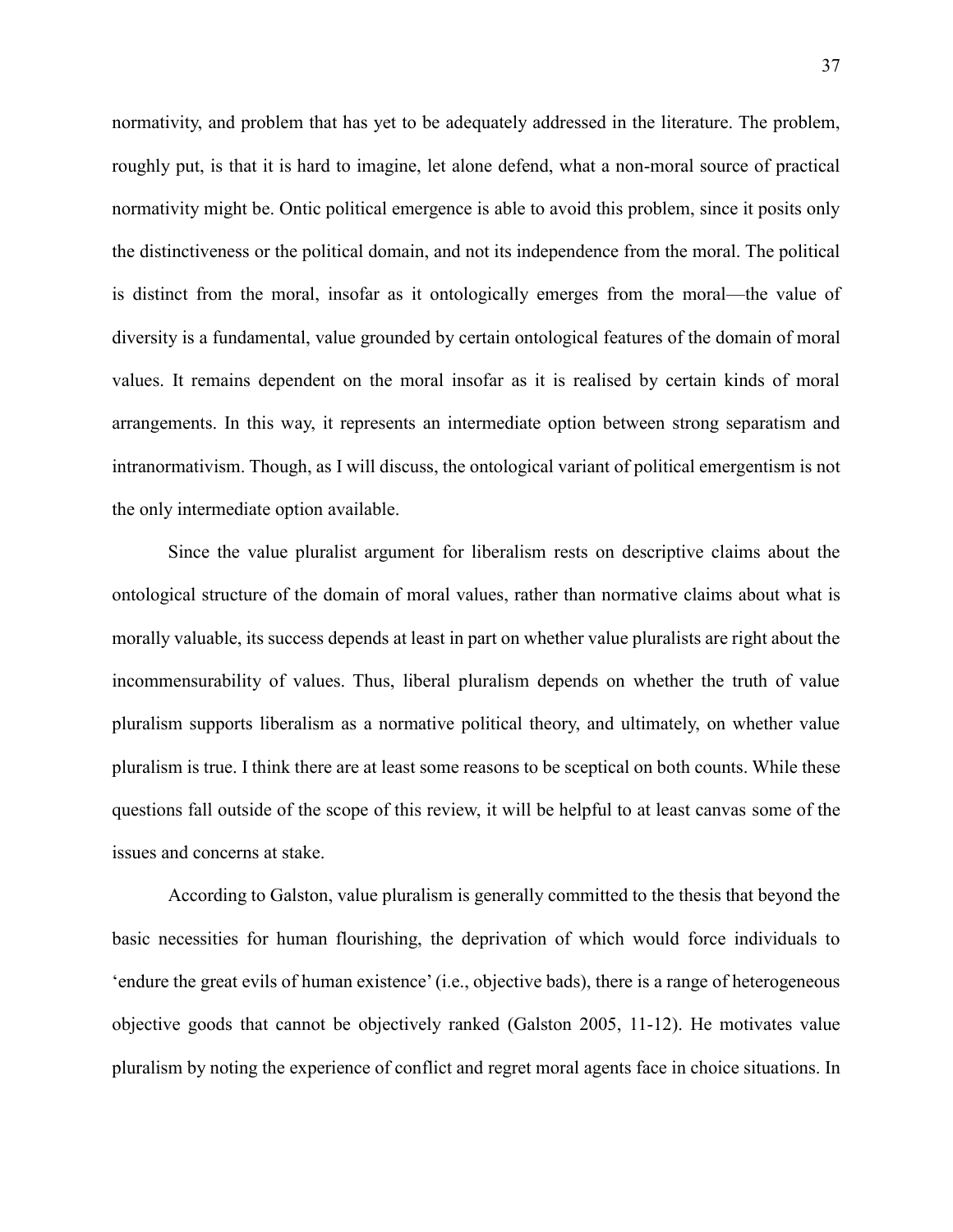normativity, and problem that has yet to be adequately addressed in the literature. The problem, roughly put, is that it is hard to imagine, let alone defend, what a non-moral source of practical normativity might be. Ontic political emergence is able to avoid this problem, since it posits only the distinctiveness or the political domain, and not its independence from the moral. The political is distinct from the moral, insofar as it ontologically emerges from the moral—the value of diversity is a fundamental, value grounded by certain ontological features of the domain of moral values. It remains dependent on the moral insofar as it is realised by certain kinds of moral arrangements. In this way, it represents an intermediate option between strong separatism and intranormativism. Though, as I will discuss, the ontological variant of political emergentism is not the only intermediate option available.

Since the value pluralist argument for liberalism rests on descriptive claims about the ontological structure of the domain of moral values, rather than normative claims about what is morally valuable, its success depends at least in part on whether value pluralists are right about the incommensurability of values. Thus, liberal pluralism depends on whether the truth of value pluralism supports liberalism as a normative political theory, and ultimately, on whether value pluralism is true. I think there are at least some reasons to be sceptical on both counts. While these questions fall outside of the scope of this review, it will be helpful to at least canvas some of the issues and concerns at stake.

According to Galston, value pluralism is generally committed to the thesis that beyond the basic necessities for human flourishing, the deprivation of which would force individuals to 'endure the great evils of human existence' (i.e., objective bads), there is a range of heterogeneous objective goods that cannot be objectively ranked (Galston 2005, 11-12). He motivates value pluralism by noting the experience of conflict and regret moral agents face in choice situations. In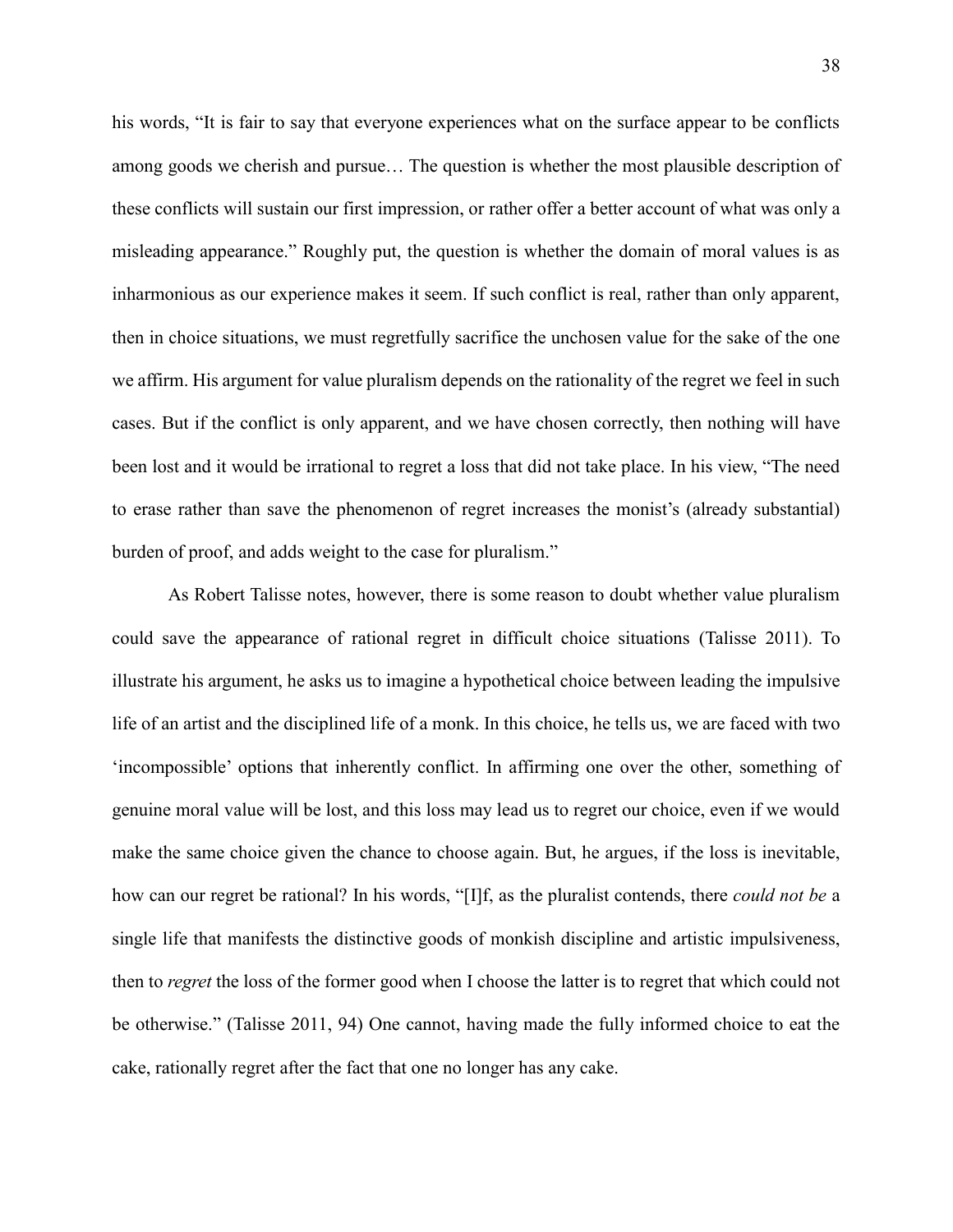his words, "It is fair to say that everyone experiences what on the surface appear to be conflicts among goods we cherish and pursue… The question is whether the most plausible description of these conflicts will sustain our first impression, or rather offer a better account of what was only a misleading appearance." Roughly put, the question is whether the domain of moral values is as inharmonious as our experience makes it seem. If such conflict is real, rather than only apparent, then in choice situations, we must regretfully sacrifice the unchosen value for the sake of the one we affirm. His argument for value pluralism depends on the rationality of the regret we feel in such cases. But if the conflict is only apparent, and we have chosen correctly, then nothing will have been lost and it would be irrational to regret a loss that did not take place. In his view, "The need to erase rather than save the phenomenon of regret increases the monist's (already substantial) burden of proof, and adds weight to the case for pluralism."

As Robert Talisse notes, however, there is some reason to doubt whether value pluralism could save the appearance of rational regret in difficult choice situations (Talisse 2011). To illustrate his argument, he asks us to imagine a hypothetical choice between leading the impulsive life of an artist and the disciplined life of a monk. In this choice, he tells us, we are faced with two 'incompossible' options that inherently conflict. In affirming one over the other, something of genuine moral value will be lost, and this loss may lead us to regret our choice, even if we would make the same choice given the chance to choose again. But, he argues, if the loss is inevitable, how can our regret be rational? In his words, "[I]f, as the pluralist contends, there *could not be* a single life that manifests the distinctive goods of monkish discipline and artistic impulsiveness, then to *regret* the loss of the former good when I choose the latter is to regret that which could not be otherwise." (Talisse 2011, 94) One cannot, having made the fully informed choice to eat the cake, rationally regret after the fact that one no longer has any cake.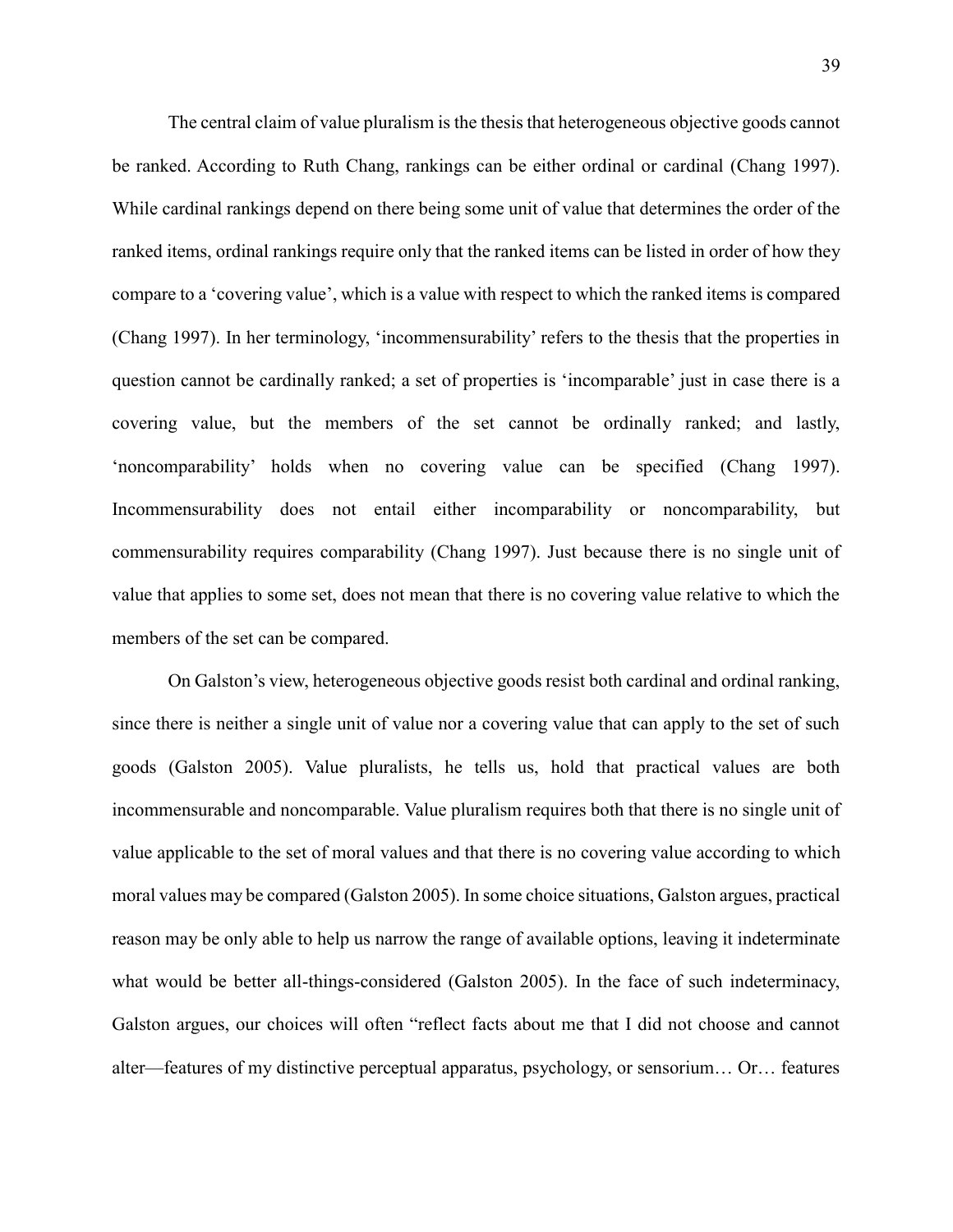The central claim of value pluralism is the thesis that heterogeneous objective goods cannot be ranked. According to Ruth Chang, rankings can be either ordinal or cardinal (Chang 1997). While cardinal rankings depend on there being some unit of value that determines the order of the ranked items, ordinal rankings require only that the ranked items can be listed in order of how they compare to a 'covering value', which is a value with respect to which the ranked items is compared (Chang 1997). In her terminology, 'incommensurability' refers to the thesis that the properties in question cannot be cardinally ranked; a set of properties is 'incomparable' just in case there is a covering value, but the members of the set cannot be ordinally ranked; and lastly, 'noncomparability' holds when no covering value can be specified (Chang 1997). Incommensurability does not entail either incomparability or noncomparability, but commensurability requires comparability (Chang 1997). Just because there is no single unit of value that applies to some set, does not mean that there is no covering value relative to which the members of the set can be compared.

On Galston's view, heterogeneous objective goods resist both cardinal and ordinal ranking, since there is neither a single unit of value nor a covering value that can apply to the set of such goods (Galston 2005). Value pluralists, he tells us, hold that practical values are both incommensurable and noncomparable. Value pluralism requires both that there is no single unit of value applicable to the set of moral values and that there is no covering value according to which moral values may be compared (Galston 2005). In some choice situations, Galston argues, practical reason may be only able to help us narrow the range of available options, leaving it indeterminate what would be better all-things-considered (Galston 2005). In the face of such indeterminacy, Galston argues, our choices will often "reflect facts about me that I did not choose and cannot alter—features of my distinctive perceptual apparatus, psychology, or sensorium… Or… features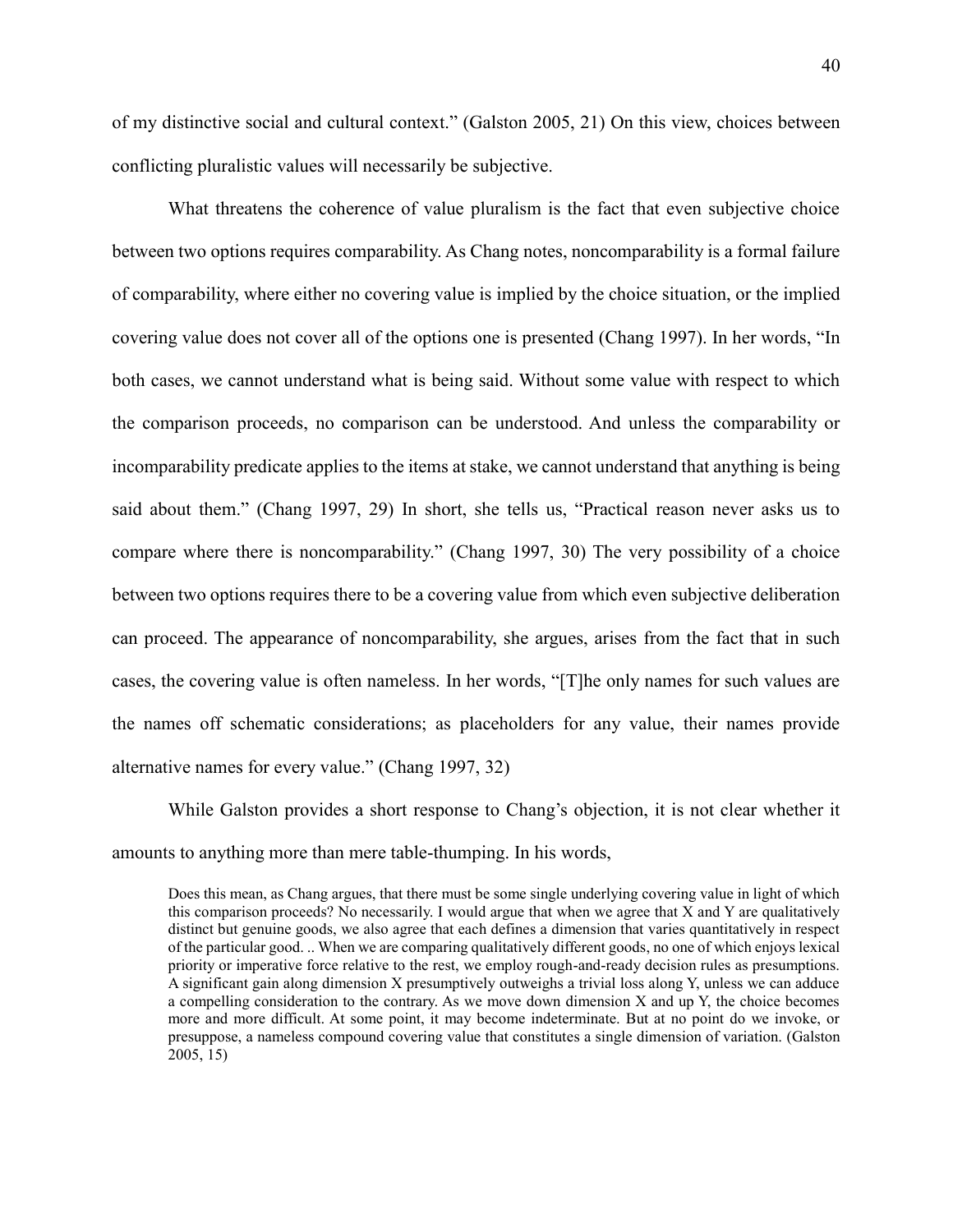of my distinctive social and cultural context." (Galston 2005, 21) On this view, choices between conflicting pluralistic values will necessarily be subjective.

What threatens the coherence of value pluralism is the fact that even subjective choice between two options requires comparability. As Chang notes, noncomparability is a formal failure of comparability, where either no covering value is implied by the choice situation, or the implied covering value does not cover all of the options one is presented (Chang 1997). In her words, "In both cases, we cannot understand what is being said. Without some value with respect to which the comparison proceeds, no comparison can be understood. And unless the comparability or incomparability predicate applies to the items at stake, we cannot understand that anything is being said about them." (Chang 1997, 29) In short, she tells us, "Practical reason never asks us to compare where there is noncomparability." (Chang 1997, 30) The very possibility of a choice between two options requires there to be a covering value from which even subjective deliberation can proceed. The appearance of noncomparability, she argues, arises from the fact that in such cases, the covering value is often nameless. In her words, "[T]he only names for such values are the names off schematic considerations; as placeholders for any value, their names provide alternative names for every value." (Chang 1997, 32)

While Galston provides a short response to Chang's objection, it is not clear whether it amounts to anything more than mere table-thumping. In his words,

Does this mean, as Chang argues, that there must be some single underlying covering value in light of which this comparison proceeds? No necessarily. I would argue that when we agree that X and Y are qualitatively distinct but genuine goods, we also agree that each defines a dimension that varies quantitatively in respect of the particular good. .. When we are comparing qualitatively different goods, no one of which enjoys lexical priority or imperative force relative to the rest, we employ rough-and-ready decision rules as presumptions. A significant gain along dimension X presumptively outweighs a trivial loss along Y, unless we can adduce a compelling consideration to the contrary. As we move down dimension X and up Y, the choice becomes more and more difficult. At some point, it may become indeterminate. But at no point do we invoke, or presuppose, a nameless compound covering value that constitutes a single dimension of variation. (Galston 2005, 15)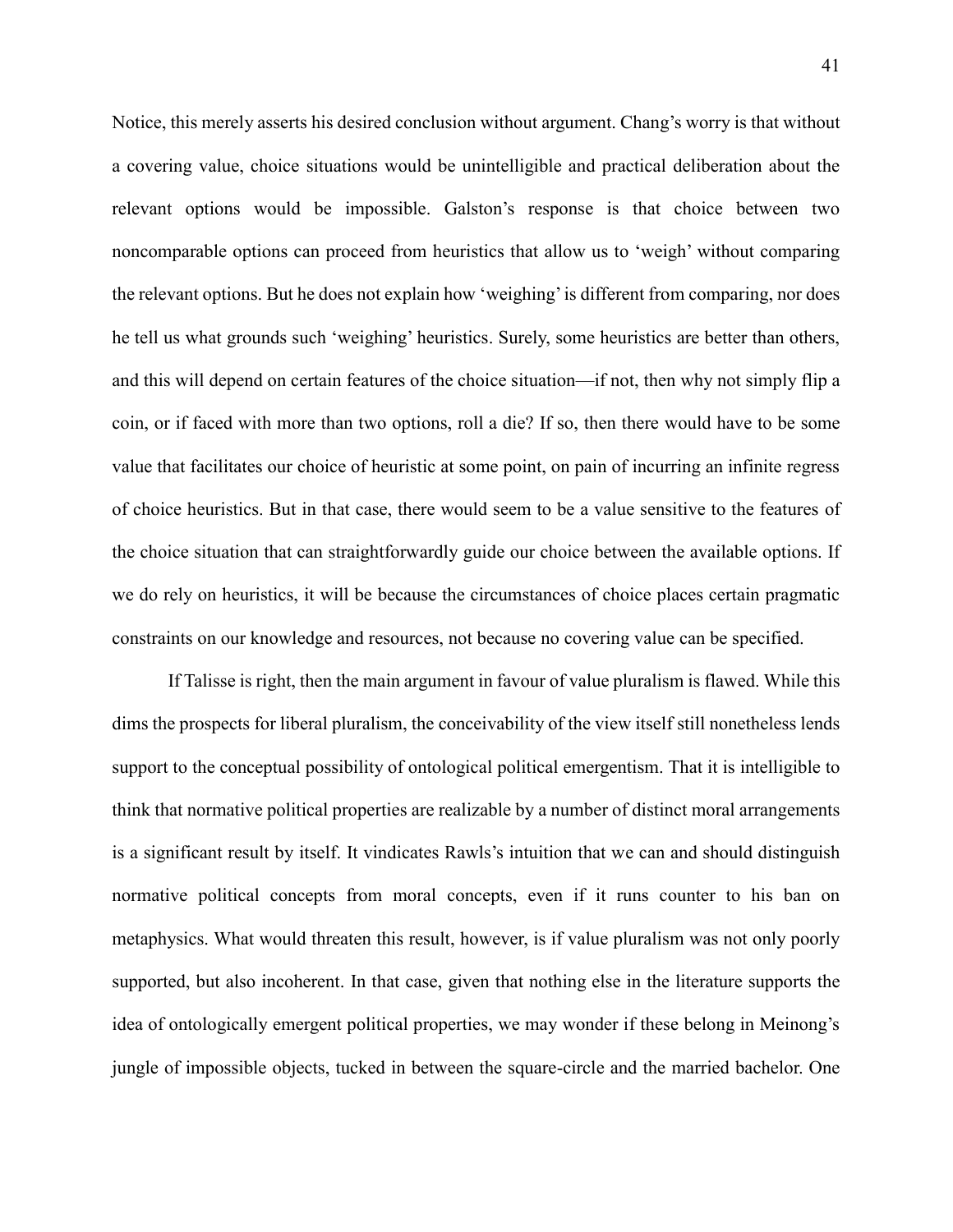Notice, this merely asserts his desired conclusion without argument. Chang's worry is that without a covering value, choice situations would be unintelligible and practical deliberation about the relevant options would be impossible. Galston's response is that choice between two noncomparable options can proceed from heuristics that allow us to 'weigh' without comparing the relevant options. But he does not explain how 'weighing' is different from comparing, nor does he tell us what grounds such 'weighing' heuristics. Surely, some heuristics are better than others, and this will depend on certain features of the choice situation—if not, then why not simply flip a coin, or if faced with more than two options, roll a die? If so, then there would have to be some value that facilitates our choice of heuristic at some point, on pain of incurring an infinite regress of choice heuristics. But in that case, there would seem to be a value sensitive to the features of the choice situation that can straightforwardly guide our choice between the available options. If we do rely on heuristics, it will be because the circumstances of choice places certain pragmatic constraints on our knowledge and resources, not because no covering value can be specified.

If Talisse is right, then the main argument in favour of value pluralism is flawed. While this dims the prospects for liberal pluralism, the conceivability of the view itself still nonetheless lends support to the conceptual possibility of ontological political emergentism. That it is intelligible to think that normative political properties are realizable by a number of distinct moral arrangements is a significant result by itself. It vindicates Rawls's intuition that we can and should distinguish normative political concepts from moral concepts, even if it runs counter to his ban on metaphysics. What would threaten this result, however, is if value pluralism was not only poorly supported, but also incoherent. In that case, given that nothing else in the literature supports the idea of ontologically emergent political properties, we may wonder if these belong in Meinong's jungle of impossible objects, tucked in between the square-circle and the married bachelor. One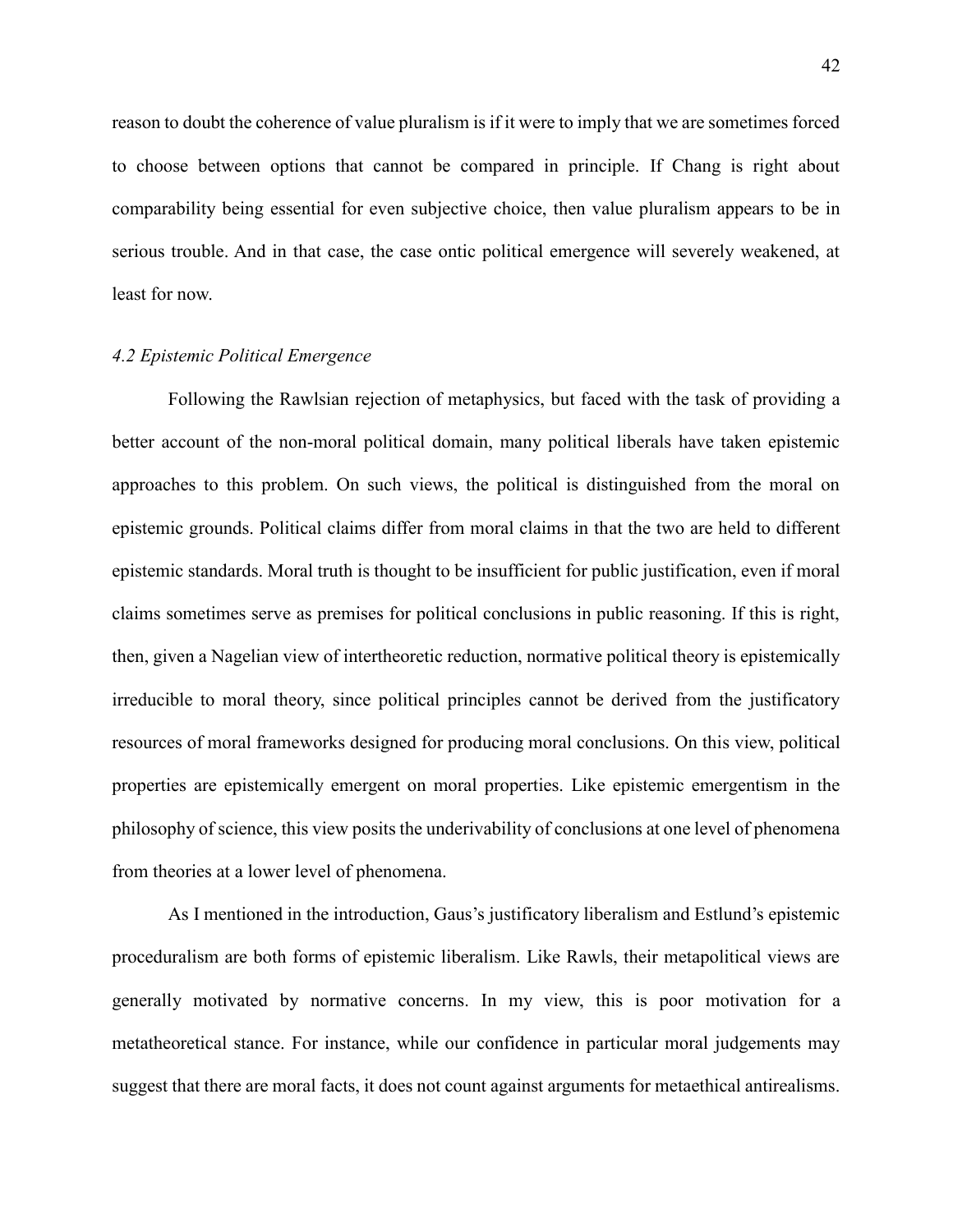reason to doubt the coherence of value pluralism is if it were to imply that we are sometimes forced to choose between options that cannot be compared in principle. If Chang is right about comparability being essential for even subjective choice, then value pluralism appears to be in serious trouble. And in that case, the case ontic political emergence will severely weakened, at least for now.

# *4.2 Epistemic Political Emergence*

Following the Rawlsian rejection of metaphysics, but faced with the task of providing a better account of the non-moral political domain, many political liberals have taken epistemic approaches to this problem. On such views, the political is distinguished from the moral on epistemic grounds. Political claims differ from moral claims in that the two are held to different epistemic standards. Moral truth is thought to be insufficient for public justification, even if moral claims sometimes serve as premises for political conclusions in public reasoning. If this is right, then, given a Nagelian view of intertheoretic reduction, normative political theory is epistemically irreducible to moral theory, since political principles cannot be derived from the justificatory resources of moral frameworks designed for producing moral conclusions. On this view, political properties are epistemically emergent on moral properties. Like epistemic emergentism in the philosophy of science, this view posits the underivability of conclusions at one level of phenomena from theories at a lower level of phenomena.

As I mentioned in the introduction, Gaus's justificatory liberalism and Estlund's epistemic proceduralism are both forms of epistemic liberalism. Like Rawls, their metapolitical views are generally motivated by normative concerns. In my view, this is poor motivation for a metatheoretical stance. For instance, while our confidence in particular moral judgements may suggest that there are moral facts, it does not count against arguments for metaethical antirealisms.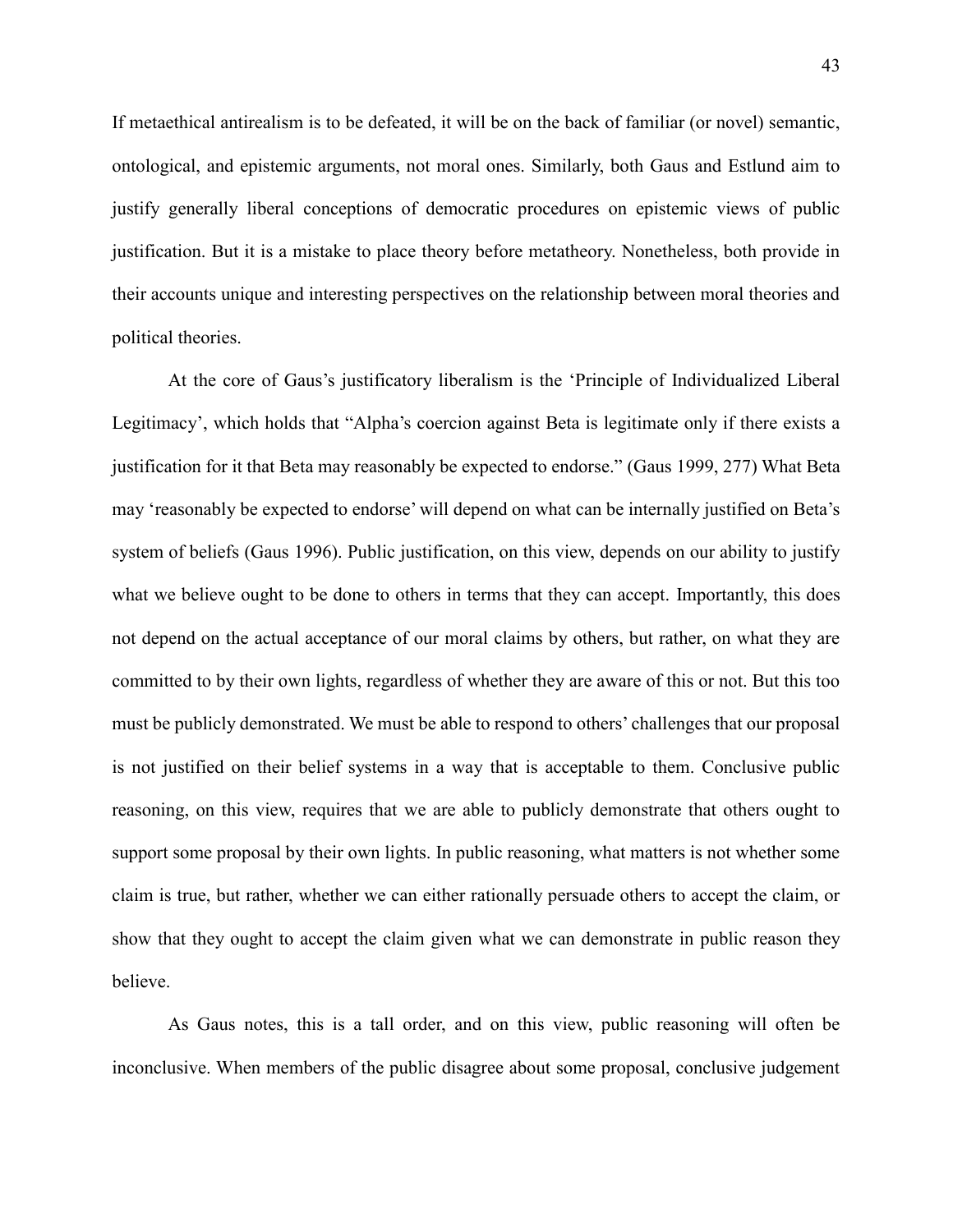If metaethical antirealism is to be defeated, it will be on the back of familiar (or novel) semantic, ontological, and epistemic arguments, not moral ones. Similarly, both Gaus and Estlund aim to justify generally liberal conceptions of democratic procedures on epistemic views of public justification. But it is a mistake to place theory before metatheory. Nonetheless, both provide in their accounts unique and interesting perspectives on the relationship between moral theories and political theories.

At the core of Gaus's justificatory liberalism is the 'Principle of Individualized Liberal Legitimacy', which holds that "Alpha's coercion against Beta is legitimate only if there exists a justification for it that Beta may reasonably be expected to endorse." (Gaus 1999, 277) What Beta may 'reasonably be expected to endorse' will depend on what can be internally justified on Beta's system of beliefs (Gaus 1996). Public justification, on this view, depends on our ability to justify what we believe ought to be done to others in terms that they can accept. Importantly, this does not depend on the actual acceptance of our moral claims by others, but rather, on what they are committed to by their own lights, regardless of whether they are aware of this or not. But this too must be publicly demonstrated. We must be able to respond to others' challenges that our proposal is not justified on their belief systems in a way that is acceptable to them. Conclusive public reasoning, on this view, requires that we are able to publicly demonstrate that others ought to support some proposal by their own lights. In public reasoning, what matters is not whether some claim is true, but rather, whether we can either rationally persuade others to accept the claim, or show that they ought to accept the claim given what we can demonstrate in public reason they believe.

As Gaus notes, this is a tall order, and on this view, public reasoning will often be inconclusive. When members of the public disagree about some proposal, conclusive judgement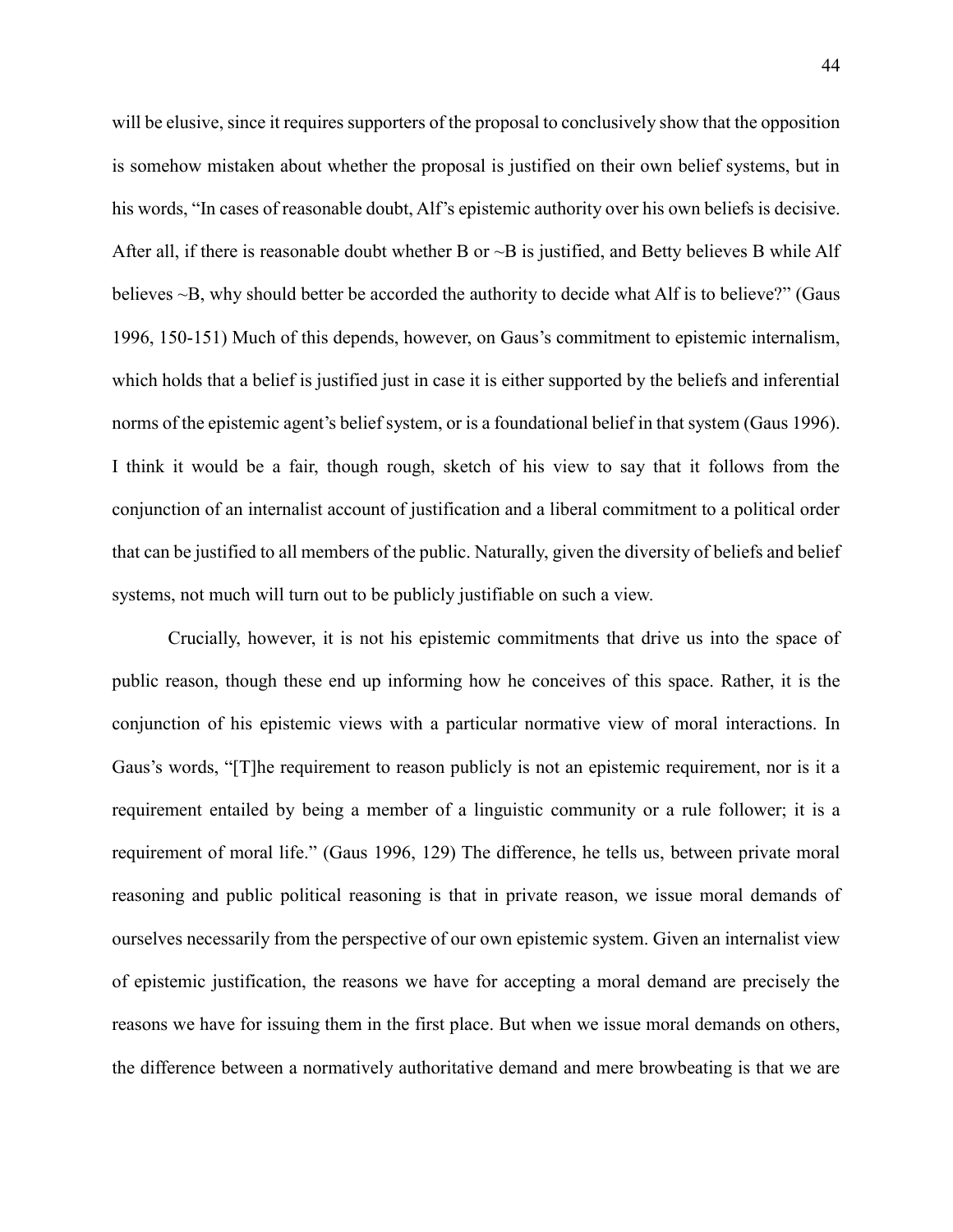will be elusive, since it requires supporters of the proposal to conclusively show that the opposition is somehow mistaken about whether the proposal is justified on their own belief systems, but in his words, "In cases of reasonable doubt, Alf's epistemic authority over his own beliefs is decisive. After all, if there is reasonable doubt whether B or  $\sim$ B is justified, and Betty believes B while Alf believes ~B, why should better be accorded the authority to decide what Alf is to believe?" (Gaus 1996, 150-151) Much of this depends, however, on Gaus's commitment to epistemic internalism, which holds that a belief is justified just in case it is either supported by the beliefs and inferential norms of the epistemic agent's belief system, or is a foundational belief in that system (Gaus 1996). I think it would be a fair, though rough, sketch of his view to say that it follows from the conjunction of an internalist account of justification and a liberal commitment to a political order that can be justified to all members of the public. Naturally, given the diversity of beliefs and belief systems, not much will turn out to be publicly justifiable on such a view.

Crucially, however, it is not his epistemic commitments that drive us into the space of public reason, though these end up informing how he conceives of this space. Rather, it is the conjunction of his epistemic views with a particular normative view of moral interactions. In Gaus's words, "[T]he requirement to reason publicly is not an epistemic requirement, nor is it a requirement entailed by being a member of a linguistic community or a rule follower; it is a requirement of moral life." (Gaus 1996, 129) The difference, he tells us, between private moral reasoning and public political reasoning is that in private reason, we issue moral demands of ourselves necessarily from the perspective of our own epistemic system. Given an internalist view of epistemic justification, the reasons we have for accepting a moral demand are precisely the reasons we have for issuing them in the first place. But when we issue moral demands on others, the difference between a normatively authoritative demand and mere browbeating is that we are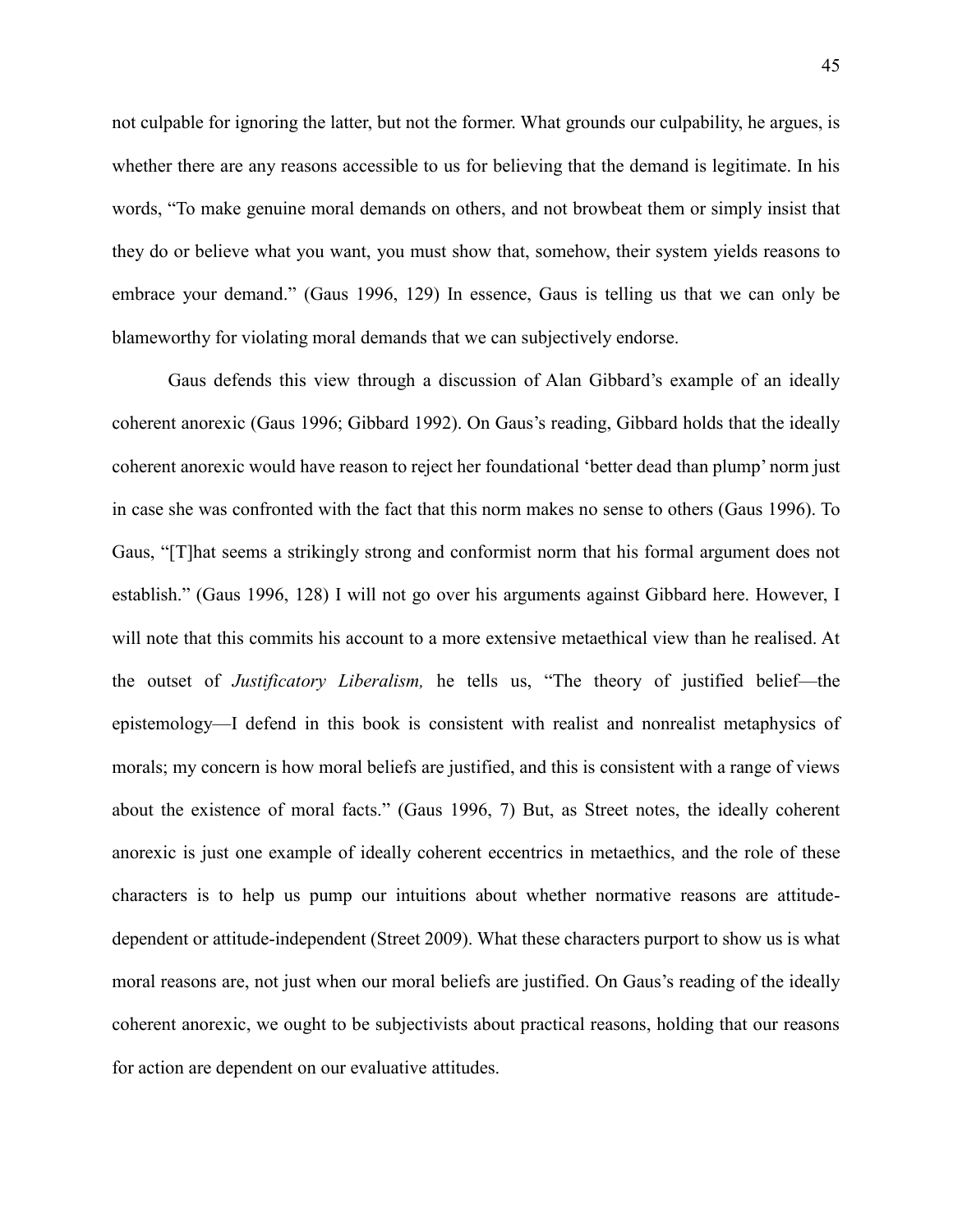not culpable for ignoring the latter, but not the former. What grounds our culpability, he argues, is whether there are any reasons accessible to us for believing that the demand is legitimate. In his words, "To make genuine moral demands on others, and not browbeat them or simply insist that they do or believe what you want, you must show that, somehow, their system yields reasons to embrace your demand." (Gaus 1996, 129) In essence, Gaus is telling us that we can only be blameworthy for violating moral demands that we can subjectively endorse.

Gaus defends this view through a discussion of Alan Gibbard's example of an ideally coherent anorexic (Gaus 1996; Gibbard 1992). On Gaus's reading, Gibbard holds that the ideally coherent anorexic would have reason to reject her foundational 'better dead than plump' norm just in case she was confronted with the fact that this norm makes no sense to others (Gaus 1996). To Gaus, "[T]hat seems a strikingly strong and conformist norm that his formal argument does not establish." (Gaus 1996, 128) I will not go over his arguments against Gibbard here. However, I will note that this commits his account to a more extensive metaethical view than he realised. At the outset of *Justificatory Liberalism,* he tells us, "The theory of justified belief—the epistemology—I defend in this book is consistent with realist and nonrealist metaphysics of morals; my concern is how moral beliefs are justified, and this is consistent with a range of views about the existence of moral facts." (Gaus 1996, 7) But, as Street notes, the ideally coherent anorexic is just one example of ideally coherent eccentrics in metaethics, and the role of these characters is to help us pump our intuitions about whether normative reasons are attitudedependent or attitude-independent (Street 2009). What these characters purport to show us is what moral reasons are, not just when our moral beliefs are justified. On Gaus's reading of the ideally coherent anorexic, we ought to be subjectivists about practical reasons, holding that our reasons for action are dependent on our evaluative attitudes.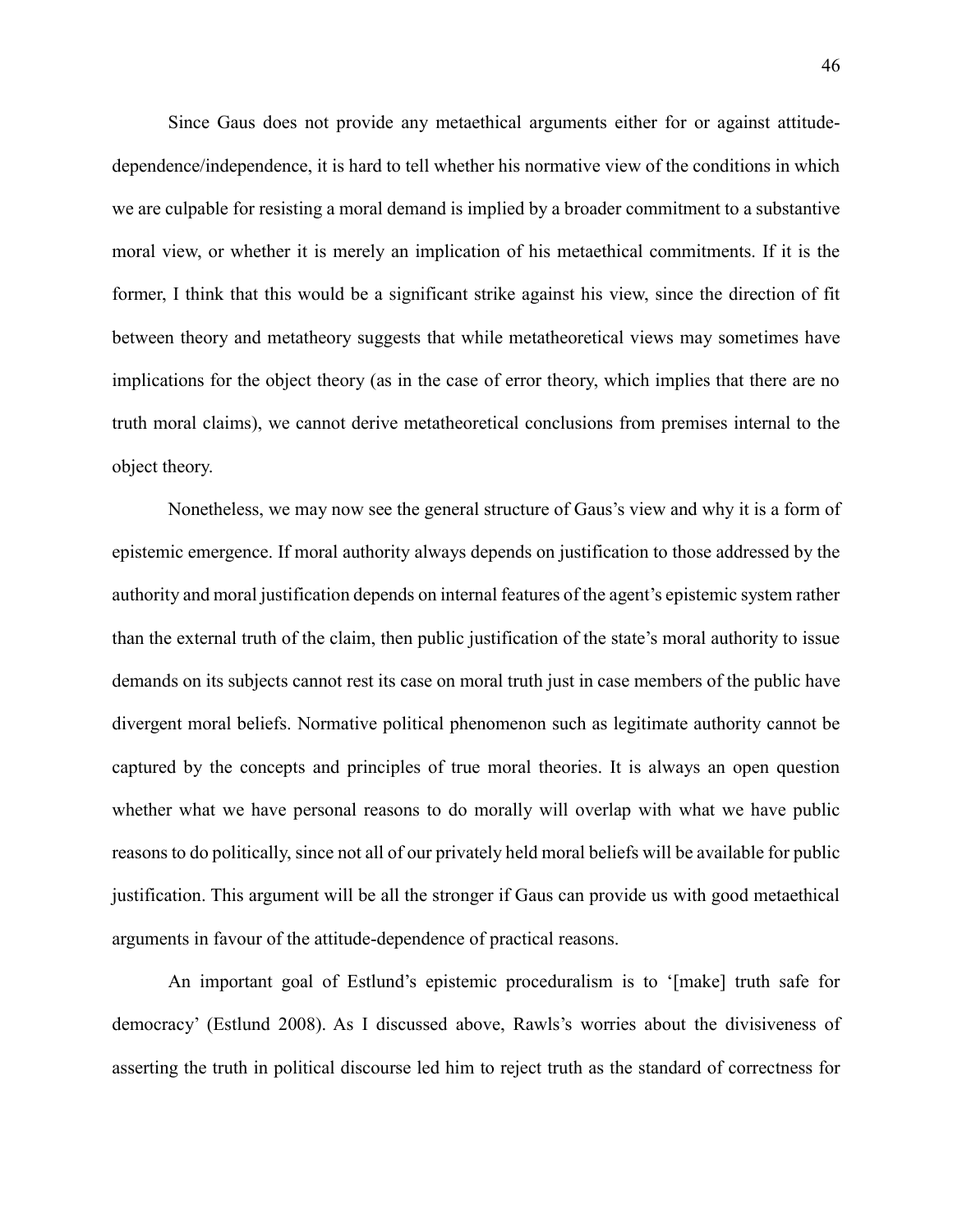Since Gaus does not provide any metaethical arguments either for or against attitudedependence/independence, it is hard to tell whether his normative view of the conditions in which we are culpable for resisting a moral demand is implied by a broader commitment to a substantive moral view, or whether it is merely an implication of his metaethical commitments. If it is the former, I think that this would be a significant strike against his view, since the direction of fit between theory and metatheory suggests that while metatheoretical views may sometimes have implications for the object theory (as in the case of error theory, which implies that there are no truth moral claims), we cannot derive metatheoretical conclusions from premises internal to the object theory.

Nonetheless, we may now see the general structure of Gaus's view and why it is a form of epistemic emergence. If moral authority always depends on justification to those addressed by the authority and moral justification depends on internal features of the agent's epistemic system rather than the external truth of the claim, then public justification of the state's moral authority to issue demands on its subjects cannot rest its case on moral truth just in case members of the public have divergent moral beliefs. Normative political phenomenon such as legitimate authority cannot be captured by the concepts and principles of true moral theories. It is always an open question whether what we have personal reasons to do morally will overlap with what we have public reasons to do politically, since not all of our privately held moral beliefs will be available for public justification. This argument will be all the stronger if Gaus can provide us with good metaethical arguments in favour of the attitude-dependence of practical reasons.

An important goal of Estlund's epistemic proceduralism is to '[make] truth safe for democracy' (Estlund 2008). As I discussed above, Rawls's worries about the divisiveness of asserting the truth in political discourse led him to reject truth as the standard of correctness for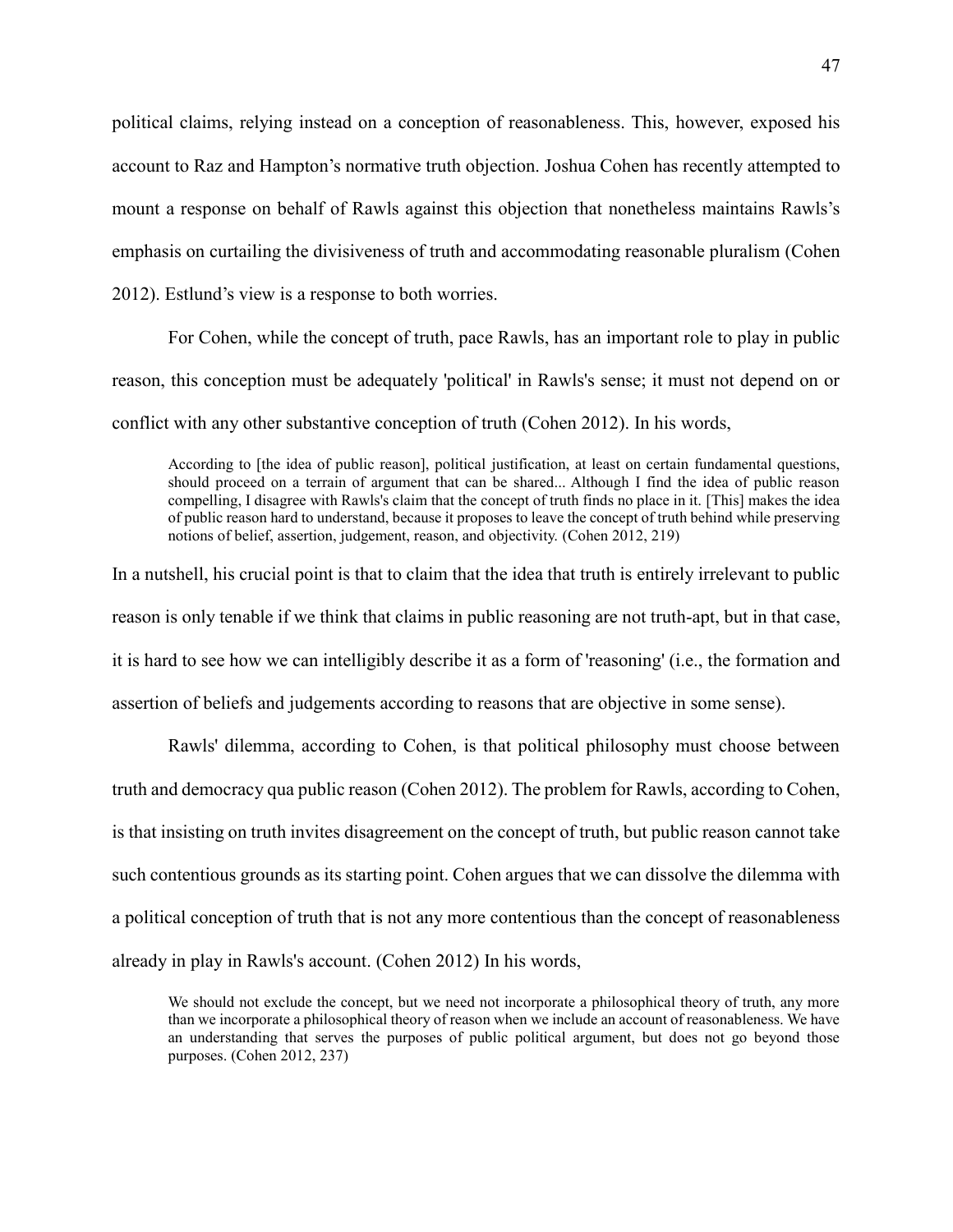political claims, relying instead on a conception of reasonableness. This, however, exposed his account to Raz and Hampton's normative truth objection. Joshua Cohen has recently attempted to mount a response on behalf of Rawls against this objection that nonetheless maintains Rawls's emphasis on curtailing the divisiveness of truth and accommodating reasonable pluralism (Cohen 2012). Estlund's view is a response to both worries.

For Cohen, while the concept of truth, pace Rawls, has an important role to play in public reason, this conception must be adequately 'political' in Rawls's sense; it must not depend on or conflict with any other substantive conception of truth (Cohen 2012). In his words,

According to [the idea of public reason], political justification, at least on certain fundamental questions, should proceed on a terrain of argument that can be shared... Although I find the idea of public reason compelling, I disagree with Rawls's claim that the concept of truth finds no place in it. [This] makes the idea of public reason hard to understand, because it proposes to leave the concept of truth behind while preserving notions of belief, assertion, judgement, reason, and objectivity. (Cohen 2012, 219)

In a nutshell, his crucial point is that to claim that the idea that truth is entirely irrelevant to public reason is only tenable if we think that claims in public reasoning are not truth-apt, but in that case, it is hard to see how we can intelligibly describe it as a form of 'reasoning' (i.e., the formation and assertion of beliefs and judgements according to reasons that are objective in some sense).

Rawls' dilemma, according to Cohen, is that political philosophy must choose between truth and democracy qua public reason (Cohen 2012). The problem for Rawls, according to Cohen, is that insisting on truth invites disagreement on the concept of truth, but public reason cannot take such contentious grounds as its starting point. Cohen argues that we can dissolve the dilemma with a political conception of truth that is not any more contentious than the concept of reasonableness already in play in Rawls's account. (Cohen 2012) In his words,

We should not exclude the concept, but we need not incorporate a philosophical theory of truth, any more than we incorporate a philosophical theory of reason when we include an account of reasonableness. We have an understanding that serves the purposes of public political argument, but does not go beyond those purposes. (Cohen 2012, 237)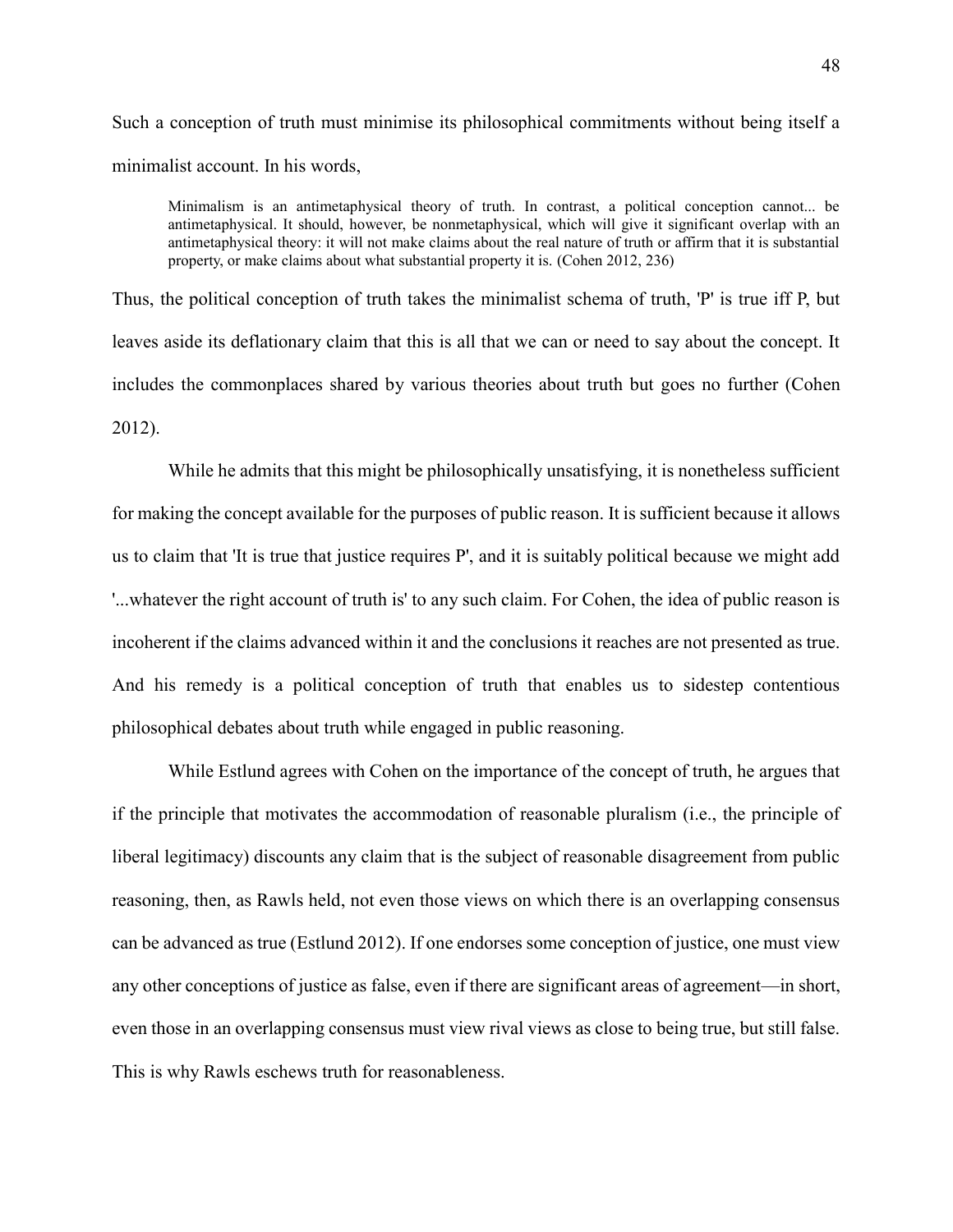Such a conception of truth must minimise its philosophical commitments without being itself a minimalist account. In his words,

Minimalism is an antimetaphysical theory of truth. In contrast, a political conception cannot... be antimetaphysical. It should, however, be nonmetaphysical, which will give it significant overlap with an antimetaphysical theory: it will not make claims about the real nature of truth or affirm that it is substantial property, or make claims about what substantial property it is. (Cohen 2012, 236)

Thus, the political conception of truth takes the minimalist schema of truth, 'P' is true iff P, but leaves aside its deflationary claim that this is all that we can or need to say about the concept. It includes the commonplaces shared by various theories about truth but goes no further (Cohen 2012).

While he admits that this might be philosophically unsatisfying, it is nonetheless sufficient for making the concept available for the purposes of public reason. It is sufficient because it allows us to claim that 'It is true that justice requires P', and it is suitably political because we might add '...whatever the right account of truth is' to any such claim. For Cohen, the idea of public reason is incoherent if the claims advanced within it and the conclusions it reaches are not presented as true. And his remedy is a political conception of truth that enables us to sidestep contentious philosophical debates about truth while engaged in public reasoning.

While Estlund agrees with Cohen on the importance of the concept of truth, he argues that if the principle that motivates the accommodation of reasonable pluralism (i.e., the principle of liberal legitimacy) discounts any claim that is the subject of reasonable disagreement from public reasoning, then, as Rawls held, not even those views on which there is an overlapping consensus can be advanced as true (Estlund 2012). If one endorses some conception of justice, one must view any other conceptions of justice as false, even if there are significant areas of agreement—in short, even those in an overlapping consensus must view rival views as close to being true, but still false. This is why Rawls eschews truth for reasonableness.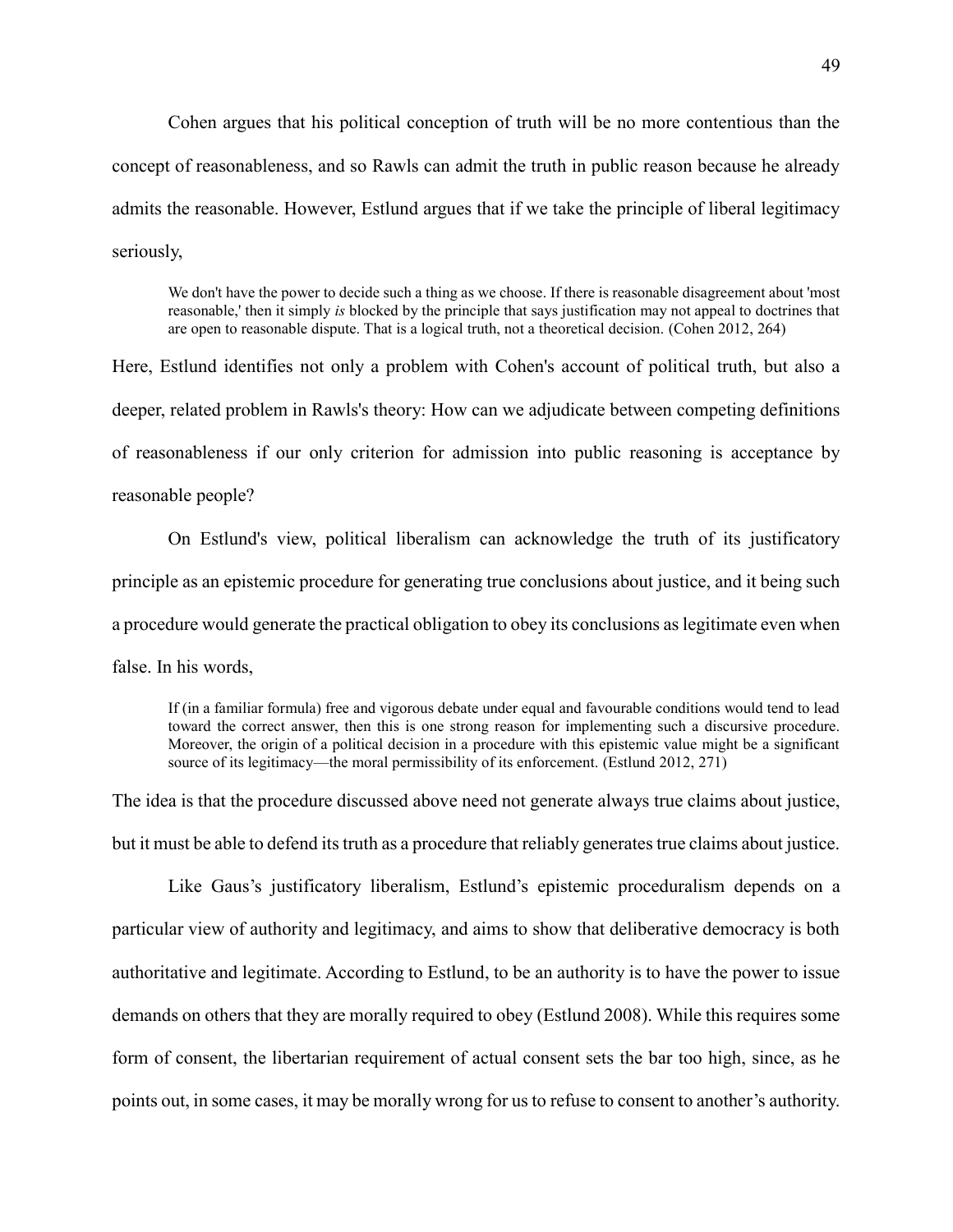Cohen argues that his political conception of truth will be no more contentious than the concept of reasonableness, and so Rawls can admit the truth in public reason because he already admits the reasonable. However, Estlund argues that if we take the principle of liberal legitimacy seriously,

We don't have the power to decide such a thing as we choose. If there is reasonable disagreement about 'most reasonable,' then it simply *is* blocked by the principle that says justification may not appeal to doctrines that are open to reasonable dispute. That is a logical truth, not a theoretical decision. (Cohen 2012, 264)

Here, Estlund identifies not only a problem with Cohen's account of political truth, but also a deeper, related problem in Rawls's theory: How can we adjudicate between competing definitions of reasonableness if our only criterion for admission into public reasoning is acceptance by reasonable people?

On Estlund's view, political liberalism can acknowledge the truth of its justificatory principle as an epistemic procedure for generating true conclusions about justice, and it being such a procedure would generate the practical obligation to obey its conclusions as legitimate even when false. In his words,

If (in a familiar formula) free and vigorous debate under equal and favourable conditions would tend to lead toward the correct answer, then this is one strong reason for implementing such a discursive procedure. Moreover, the origin of a political decision in a procedure with this epistemic value might be a significant source of its legitimacy—the moral permissibility of its enforcement. (Estlund 2012, 271)

The idea is that the procedure discussed above need not generate always true claims about justice, but it must be able to defend its truth as a procedure that reliably generates true claims about justice.

Like Gaus's justificatory liberalism, Estlund's epistemic proceduralism depends on a particular view of authority and legitimacy, and aims to show that deliberative democracy is both authoritative and legitimate. According to Estlund, to be an authority is to have the power to issue demands on others that they are morally required to obey (Estlund 2008). While this requires some form of consent, the libertarian requirement of actual consent sets the bar too high, since, as he points out, in some cases, it may be morally wrong for us to refuse to consent to another's authority.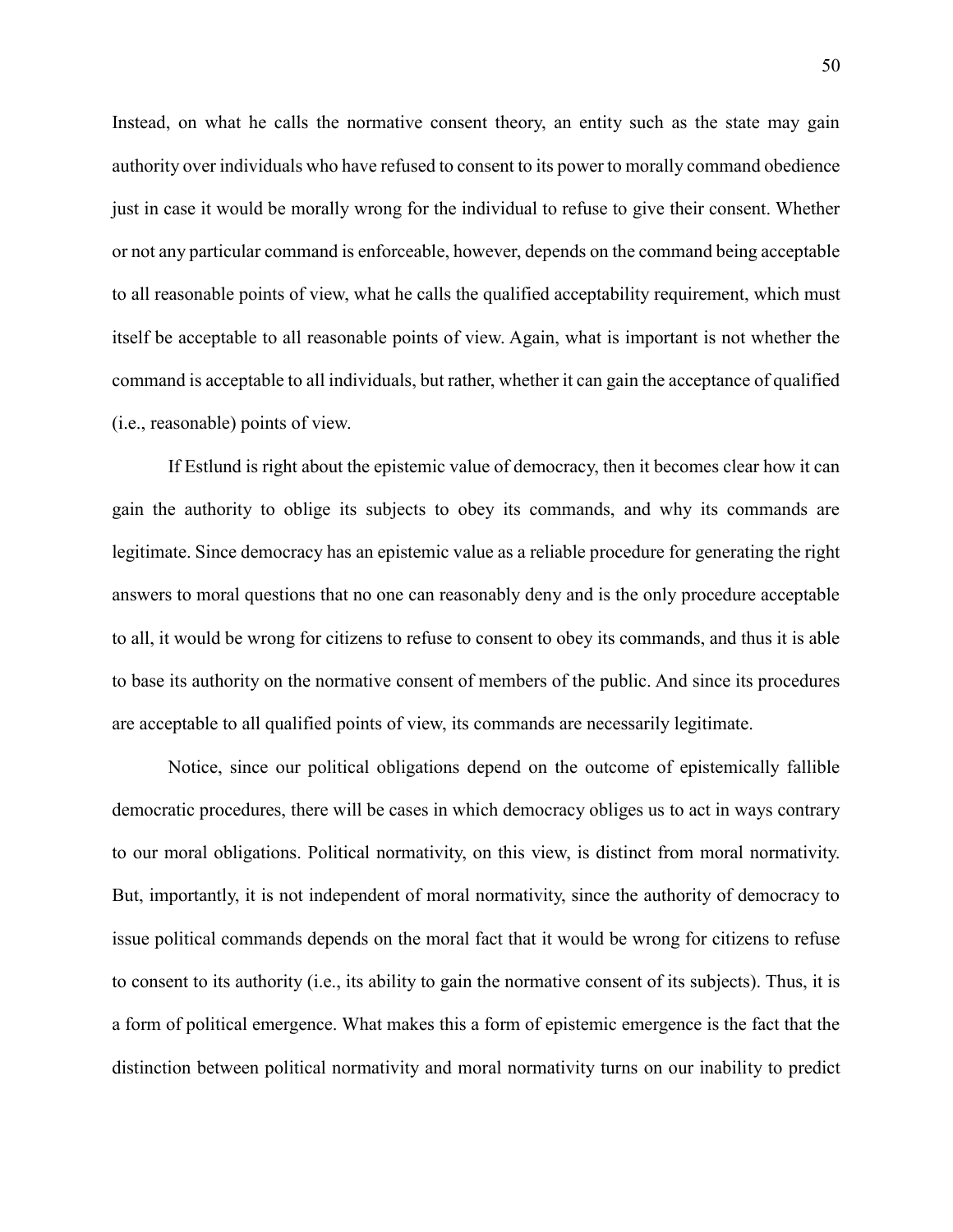Instead, on what he calls the normative consent theory, an entity such as the state may gain authority over individuals who have refused to consent to its power to morally command obedience just in case it would be morally wrong for the individual to refuse to give their consent. Whether or not any particular command is enforceable, however, depends on the command being acceptable to all reasonable points of view, what he calls the qualified acceptability requirement, which must itself be acceptable to all reasonable points of view. Again, what is important is not whether the command is acceptable to all individuals, but rather, whether it can gain the acceptance of qualified (i.e., reasonable) points of view.

If Estlund is right about the epistemic value of democracy, then it becomes clear how it can gain the authority to oblige its subjects to obey its commands, and why its commands are legitimate. Since democracy has an epistemic value as a reliable procedure for generating the right answers to moral questions that no one can reasonably deny and is the only procedure acceptable to all, it would be wrong for citizens to refuse to consent to obey its commands, and thus it is able to base its authority on the normative consent of members of the public. And since its procedures are acceptable to all qualified points of view, its commands are necessarily legitimate.

Notice, since our political obligations depend on the outcome of epistemically fallible democratic procedures, there will be cases in which democracy obliges us to act in ways contrary to our moral obligations. Political normativity, on this view, is distinct from moral normativity. But, importantly, it is not independent of moral normativity, since the authority of democracy to issue political commands depends on the moral fact that it would be wrong for citizens to refuse to consent to its authority (i.e., its ability to gain the normative consent of its subjects). Thus, it is a form of political emergence. What makes this a form of epistemic emergence is the fact that the distinction between political normativity and moral normativity turns on our inability to predict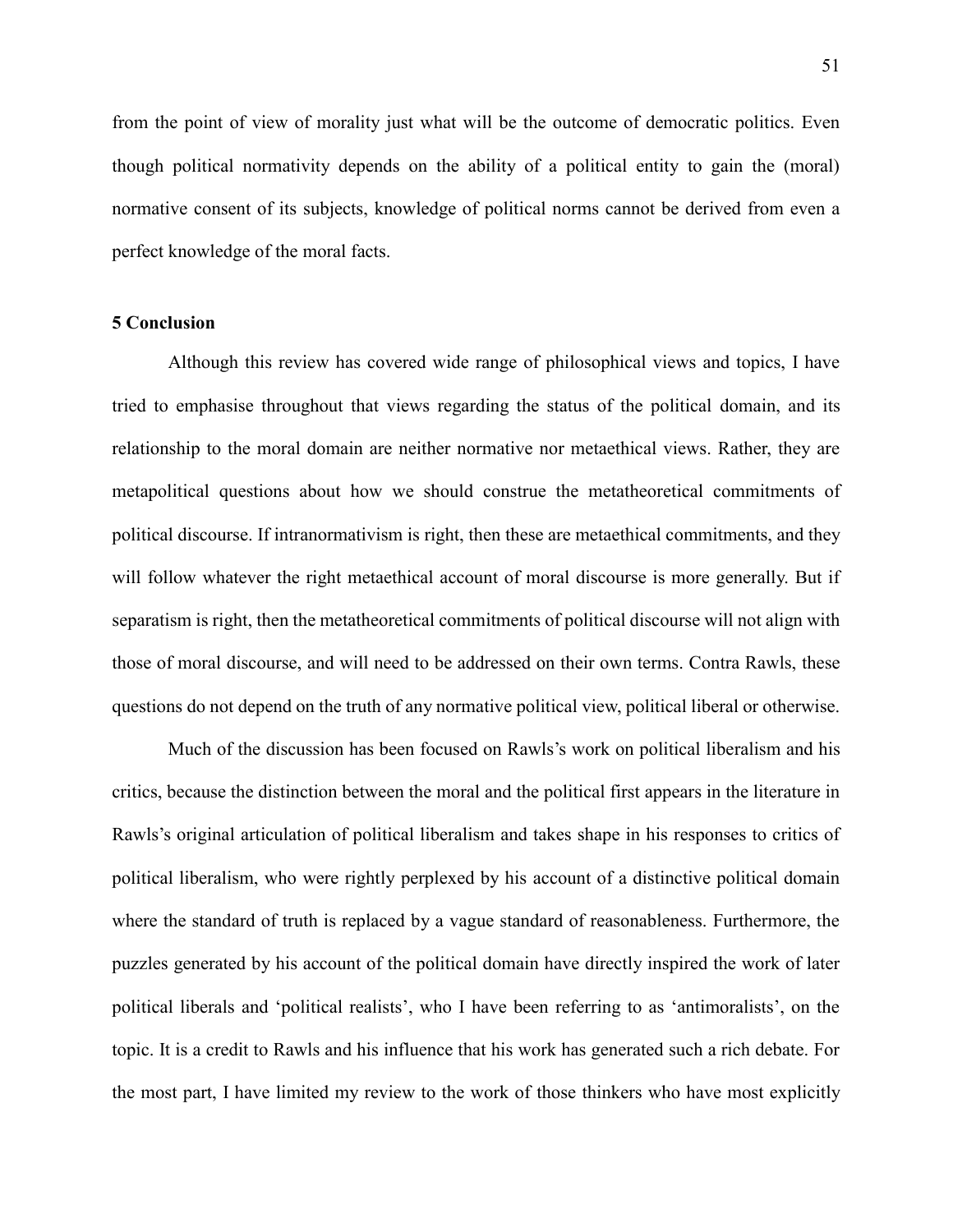from the point of view of morality just what will be the outcome of democratic politics. Even though political normativity depends on the ability of a political entity to gain the (moral) normative consent of its subjects, knowledge of political norms cannot be derived from even a perfect knowledge of the moral facts.

# **5 Conclusion**

Although this review has covered wide range of philosophical views and topics, I have tried to emphasise throughout that views regarding the status of the political domain, and its relationship to the moral domain are neither normative nor metaethical views. Rather, they are metapolitical questions about how we should construe the metatheoretical commitments of political discourse. If intranormativism is right, then these are metaethical commitments, and they will follow whatever the right metaethical account of moral discourse is more generally. But if separatism is right, then the metatheoretical commitments of political discourse will not align with those of moral discourse, and will need to be addressed on their own terms. Contra Rawls, these questions do not depend on the truth of any normative political view, political liberal or otherwise.

Much of the discussion has been focused on Rawls's work on political liberalism and his critics, because the distinction between the moral and the political first appears in the literature in Rawls's original articulation of political liberalism and takes shape in his responses to critics of political liberalism, who were rightly perplexed by his account of a distinctive political domain where the standard of truth is replaced by a vague standard of reasonableness. Furthermore, the puzzles generated by his account of the political domain have directly inspired the work of later political liberals and 'political realists', who I have been referring to as 'antimoralists', on the topic. It is a credit to Rawls and his influence that his work has generated such a rich debate. For the most part, I have limited my review to the work of those thinkers who have most explicitly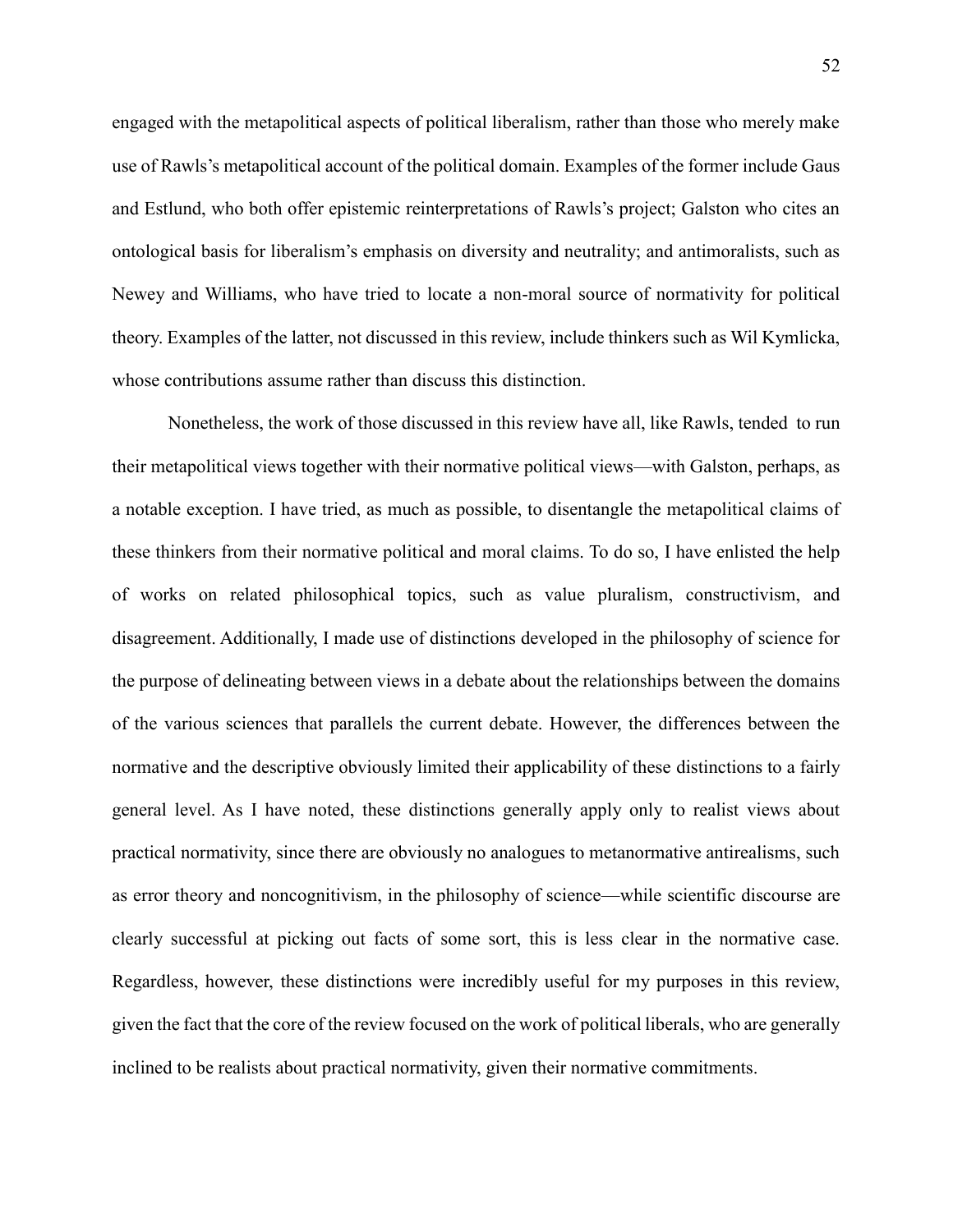engaged with the metapolitical aspects of political liberalism, rather than those who merely make use of Rawls's metapolitical account of the political domain. Examples of the former include Gaus and Estlund, who both offer epistemic reinterpretations of Rawls's project; Galston who cites an ontological basis for liberalism's emphasis on diversity and neutrality; and antimoralists, such as Newey and Williams, who have tried to locate a non-moral source of normativity for political theory. Examples of the latter, not discussed in this review, include thinkers such as Wil Kymlicka, whose contributions assume rather than discuss this distinction.

Nonetheless, the work of those discussed in this review have all, like Rawls, tended to run their metapolitical views together with their normative political views—with Galston, perhaps, as a notable exception. I have tried, as much as possible, to disentangle the metapolitical claims of these thinkers from their normative political and moral claims. To do so, I have enlisted the help of works on related philosophical topics, such as value pluralism, constructivism, and disagreement. Additionally, I made use of distinctions developed in the philosophy of science for the purpose of delineating between views in a debate about the relationships between the domains of the various sciences that parallels the current debate. However, the differences between the normative and the descriptive obviously limited their applicability of these distinctions to a fairly general level. As I have noted, these distinctions generally apply only to realist views about practical normativity, since there are obviously no analogues to metanormative antirealisms, such as error theory and noncognitivism, in the philosophy of science—while scientific discourse are clearly successful at picking out facts of some sort, this is less clear in the normative case. Regardless, however, these distinctions were incredibly useful for my purposes in this review, given the fact that the core of the review focused on the work of political liberals, who are generally inclined to be realists about practical normativity, given their normative commitments.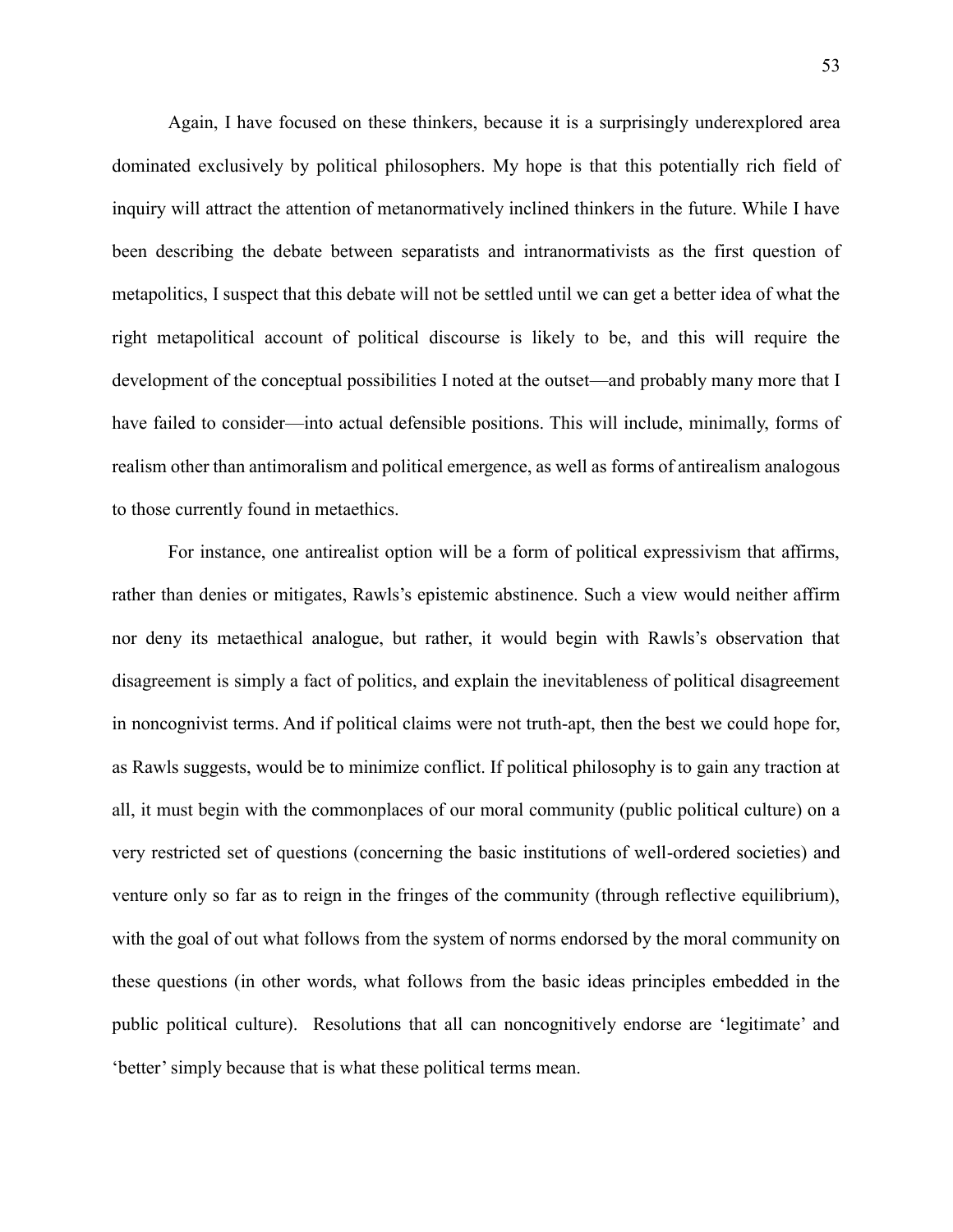Again, I have focused on these thinkers, because it is a surprisingly underexplored area dominated exclusively by political philosophers. My hope is that this potentially rich field of inquiry will attract the attention of metanormatively inclined thinkers in the future. While I have been describing the debate between separatists and intranormativists as the first question of metapolitics, I suspect that this debate will not be settled until we can get a better idea of what the right metapolitical account of political discourse is likely to be, and this will require the development of the conceptual possibilities I noted at the outset—and probably many more that I have failed to consider—into actual defensible positions. This will include, minimally, forms of realism other than antimoralism and political emergence, as well as forms of antirealism analogous to those currently found in metaethics.

For instance, one antirealist option will be a form of political expressivism that affirms, rather than denies or mitigates, Rawls's epistemic abstinence. Such a view would neither affirm nor deny its metaethical analogue, but rather, it would begin with Rawls's observation that disagreement is simply a fact of politics, and explain the inevitableness of political disagreement in noncognivist terms. And if political claims were not truth-apt, then the best we could hope for, as Rawls suggests, would be to minimize conflict. If political philosophy is to gain any traction at all, it must begin with the commonplaces of our moral community (public political culture) on a very restricted set of questions (concerning the basic institutions of well-ordered societies) and venture only so far as to reign in the fringes of the community (through reflective equilibrium), with the goal of out what follows from the system of norms endorsed by the moral community on these questions (in other words, what follows from the basic ideas principles embedded in the public political culture). Resolutions that all can noncognitively endorse are 'legitimate' and 'better' simply because that is what these political terms mean.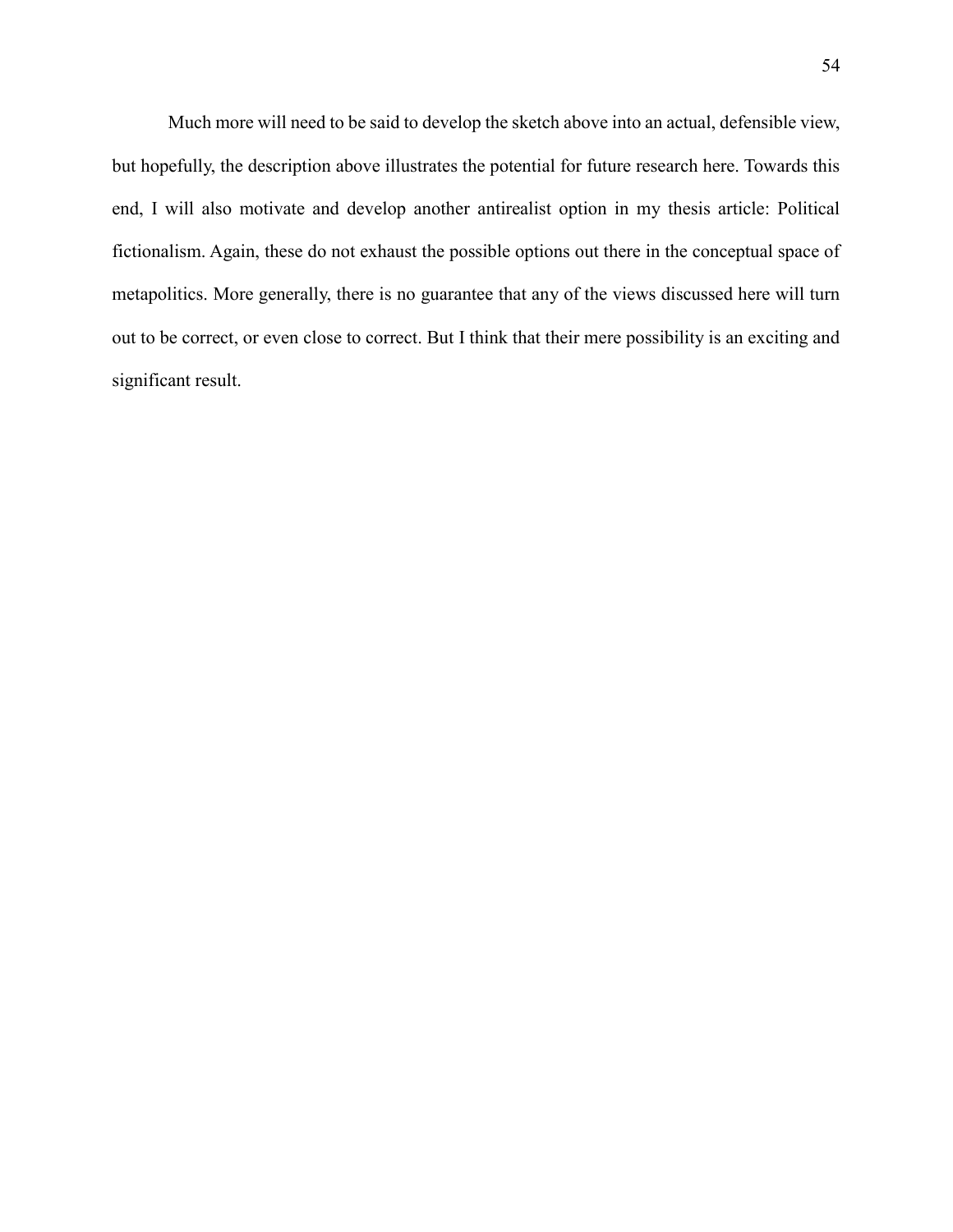Much more will need to be said to develop the sketch above into an actual, defensible view, but hopefully, the description above illustrates the potential for future research here. Towards this end, I will also motivate and develop another antirealist option in my thesis article: Political fictionalism. Again, these do not exhaust the possible options out there in the conceptual space of metapolitics. More generally, there is no guarantee that any of the views discussed here will turn out to be correct, or even close to correct. But I think that their mere possibility is an exciting and significant result.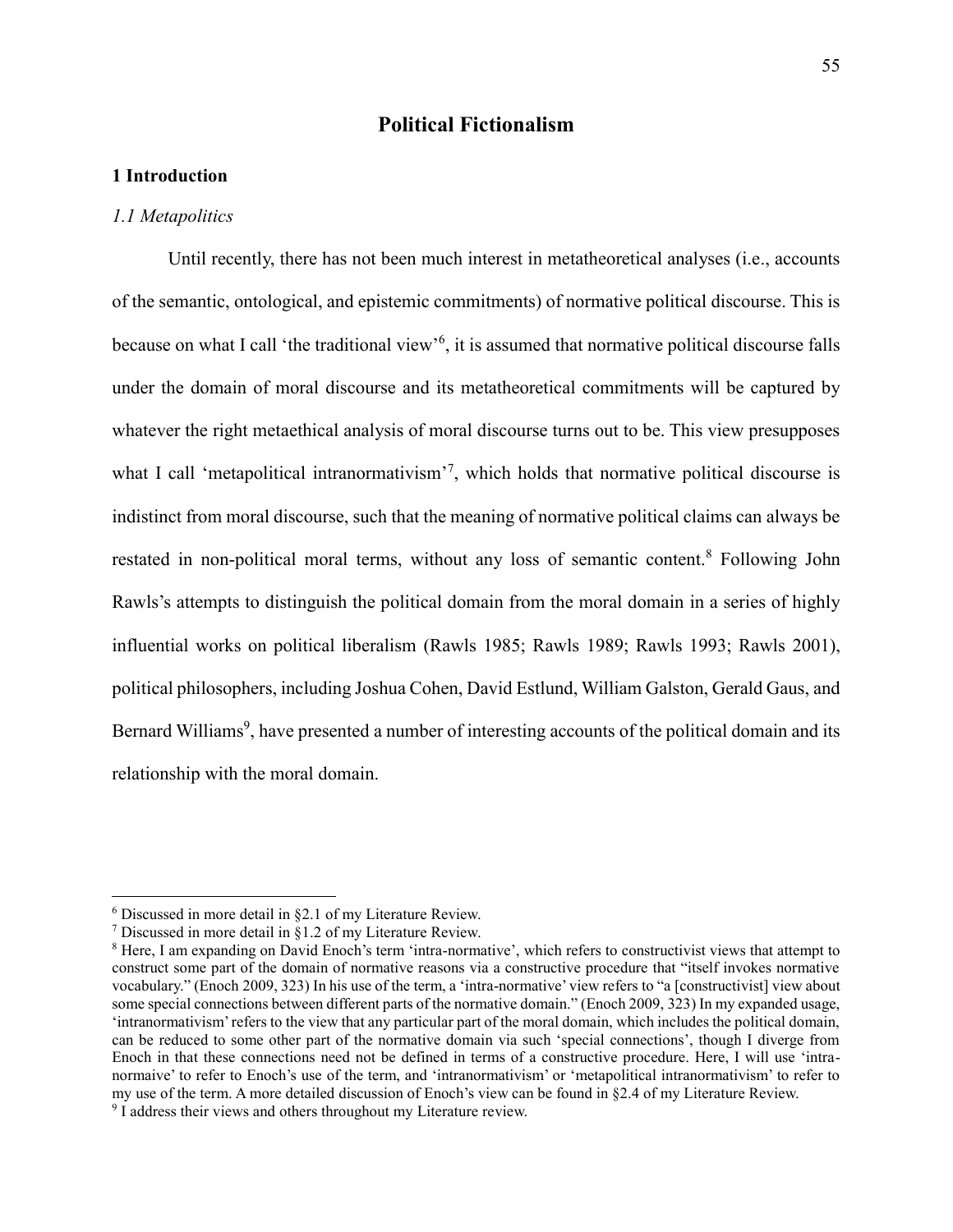# **Political Fictionalism**

# **1 Introduction**

#### *1.1 Metapolitics*

Until recently, there has not been much interest in metatheoretical analyses (i.e., accounts of the semantic, ontological, and epistemic commitments) of normative political discourse. This is because on what I call 'the traditional view'<sup>6</sup>, it is assumed that normative political discourse falls under the domain of moral discourse and its metatheoretical commitments will be captured by whatever the right metaethical analysis of moral discourse turns out to be. This view presupposes what I call 'metapolitical intranormativism'<sup>7</sup>, which holds that normative political discourse is indistinct from moral discourse, such that the meaning of normative political claims can always be restated in non-political moral terms, without any loss of semantic content.<sup>8</sup> Following John Rawls's attempts to distinguish the political domain from the moral domain in a series of highly influential works on political liberalism (Rawls 1985; Rawls 1989; Rawls 1993; Rawls 2001), political philosophers, including Joshua Cohen, David Estlund, William Galston, Gerald Gaus, and Bernard Williams<sup>9</sup>, have presented a number of interesting accounts of the political domain and its relationship with the moral domain.

 $\overline{a}$ 

<sup>6</sup> Discussed in more detail in §2.1 of my Literature Review.

<sup>7</sup> Discussed in more detail in §1.2 of my Literature Review.

<sup>&</sup>lt;sup>8</sup> Here, I am expanding on David Enoch's term 'intra-normative', which refers to constructivist views that attempt to construct some part of the domain of normative reasons via a constructive procedure that "itself invokes normative vocabulary." (Enoch 2009, 323) In his use of the term, a 'intra-normative' view refers to "a [constructivist] view about some special connections between different parts of the normative domain." (Enoch 2009, 323) In my expanded usage, 'intranormativism' refers to the view that any particular part of the moral domain, which includes the political domain, can be reduced to some other part of the normative domain via such 'special connections', though I diverge from Enoch in that these connections need not be defined in terms of a constructive procedure. Here, I will use 'intranormaive' to refer to Enoch's use of the term, and 'intranormativism' or 'metapolitical intranormativism' to refer to my use of the term. A more detailed discussion of Enoch's view can be found in §2.4 of my Literature Review.

<sup>&</sup>lt;sup>9</sup> I address their views and others throughout my Literature review.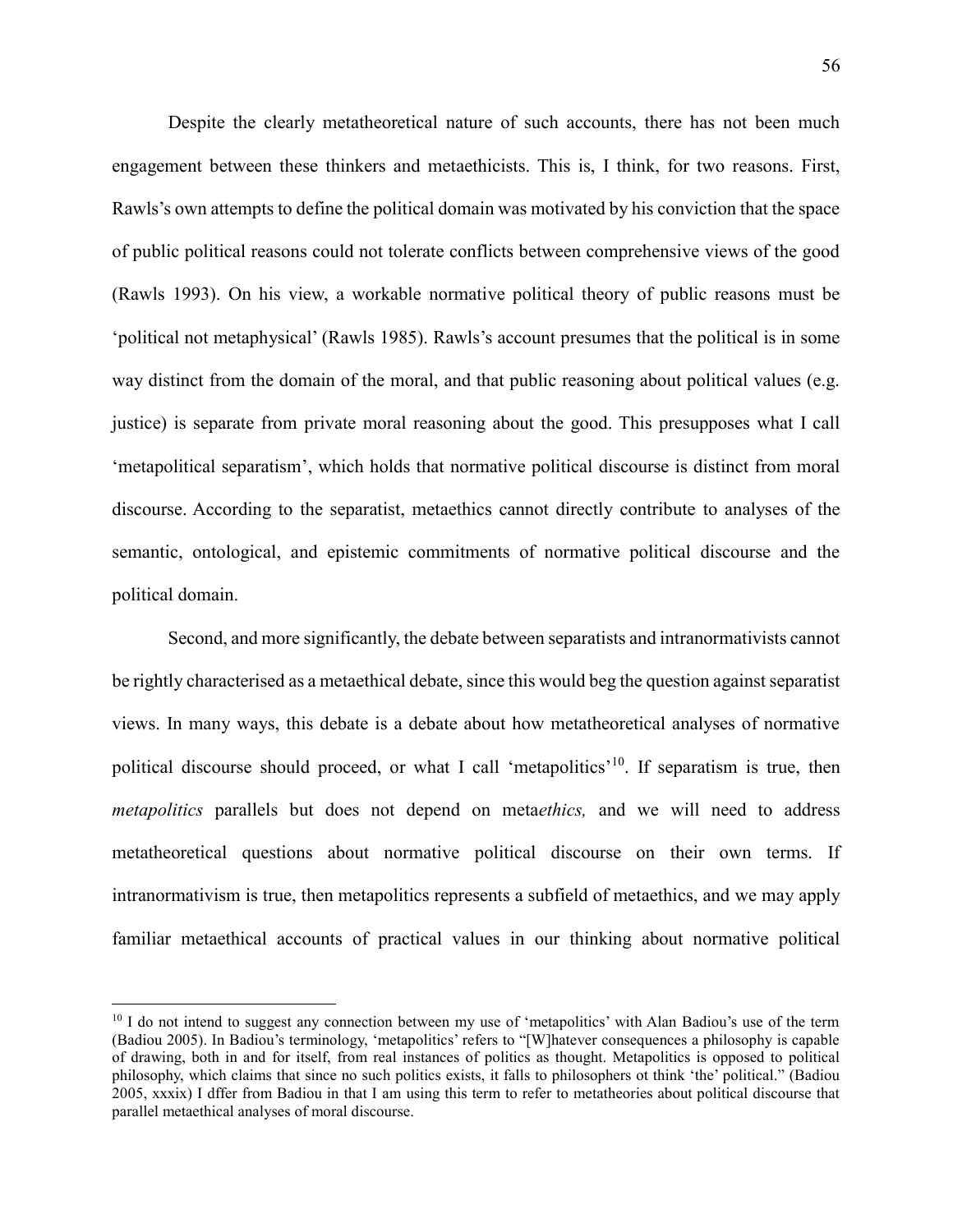Despite the clearly metatheoretical nature of such accounts, there has not been much engagement between these thinkers and metaethicists. This is, I think, for two reasons. First, Rawls's own attempts to define the political domain was motivated by his conviction that the space of public political reasons could not tolerate conflicts between comprehensive views of the good (Rawls 1993). On his view, a workable normative political theory of public reasons must be 'political not metaphysical' (Rawls 1985). Rawls's account presumes that the political is in some way distinct from the domain of the moral, and that public reasoning about political values (e.g. justice) is separate from private moral reasoning about the good. This presupposes what I call 'metapolitical separatism', which holds that normative political discourse is distinct from moral discourse. According to the separatist, metaethics cannot directly contribute to analyses of the semantic, ontological, and epistemic commitments of normative political discourse and the political domain.

Second, and more significantly, the debate between separatists and intranormativists cannot be rightly characterised as a metaethical debate, since this would beg the question against separatist views. In many ways, this debate is a debate about how metatheoretical analyses of normative political discourse should proceed, or what I call 'metapolitics'<sup>10</sup>. If separatism is true, then *metapolitics* parallels but does not depend on meta*ethics,* and we will need to address metatheoretical questions about normative political discourse on their own terms. If intranormativism is true, then metapolitics represents a subfield of metaethics, and we may apply familiar metaethical accounts of practical values in our thinking about normative political

 $\overline{a}$ 

<sup>&</sup>lt;sup>10</sup> I do not intend to suggest any connection between my use of 'metapolitics' with Alan Badiou's use of the term (Badiou 2005). In Badiou's terminology, 'metapolitics' refers to "[W]hatever consequences a philosophy is capable of drawing, both in and for itself, from real instances of politics as thought. Metapolitics is opposed to political philosophy, which claims that since no such politics exists, it falls to philosophers ot think 'the' political." (Badiou 2005, xxxix) I dffer from Badiou in that I am using this term to refer to metatheories about political discourse that parallel metaethical analyses of moral discourse.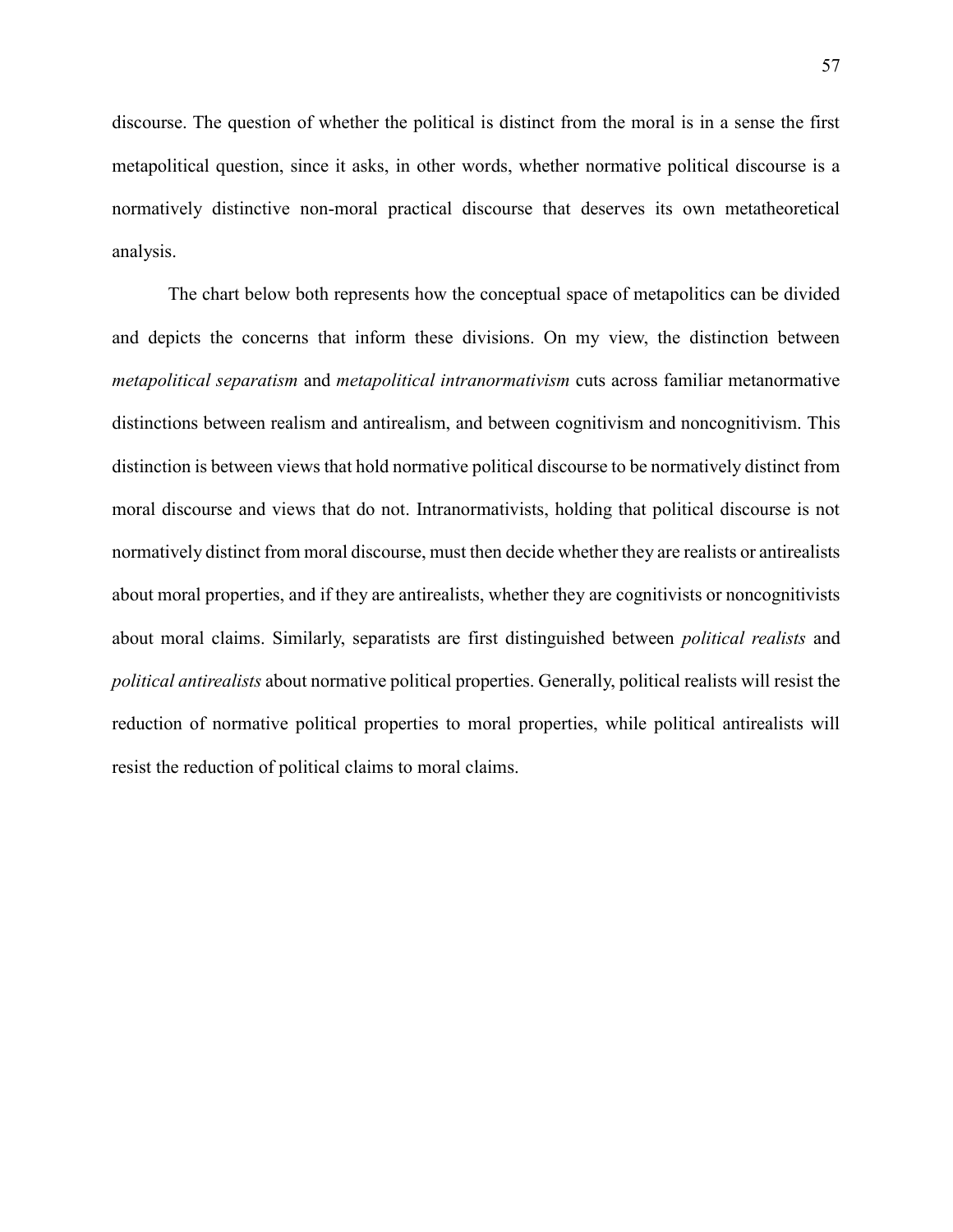discourse. The question of whether the political is distinct from the moral is in a sense the first metapolitical question, since it asks, in other words, whether normative political discourse is a normatively distinctive non-moral practical discourse that deserves its own metatheoretical analysis.

The chart below both represents how the conceptual space of metapolitics can be divided and depicts the concerns that inform these divisions. On my view, the distinction between *metapolitical separatism* and *metapolitical intranormativism* cuts across familiar metanormative distinctions between realism and antirealism, and between cognitivism and noncognitivism. This distinction is between views that hold normative political discourse to be normatively distinct from moral discourse and views that do not. Intranormativists, holding that political discourse is not normatively distinct from moral discourse, must then decide whether they are realists or antirealists about moral properties, and if they are antirealists, whether they are cognitivists or noncognitivists about moral claims. Similarly, separatists are first distinguished between *political realists* and *political antirealists* about normative political properties. Generally, political realists will resist the reduction of normative political properties to moral properties, while political antirealists will resist the reduction of political claims to moral claims.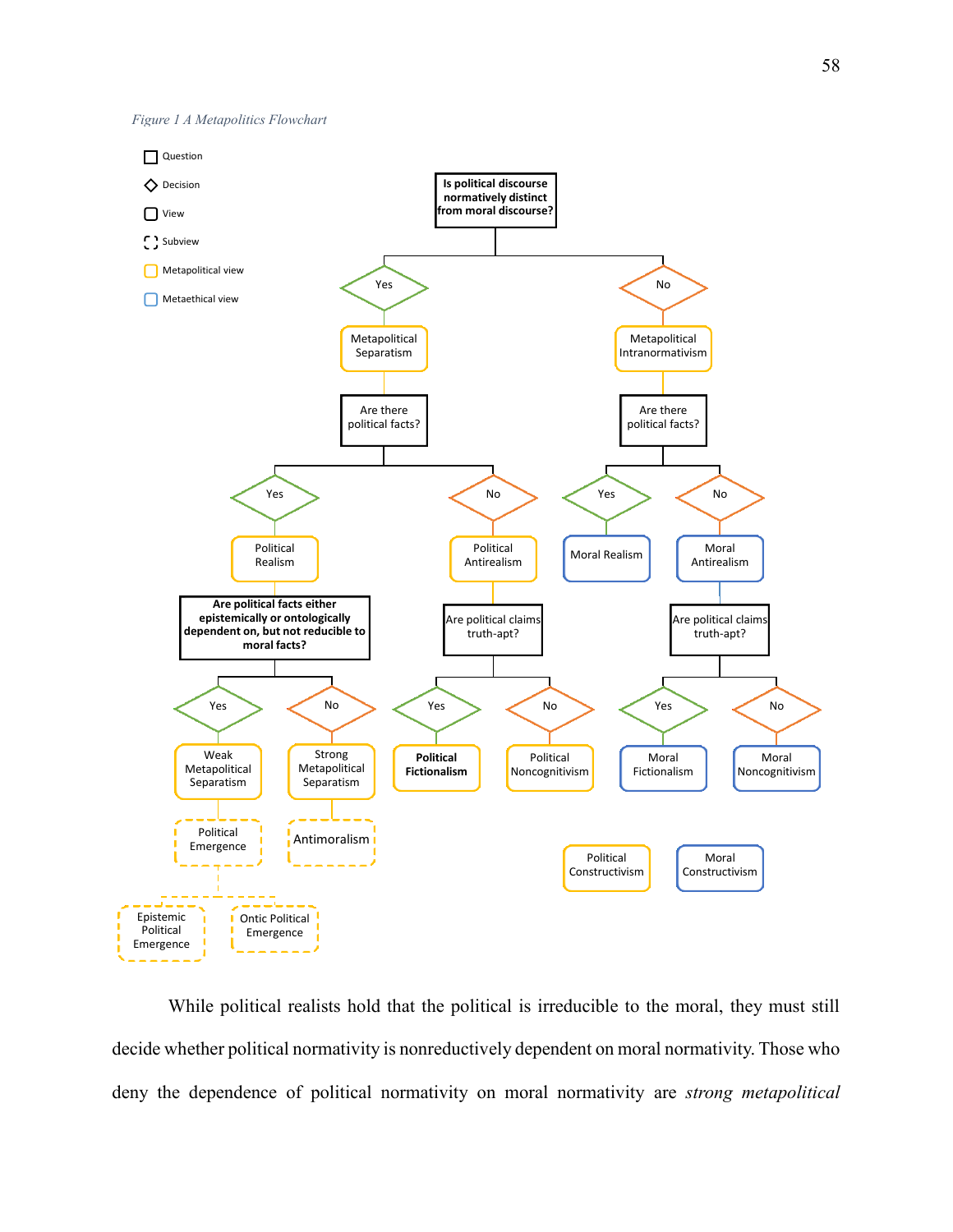



While political realists hold that the political is irreducible to the moral, they must still decide whether political normativity is nonreductively dependent on moral normativity. Those who deny the dependence of political normativity on moral normativity are *strong metapolitical*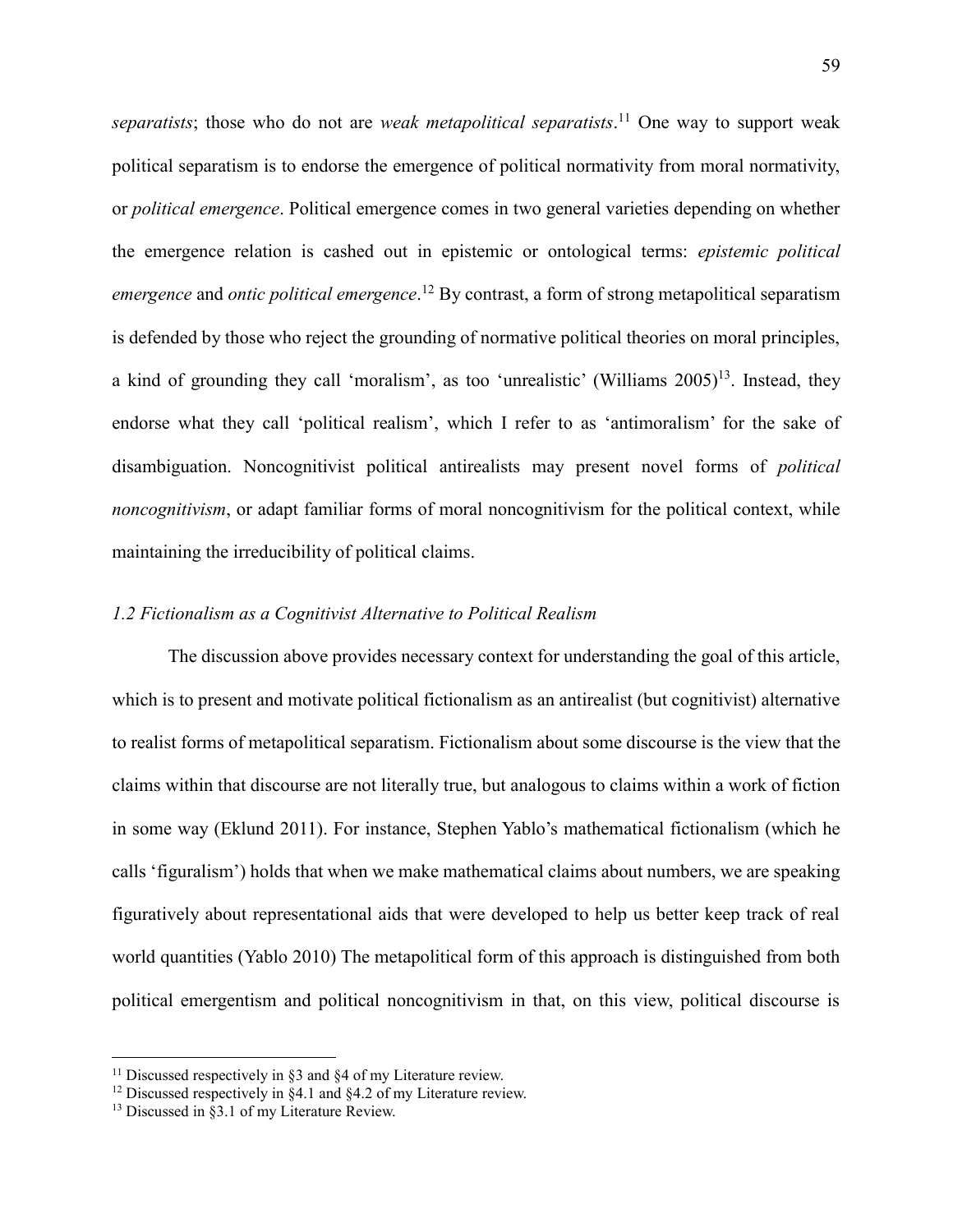*separatists*; those who do not are *weak metapolitical separatists*. <sup>11</sup> One way to support weak political separatism is to endorse the emergence of political normativity from moral normativity, or *political emergence*. Political emergence comes in two general varieties depending on whether the emergence relation is cashed out in epistemic or ontological terms: *epistemic political emergence* and *ontic political emergence*. <sup>12</sup> By contrast, a form of strong metapolitical separatism is defended by those who reject the grounding of normative political theories on moral principles, a kind of grounding they call 'moralism', as too 'unrealistic' (Williams  $2005$ )<sup>13</sup>. Instead, they endorse what they call 'political realism', which I refer to as 'antimoralism' for the sake of disambiguation. Noncognitivist political antirealists may present novel forms of *political noncognitivism*, or adapt familiar forms of moral noncognitivism for the political context, while maintaining the irreducibility of political claims.

## *1.2 Fictionalism as a Cognitivist Alternative to Political Realism*

The discussion above provides necessary context for understanding the goal of this article, which is to present and motivate political fictionalism as an antirealist (but cognitivist) alternative to realist forms of metapolitical separatism. Fictionalism about some discourse is the view that the claims within that discourse are not literally true, but analogous to claims within a work of fiction in some way (Eklund 2011). For instance, Stephen Yablo's mathematical fictionalism (which he calls 'figuralism') holds that when we make mathematical claims about numbers, we are speaking figuratively about representational aids that were developed to help us better keep track of real world quantities (Yablo 2010) The metapolitical form of this approach is distinguished from both political emergentism and political noncognitivism in that, on this view, political discourse is

 $\overline{a}$ 

<sup>&</sup>lt;sup>11</sup> Discussed respectively in  $\S$ 3 and  $\S$ 4 of my Literature review.

<sup>&</sup>lt;sup>12</sup> Discussed respectively in  $§4.1$  and  $§4.2$  of my Literature review.

<sup>&</sup>lt;sup>13</sup> Discussed in §3.1 of my Literature Review.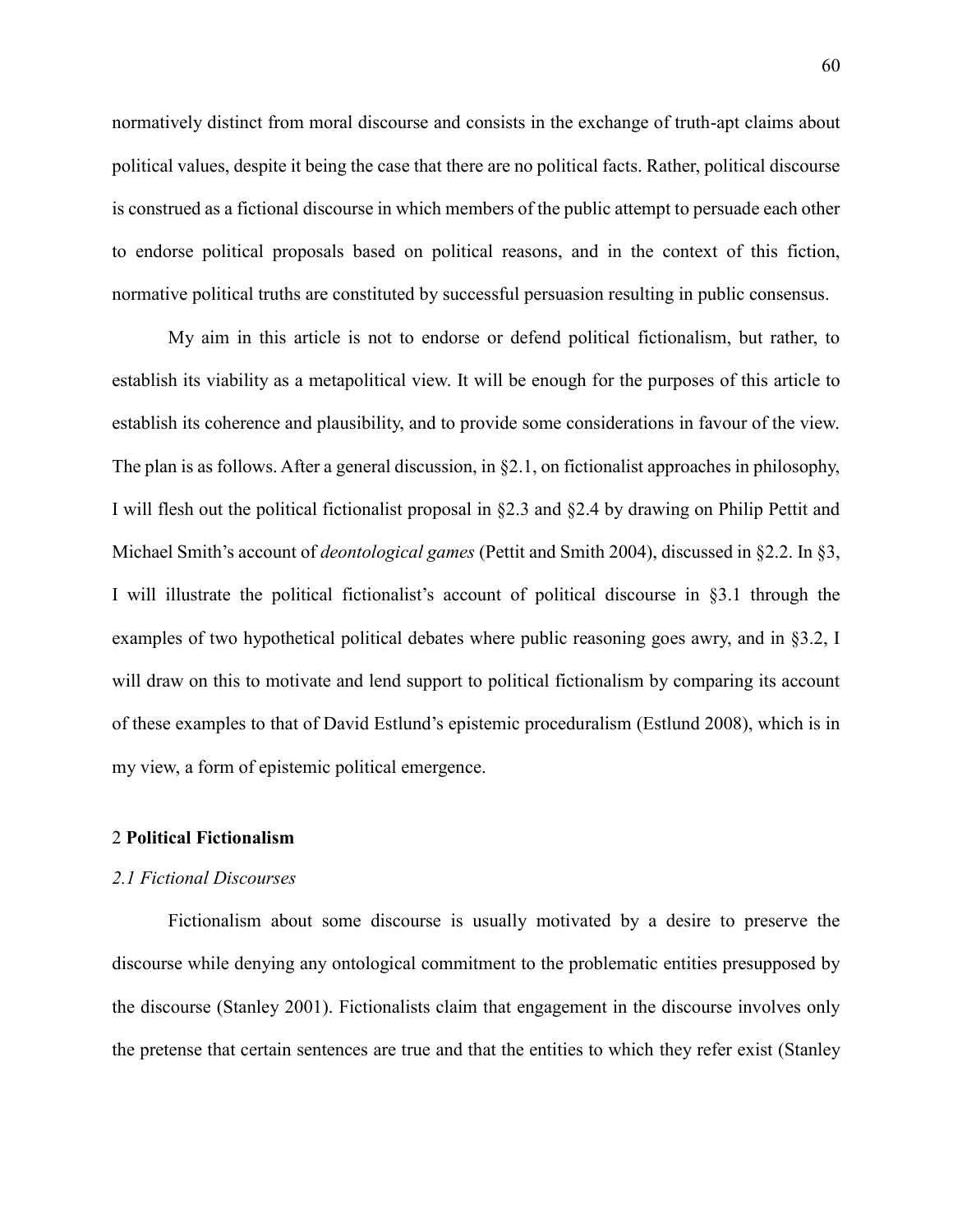normatively distinct from moral discourse and consists in the exchange of truth-apt claims about political values, despite it being the case that there are no political facts. Rather, political discourse is construed as a fictional discourse in which members of the public attempt to persuade each other to endorse political proposals based on political reasons, and in the context of this fiction, normative political truths are constituted by successful persuasion resulting in public consensus.

My aim in this article is not to endorse or defend political fictionalism, but rather, to establish its viability as a metapolitical view. It will be enough for the purposes of this article to establish its coherence and plausibility, and to provide some considerations in favour of the view. The plan is as follows. After a general discussion, in §2.1, on fictionalist approaches in philosophy, I will flesh out the political fictionalist proposal in §2.3 and §2.4 by drawing on Philip Pettit and Michael Smith's account of *deontological games* (Pettit and Smith 2004), discussed in §2.2. In §3, I will illustrate the political fictionalist's account of political discourse in §3.1 through the examples of two hypothetical political debates where public reasoning goes awry, and in §3.2, I will draw on this to motivate and lend support to political fictionalism by comparing its account of these examples to that of David Estlund's epistemic proceduralism (Estlund 2008), which is in my view, a form of epistemic political emergence.

# 2 **Political Fictionalism**

#### *2.1 Fictional Discourses*

Fictionalism about some discourse is usually motivated by a desire to preserve the discourse while denying any ontological commitment to the problematic entities presupposed by the discourse (Stanley 2001). Fictionalists claim that engagement in the discourse involves only the pretense that certain sentences are true and that the entities to which they refer exist (Stanley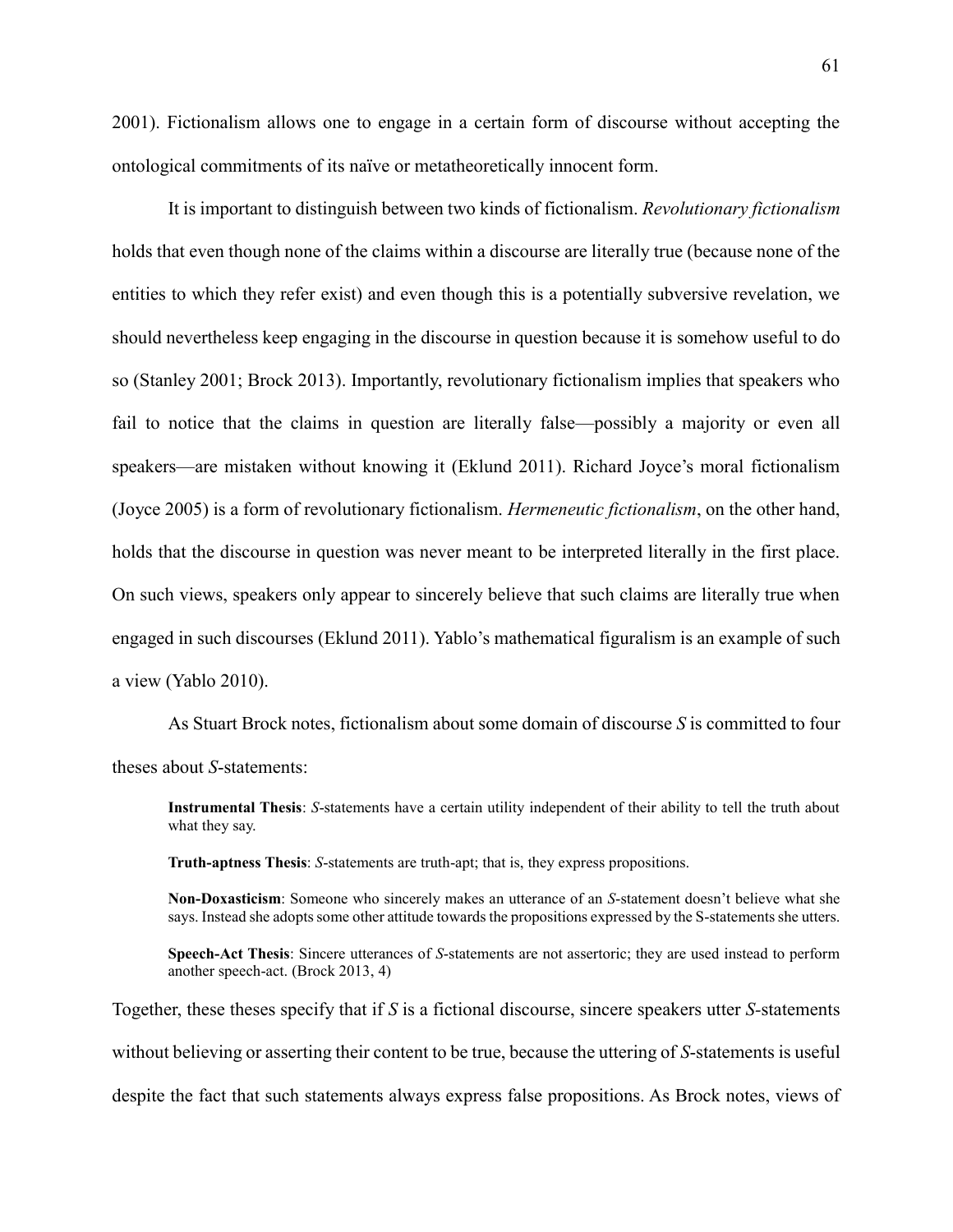2001). Fictionalism allows one to engage in a certain form of discourse without accepting the ontological commitments of its naïve or metatheoretically innocent form.

It is important to distinguish between two kinds of fictionalism. *Revolutionary fictionalism* holds that even though none of the claims within a discourse are literally true (because none of the entities to which they refer exist) and even though this is a potentially subversive revelation, we should nevertheless keep engaging in the discourse in question because it is somehow useful to do so (Stanley 2001; Brock 2013). Importantly, revolutionary fictionalism implies that speakers who fail to notice that the claims in question are literally false—possibly a majority or even all speakers—are mistaken without knowing it (Eklund 2011). Richard Joyce's moral fictionalism (Joyce 2005) is a form of revolutionary fictionalism. *Hermeneutic fictionalism*, on the other hand, holds that the discourse in question was never meant to be interpreted literally in the first place. On such views, speakers only appear to sincerely believe that such claims are literally true when engaged in such discourses (Eklund 2011). Yablo's mathematical figuralism is an example of such a view (Yablo 2010).

As Stuart Brock notes, fictionalism about some domain of discourse *S* is committed to four theses about *S*-statements:

**Instrumental Thesis**: *S*-statements have a certain utility independent of their ability to tell the truth about what they say.

**Truth-aptness Thesis**: *S*-statements are truth-apt; that is, they express propositions.

**Non-Doxasticism**: Someone who sincerely makes an utterance of an *S*-statement doesn't believe what she says. Instead she adopts some other attitude towards the propositions expressed by the S-statements she utters.

**Speech-Act Thesis**: Sincere utterances of *S*-statements are not assertoric; they are used instead to perform another speech-act. (Brock 2013, 4)

Together, these theses specify that if *S* is a fictional discourse, sincere speakers utter *S-*statements without believing or asserting their content to be true, because the uttering of *S*-statements is useful despite the fact that such statements always express false propositions. As Brock notes, views of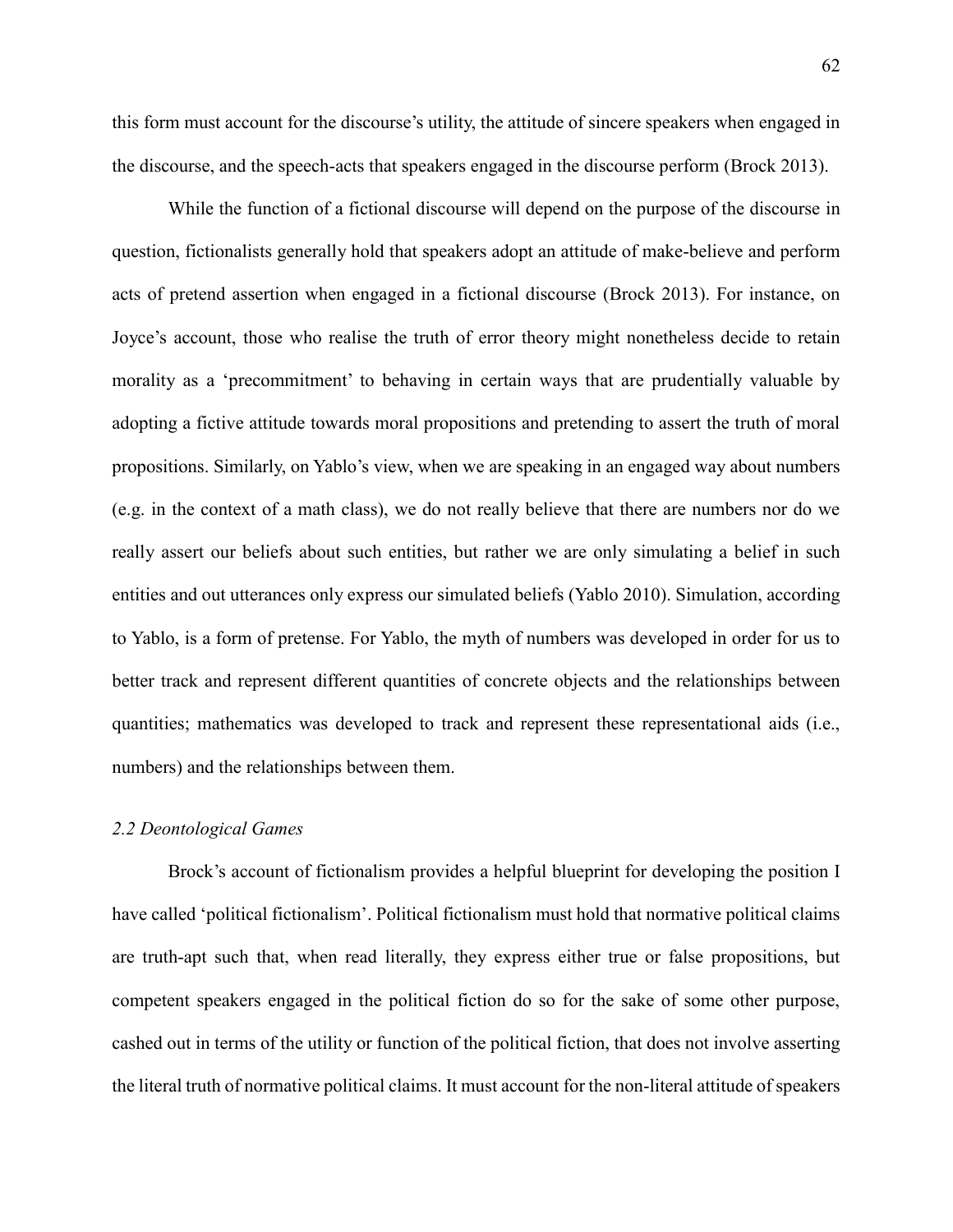this form must account for the discourse's utility, the attitude of sincere speakers when engaged in the discourse, and the speech-acts that speakers engaged in the discourse perform (Brock 2013).

While the function of a fictional discourse will depend on the purpose of the discourse in question, fictionalists generally hold that speakers adopt an attitude of make-believe and perform acts of pretend assertion when engaged in a fictional discourse (Brock 2013). For instance, on Joyce's account, those who realise the truth of error theory might nonetheless decide to retain morality as a 'precommitment' to behaving in certain ways that are prudentially valuable by adopting a fictive attitude towards moral propositions and pretending to assert the truth of moral propositions. Similarly, on Yablo's view, when we are speaking in an engaged way about numbers (e.g. in the context of a math class), we do not really believe that there are numbers nor do we really assert our beliefs about such entities, but rather we are only simulating a belief in such entities and out utterances only express our simulated beliefs (Yablo 2010). Simulation, according to Yablo, is a form of pretense. For Yablo, the myth of numbers was developed in order for us to better track and represent different quantities of concrete objects and the relationships between quantities; mathematics was developed to track and represent these representational aids (i.e., numbers) and the relationships between them.

## *2.2 Deontological Games*

Brock's account of fictionalism provides a helpful blueprint for developing the position I have called 'political fictionalism'. Political fictionalism must hold that normative political claims are truth-apt such that, when read literally, they express either true or false propositions, but competent speakers engaged in the political fiction do so for the sake of some other purpose, cashed out in terms of the utility or function of the political fiction, that does not involve asserting the literal truth of normative political claims. It must account for the non-literal attitude of speakers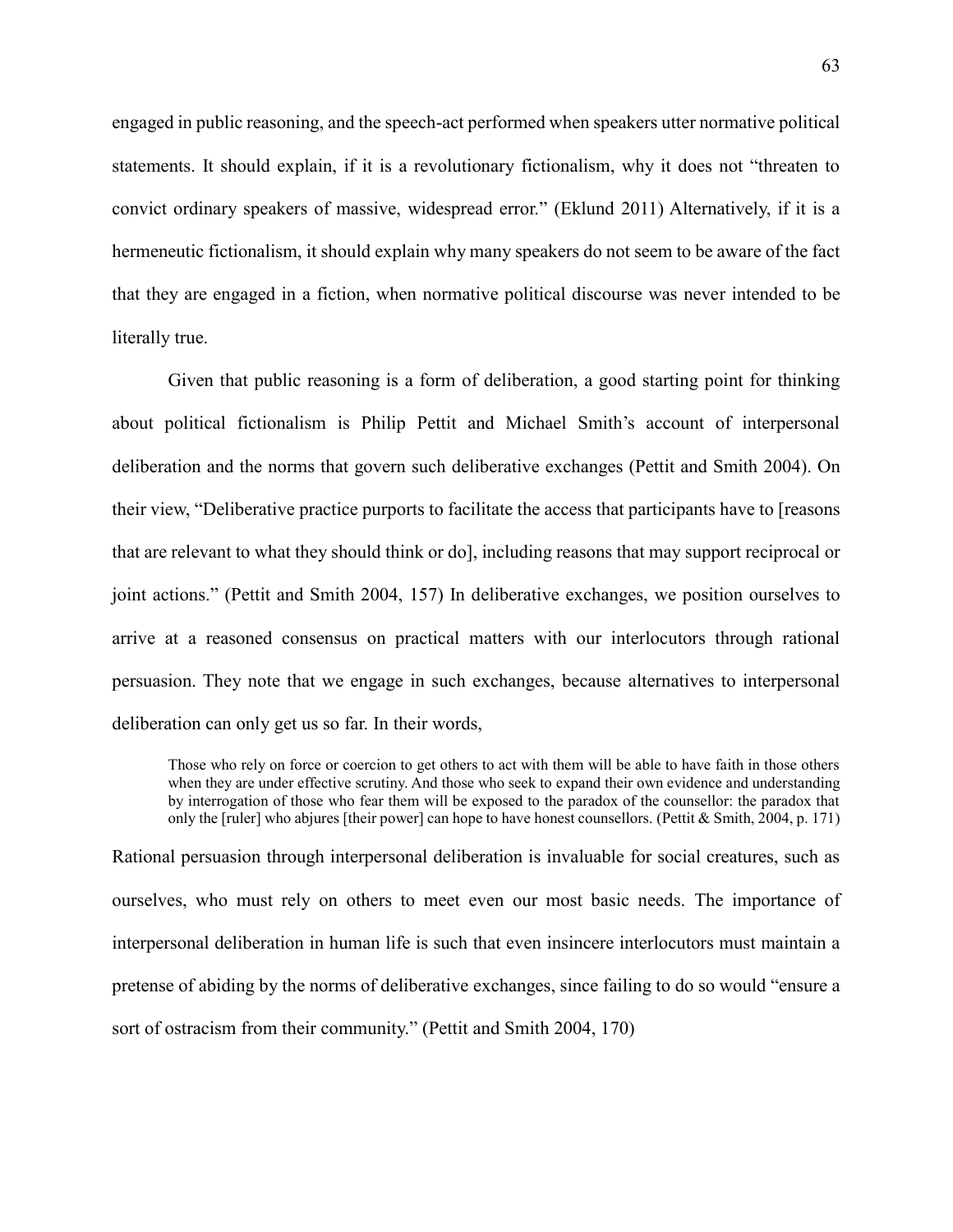engaged in public reasoning, and the speech-act performed when speakers utter normative political statements. It should explain, if it is a revolutionary fictionalism, why it does not "threaten to convict ordinary speakers of massive, widespread error." (Eklund 2011) Alternatively, if it is a hermeneutic fictionalism, it should explain why many speakers do not seem to be aware of the fact that they are engaged in a fiction, when normative political discourse was never intended to be literally true.

Given that public reasoning is a form of deliberation, a good starting point for thinking about political fictionalism is Philip Pettit and Michael Smith's account of interpersonal deliberation and the norms that govern such deliberative exchanges (Pettit and Smith 2004). On their view, "Deliberative practice purports to facilitate the access that participants have to [reasons that are relevant to what they should think or do], including reasons that may support reciprocal or joint actions." (Pettit and Smith 2004, 157) In deliberative exchanges, we position ourselves to arrive at a reasoned consensus on practical matters with our interlocutors through rational persuasion. They note that we engage in such exchanges, because alternatives to interpersonal deliberation can only get us so far. In their words,

Those who rely on force or coercion to get others to act with them will be able to have faith in those others when they are under effective scrutiny. And those who seek to expand their own evidence and understanding by interrogation of those who fear them will be exposed to the paradox of the counsellor: the paradox that only the [ruler] who abjures [their power] can hope to have honest counsellors. (Pettit & Smith, 2004, p. 171)

Rational persuasion through interpersonal deliberation is invaluable for social creatures, such as ourselves, who must rely on others to meet even our most basic needs. The importance of interpersonal deliberation in human life is such that even insincere interlocutors must maintain a pretense of abiding by the norms of deliberative exchanges, since failing to do so would "ensure a sort of ostracism from their community." (Pettit and Smith 2004, 170)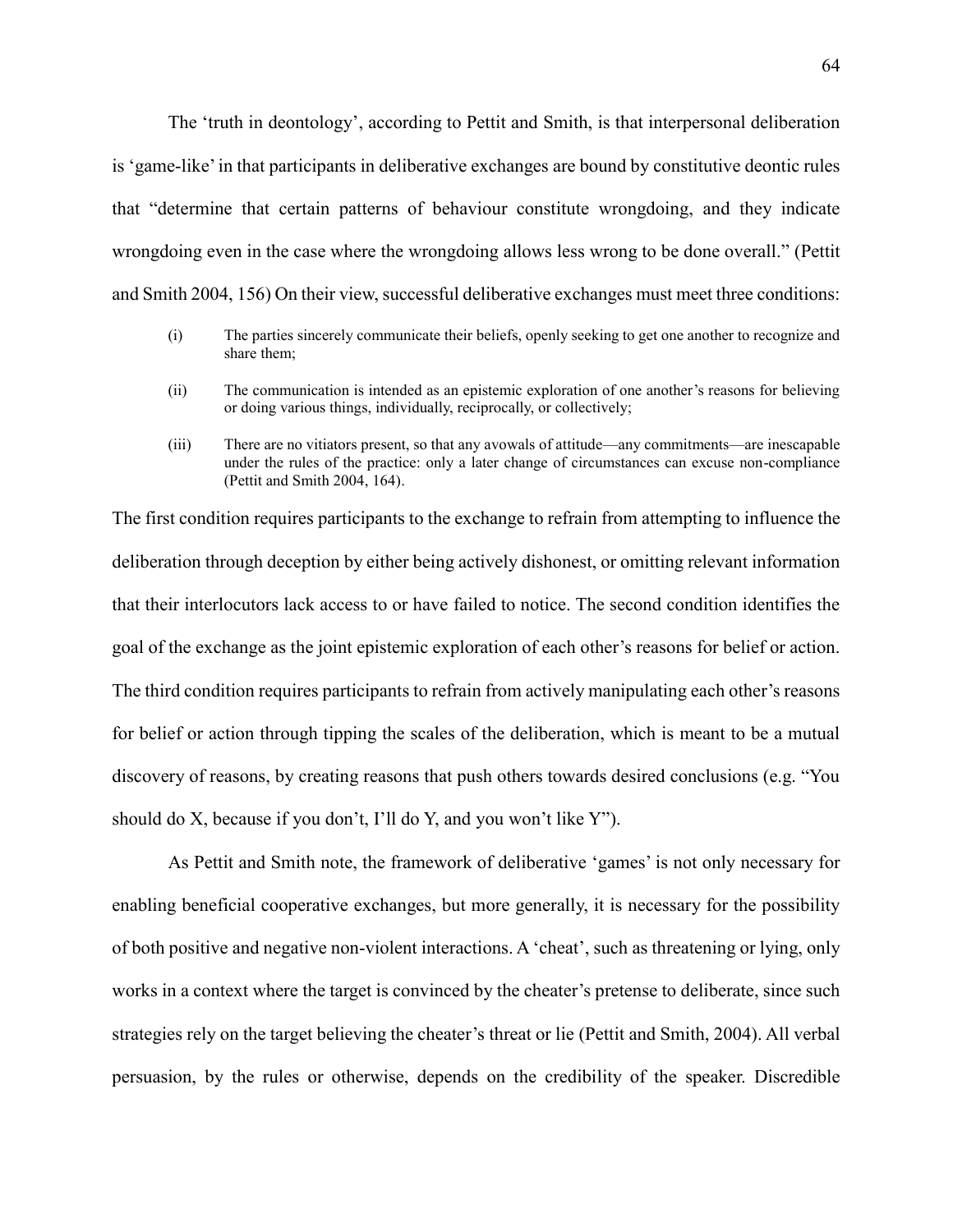The 'truth in deontology', according to Pettit and Smith, is that interpersonal deliberation is 'game-like' in that participants in deliberative exchanges are bound by constitutive deontic rules that "determine that certain patterns of behaviour constitute wrongdoing, and they indicate wrongdoing even in the case where the wrongdoing allows less wrong to be done overall." (Pettit and Smith 2004, 156) On their view, successful deliberative exchanges must meet three conditions:

- (i) The parties sincerely communicate their beliefs, openly seeking to get one another to recognize and share them;
- (ii) The communication is intended as an epistemic exploration of one another's reasons for believing or doing various things, individually, reciprocally, or collectively;
- (iii) There are no vitiators present, so that any avowals of attitude—any commitments—are inescapable under the rules of the practice: only a later change of circumstances can excuse non-compliance (Pettit and Smith 2004, 164).

The first condition requires participants to the exchange to refrain from attempting to influence the deliberation through deception by either being actively dishonest, or omitting relevant information that their interlocutors lack access to or have failed to notice. The second condition identifies the goal of the exchange as the joint epistemic exploration of each other's reasons for belief or action. The third condition requires participants to refrain from actively manipulating each other's reasons for belief or action through tipping the scales of the deliberation, which is meant to be a mutual discovery of reasons, by creating reasons that push others towards desired conclusions (e.g. "You should do X, because if you don't, I'll do Y, and you won't like Y").

As Pettit and Smith note, the framework of deliberative 'games' is not only necessary for enabling beneficial cooperative exchanges, but more generally, it is necessary for the possibility of both positive and negative non-violent interactions. A 'cheat', such as threatening or lying, only works in a context where the target is convinced by the cheater's pretense to deliberate, since such strategies rely on the target believing the cheater's threat or lie (Pettit and Smith, 2004). All verbal persuasion, by the rules or otherwise, depends on the credibility of the speaker. Discredible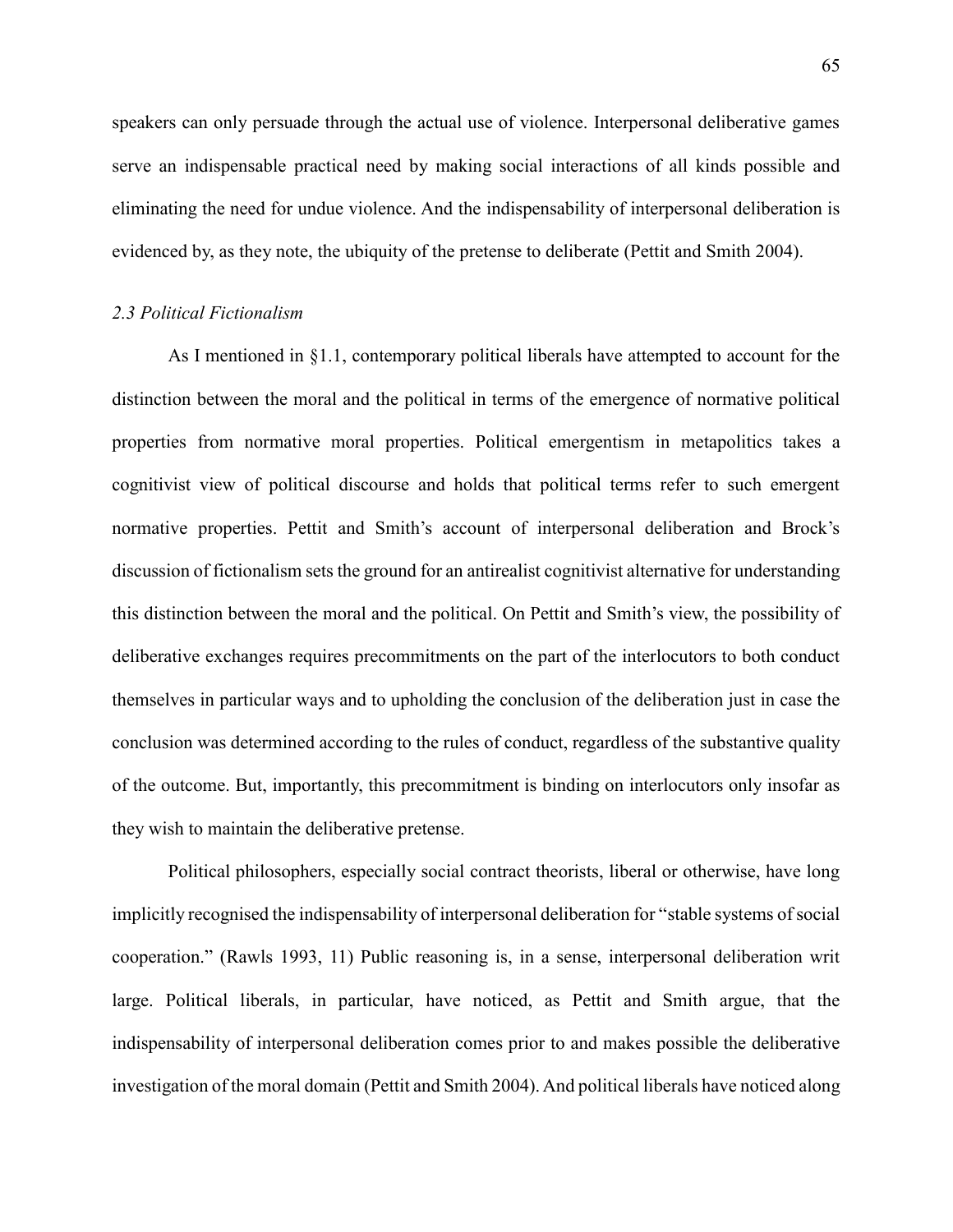speakers can only persuade through the actual use of violence. Interpersonal deliberative games serve an indispensable practical need by making social interactions of all kinds possible and eliminating the need for undue violence. And the indispensability of interpersonal deliberation is evidenced by, as they note, the ubiquity of the pretense to deliberate (Pettit and Smith 2004).

#### *2.3 Political Fictionalism*

As I mentioned in §1.1, contemporary political liberals have attempted to account for the distinction between the moral and the political in terms of the emergence of normative political properties from normative moral properties. Political emergentism in metapolitics takes a cognitivist view of political discourse and holds that political terms refer to such emergent normative properties. Pettit and Smith's account of interpersonal deliberation and Brock's discussion of fictionalism sets the ground for an antirealist cognitivist alternative for understanding this distinction between the moral and the political. On Pettit and Smith's view, the possibility of deliberative exchanges requires precommitments on the part of the interlocutors to both conduct themselves in particular ways and to upholding the conclusion of the deliberation just in case the conclusion was determined according to the rules of conduct, regardless of the substantive quality of the outcome. But, importantly, this precommitment is binding on interlocutors only insofar as they wish to maintain the deliberative pretense.

Political philosophers, especially social contract theorists, liberal or otherwise, have long implicitly recognised the indispensability of interpersonal deliberation for "stable systems of social cooperation." (Rawls 1993, 11) Public reasoning is, in a sense, interpersonal deliberation writ large. Political liberals, in particular, have noticed, as Pettit and Smith argue, that the indispensability of interpersonal deliberation comes prior to and makes possible the deliberative investigation of the moral domain (Pettit and Smith 2004). And political liberals have noticed along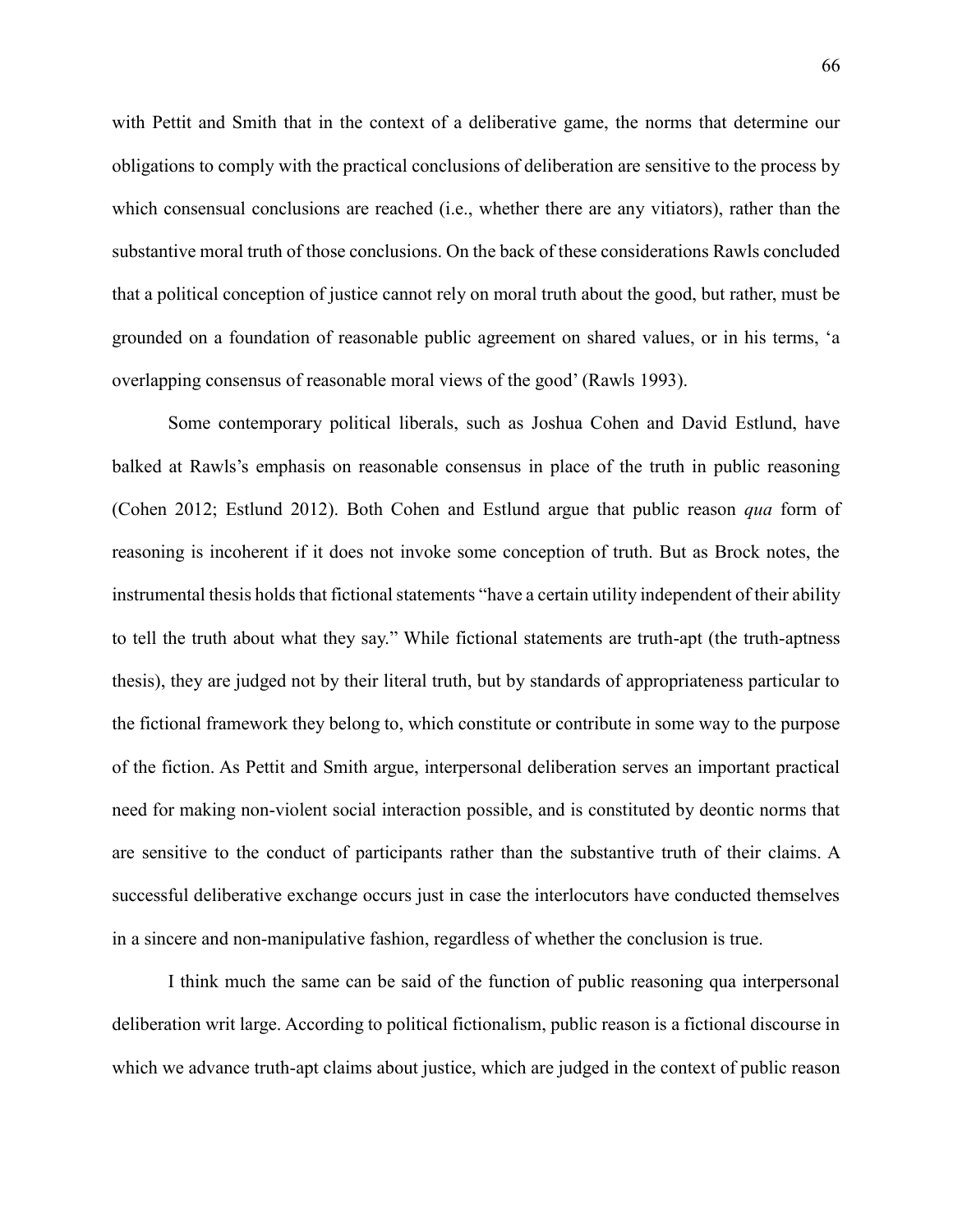with Pettit and Smith that in the context of a deliberative game, the norms that determine our obligations to comply with the practical conclusions of deliberation are sensitive to the process by which consensual conclusions are reached (i.e., whether there are any vitiators), rather than the substantive moral truth of those conclusions. On the back of these considerations Rawls concluded that a political conception of justice cannot rely on moral truth about the good, but rather, must be grounded on a foundation of reasonable public agreement on shared values, or in his terms, 'a overlapping consensus of reasonable moral views of the good' (Rawls 1993).

Some contemporary political liberals, such as Joshua Cohen and David Estlund, have balked at Rawls's emphasis on reasonable consensus in place of the truth in public reasoning (Cohen 2012; Estlund 2012). Both Cohen and Estlund argue that public reason *qua* form of reasoning is incoherent if it does not invoke some conception of truth. But as Brock notes, the instrumental thesis holds that fictional statements "have a certain utility independent of their ability to tell the truth about what they say." While fictional statements are truth-apt (the truth-aptness thesis), they are judged not by their literal truth, but by standards of appropriateness particular to the fictional framework they belong to, which constitute or contribute in some way to the purpose of the fiction. As Pettit and Smith argue, interpersonal deliberation serves an important practical need for making non-violent social interaction possible, and is constituted by deontic norms that are sensitive to the conduct of participants rather than the substantive truth of their claims. A successful deliberative exchange occurs just in case the interlocutors have conducted themselves in a sincere and non-manipulative fashion, regardless of whether the conclusion is true.

I think much the same can be said of the function of public reasoning qua interpersonal deliberation writ large. According to political fictionalism, public reason is a fictional discourse in which we advance truth-apt claims about justice, which are judged in the context of public reason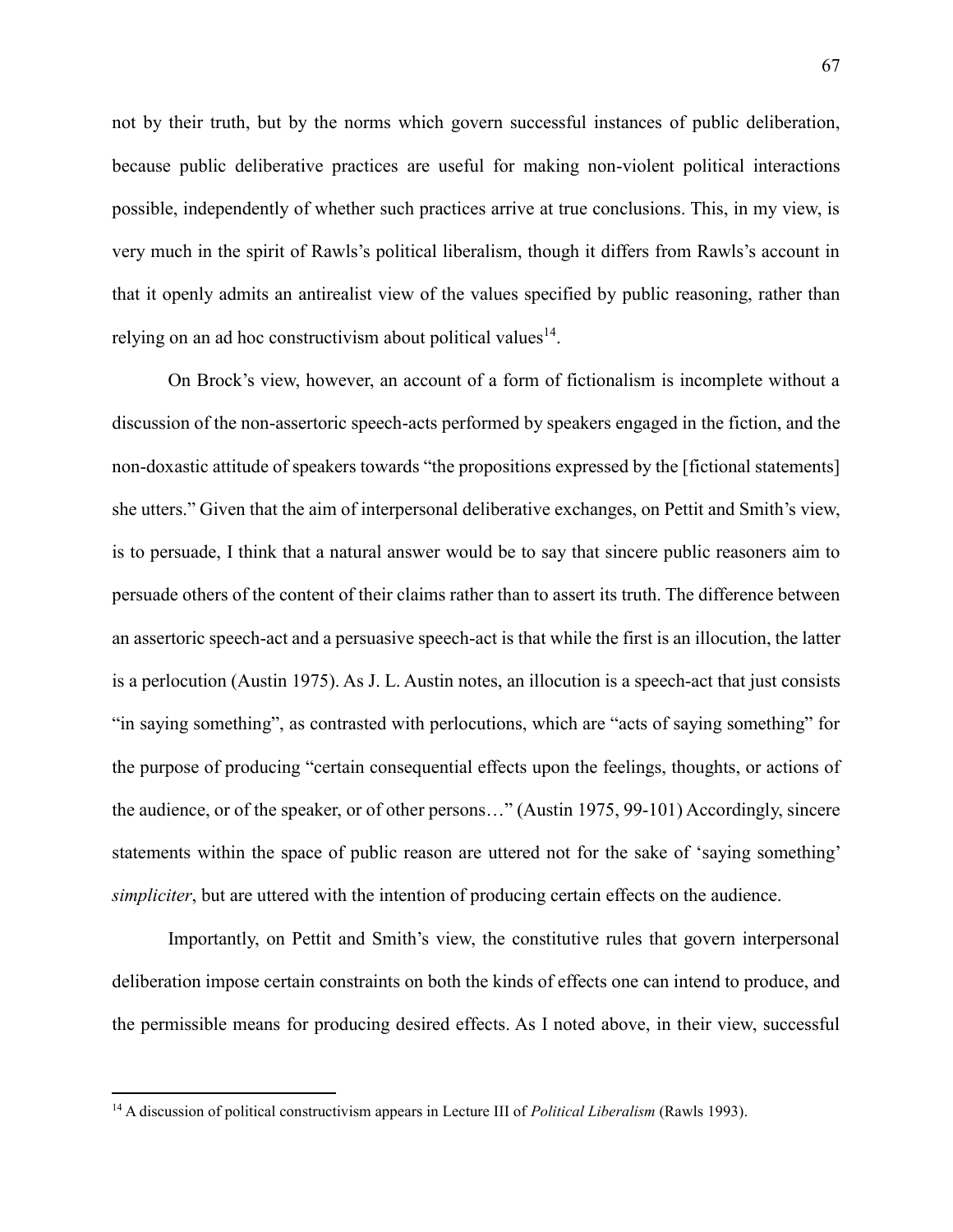not by their truth, but by the norms which govern successful instances of public deliberation, because public deliberative practices are useful for making non-violent political interactions possible, independently of whether such practices arrive at true conclusions. This, in my view, is very much in the spirit of Rawls's political liberalism, though it differs from Rawls's account in that it openly admits an antirealist view of the values specified by public reasoning, rather than relying on an ad hoc constructivism about political values $14$ .

On Brock's view, however, an account of a form of fictionalism is incomplete without a discussion of the non-assertoric speech-acts performed by speakers engaged in the fiction, and the non-doxastic attitude of speakers towards "the propositions expressed by the [fictional statements] she utters." Given that the aim of interpersonal deliberative exchanges, on Pettit and Smith's view, is to persuade, I think that a natural answer would be to say that sincere public reasoners aim to persuade others of the content of their claims rather than to assert its truth. The difference between an assertoric speech-act and a persuasive speech-act is that while the first is an illocution, the latter is a perlocution (Austin 1975). As J. L. Austin notes, an illocution is a speech-act that just consists "in saying something", as contrasted with perlocutions, which are "acts of saying something" for the purpose of producing "certain consequential effects upon the feelings, thoughts, or actions of the audience, or of the speaker, or of other persons…" (Austin 1975, 99-101) Accordingly, sincere statements within the space of public reason are uttered not for the sake of 'saying something' *simpliciter*, but are uttered with the intention of producing certain effects on the audience.

Importantly, on Pettit and Smith's view, the constitutive rules that govern interpersonal deliberation impose certain constraints on both the kinds of effects one can intend to produce, and the permissible means for producing desired effects. As I noted above, in their view, successful

 $\overline{a}$ 

<sup>14</sup> A discussion of political constructivism appears in Lecture III of *Political Liberalism* (Rawls 1993).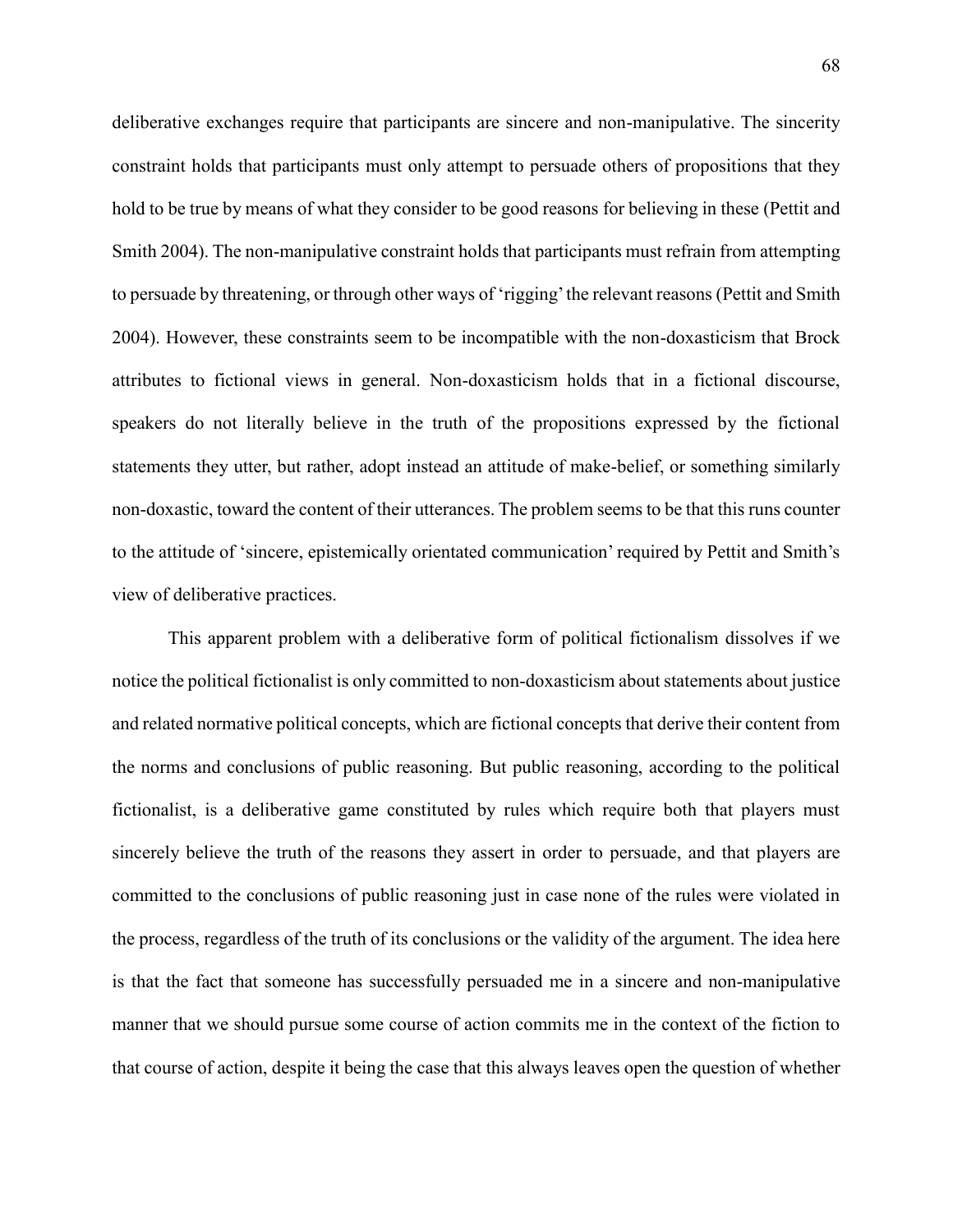deliberative exchanges require that participants are sincere and non-manipulative. The sincerity constraint holds that participants must only attempt to persuade others of propositions that they hold to be true by means of what they consider to be good reasons for believing in these (Pettit and Smith 2004). The non-manipulative constraint holds that participants must refrain from attempting to persuade by threatening, or through other ways of 'rigging' the relevant reasons (Pettit and Smith 2004). However, these constraints seem to be incompatible with the non-doxasticism that Brock attributes to fictional views in general. Non-doxasticism holds that in a fictional discourse, speakers do not literally believe in the truth of the propositions expressed by the fictional statements they utter, but rather, adopt instead an attitude of make-belief, or something similarly non-doxastic, toward the content of their utterances. The problem seems to be that this runs counter to the attitude of 'sincere, epistemically orientated communication' required by Pettit and Smith's view of deliberative practices.

This apparent problem with a deliberative form of political fictionalism dissolves if we notice the political fictionalist is only committed to non-doxasticism about statements about justice and related normative political concepts, which are fictional concepts that derive their content from the norms and conclusions of public reasoning. But public reasoning, according to the political fictionalist, is a deliberative game constituted by rules which require both that players must sincerely believe the truth of the reasons they assert in order to persuade, and that players are committed to the conclusions of public reasoning just in case none of the rules were violated in the process, regardless of the truth of its conclusions or the validity of the argument. The idea here is that the fact that someone has successfully persuaded me in a sincere and non-manipulative manner that we should pursue some course of action commits me in the context of the fiction to that course of action, despite it being the case that this always leaves open the question of whether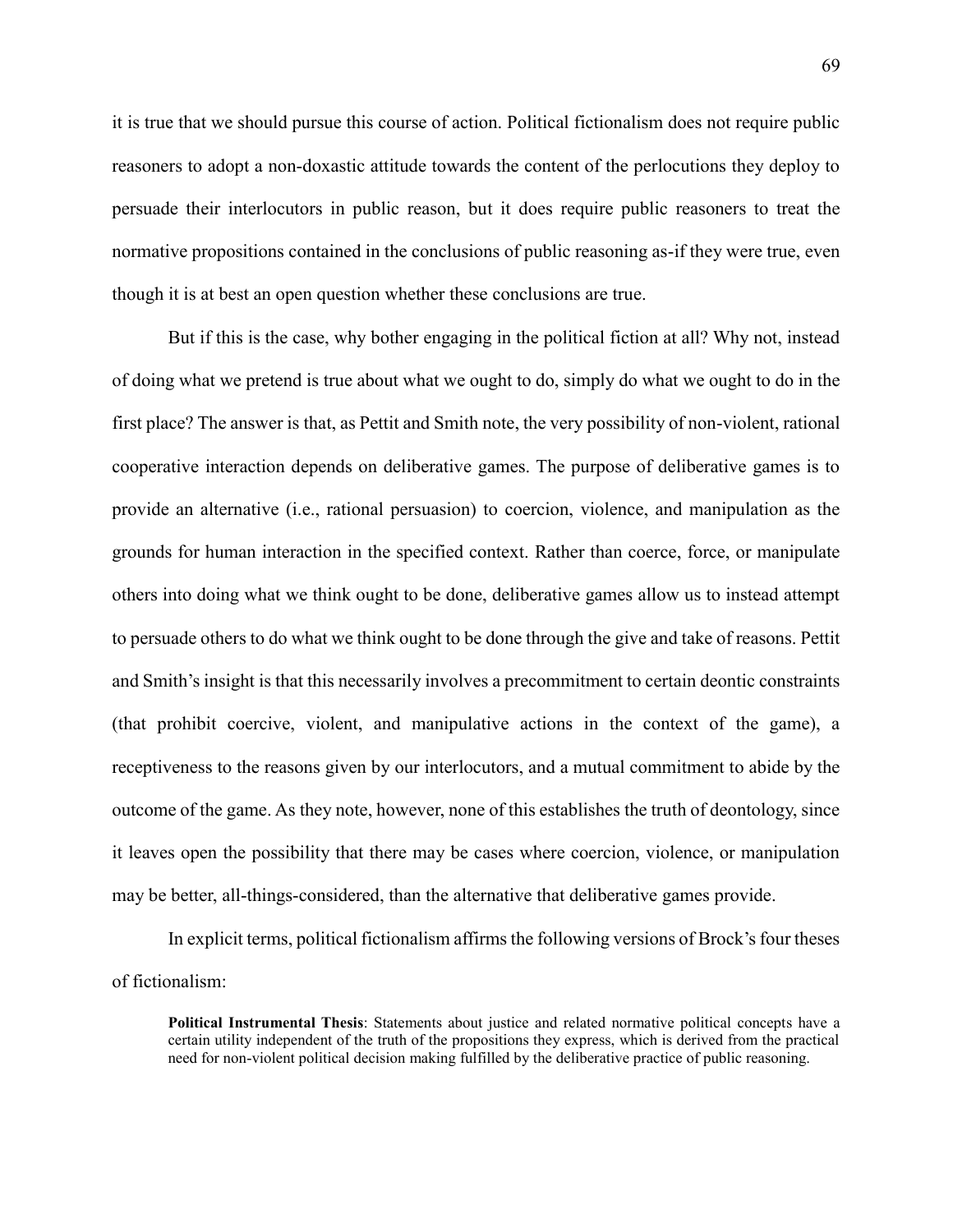it is true that we should pursue this course of action. Political fictionalism does not require public reasoners to adopt a non-doxastic attitude towards the content of the perlocutions they deploy to persuade their interlocutors in public reason, but it does require public reasoners to treat the normative propositions contained in the conclusions of public reasoning as-if they were true, even though it is at best an open question whether these conclusions are true.

But if this is the case, why bother engaging in the political fiction at all? Why not, instead of doing what we pretend is true about what we ought to do, simply do what we ought to do in the first place? The answer is that, as Pettit and Smith note, the very possibility of non-violent, rational cooperative interaction depends on deliberative games. The purpose of deliberative games is to provide an alternative (i.e., rational persuasion) to coercion, violence, and manipulation as the grounds for human interaction in the specified context. Rather than coerce, force, or manipulate others into doing what we think ought to be done, deliberative games allow us to instead attempt to persuade others to do what we think ought to be done through the give and take of reasons. Pettit and Smith's insight is that this necessarily involves a precommitment to certain deontic constraints (that prohibit coercive, violent, and manipulative actions in the context of the game), a receptiveness to the reasons given by our interlocutors, and a mutual commitment to abide by the outcome of the game. As they note, however, none of this establishes the truth of deontology, since it leaves open the possibility that there may be cases where coercion, violence, or manipulation may be better, all-things-considered, than the alternative that deliberative games provide.

In explicit terms, political fictionalism affirms the following versions of Brock's four theses of fictionalism:

**Political Instrumental Thesis**: Statements about justice and related normative political concepts have a certain utility independent of the truth of the propositions they express, which is derived from the practical need for non-violent political decision making fulfilled by the deliberative practice of public reasoning.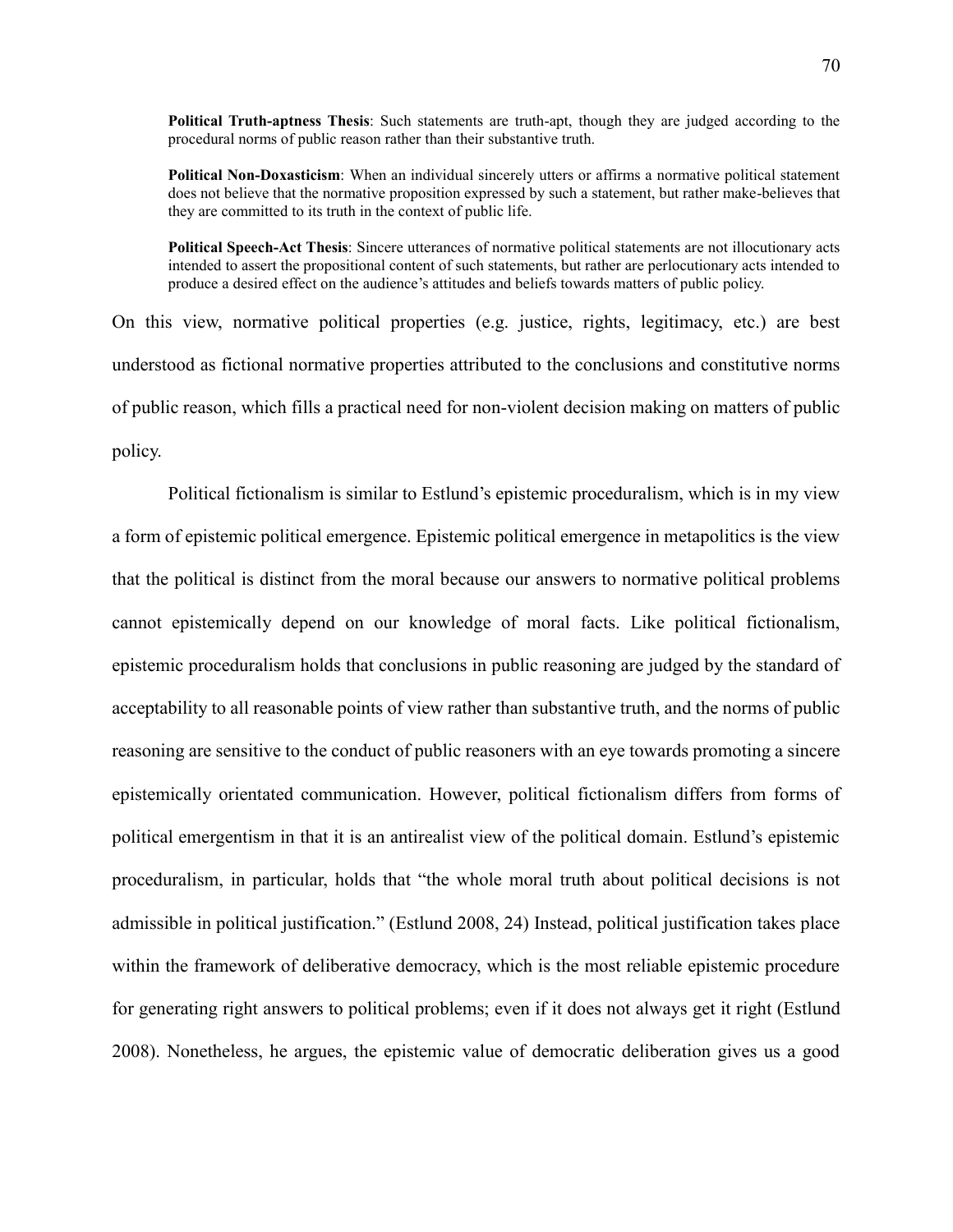**Political Truth-aptness Thesis**: Such statements are truth-apt, though they are judged according to the procedural norms of public reason rather than their substantive truth.

**Political Non-Doxasticism**: When an individual sincerely utters or affirms a normative political statement does not believe that the normative proposition expressed by such a statement, but rather make-believes that they are committed to its truth in the context of public life.

**Political Speech-Act Thesis**: Sincere utterances of normative political statements are not illocutionary acts intended to assert the propositional content of such statements, but rather are perlocutionary acts intended to produce a desired effect on the audience's attitudes and beliefs towards matters of public policy.

On this view, normative political properties (e.g. justice, rights, legitimacy, etc.) are best understood as fictional normative properties attributed to the conclusions and constitutive norms of public reason, which fills a practical need for non-violent decision making on matters of public policy.

Political fictionalism is similar to Estlund's epistemic proceduralism, which is in my view a form of epistemic political emergence. Epistemic political emergence in metapolitics is the view that the political is distinct from the moral because our answers to normative political problems cannot epistemically depend on our knowledge of moral facts. Like political fictionalism, epistemic proceduralism holds that conclusions in public reasoning are judged by the standard of acceptability to all reasonable points of view rather than substantive truth, and the norms of public reasoning are sensitive to the conduct of public reasoners with an eye towards promoting a sincere epistemically orientated communication. However, political fictionalism differs from forms of political emergentism in that it is an antirealist view of the political domain. Estlund's epistemic proceduralism, in particular, holds that "the whole moral truth about political decisions is not admissible in political justification." (Estlund 2008, 24) Instead, political justification takes place within the framework of deliberative democracy, which is the most reliable epistemic procedure for generating right answers to political problems; even if it does not always get it right (Estlund 2008). Nonetheless, he argues, the epistemic value of democratic deliberation gives us a good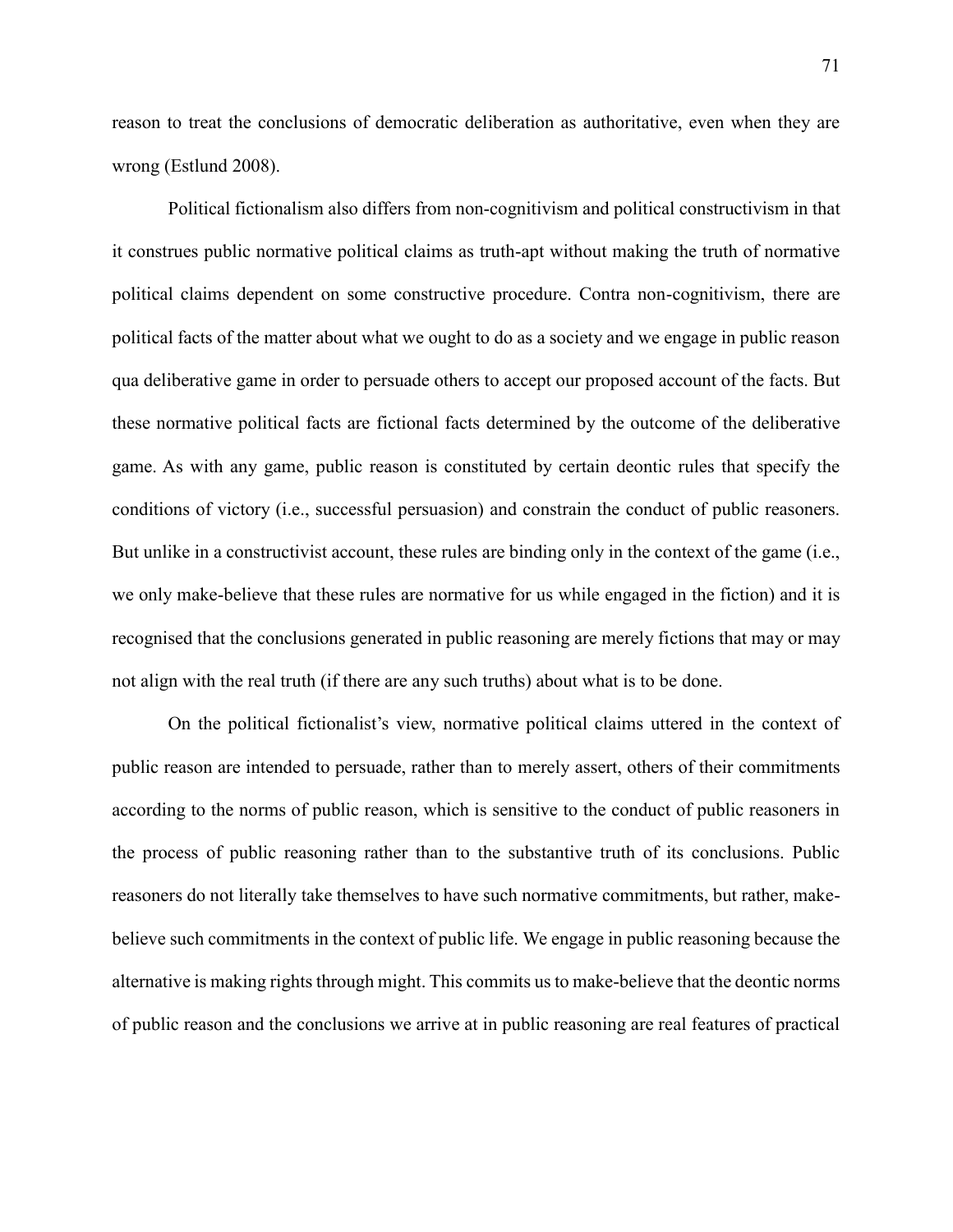reason to treat the conclusions of democratic deliberation as authoritative, even when they are wrong (Estlund 2008).

Political fictionalism also differs from non-cognitivism and political constructivism in that it construes public normative political claims as truth-apt without making the truth of normative political claims dependent on some constructive procedure. Contra non-cognitivism, there are political facts of the matter about what we ought to do as a society and we engage in public reason qua deliberative game in order to persuade others to accept our proposed account of the facts. But these normative political facts are fictional facts determined by the outcome of the deliberative game. As with any game, public reason is constituted by certain deontic rules that specify the conditions of victory (i.e., successful persuasion) and constrain the conduct of public reasoners. But unlike in a constructivist account, these rules are binding only in the context of the game (i.e., we only make-believe that these rules are normative for us while engaged in the fiction) and it is recognised that the conclusions generated in public reasoning are merely fictions that may or may not align with the real truth (if there are any such truths) about what is to be done.

On the political fictionalist's view, normative political claims uttered in the context of public reason are intended to persuade, rather than to merely assert, others of their commitments according to the norms of public reason, which is sensitive to the conduct of public reasoners in the process of public reasoning rather than to the substantive truth of its conclusions. Public reasoners do not literally take themselves to have such normative commitments, but rather, makebelieve such commitments in the context of public life. We engage in public reasoning because the alternative is making rights through might. This commits us to make-believe that the deontic norms of public reason and the conclusions we arrive at in public reasoning are real features of practical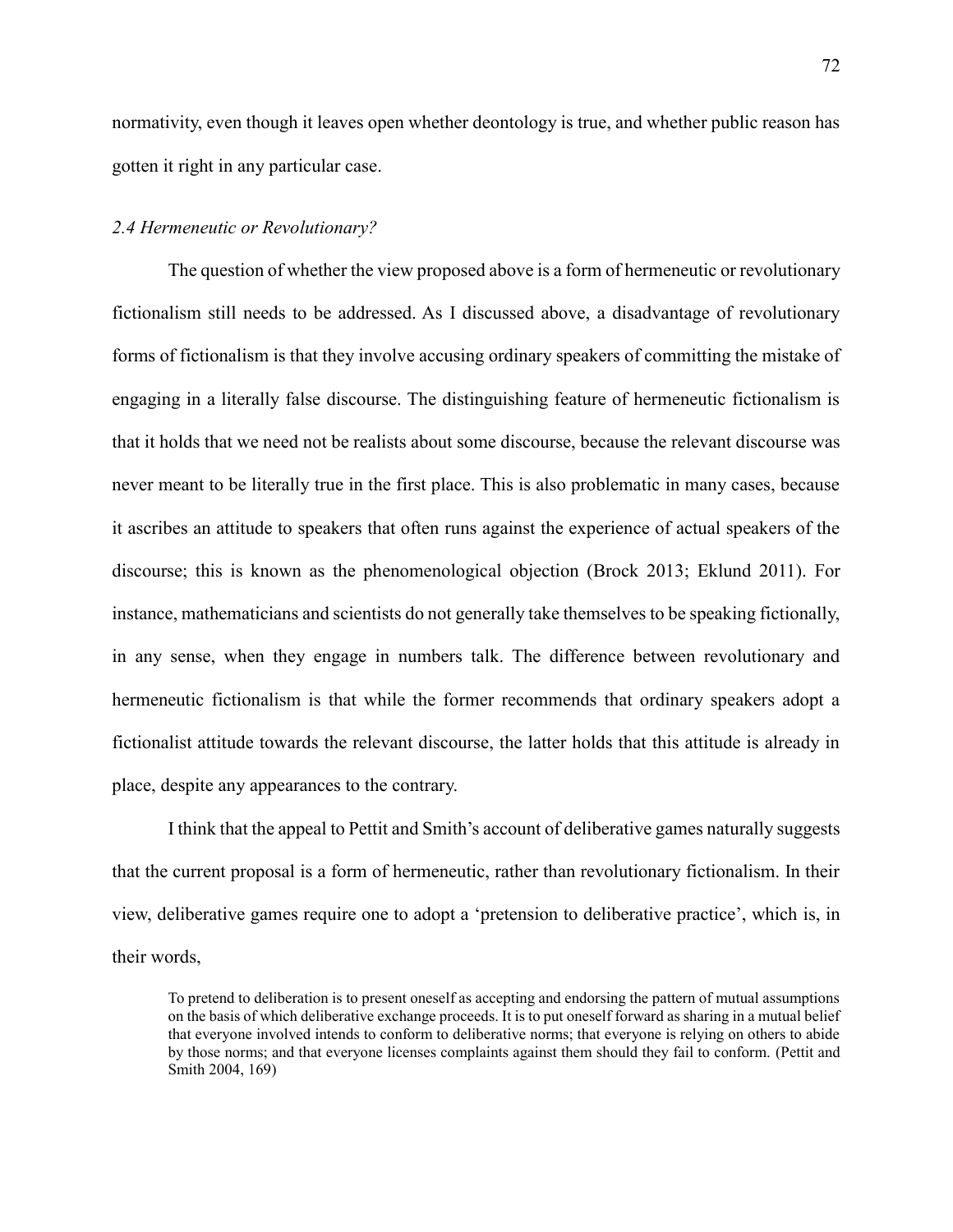normativity, even though it leaves open whether deontology is true, and whether public reason has gotten it right in any particular case.

## *2.4 Hermeneutic or Revolutionary?*

The question of whether the view proposed above is a form of hermeneutic or revolutionary fictionalism still needs to be addressed. As I discussed above, a disadvantage of revolutionary forms of fictionalism is that they involve accusing ordinary speakers of committing the mistake of engaging in a literally false discourse. The distinguishing feature of hermeneutic fictionalism is that it holds that we need not be realists about some discourse, because the relevant discourse was never meant to be literally true in the first place. This is also problematic in many cases, because it ascribes an attitude to speakers that often runs against the experience of actual speakers of the discourse; this is known as the phenomenological objection (Brock 2013; Eklund 2011). For instance, mathematicians and scientists do not generally take themselves to be speaking fictionally, in any sense, when they engage in numbers talk. The difference between revolutionary and hermeneutic fictionalism is that while the former recommends that ordinary speakers adopt a fictionalist attitude towards the relevant discourse, the latter holds that this attitude is already in place, despite any appearances to the contrary.

I think that the appeal to Pettit and Smith's account of deliberative games naturally suggests that the current proposal is a form of hermeneutic, rather than revolutionary fictionalism. In their view, deliberative games require one to adopt a 'pretension to deliberative practice', which is, in their words,

To pretend to deliberation is to present oneself as accepting and endorsing the pattern of mutual assumptions on the basis of which deliberative exchange proceeds. It is to put oneself forward as sharing in a mutual belief that everyone involved intends to conform to deliberative norms; that everyone is relying on others to abide by those norms; and that everyone licenses complaints against them should they fail to conform. (Pettit and Smith 2004, 169)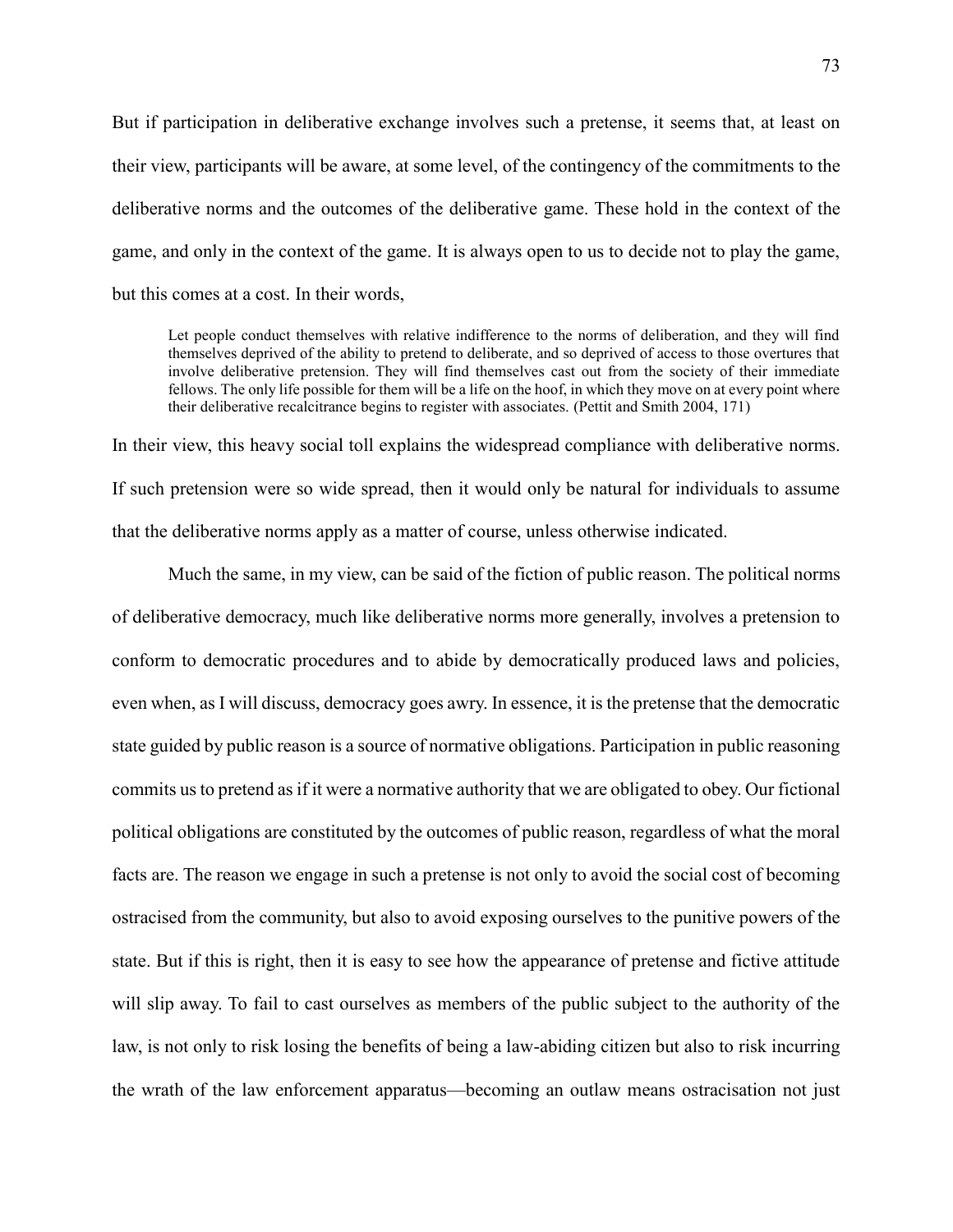But if participation in deliberative exchange involves such a pretense, it seems that, at least on their view, participants will be aware, at some level, of the contingency of the commitments to the deliberative norms and the outcomes of the deliberative game. These hold in the context of the game, and only in the context of the game. It is always open to us to decide not to play the game, but this comes at a cost. In their words,

Let people conduct themselves with relative indifference to the norms of deliberation, and they will find themselves deprived of the ability to pretend to deliberate, and so deprived of access to those overtures that involve deliberative pretension. They will find themselves cast out from the society of their immediate fellows. The only life possible for them will be a life on the hoof, in which they move on at every point where their deliberative recalcitrance begins to register with associates. (Pettit and Smith 2004, 171)

In their view, this heavy social toll explains the widespread compliance with deliberative norms. If such pretension were so wide spread, then it would only be natural for individuals to assume that the deliberative norms apply as a matter of course, unless otherwise indicated.

Much the same, in my view, can be said of the fiction of public reason. The political norms of deliberative democracy, much like deliberative norms more generally, involves a pretension to conform to democratic procedures and to abide by democratically produced laws and policies, even when, as I will discuss, democracy goes awry. In essence, it is the pretense that the democratic state guided by public reason is a source of normative obligations. Participation in public reasoning commits us to pretend as if it were a normative authority that we are obligated to obey. Our fictional political obligations are constituted by the outcomes of public reason, regardless of what the moral facts are. The reason we engage in such a pretense is not only to avoid the social cost of becoming ostracised from the community, but also to avoid exposing ourselves to the punitive powers of the state. But if this is right, then it is easy to see how the appearance of pretense and fictive attitude will slip away. To fail to cast ourselves as members of the public subject to the authority of the law, is not only to risk losing the benefits of being a law-abiding citizen but also to risk incurring the wrath of the law enforcement apparatus—becoming an outlaw means ostracisation not just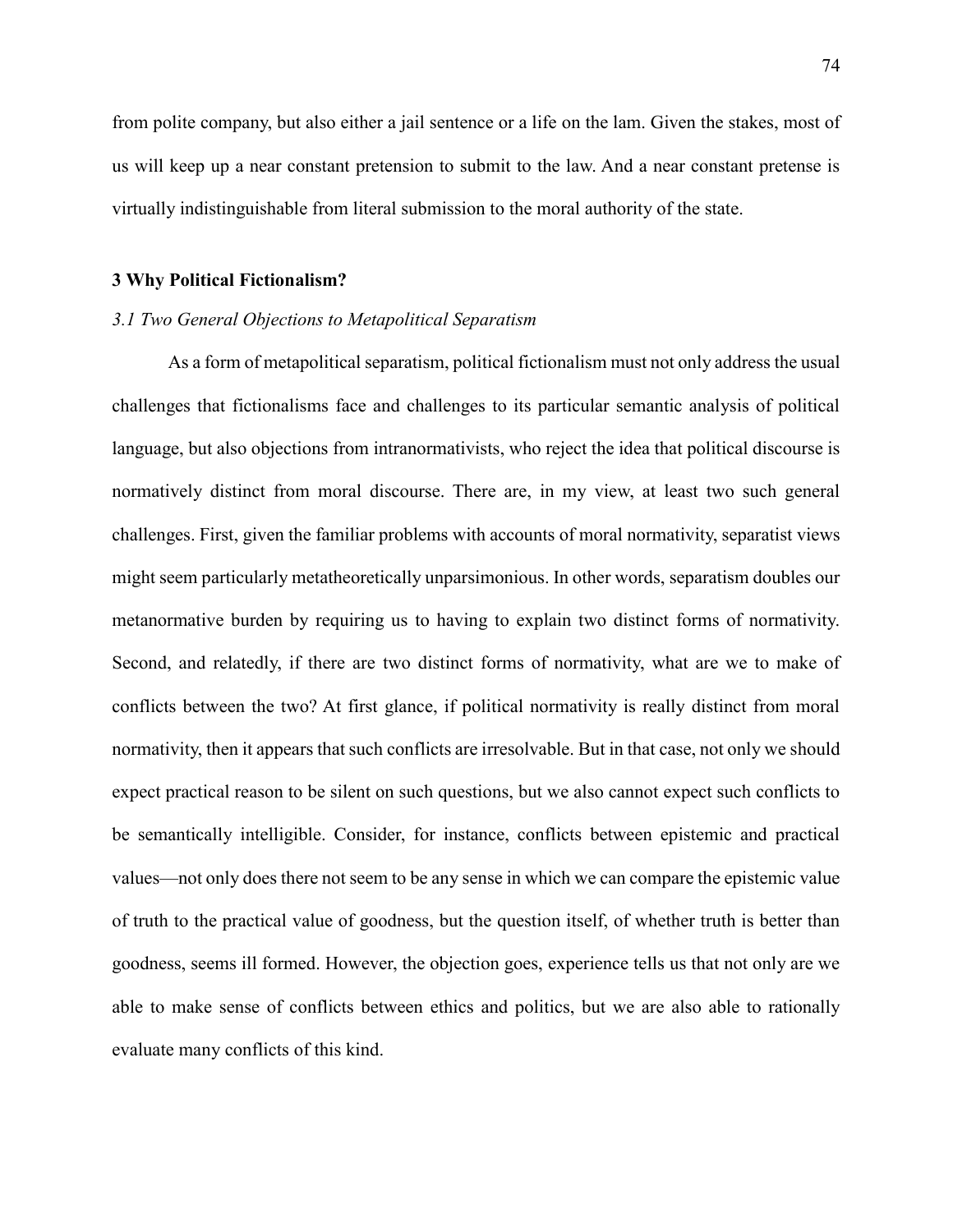from polite company, but also either a jail sentence or a life on the lam. Given the stakes, most of us will keep up a near constant pretension to submit to the law. And a near constant pretense is virtually indistinguishable from literal submission to the moral authority of the state.

#### **3 Why Political Fictionalism?**

## *3.1 Two General Objections to Metapolitical Separatism*

As a form of metapolitical separatism, political fictionalism must not only address the usual challenges that fictionalisms face and challenges to its particular semantic analysis of political language, but also objections from intranormativists, who reject the idea that political discourse is normatively distinct from moral discourse. There are, in my view, at least two such general challenges. First, given the familiar problems with accounts of moral normativity, separatist views might seem particularly metatheoretically unparsimonious. In other words, separatism doubles our metanormative burden by requiring us to having to explain two distinct forms of normativity. Second, and relatedly, if there are two distinct forms of normativity, what are we to make of conflicts between the two? At first glance, if political normativity is really distinct from moral normativity, then it appears that such conflicts are irresolvable. But in that case, not only we should expect practical reason to be silent on such questions, but we also cannot expect such conflicts to be semantically intelligible. Consider, for instance, conflicts between epistemic and practical values—not only does there not seem to be any sense in which we can compare the epistemic value of truth to the practical value of goodness, but the question itself, of whether truth is better than goodness, seems ill formed. However, the objection goes, experience tells us that not only are we able to make sense of conflicts between ethics and politics, but we are also able to rationally evaluate many conflicts of this kind.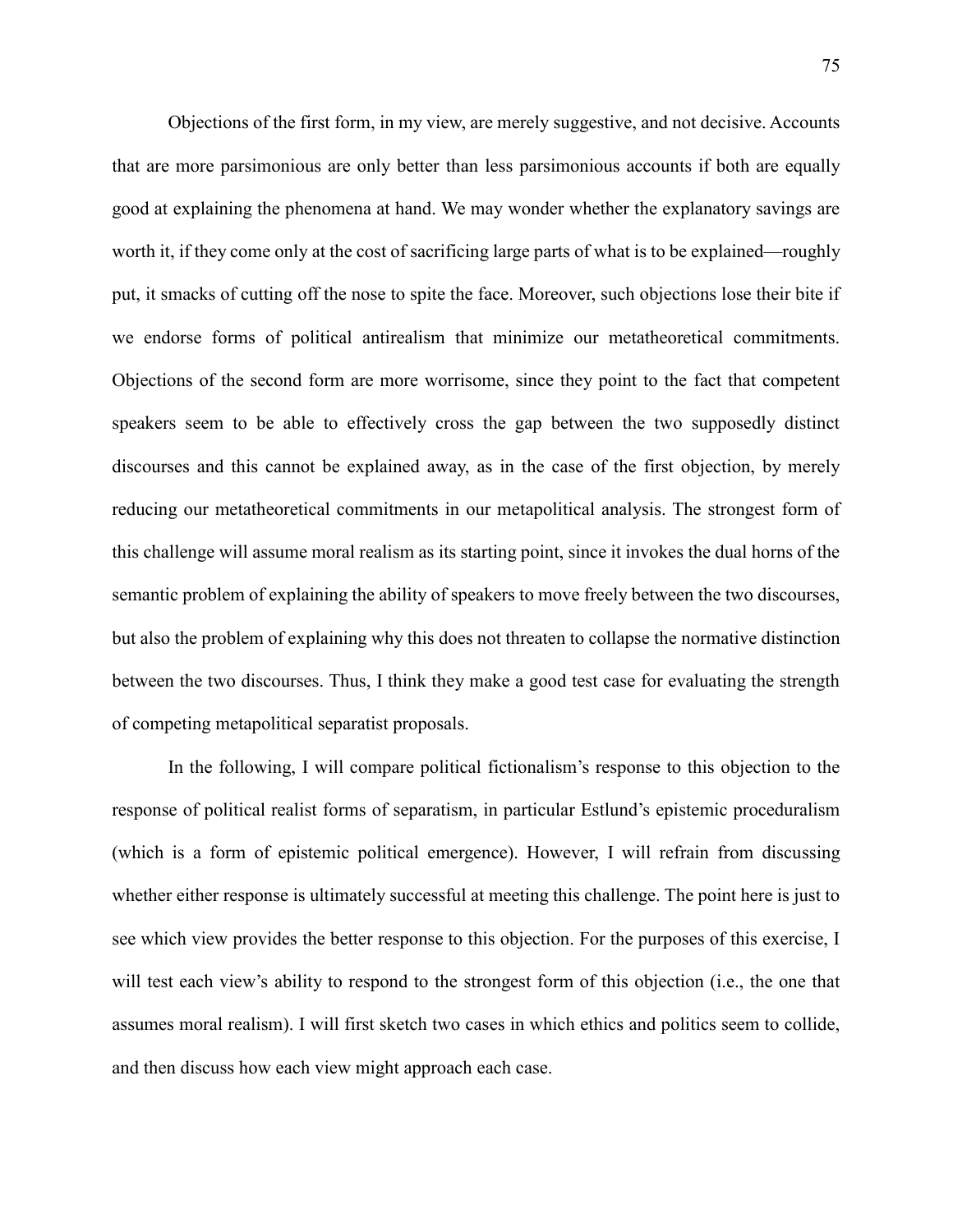Objections of the first form, in my view, are merely suggestive, and not decisive. Accounts that are more parsimonious are only better than less parsimonious accounts if both are equally good at explaining the phenomena at hand. We may wonder whether the explanatory savings are worth it, if they come only at the cost of sacrificing large parts of what is to be explained—roughly put, it smacks of cutting off the nose to spite the face. Moreover, such objections lose their bite if we endorse forms of political antirealism that minimize our metatheoretical commitments. Objections of the second form are more worrisome, since they point to the fact that competent speakers seem to be able to effectively cross the gap between the two supposedly distinct discourses and this cannot be explained away, as in the case of the first objection, by merely reducing our metatheoretical commitments in our metapolitical analysis. The strongest form of this challenge will assume moral realism as its starting point, since it invokes the dual horns of the semantic problem of explaining the ability of speakers to move freely between the two discourses, but also the problem of explaining why this does not threaten to collapse the normative distinction between the two discourses. Thus, I think they make a good test case for evaluating the strength of competing metapolitical separatist proposals.

In the following, I will compare political fictionalism's response to this objection to the response of political realist forms of separatism, in particular Estlund's epistemic proceduralism (which is a form of epistemic political emergence). However, I will refrain from discussing whether either response is ultimately successful at meeting this challenge. The point here is just to see which view provides the better response to this objection. For the purposes of this exercise, I will test each view's ability to respond to the strongest form of this objection (i.e., the one that assumes moral realism). I will first sketch two cases in which ethics and politics seem to collide, and then discuss how each view might approach each case.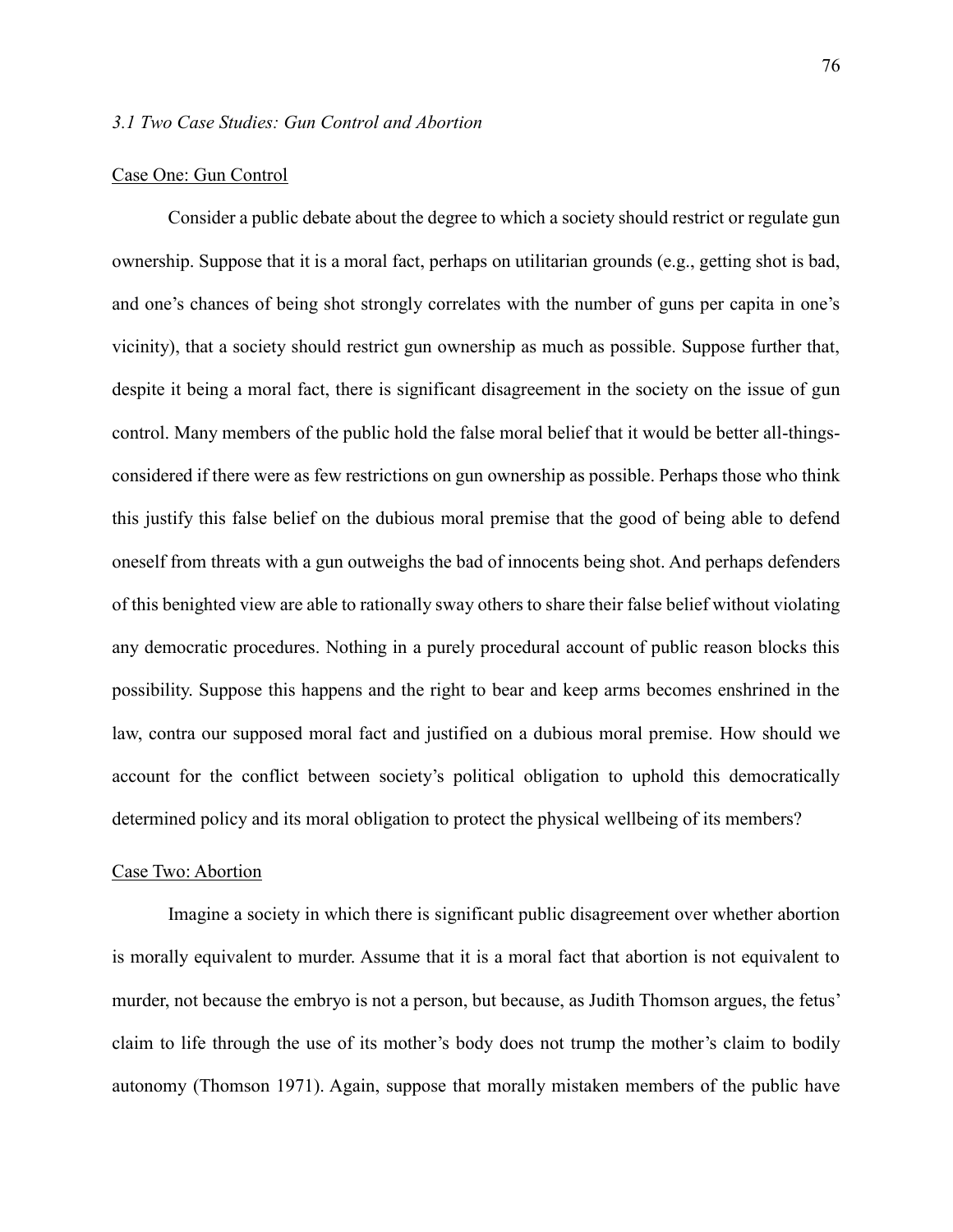## Case One: Gun Control

Consider a public debate about the degree to which a society should restrict or regulate gun ownership. Suppose that it is a moral fact, perhaps on utilitarian grounds (e.g., getting shot is bad, and one's chances of being shot strongly correlates with the number of guns per capita in one's vicinity), that a society should restrict gun ownership as much as possible. Suppose further that, despite it being a moral fact, there is significant disagreement in the society on the issue of gun control. Many members of the public hold the false moral belief that it would be better all-thingsconsidered if there were as few restrictions on gun ownership as possible. Perhaps those who think this justify this false belief on the dubious moral premise that the good of being able to defend oneself from threats with a gun outweighs the bad of innocents being shot. And perhaps defenders of this benighted view are able to rationally sway others to share their false belief without violating any democratic procedures. Nothing in a purely procedural account of public reason blocks this possibility. Suppose this happens and the right to bear and keep arms becomes enshrined in the law, contra our supposed moral fact and justified on a dubious moral premise. How should we account for the conflict between society's political obligation to uphold this democratically determined policy and its moral obligation to protect the physical wellbeing of its members?

### Case Two: Abortion

Imagine a society in which there is significant public disagreement over whether abortion is morally equivalent to murder. Assume that it is a moral fact that abortion is not equivalent to murder, not because the embryo is not a person, but because, as Judith Thomson argues, the fetus' claim to life through the use of its mother's body does not trump the mother's claim to bodily autonomy (Thomson 1971). Again, suppose that morally mistaken members of the public have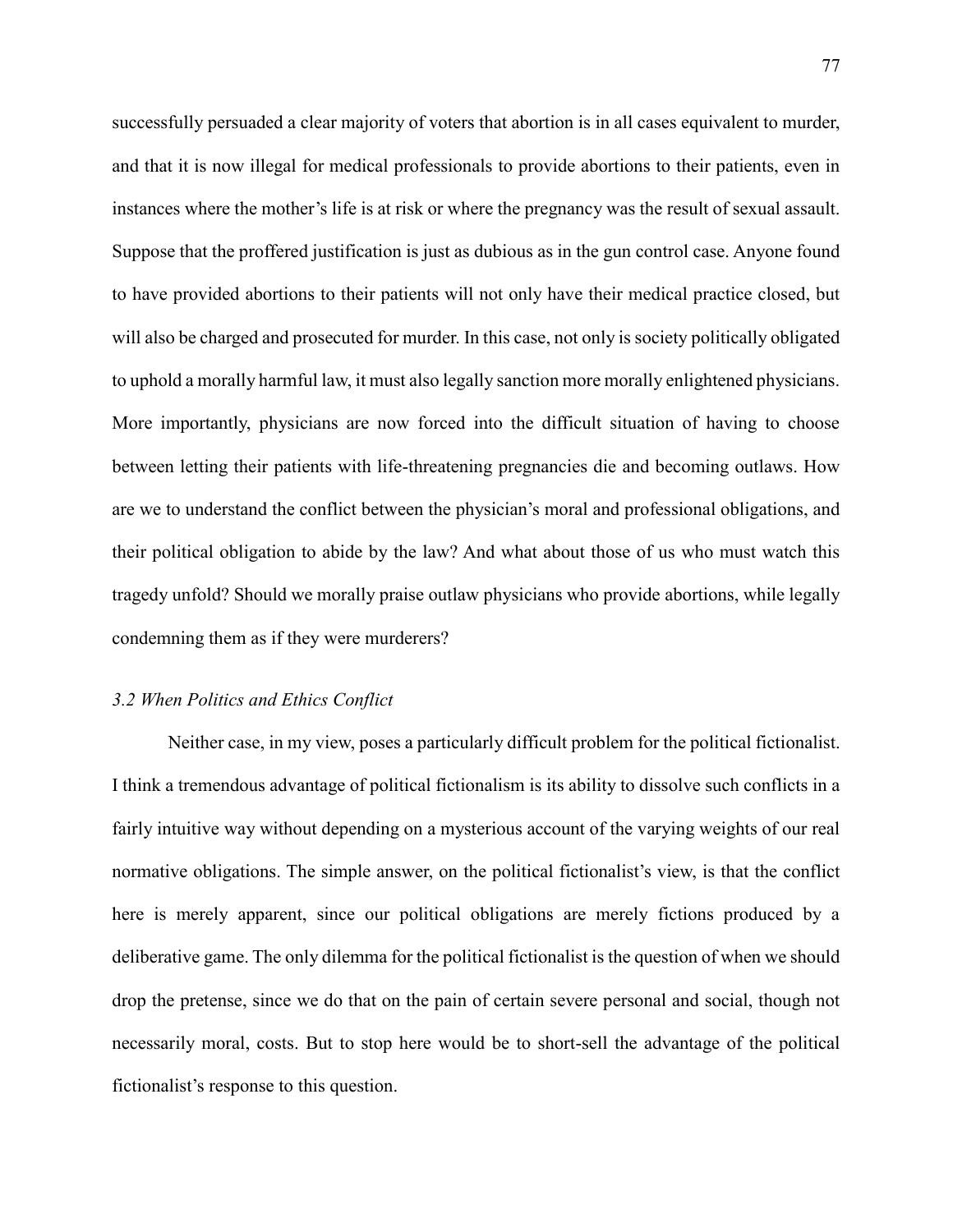successfully persuaded a clear majority of voters that abortion is in all cases equivalent to murder, and that it is now illegal for medical professionals to provide abortions to their patients, even in instances where the mother's life is at risk or where the pregnancy was the result of sexual assault. Suppose that the proffered justification is just as dubious as in the gun control case. Anyone found to have provided abortions to their patients will not only have their medical practice closed, but will also be charged and prosecuted for murder. In this case, not only is society politically obligated to uphold a morally harmful law, it must also legally sanction more morally enlightened physicians. More importantly, physicians are now forced into the difficult situation of having to choose between letting their patients with life-threatening pregnancies die and becoming outlaws. How are we to understand the conflict between the physician's moral and professional obligations, and their political obligation to abide by the law? And what about those of us who must watch this tragedy unfold? Should we morally praise outlaw physicians who provide abortions, while legally condemning them as if they were murderers?

## *3.2 When Politics and Ethics Conflict*

Neither case, in my view, poses a particularly difficult problem for the political fictionalist. I think a tremendous advantage of political fictionalism is its ability to dissolve such conflicts in a fairly intuitive way without depending on a mysterious account of the varying weights of our real normative obligations. The simple answer, on the political fictionalist's view, is that the conflict here is merely apparent, since our political obligations are merely fictions produced by a deliberative game. The only dilemma for the political fictionalist is the question of when we should drop the pretense, since we do that on the pain of certain severe personal and social, though not necessarily moral, costs. But to stop here would be to short-sell the advantage of the political fictionalist's response to this question.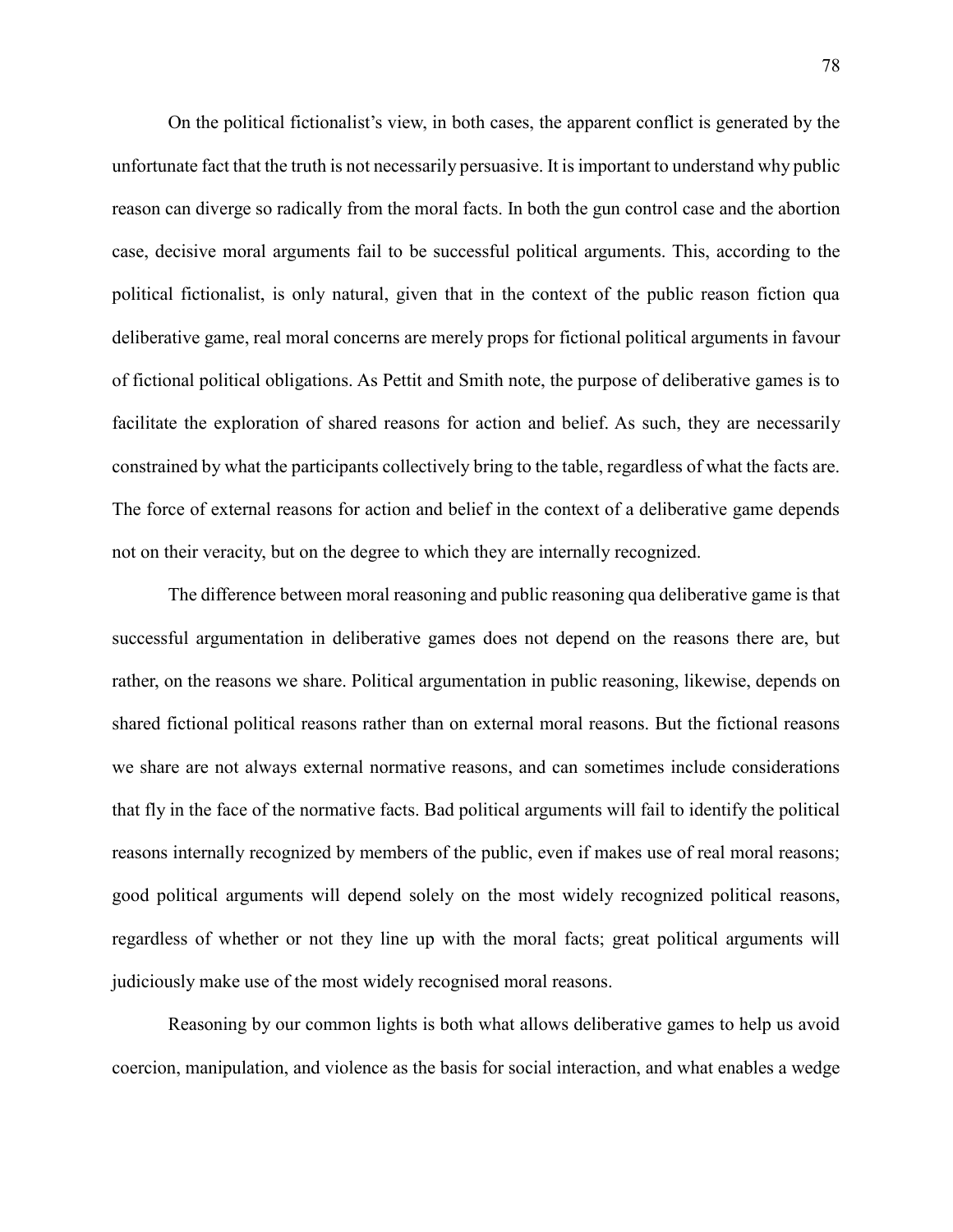On the political fictionalist's view, in both cases, the apparent conflict is generated by the unfortunate fact that the truth is not necessarily persuasive. It is important to understand why public reason can diverge so radically from the moral facts. In both the gun control case and the abortion case, decisive moral arguments fail to be successful political arguments. This, according to the political fictionalist, is only natural, given that in the context of the public reason fiction qua deliberative game, real moral concerns are merely props for fictional political arguments in favour of fictional political obligations. As Pettit and Smith note, the purpose of deliberative games is to facilitate the exploration of shared reasons for action and belief. As such, they are necessarily constrained by what the participants collectively bring to the table, regardless of what the facts are. The force of external reasons for action and belief in the context of a deliberative game depends not on their veracity, but on the degree to which they are internally recognized.

The difference between moral reasoning and public reasoning qua deliberative game is that successful argumentation in deliberative games does not depend on the reasons there are, but rather, on the reasons we share. Political argumentation in public reasoning, likewise, depends on shared fictional political reasons rather than on external moral reasons. But the fictional reasons we share are not always external normative reasons, and can sometimes include considerations that fly in the face of the normative facts. Bad political arguments will fail to identify the political reasons internally recognized by members of the public, even if makes use of real moral reasons; good political arguments will depend solely on the most widely recognized political reasons, regardless of whether or not they line up with the moral facts; great political arguments will judiciously make use of the most widely recognised moral reasons.

Reasoning by our common lights is both what allows deliberative games to help us avoid coercion, manipulation, and violence as the basis for social interaction, and what enables a wedge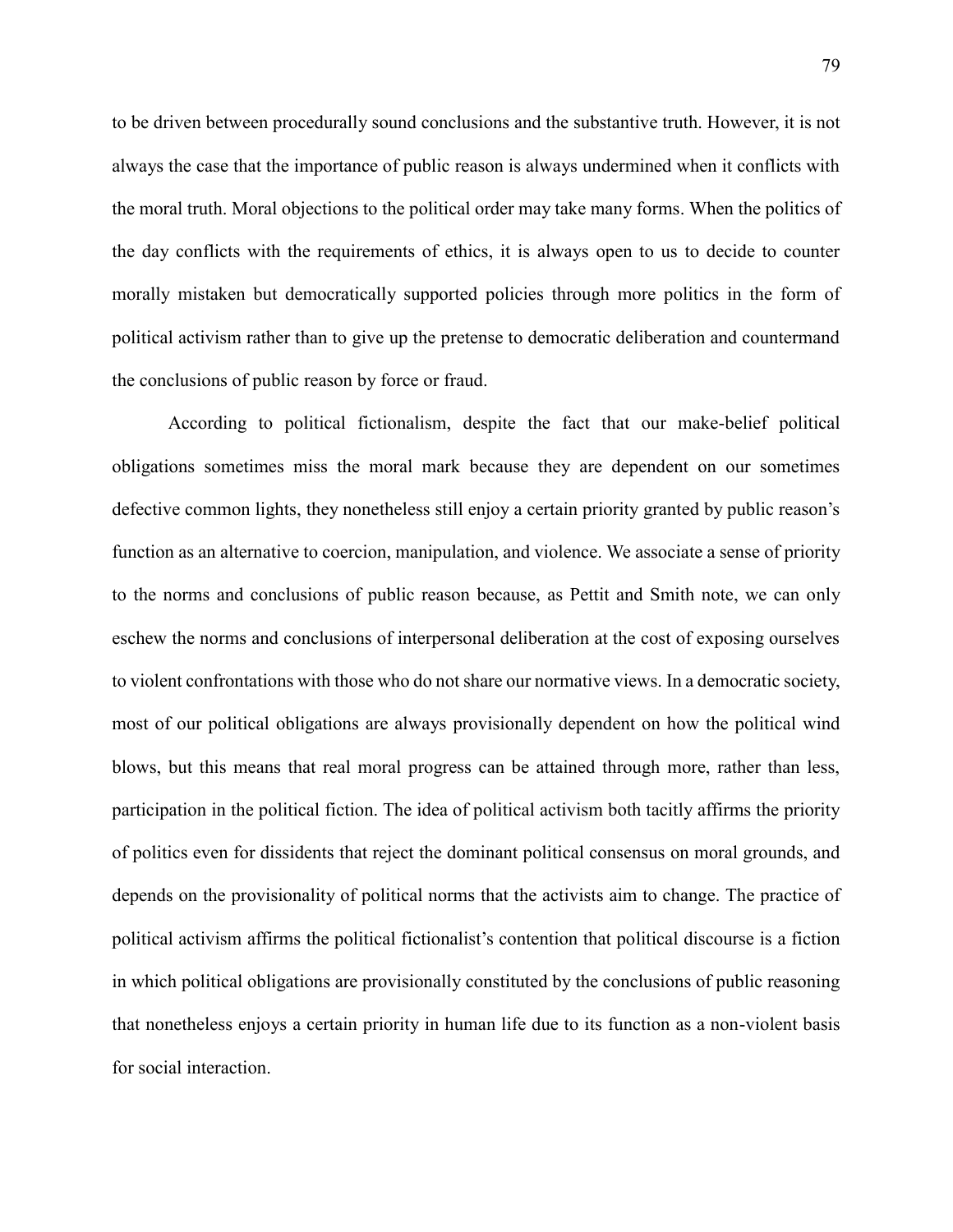to be driven between procedurally sound conclusions and the substantive truth. However, it is not always the case that the importance of public reason is always undermined when it conflicts with the moral truth. Moral objections to the political order may take many forms. When the politics of the day conflicts with the requirements of ethics, it is always open to us to decide to counter morally mistaken but democratically supported policies through more politics in the form of political activism rather than to give up the pretense to democratic deliberation and countermand the conclusions of public reason by force or fraud.

According to political fictionalism, despite the fact that our make-belief political obligations sometimes miss the moral mark because they are dependent on our sometimes defective common lights, they nonetheless still enjoy a certain priority granted by public reason's function as an alternative to coercion, manipulation, and violence. We associate a sense of priority to the norms and conclusions of public reason because, as Pettit and Smith note, we can only eschew the norms and conclusions of interpersonal deliberation at the cost of exposing ourselves to violent confrontations with those who do not share our normative views. In a democratic society, most of our political obligations are always provisionally dependent on how the political wind blows, but this means that real moral progress can be attained through more, rather than less, participation in the political fiction. The idea of political activism both tacitly affirms the priority of politics even for dissidents that reject the dominant political consensus on moral grounds, and depends on the provisionality of political norms that the activists aim to change. The practice of political activism affirms the political fictionalist's contention that political discourse is a fiction in which political obligations are provisionally constituted by the conclusions of public reasoning that nonetheless enjoys a certain priority in human life due to its function as a non-violent basis for social interaction.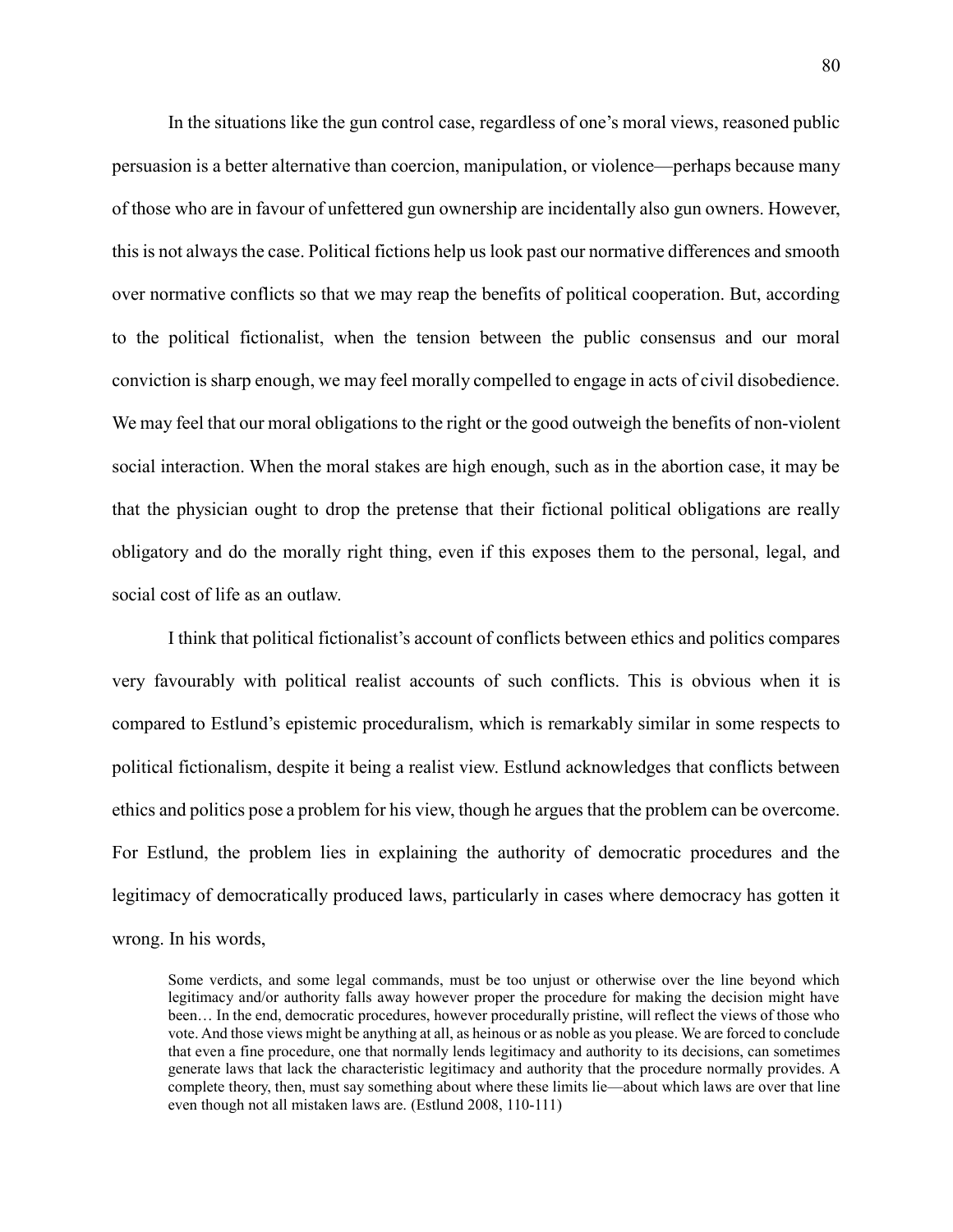In the situations like the gun control case, regardless of one's moral views, reasoned public persuasion is a better alternative than coercion, manipulation, or violence—perhaps because many of those who are in favour of unfettered gun ownership are incidentally also gun owners. However, this is not always the case. Political fictions help us look past our normative differences and smooth over normative conflicts so that we may reap the benefits of political cooperation. But, according to the political fictionalist, when the tension between the public consensus and our moral conviction is sharp enough, we may feel morally compelled to engage in acts of civil disobedience. We may feel that our moral obligations to the right or the good outweigh the benefits of non-violent social interaction. When the moral stakes are high enough, such as in the abortion case, it may be that the physician ought to drop the pretense that their fictional political obligations are really obligatory and do the morally right thing, even if this exposes them to the personal, legal, and social cost of life as an outlaw.

I think that political fictionalist's account of conflicts between ethics and politics compares very favourably with political realist accounts of such conflicts. This is obvious when it is compared to Estlund's epistemic proceduralism, which is remarkably similar in some respects to political fictionalism, despite it being a realist view. Estlund acknowledges that conflicts between ethics and politics pose a problem for his view, though he argues that the problem can be overcome. For Estlund, the problem lies in explaining the authority of democratic procedures and the legitimacy of democratically produced laws, particularly in cases where democracy has gotten it wrong. In his words,

Some verdicts, and some legal commands, must be too unjust or otherwise over the line beyond which legitimacy and/or authority falls away however proper the procedure for making the decision might have been… In the end, democratic procedures, however procedurally pristine, will reflect the views of those who vote. And those views might be anything at all, as heinous or as noble as you please. We are forced to conclude that even a fine procedure, one that normally lends legitimacy and authority to its decisions, can sometimes generate laws that lack the characteristic legitimacy and authority that the procedure normally provides. A complete theory, then, must say something about where these limits lie—about which laws are over that line even though not all mistaken laws are. (Estlund 2008, 110-111)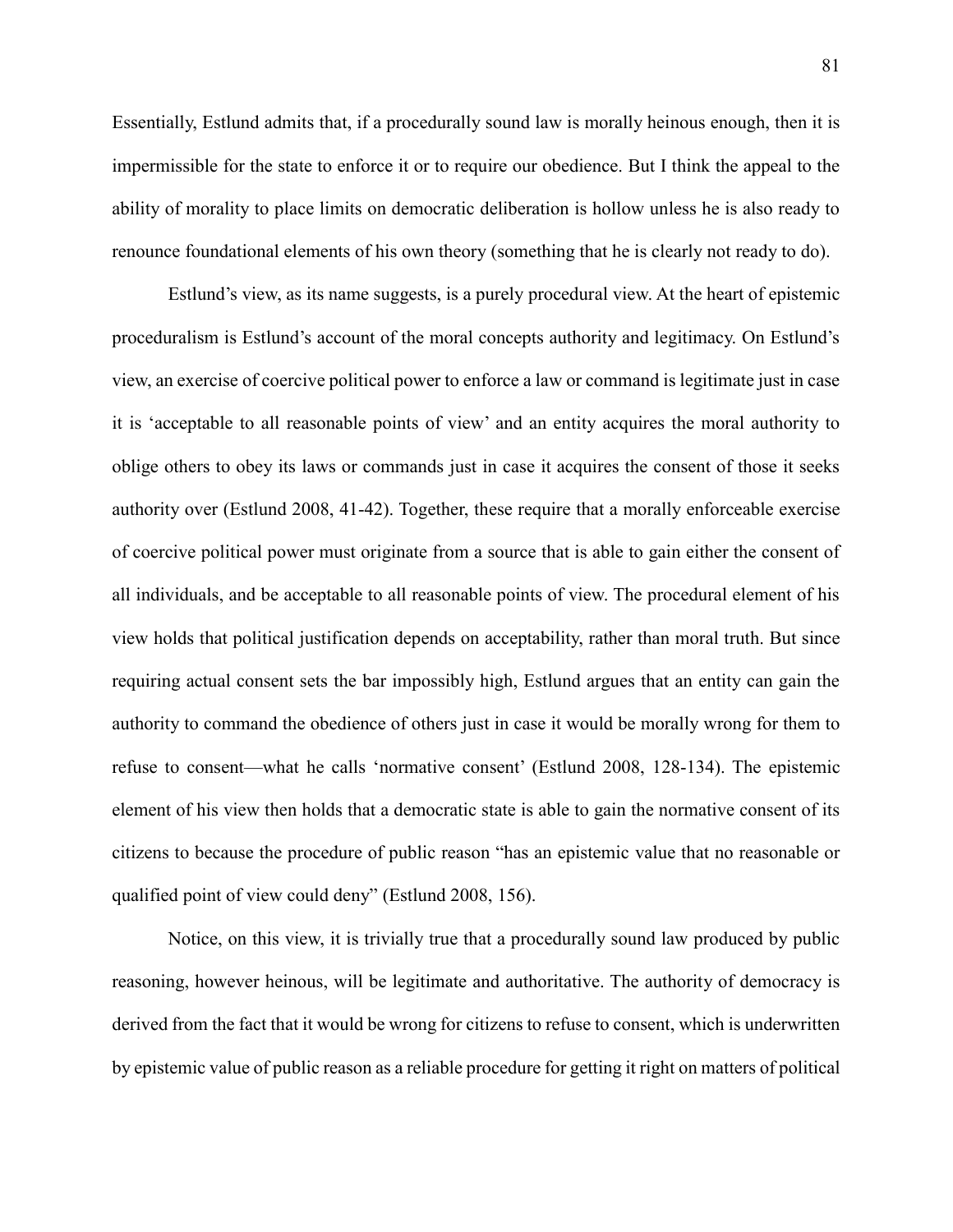Essentially, Estlund admits that, if a procedurally sound law is morally heinous enough, then it is impermissible for the state to enforce it or to require our obedience. But I think the appeal to the ability of morality to place limits on democratic deliberation is hollow unless he is also ready to renounce foundational elements of his own theory (something that he is clearly not ready to do).

Estlund's view, as its name suggests, is a purely procedural view. At the heart of epistemic proceduralism is Estlund's account of the moral concepts authority and legitimacy. On Estlund's view, an exercise of coercive political power to enforce a law or command is legitimate just in case it is 'acceptable to all reasonable points of view' and an entity acquires the moral authority to oblige others to obey its laws or commands just in case it acquires the consent of those it seeks authority over (Estlund 2008, 41-42). Together, these require that a morally enforceable exercise of coercive political power must originate from a source that is able to gain either the consent of all individuals, and be acceptable to all reasonable points of view. The procedural element of his view holds that political justification depends on acceptability, rather than moral truth. But since requiring actual consent sets the bar impossibly high, Estlund argues that an entity can gain the authority to command the obedience of others just in case it would be morally wrong for them to refuse to consent—what he calls 'normative consent' (Estlund 2008, 128-134). The epistemic element of his view then holds that a democratic state is able to gain the normative consent of its citizens to because the procedure of public reason "has an epistemic value that no reasonable or qualified point of view could deny" (Estlund 2008, 156).

Notice, on this view, it is trivially true that a procedurally sound law produced by public reasoning, however heinous, will be legitimate and authoritative. The authority of democracy is derived from the fact that it would be wrong for citizens to refuse to consent, which is underwritten by epistemic value of public reason as a reliable procedure for getting it right on matters of political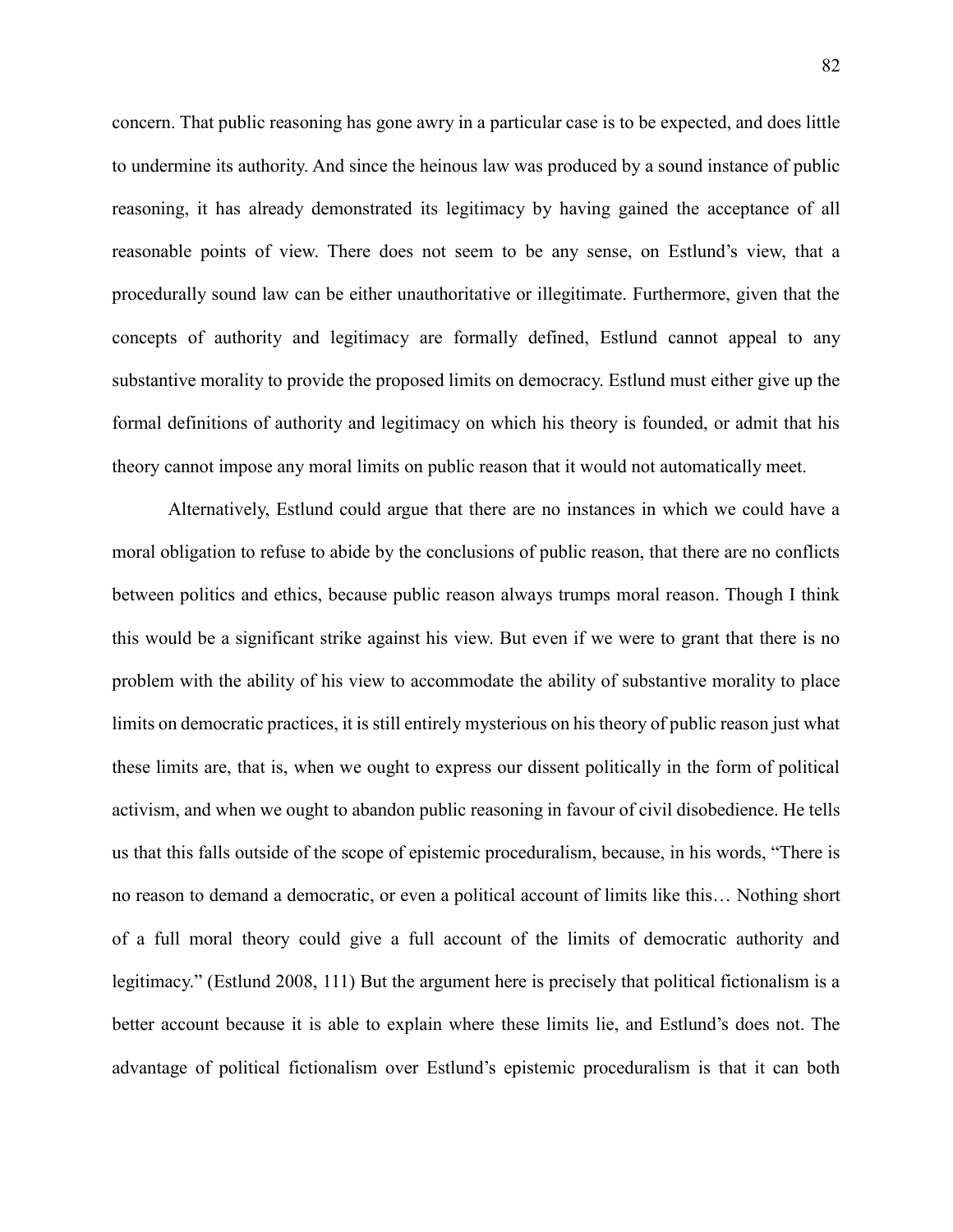concern. That public reasoning has gone awry in a particular case is to be expected, and does little to undermine its authority. And since the heinous law was produced by a sound instance of public reasoning, it has already demonstrated its legitimacy by having gained the acceptance of all reasonable points of view. There does not seem to be any sense, on Estlund's view, that a procedurally sound law can be either unauthoritative or illegitimate. Furthermore, given that the concepts of authority and legitimacy are formally defined, Estlund cannot appeal to any substantive morality to provide the proposed limits on democracy. Estlund must either give up the formal definitions of authority and legitimacy on which his theory is founded, or admit that his theory cannot impose any moral limits on public reason that it would not automatically meet.

Alternatively, Estlund could argue that there are no instances in which we could have a moral obligation to refuse to abide by the conclusions of public reason, that there are no conflicts between politics and ethics, because public reason always trumps moral reason. Though I think this would be a significant strike against his view. But even if we were to grant that there is no problem with the ability of his view to accommodate the ability of substantive morality to place limits on democratic practices, it is still entirely mysterious on his theory of public reason just what these limits are, that is, when we ought to express our dissent politically in the form of political activism, and when we ought to abandon public reasoning in favour of civil disobedience. He tells us that this falls outside of the scope of epistemic proceduralism, because, in his words, "There is no reason to demand a democratic, or even a political account of limits like this… Nothing short of a full moral theory could give a full account of the limits of democratic authority and legitimacy." (Estlund 2008, 111) But the argument here is precisely that political fictionalism is a better account because it is able to explain where these limits lie, and Estlund's does not. The advantage of political fictionalism over Estlund's epistemic proceduralism is that it can both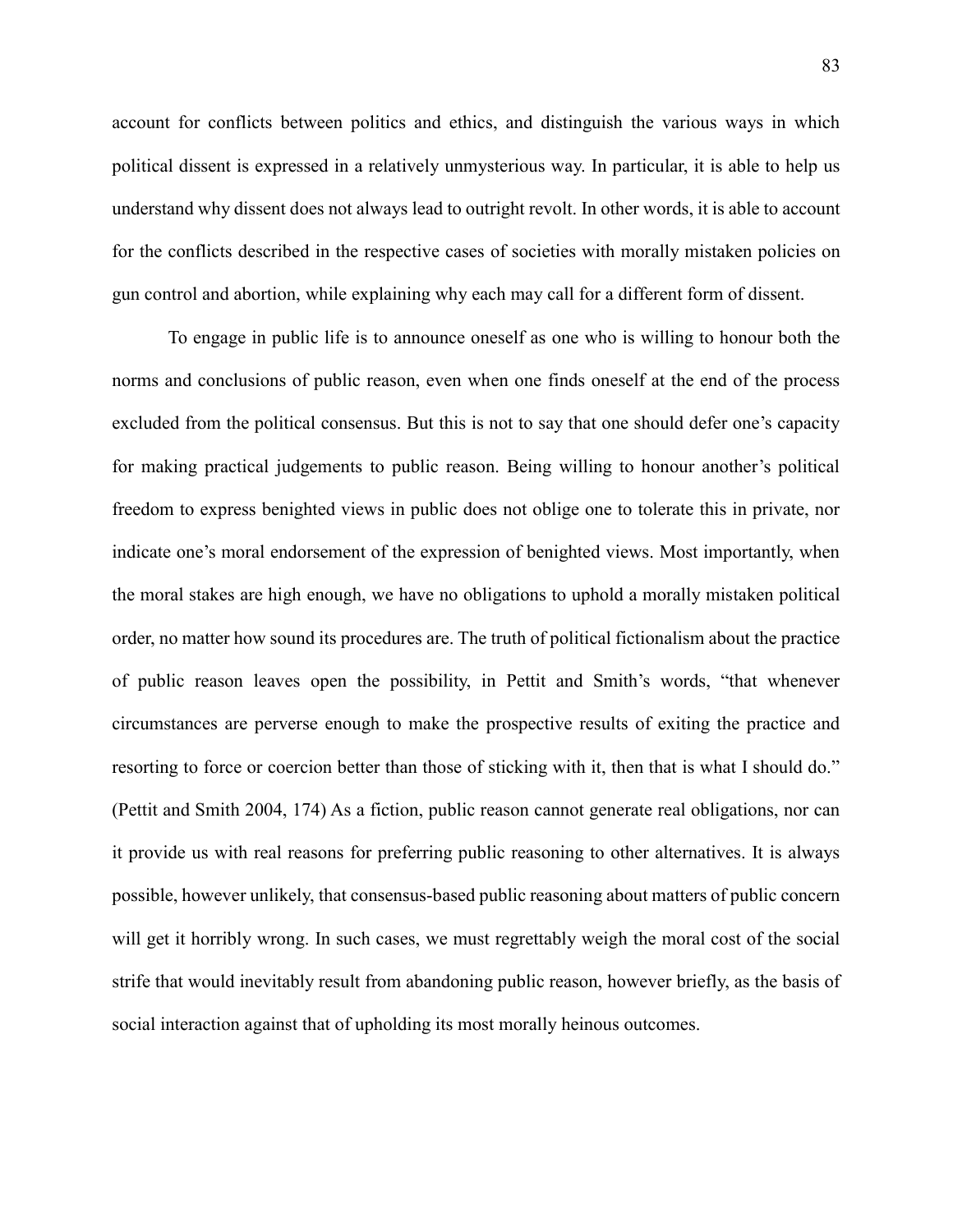account for conflicts between politics and ethics, and distinguish the various ways in which political dissent is expressed in a relatively unmysterious way. In particular, it is able to help us understand why dissent does not always lead to outright revolt. In other words, it is able to account for the conflicts described in the respective cases of societies with morally mistaken policies on gun control and abortion, while explaining why each may call for a different form of dissent.

To engage in public life is to announce oneself as one who is willing to honour both the norms and conclusions of public reason, even when one finds oneself at the end of the process excluded from the political consensus. But this is not to say that one should defer one's capacity for making practical judgements to public reason. Being willing to honour another's political freedom to express benighted views in public does not oblige one to tolerate this in private, nor indicate one's moral endorsement of the expression of benighted views. Most importantly, when the moral stakes are high enough, we have no obligations to uphold a morally mistaken political order, no matter how sound its procedures are. The truth of political fictionalism about the practice of public reason leaves open the possibility, in Pettit and Smith's words, "that whenever circumstances are perverse enough to make the prospective results of exiting the practice and resorting to force or coercion better than those of sticking with it, then that is what I should do." (Pettit and Smith 2004, 174) As a fiction, public reason cannot generate real obligations, nor can it provide us with real reasons for preferring public reasoning to other alternatives. It is always possible, however unlikely, that consensus-based public reasoning about matters of public concern will get it horribly wrong. In such cases, we must regrettably weigh the moral cost of the social strife that would inevitably result from abandoning public reason, however briefly, as the basis of social interaction against that of upholding its most morally heinous outcomes.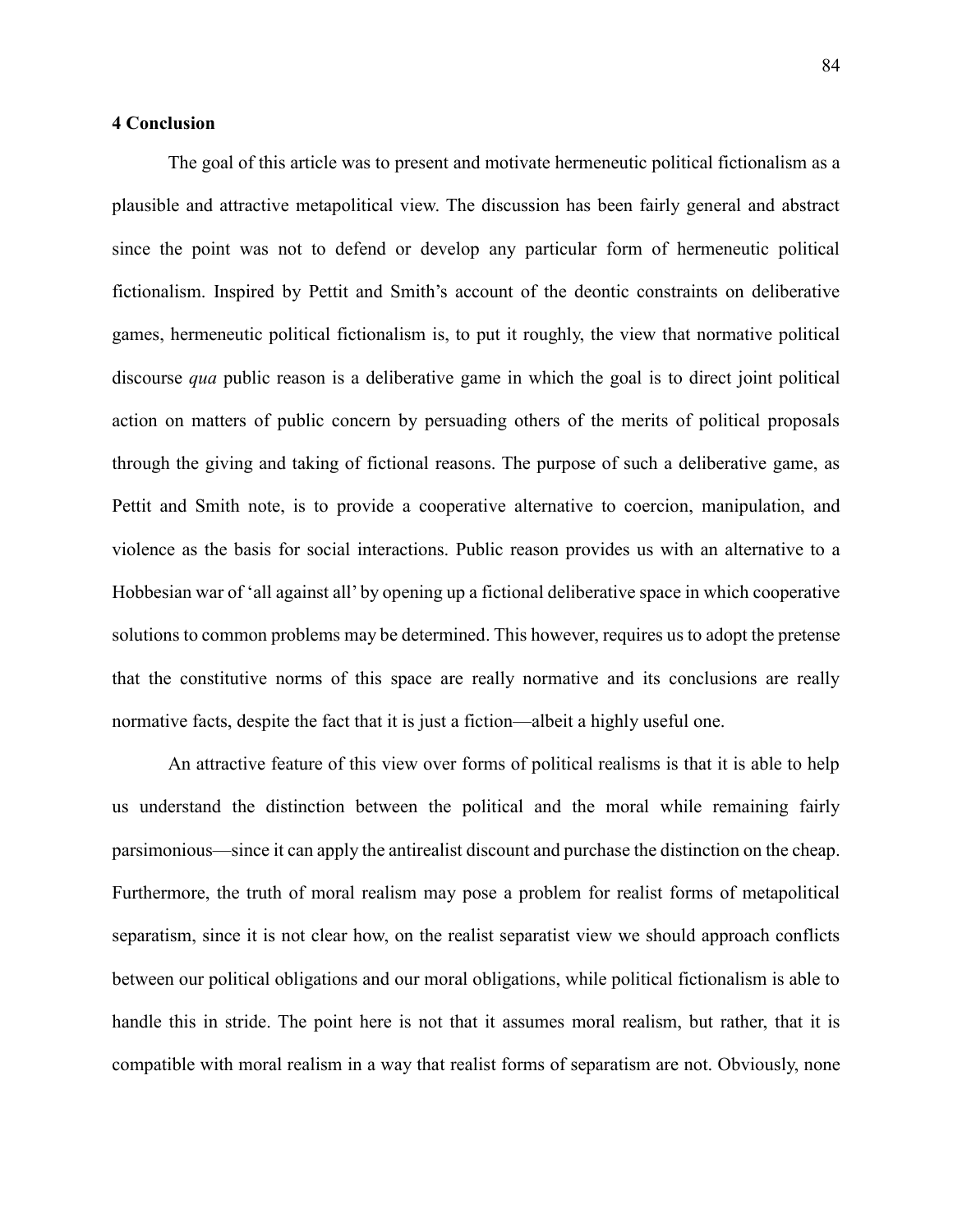# **4 Conclusion**

The goal of this article was to present and motivate hermeneutic political fictionalism as a plausible and attractive metapolitical view. The discussion has been fairly general and abstract since the point was not to defend or develop any particular form of hermeneutic political fictionalism. Inspired by Pettit and Smith's account of the deontic constraints on deliberative games, hermeneutic political fictionalism is, to put it roughly, the view that normative political discourse *qua* public reason is a deliberative game in which the goal is to direct joint political action on matters of public concern by persuading others of the merits of political proposals through the giving and taking of fictional reasons. The purpose of such a deliberative game, as Pettit and Smith note, is to provide a cooperative alternative to coercion, manipulation, and violence as the basis for social interactions. Public reason provides us with an alternative to a Hobbesian war of 'all against all' by opening up a fictional deliberative space in which cooperative solutions to common problems may be determined. This however, requires us to adopt the pretense that the constitutive norms of this space are really normative and its conclusions are really normative facts, despite the fact that it is just a fiction—albeit a highly useful one.

An attractive feature of this view over forms of political realisms is that it is able to help us understand the distinction between the political and the moral while remaining fairly parsimonious—since it can apply the antirealist discount and purchase the distinction on the cheap. Furthermore, the truth of moral realism may pose a problem for realist forms of metapolitical separatism, since it is not clear how, on the realist separatist view we should approach conflicts between our political obligations and our moral obligations, while political fictionalism is able to handle this in stride. The point here is not that it assumes moral realism, but rather, that it is compatible with moral realism in a way that realist forms of separatism are not. Obviously, none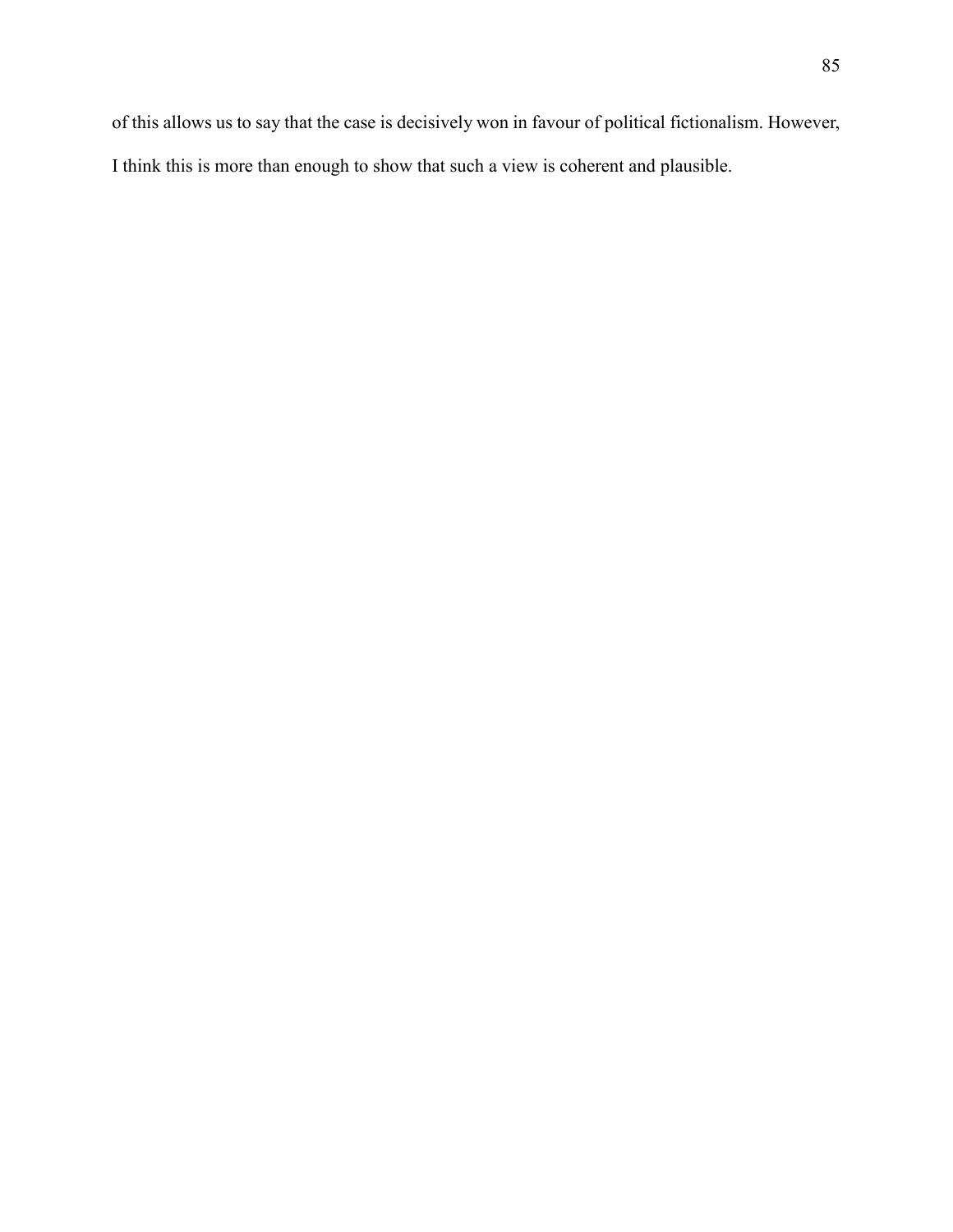of this allows us to say that the case is decisively won in favour of political fictionalism. However, I think this is more than enough to show that such a view is coherent and plausible.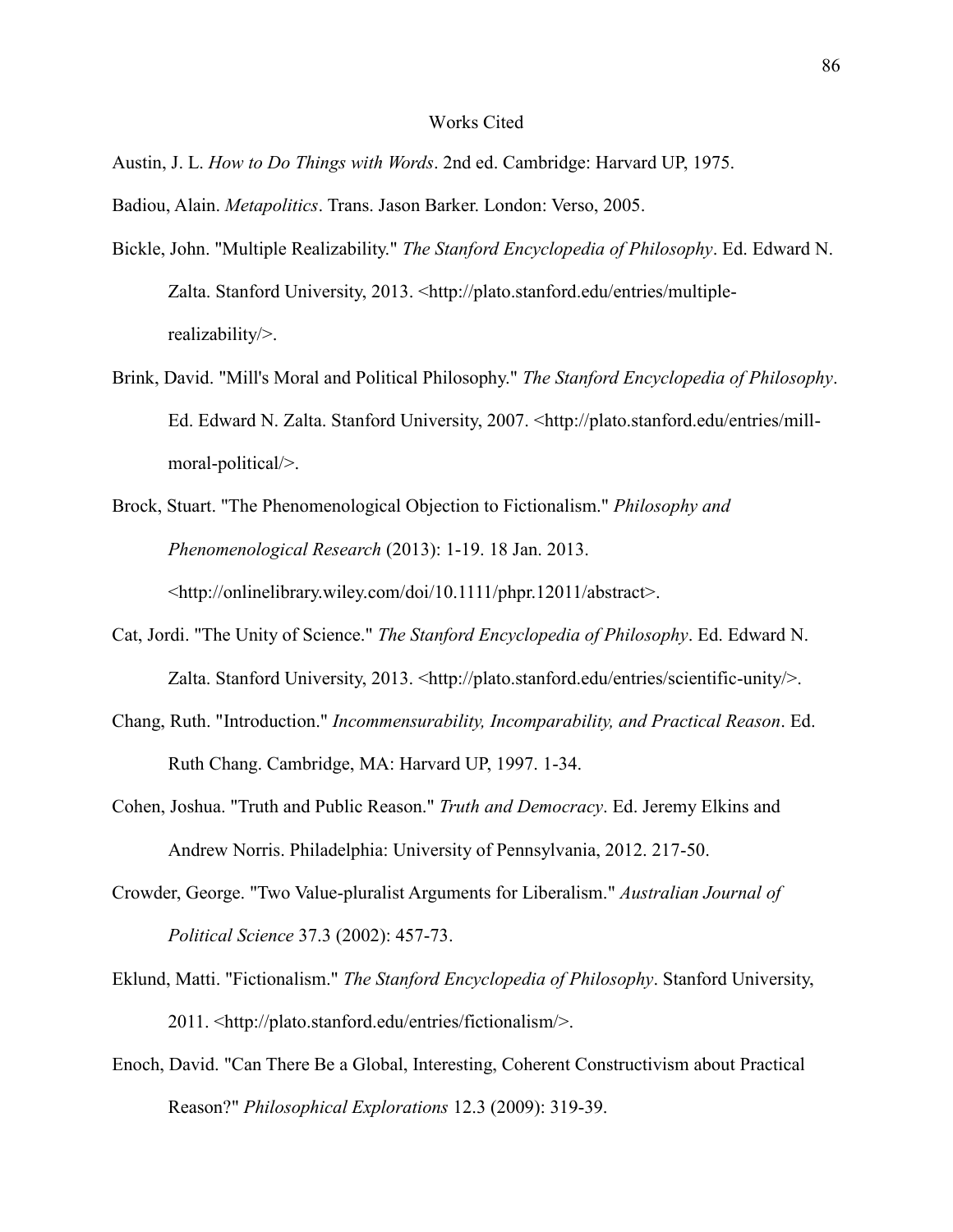## Works Cited

Austin, J. L. *How to Do Things with Words*. 2nd ed. Cambridge: Harvard UP, 1975.

Badiou, Alain. *Metapolitics*. Trans. Jason Barker. London: Verso, 2005.

- Bickle, John. "Multiple Realizability." *The Stanford Encyclopedia of Philosophy*. Ed. Edward N. Zalta. Stanford University, 2013. <http://plato.stanford.edu/entries/multiplerealizability/>.
- Brink, David. "Mill's Moral and Political Philosophy." *The Stanford Encyclopedia of Philosophy*. Ed. Edward N. Zalta. Stanford University, 2007. <http://plato.stanford.edu/entries/millmoral-political/>.
- Brock, Stuart. "The Phenomenological Objection to Fictionalism." *Philosophy and Phenomenological Research* (2013): 1-19. 18 Jan. 2013. <http://onlinelibrary.wiley.com/doi/10.1111/phpr.12011/abstract>.
- Cat, Jordi. "The Unity of Science." *The Stanford Encyclopedia of Philosophy*. Ed. Edward N. Zalta. Stanford University, 2013. <http://plato.stanford.edu/entries/scientific-unity/>.
- Chang, Ruth. "Introduction." *Incommensurability, Incomparability, and Practical Reason*. Ed. Ruth Chang. Cambridge, MA: Harvard UP, 1997. 1-34.
- Cohen, Joshua. "Truth and Public Reason." *Truth and Democracy*. Ed. Jeremy Elkins and Andrew Norris. Philadelphia: University of Pennsylvania, 2012. 217-50.
- Crowder, George. "Two Value-pluralist Arguments for Liberalism." *Australian Journal of Political Science* 37.3 (2002): 457-73.
- Eklund, Matti. "Fictionalism." *The Stanford Encyclopedia of Philosophy*. Stanford University, 2011. <http://plato.stanford.edu/entries/fictionalism/>.
- Enoch, David. "Can There Be a Global, Interesting, Coherent Constructivism about Practical Reason?" *Philosophical Explorations* 12.3 (2009): 319-39.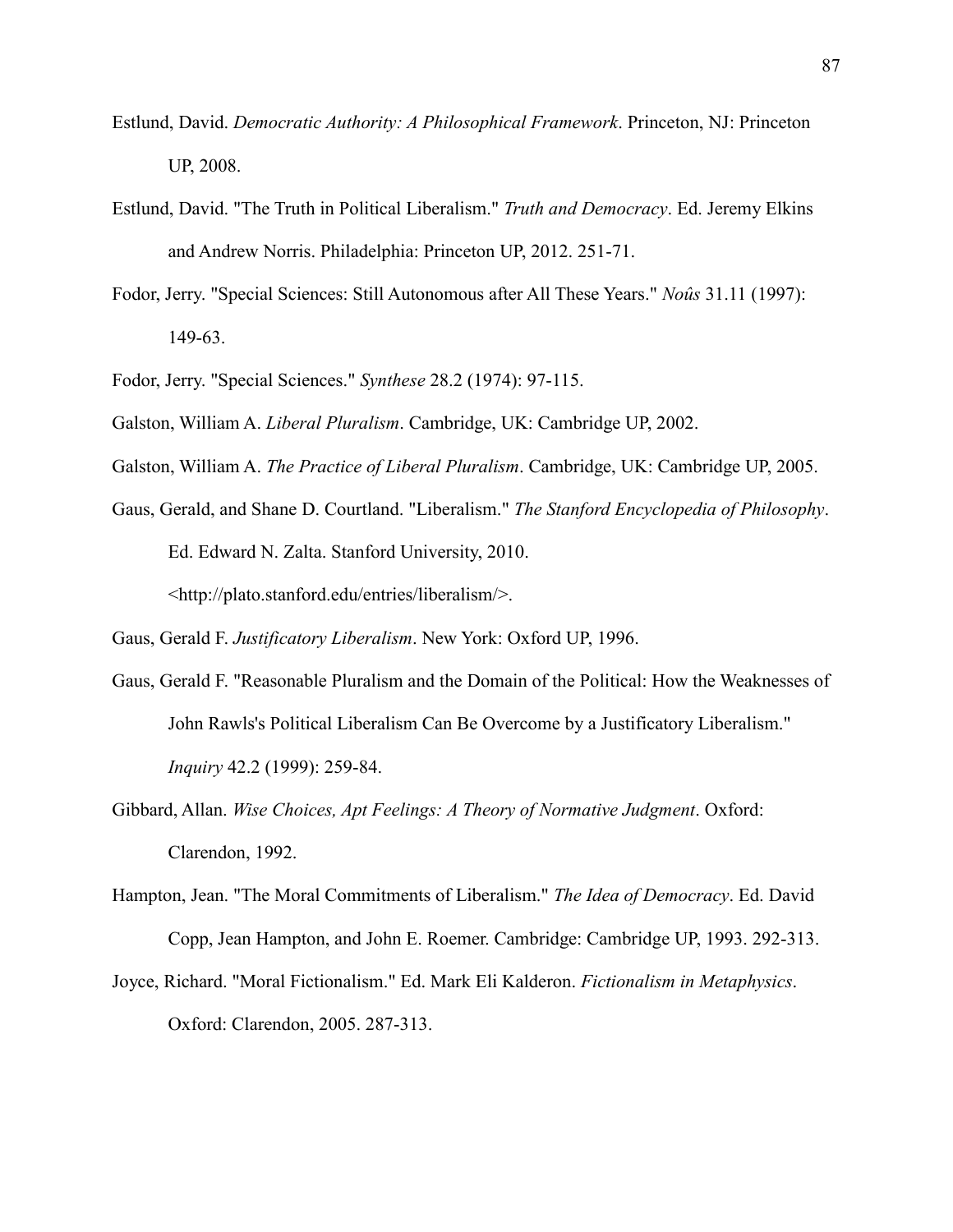- Estlund, David. *Democratic Authority: A Philosophical Framework*. Princeton, NJ: Princeton UP, 2008.
- Estlund, David. "The Truth in Political Liberalism." *Truth and Democracy*. Ed. Jeremy Elkins and Andrew Norris. Philadelphia: Princeton UP, 2012. 251-71.
- Fodor, Jerry. "Special Sciences: Still Autonomous after All These Years." *Noûs* 31.11 (1997): 149-63.
- Fodor, Jerry. "Special Sciences." *Synthese* 28.2 (1974): 97-115.
- Galston, William A. *Liberal Pluralism*. Cambridge, UK: Cambridge UP, 2002.
- Galston, William A. *The Practice of Liberal Pluralism*. Cambridge, UK: Cambridge UP, 2005.
- Gaus, Gerald, and Shane D. Courtland. "Liberalism." *The Stanford Encyclopedia of Philosophy*. Ed. Edward N. Zalta. Stanford University, 2010. <http://plato.stanford.edu/entries/liberalism/>.

Gaus, Gerald F. *Justificatory Liberalism*. New York: Oxford UP, 1996.

- Gaus, Gerald F. "Reasonable Pluralism and the Domain of the Political: How the Weaknesses of John Rawls's Political Liberalism Can Be Overcome by a Justificatory Liberalism." *Inquiry* 42.2 (1999): 259-84.
- Gibbard, Allan. *Wise Choices, Apt Feelings: A Theory of Normative Judgment*. Oxford: Clarendon, 1992.
- Hampton, Jean. "The Moral Commitments of Liberalism." *The Idea of Democracy*. Ed. David Copp, Jean Hampton, and John E. Roemer. Cambridge: Cambridge UP, 1993. 292-313.
- Joyce, Richard. "Moral Fictionalism." Ed. Mark Eli Kalderon. *Fictionalism in Metaphysics*. Oxford: Clarendon, 2005. 287-313.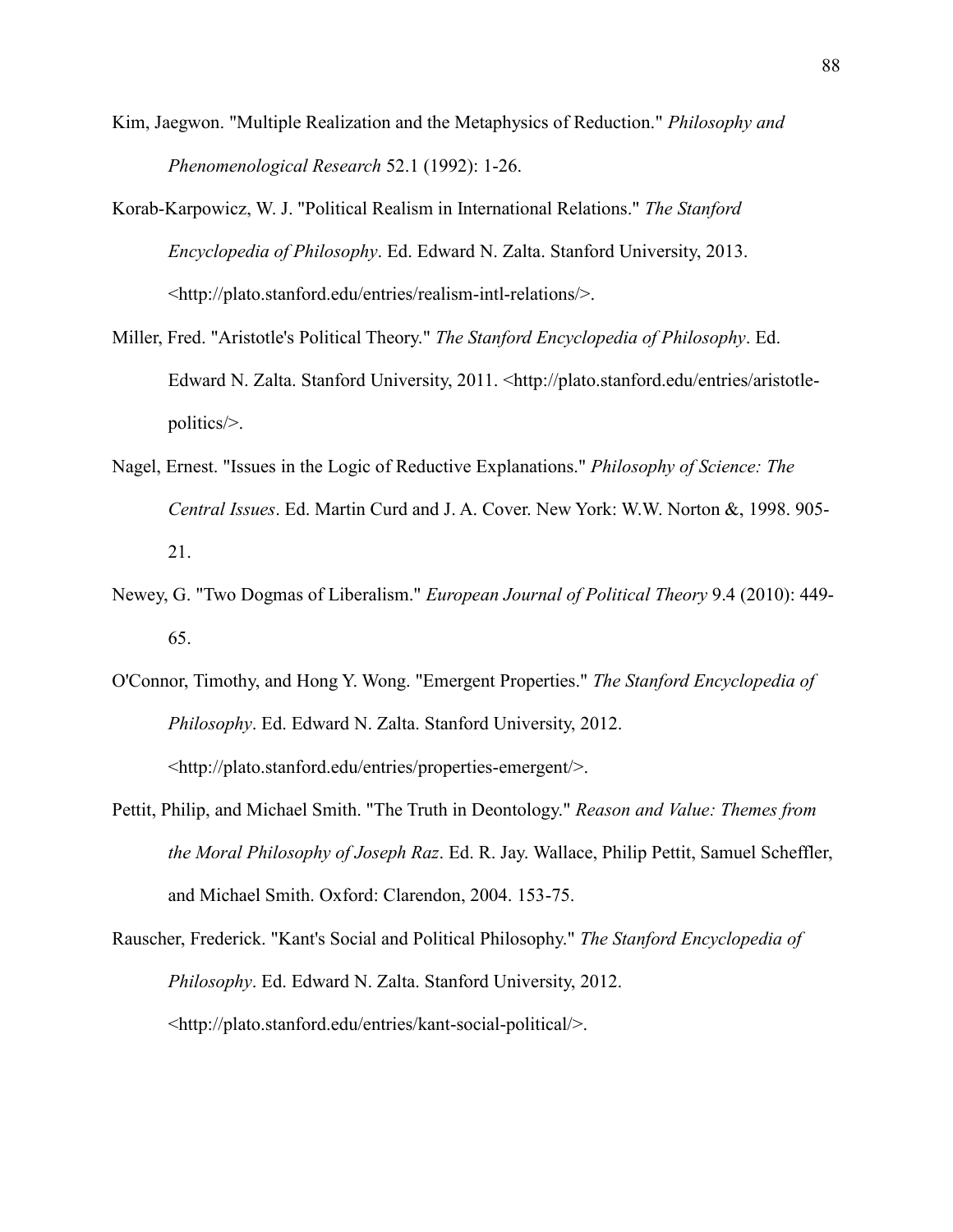- Kim, Jaegwon. "Multiple Realization and the Metaphysics of Reduction." *Philosophy and Phenomenological Research* 52.1 (1992): 1-26.
- Korab-Karpowicz, W. J. "Political Realism in International Relations." *The Stanford Encyclopedia of Philosophy*. Ed. Edward N. Zalta. Stanford University, 2013. <http://plato.stanford.edu/entries/realism-intl-relations/>.
- Miller, Fred. "Aristotle's Political Theory." *The Stanford Encyclopedia of Philosophy*. Ed. Edward N. Zalta. Stanford University, 2011. <http://plato.stanford.edu/entries/aristotlepolitics/>.
- Nagel, Ernest. "Issues in the Logic of Reductive Explanations." *Philosophy of Science: The Central Issues*. Ed. Martin Curd and J. A. Cover. New York: W.W. Norton &, 1998. 905- 21.
- Newey, G. "Two Dogmas of Liberalism." *European Journal of Political Theory* 9.4 (2010): 449- 65.
- O'Connor, Timothy, and Hong Y. Wong. "Emergent Properties." *The Stanford Encyclopedia of Philosophy*. Ed. Edward N. Zalta. Stanford University, 2012. <http://plato.stanford.edu/entries/properties-emergent/>.
- Pettit, Philip, and Michael Smith. "The Truth in Deontology." *Reason and Value: Themes from the Moral Philosophy of Joseph Raz*. Ed. R. Jay. Wallace, Philip Pettit, Samuel Scheffler, and Michael Smith. Oxford: Clarendon, 2004. 153-75.
- Rauscher, Frederick. "Kant's Social and Political Philosophy." *The Stanford Encyclopedia of Philosophy*. Ed. Edward N. Zalta. Stanford University, 2012. <http://plato.stanford.edu/entries/kant-social-political/>.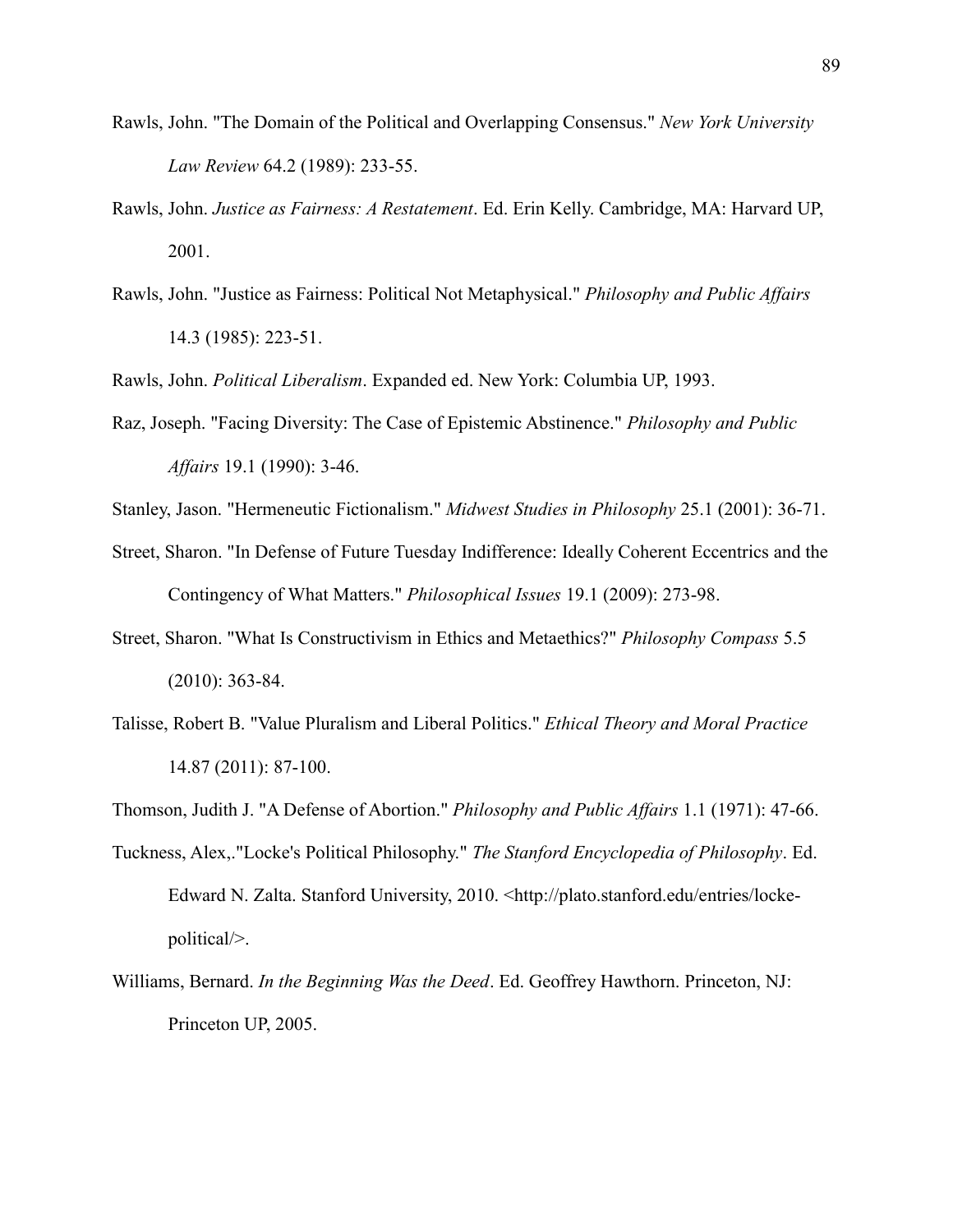- Rawls, John. "The Domain of the Political and Overlapping Consensus." *New York University Law Review* 64.2 (1989): 233-55.
- Rawls, John. *Justice as Fairness: A Restatement*. Ed. Erin Kelly. Cambridge, MA: Harvard UP, 2001.
- Rawls, John. "Justice as Fairness: Political Not Metaphysical." *Philosophy and Public Affairs* 14.3 (1985): 223-51.

Rawls, John. *Political Liberalism*. Expanded ed. New York: Columbia UP, 1993.

- Raz, Joseph. "Facing Diversity: The Case of Epistemic Abstinence." *Philosophy and Public Affairs* 19.1 (1990): 3-46.
- Stanley, Jason. "Hermeneutic Fictionalism." *Midwest Studies in Philosophy* 25.1 (2001): 36-71.
- Street, Sharon. "In Defense of Future Tuesday Indifference: Ideally Coherent Eccentrics and the Contingency of What Matters." *Philosophical Issues* 19.1 (2009): 273-98.
- Street, Sharon. "What Is Constructivism in Ethics and Metaethics?" *Philosophy Compass* 5.5 (2010): 363-84.
- Talisse, Robert B. "Value Pluralism and Liberal Politics." *Ethical Theory and Moral Practice* 14.87 (2011): 87-100.
- Thomson, Judith J. "A Defense of Abortion." *Philosophy and Public Affairs* 1.1 (1971): 47-66.
- Tuckness, Alex,."Locke's Political Philosophy." *The Stanford Encyclopedia of Philosophy*. Ed. Edward N. Zalta. Stanford University, 2010. <http://plato.stanford.edu/entries/lockepolitical/>.
- Williams, Bernard. *In the Beginning Was the Deed*. Ed. Geoffrey Hawthorn. Princeton, NJ: Princeton UP, 2005.